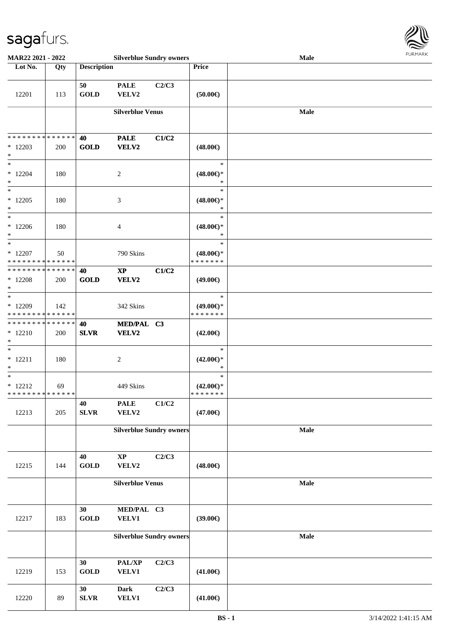

| MAR22 2021 - 2022                                    |     |                             | <b>Silverblue Sundry owners</b> |       |                                                   | Male | <b>FUNITANN</b> |
|------------------------------------------------------|-----|-----------------------------|---------------------------------|-------|---------------------------------------------------|------|-----------------|
| Lot No.                                              | Qty | <b>Description</b>          |                                 |       | Price                                             |      |                 |
| 12201                                                | 113 | 50<br><b>GOLD</b>           | <b>PALE</b><br>VELV2            | C2/C3 | (50.00)                                           |      |                 |
|                                                      |     |                             | <b>Silverblue Venus</b>         |       |                                                   | Male |                 |
| * * * * * * * * * * * * * *<br>$*12203$<br>$\ast$    | 200 | 40<br><b>GOLD</b>           | <b>PALE</b><br>VELV2            | C1/C2 | $(48.00\epsilon)$                                 |      |                 |
| $\ast$<br>$*12204$<br>$\ast$<br>$\overline{\ast}$    | 180 |                             | 2                               |       | $\ast$<br>$(48.00\epsilon)$ *<br>$\ast$<br>$\ast$ |      |                 |
| $*12205$<br>$\ast$                                   | 180 |                             | $\mathfrak{Z}$                  |       | $(48.00\epsilon)$ *<br>$\ast$                     |      |                 |
| $\ast$<br>$*12206$<br>$\ast$                         | 180 |                             | 4                               |       | $\ast$<br>$(48.00\epsilon)$ *<br>$\ast$           |      |                 |
| $\ast$<br>$*12207$<br>* * * * * * * * * * * * * *    | 50  |                             | 790 Skins                       |       | $\ast$<br>$(48.00\epsilon)$ *<br>* * * * * * *    |      |                 |
| * * * * * * * * * * * * * *<br>$*12208$<br>$\ast$    | 200 | 40<br><b>GOLD</b>           | $\bold{XP}$<br><b>VELV2</b>     | C1/C2 | $(49.00\epsilon)$                                 |      |                 |
| $\ast$<br>* 12209<br>* * * * * * * * * * * * * *     | 142 |                             | 342 Skins                       |       | $\ast$<br>$(49.00\epsilon)$ *<br>* * * * * * *    |      |                 |
| * * * * * * * * * * * * * * *<br>$* 12210$<br>$\ast$ | 200 | 40<br><b>SLVR</b>           | MED/PAL C3<br>VELV2             |       | $(42.00\epsilon)$                                 |      |                 |
| $\ast$<br>$* 12211$<br>$\ast$                        | 180 |                             | $\sqrt{2}$                      |       | $\ast$<br>$(42.00\epsilon)$ *<br>$\ast$           |      |                 |
| $\ast$<br>$* 12212$<br>* * * * * * * * * * * * * *   | 69  |                             | 449 Skins                       |       | $\ast$<br>$(42.00\epsilon)$ *<br>* * * * * * *    |      |                 |
| 12213                                                | 205 | 40<br>${\bf SLVR}$          | <b>PALE</b><br>VELV2            | C1/C2 | $(47.00\epsilon)$                                 |      |                 |
|                                                      |     |                             | <b>Silverblue Sundry owners</b> |       |                                                   | Male |                 |
| 12215                                                | 144 | 40<br><b>GOLD</b>           | $\bold{XP}$<br>VELV2            | C2/C3 | $(48.00\epsilon)$                                 |      |                 |
|                                                      |     |                             | <b>Silverblue Venus</b>         |       |                                                   | Male |                 |
| 12217                                                | 183 | 30<br>$\operatorname{GOLD}$ | MED/PAL C3<br><b>VELV1</b>      |       | (39.00)                                           |      |                 |
|                                                      |     |                             | <b>Silverblue Sundry owners</b> |       |                                                   | Male |                 |
| 12219                                                | 153 | 30<br><b>GOLD</b>           | PAL/XP<br><b>VELV1</b>          | C2/C3 | $(41.00\epsilon)$                                 |      |                 |
| 12220                                                | 89  | 30<br>${\bf SLVR}$          | <b>Dark</b><br><b>VELV1</b>     | C2/C3 | $(41.00\epsilon)$                                 |      |                 |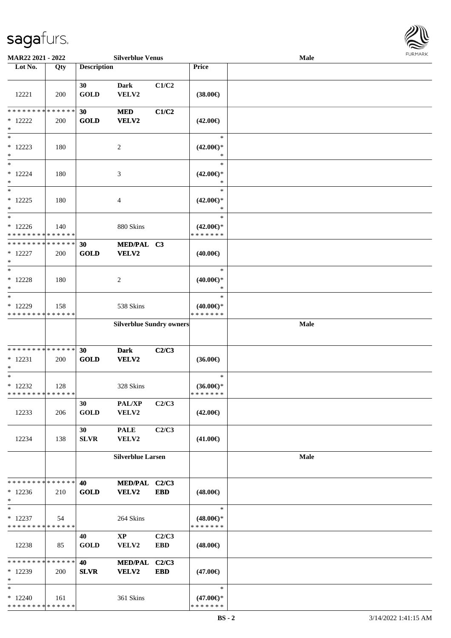

| MAR22 2021 - 2022                                  |     |                    | <b>Silverblue Venus</b>         |                     |                                                | <b>Male</b> |  |
|----------------------------------------------------|-----|--------------------|---------------------------------|---------------------|------------------------------------------------|-------------|--|
| Lot No.                                            | Qty | <b>Description</b> |                                 |                     | Price                                          |             |  |
| 12221                                              | 200 | 30<br><b>GOLD</b>  | <b>Dark</b><br>VELV2            | C1/C2               | $(38.00\epsilon)$                              |             |  |
| ******** <mark>******</mark><br>$*12222$<br>$\ast$ | 200 | 30<br><b>GOLD</b>  | <b>MED</b><br><b>VELV2</b>      | C1/C2               | $(42.00\epsilon)$                              |             |  |
| $\ast$<br>$* 12223$<br>$\ast$                      | 180 |                    | $\overline{c}$                  |                     | $\ast$<br>$(42.00\epsilon)$ *<br>$\ast$        |             |  |
| $\ast$<br>$* 12224$<br>$\ast$                      | 180 |                    | $\mathfrak{Z}$                  |                     | $\ast$<br>$(42.00\epsilon)$ *<br>$\ast$        |             |  |
| $\ast$<br>$* 12225$<br>$\ast$                      | 180 |                    | $\overline{4}$                  |                     | $\ast$<br>$(42.00\epsilon)$ *<br>$\ast$        |             |  |
| $\ast$<br>$*12226$<br>* * * * * * * * * * * * * *  | 140 |                    | 880 Skins                       |                     | $\ast$<br>$(42.00\epsilon)$ *<br>* * * * * * * |             |  |
| * * * * * * * * * * * * * *<br>$*12227$<br>$\ast$  | 200 | 30<br><b>GOLD</b>  | MED/PAL C3<br>VELV2             |                     | $(40.00\epsilon)$                              |             |  |
| $\ast$<br>$* 12228$<br>$\ast$                      | 180 |                    | $\overline{c}$                  |                     | $\ast$<br>$(40.00\epsilon)$ *<br>$\ast$        |             |  |
| $\ast$<br>* 12229<br>* * * * * * * * * * * * * *   | 158 |                    | 538 Skins                       |                     | $\ast$<br>$(40.00\epsilon)$ *<br>* * * * * * * |             |  |
|                                                    |     |                    | <b>Silverblue Sundry owners</b> |                     |                                                | Male        |  |
| * * * * * * * * * * * * * *<br>$* 12231$<br>∗      | 200 | 30<br><b>GOLD</b>  | <b>Dark</b><br>VELV2            | C2/C3               | $(36.00\epsilon)$                              |             |  |
| $\ast$<br>$*12232$<br>* * * * * * * * * * * * * *  | 128 |                    | 328 Skins                       |                     | $\ast$<br>$(36.00\epsilon)$ *<br>*******       |             |  |
| 12233                                              | 206 | 30<br><b>GOLD</b>  | PAL/XP<br>VELV2                 | C2/C3               | $(42.00\epsilon)$                              |             |  |
| 12234                                              | 138 | 30<br><b>SLVR</b>  | <b>PALE</b><br>VELV2            | C2/C3               | $(41.00\epsilon)$                              |             |  |
|                                                    |     |                    | <b>Silverblue Larsen</b>        |                     |                                                | Male        |  |
| * * * * * * * * * * * * * *<br>$*12236$<br>$\ast$  | 210 | 40<br><b>GOLD</b>  | MED/PAL C2/C3<br>VELV2          | <b>EBD</b>          | $(48.00\epsilon)$                              |             |  |
| $\ast$<br>$* 12237$<br>* * * * * * * * * * * * * * | 54  |                    | 264 Skins                       |                     | $\ast$<br>$(48.00\epsilon)$ *<br>* * * * * * * |             |  |
| 12238                                              | 85  | 40<br><b>GOLD</b>  | $\mathbf{X}\mathbf{P}$<br>VELV2 | C2/C3<br><b>EBD</b> | $(48.00\epsilon)$                              |             |  |
| * * * * * * * * * * * * * *<br>$*12239$<br>$\ast$  | 200 | 40<br><b>SLVR</b>  | <b>MED/PAL</b><br><b>VELV2</b>  | C2/C3<br><b>EBD</b> | $(47.00\epsilon)$                              |             |  |
| $\ast$<br>$*12240$<br>* * * * * * * * * * * * * *  | 161 |                    | 361 Skins                       |                     | $\ast$<br>$(47.00\epsilon)$ *<br>* * * * * * * |             |  |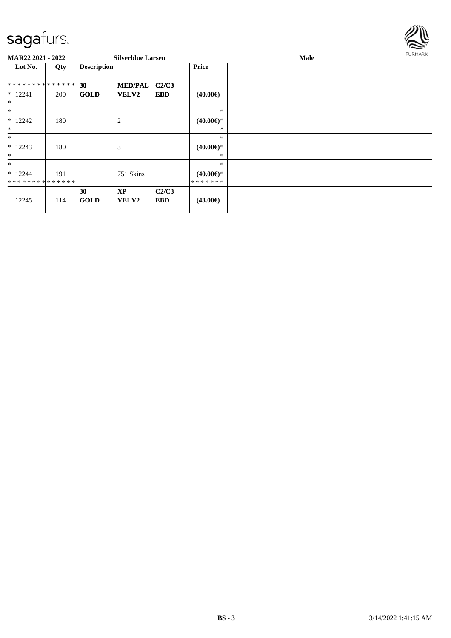

| <b>MAR22 2021 - 2022</b> |     |                    | <b>Silverblue Larsen</b> |            |                     | Male | FURMARK |
|--------------------------|-----|--------------------|--------------------------|------------|---------------------|------|---------|
| Lot No.                  | Qty | <b>Description</b> |                          |            | Price               |      |         |
| **************           |     | 30                 | <b>MED/PAL</b>           | C2/C3      |                     |      |         |
| $* 12241$                | 200 | <b>GOLD</b>        | <b>VELV2</b>             | <b>EBD</b> | $(40.00\epsilon)$   |      |         |
| $\ast$                   |     |                    |                          |            |                     |      |         |
| $*$                      |     |                    |                          |            | $\ast$              |      |         |
| $*12242$                 | 180 |                    | 2                        |            | $(40.00\epsilon)$ * |      |         |
| $\ast$                   |     |                    |                          |            | $\ast$              |      |         |
| $\ast$                   |     |                    |                          |            | $\ast$              |      |         |
| $*12243$                 | 180 |                    | 3                        |            | $(40.00\epsilon)$ * |      |         |
| $\ast$                   |     |                    |                          |            | $\ast$              |      |         |
| $\ast$                   |     |                    |                          |            | $\ast$              |      |         |
| $*12244$                 | 191 |                    | 751 Skins                |            | $(40.00\epsilon)$ * |      |         |
| **************           |     |                    |                          |            | *******             |      |         |
|                          |     | 30                 | <b>XP</b>                | C2/C3      |                     |      |         |
| 12245                    | 114 | <b>GOLD</b>        | <b>VELV2</b>             | <b>EBD</b> | $(43.00\epsilon)$   |      |         |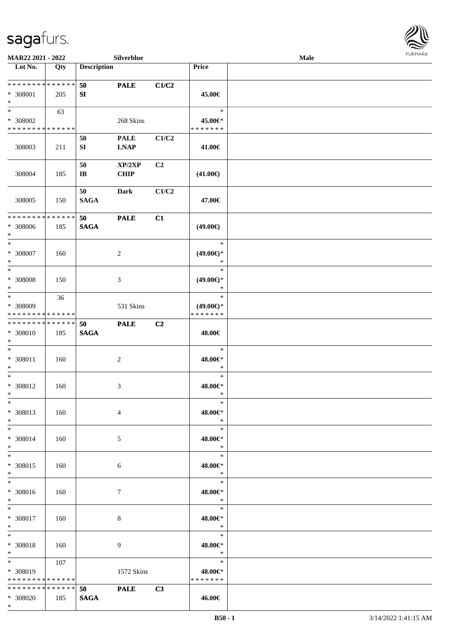

| MAR22 2021 - 2022                                      |     |                              | Silverblue                 |                |                                                | Male |  |
|--------------------------------------------------------|-----|------------------------------|----------------------------|----------------|------------------------------------------------|------|--|
| Lot No.                                                | Qty | <b>Description</b>           |                            |                | Price                                          |      |  |
| **************<br>* 308001<br>$\ast$                   | 205 | 50<br>SI                     | <b>PALE</b>                | C1/C2          | 45.00€                                         |      |  |
| $*$<br>* 308002<br>* * * * * * * * * * * * * *         | 63  |                              | 268 Skins                  |                | $\ast$<br>45.00€*<br>* * * * * * *             |      |  |
| 308003                                                 | 211 | 50<br>SI                     | <b>PALE</b><br><b>LNAP</b> | C1/C2          | 41.00€                                         |      |  |
| 308004                                                 | 185 | 50<br>$\mathbf{I}\mathbf{B}$ | XP/2XP<br><b>CHIP</b>      | C <sub>2</sub> | $(41.00\epsilon)$                              |      |  |
| 308005                                                 | 150 | 50<br><b>SAGA</b>            | Dark                       | C1/C2          | 47.00€                                         |      |  |
| * * * * * * * * * * * * * *<br>* 308006<br>$\ast$      | 185 | 50<br><b>SAGA</b>            | <b>PALE</b>                | C1             | $(49.00\epsilon)$                              |      |  |
| $\ast$<br>$* 308007$<br>$\ast$                         | 160 |                              | $\overline{c}$             |                | $\ast$<br>$(49.00\epsilon)$ *<br>$\ast$        |      |  |
| $\ast$<br>* 308008<br>$\ast$                           | 150 |                              | 3                          |                | $\ast$<br>$(49.00\epsilon)$ *<br>$\ast$        |      |  |
| $\ast$<br>* 308009<br>* * * * * * * * * * * * * *      | 36  |                              | 531 Skins                  |                | $\ast$<br>$(49.00\epsilon)$ *<br>* * * * * * * |      |  |
| * * * * * * * * * * * * * *<br>* 308010<br>$*$         | 185 | 50<br><b>SAGA</b>            | <b>PALE</b>                | C <sub>2</sub> | 48.00€                                         |      |  |
| $\ast$<br>$* 308011$<br>$*$                            | 160 |                              | $\overline{c}$             |                | $\ast$<br>48.00€*<br>$\ast$                    |      |  |
| $\ast$<br>* 308012<br>$*$                              | 160 |                              | 3                          |                | $\ast$<br>48.00€*<br>$\ast$                    |      |  |
| $*$<br>* 308013<br>$*$                                 | 160 |                              | $\overline{4}$             |                | $\ast$<br>48.00€*<br>$\ast$                    |      |  |
| $*$<br>* 308014<br>$*$                                 | 160 |                              | 5                          |                | $\ast$<br>48.00€*<br>$\ast$                    |      |  |
| $*$<br>* 308015<br>$*$                                 | 160 |                              | 6                          |                | $\ast$<br>48.00€*<br>$\mathbb{R}$              |      |  |
| $*$<br>$* 308016$<br>$*$                               | 160 |                              | 7                          |                | $\ast$<br>48.00€*<br>$\ast$                    |      |  |
| $*$ $-$<br>$* 308017$<br>$*$ $-$                       | 160 |                              | 8                          |                | $\ast$<br>48.00€*<br>$\ast$                    |      |  |
| $\ast$<br>$* 308018$<br>$*$ $*$                        | 160 |                              | 9                          |                | $\ast$<br>$48.00 \in$<br>$\ast$                |      |  |
| $*$ and $*$<br>* 308019<br>* * * * * * * * * * * * * * | 107 |                              | 1572 Skins                 |                | $\ast$<br>48.00€*<br>* * * * * * *             |      |  |
| * * * * * * * * <mark>* * * * * * *</mark><br>* 308020 | 185 | 50<br><b>SAGA</b>            | <b>PALE</b>                | C3             | 46.00€                                         |      |  |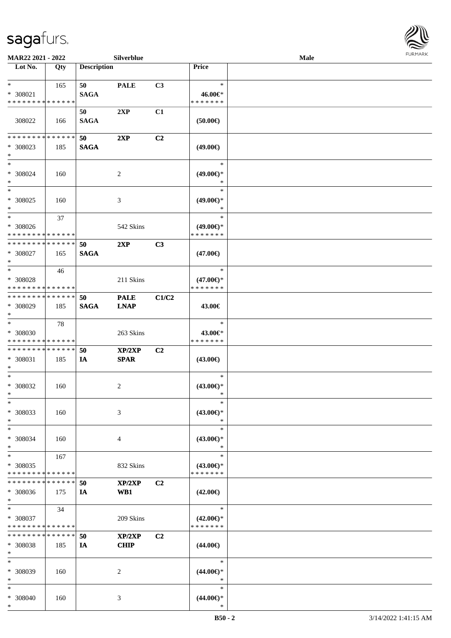

| MAR22 2021 - 2022                                  |                    |                    | Silverblue                 |                |                                                | Male |  |
|----------------------------------------------------|--------------------|--------------------|----------------------------|----------------|------------------------------------------------|------|--|
| Lot No.                                            | Qty                | <b>Description</b> |                            |                | Price                                          |      |  |
| $*$ $*$<br>* 308021<br>* * * * * * * * * * * * * * | 165                | 50<br><b>SAGA</b>  | <b>PALE</b>                | C3             | $\ast$<br>46.00€*<br>* * * * * * *             |      |  |
| 308022                                             | 166                | 50<br><b>SAGA</b>  | 2XP                        | C1             | (50.00)                                        |      |  |
| * * * * * * * * * * * * * * *<br>* 308023<br>$*$   | 185                | 50<br><b>SAGA</b>  | 2XP                        | C2             | $(49.00\epsilon)$                              |      |  |
| $*$<br>* 308024<br>$*$                             | 160                |                    | 2                          |                | $\ast$<br>$(49.00\epsilon)$ *<br>$\ast$        |      |  |
| $*$<br>$* 308025$<br>$\ast$                        | 160                |                    | 3                          |                | $\ast$<br>$(49.00\epsilon)$ *<br>$\ast$        |      |  |
| $*$<br>$* 308026$<br>* * * * * * * * * * * * * *   | 37                 |                    | 542 Skins                  |                | $\ast$<br>$(49.00€)$ *<br>* * * * * * *        |      |  |
| * * * * * * * * * * * * * *<br>$* 308027$<br>$*$   | 165                | 50<br><b>SAGA</b>  | 2XP                        | C3             | $(47.00\epsilon)$                              |      |  |
| $*$<br>* 308028<br>* * * * * * * * * * * * * *     | 46                 |                    | 211 Skins                  |                | $\ast$<br>$(47.00\epsilon)$ *<br>* * * * * * * |      |  |
| * * * * * * * * * * * * * * *<br>* 308029<br>$*$   | 185                | 50<br><b>SAGA</b>  | <b>PALE</b><br><b>LNAP</b> | C1/C2          | 43.00€                                         |      |  |
| $\ast$<br>* 308030<br>* * * * * * * * * * * * * *  | 78                 |                    | 263 Skins                  |                | $\ast$<br>43.00€*<br>* * * * * * *             |      |  |
| * * * * * * * * * * * * * *<br>* 308031<br>$*$     | 185                | 50<br>IA           | XP/2XP<br><b>SPAR</b>      | C2             | $(43.00\epsilon)$                              |      |  |
| $*$<br>$* 308032$<br>$*$                           | 160                |                    | 2                          |                | $\ast$<br>$(43.00\epsilon)$ *<br>$\ast$        |      |  |
| $\ast$<br>* 308033<br>$\ast$                       | 160                |                    | 3                          |                | $\ast$<br>$(43.00\epsilon)$ *<br>∗             |      |  |
| $*$<br>* 308034<br>$\ast$                          | 160                |                    | 4                          |                | $\ast$<br>$(43.00\epsilon)$ *<br>$\ast$        |      |  |
| $*$<br>* 308035<br>* * * * * * * *                 | 167<br>* * * * * * |                    | 832 Skins                  |                | $\ast$<br>$(43.00€)$ *<br>* * * * * * *        |      |  |
| * * * * * * * *<br>* 308036<br>$*$                 | * * * * * *<br>175 | 50<br>IA           | XP/2XP<br>WB1              | C <sub>2</sub> | $(42.00\epsilon)$                              |      |  |
| $*$<br>* 308037<br>* * * * * * * * * * * * * *     | 34                 |                    | 209 Skins                  |                | $\ast$<br>$(42.00\epsilon)$ *<br>* * * * * * * |      |  |
| * * * * * * * *<br>* 308038<br>$\ast$              | * * * * * *<br>185 | 50<br>IA           | XP/2XP<br><b>CHIP</b>      | C <sub>2</sub> | $(44.00\epsilon)$                              |      |  |
| $*$<br>* 308039<br>$*$                             | 160                |                    | 2                          |                | $\ast$<br>$(44.00\epsilon)$ *<br>$\ast$        |      |  |
| $\ast$<br>* 308040<br>$\ast$                       | 160                |                    | 3                          |                | $\ast$<br>$(44.00\epsilon)$ *<br>∗             |      |  |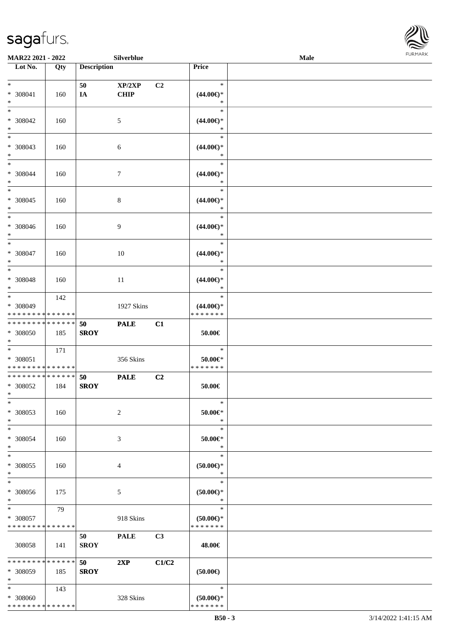

| MAR22 2021 - 2022                         |     |                    | Silverblue     |                |                          | Male |  |
|-------------------------------------------|-----|--------------------|----------------|----------------|--------------------------|------|--|
| Lot No.                                   | Qty | <b>Description</b> |                |                | Price                    |      |  |
|                                           |     |                    |                |                |                          |      |  |
| $*$                                       |     | 50                 | XP/2XP         | C2             | $\ast$                   |      |  |
| * 308041                                  | 160 | IA                 | <b>CHIP</b>    |                | $(44.00\epsilon)$ *      |      |  |
| $\ast$                                    |     |                    |                |                | $\ast$                   |      |  |
| $*$                                       |     |                    |                |                | $\ast$                   |      |  |
| * 308042                                  | 160 |                    | 5              |                | $(44.00\epsilon)$ *      |      |  |
| $\ast$                                    |     |                    |                |                | $\ast$                   |      |  |
| $\overline{\phantom{0}}$                  |     |                    |                |                | $\ast$                   |      |  |
| * 308043                                  | 160 |                    | 6              |                | $(44.00ε)$ *             |      |  |
| $*$                                       |     |                    |                |                | $\ast$                   |      |  |
| $*$                                       |     |                    |                |                | $\ast$                   |      |  |
| $* 308044$                                | 160 |                    | 7              |                | $(44.00ε)$ *             |      |  |
| $*$                                       |     |                    |                |                | $\ast$                   |      |  |
| $*$                                       |     |                    |                |                | $\ast$                   |      |  |
| $* 308045$                                | 160 |                    | $\,8\,$        |                | $(44.00\epsilon)$ *      |      |  |
| $\ast$                                    |     |                    |                |                | $\ast$                   |      |  |
| $*$                                       |     |                    |                |                | $\ast$                   |      |  |
| $* 308046$                                | 160 |                    | 9              |                | $(44.00ε)$ *             |      |  |
| $*$                                       |     |                    |                |                | $\ast$                   |      |  |
| $*$                                       |     |                    |                |                | $\ast$                   |      |  |
| $* 308047$                                | 160 |                    | 10             |                | $(44.00\epsilon)$ *      |      |  |
| $*$                                       |     |                    |                |                | $\ast$                   |      |  |
| $*$                                       |     |                    |                |                | $\ast$                   |      |  |
| * 308048                                  | 160 |                    | 11             |                | $(44.00ε)$ *             |      |  |
| $*$                                       |     |                    |                |                | $\ast$                   |      |  |
| $*$                                       | 142 |                    |                |                | $\ast$                   |      |  |
| * 308049                                  |     |                    | 1927 Skins     |                | $(44.00\epsilon)$ *      |      |  |
| * * * * * * * * * * * * * *               |     |                    |                |                | * * * * * * *            |      |  |
| * * * * * * * * * * * * * *               |     | 50                 | <b>PALE</b>    | C1             |                          |      |  |
| $* 308050$                                | 185 | <b>SROY</b>        |                |                | 50.00€                   |      |  |
| $*$<br>$*$                                |     |                    |                |                | $\ast$                   |      |  |
|                                           | 171 |                    |                |                |                          |      |  |
| $* 308051$<br>* * * * * * * * * * * * * * |     |                    | 356 Skins      |                | 50.00€*<br>* * * * * * * |      |  |
| * * * * * * * * * * * * * *               |     | 50                 | <b>PALE</b>    | C2             |                          |      |  |
| * 308052                                  | 184 | <b>SROY</b>        |                |                | $50.00\in$               |      |  |
| $*$                                       |     |                    |                |                |                          |      |  |
| $*$                                       |     |                    |                |                | $\ast$                   |      |  |
| * 308053                                  | 160 |                    | $\overline{2}$ |                | $50.00 \in$ *            |      |  |
| $*$                                       |     |                    |                |                | $\ast$                   |      |  |
| $*$                                       |     |                    |                |                | $\ast$                   |      |  |
| * 308054                                  | 160 |                    | 3              |                | $50.00 \in$ *            |      |  |
| $*$                                       |     |                    |                |                | $\ast$                   |      |  |
| $*$                                       |     |                    |                |                | $\ast$                   |      |  |
| * 308055                                  | 160 |                    | 4              |                | $(50.00ε)$ *             |      |  |
| $*$                                       |     |                    |                |                | $\ast$                   |      |  |
| $\ast$                                    |     |                    |                |                | $\ast$                   |      |  |
| $* 308056$                                | 175 |                    | 5              |                | $(50.00 \in )^*$         |      |  |
| $*$                                       |     |                    |                |                | $\ast$                   |      |  |
| $*$ and $*$                               | 79  |                    |                |                | $\ast$                   |      |  |
| * 308057                                  |     |                    | 918 Skins      |                | $(50.00 \in )$ *         |      |  |
| * * * * * * * * * * * * * *               |     |                    |                |                | * * * * * * *            |      |  |
|                                           |     | 50                 | <b>PALE</b>    | C <sub>3</sub> |                          |      |  |
| 308058                                    | 141 | <b>SROY</b>        |                |                | 48.00€                   |      |  |
|                                           |     |                    |                |                |                          |      |  |
| * * * * * * * * * * * * * * *             |     | <b>50</b>          | 2XP            | C1/C2          |                          |      |  |
| * 308059                                  | 185 | <b>SROY</b>        |                |                | (50.00)                  |      |  |
| $*$                                       |     |                    |                |                |                          |      |  |
| $*$                                       | 143 |                    |                |                | $\ast$                   |      |  |
| * 308060                                  |     |                    | 328 Skins      |                | $(50.00 \in )$ *         |      |  |
| * * * * * * * * * * * * * *               |     |                    |                |                | * * * * * * *            |      |  |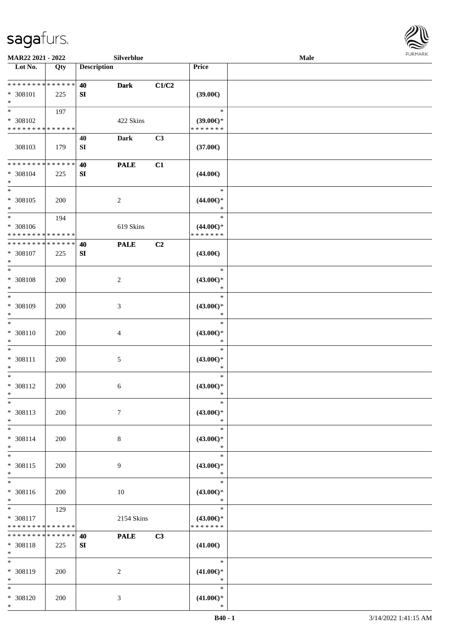

| MAR22 2021 - 2022                                |                    |                    | Silverblue     |                |                                                | Male |  |
|--------------------------------------------------|--------------------|--------------------|----------------|----------------|------------------------------------------------|------|--|
| Lot No.                                          | $\overline{Q}$ ty  | <b>Description</b> |                |                | Price                                          |      |  |
| * * * * * * * * * * * * * *<br>$* 308101$<br>$*$ | 225                | 40<br>SI           | <b>Dark</b>    | C1/C2          | (39.00)                                        |      |  |
| $*$<br>* 308102<br>* * * * * * * * * * * * * *   | 197                |                    | 422 Skins      |                | $\ast$<br>$(39.00\epsilon)$ *<br>* * * * * * * |      |  |
| 308103                                           | 179                | 40<br>${\bf SI}$   | <b>Dark</b>    | C3             | $(37.00\epsilon)$                              |      |  |
| * * * * * * * * * * * * * *<br>* 308104<br>$*$   | 225                | 40<br>${\bf SI}$   | <b>PALE</b>    | C1             | $(44.00\epsilon)$                              |      |  |
| $*$<br>$* 308105$<br>$*$                         | 200                |                    | $\overline{c}$ |                | $\ast$<br>$(44.00\epsilon)$ *<br>$\ast$        |      |  |
| $*$<br>$* 308106$<br>* * * * * * * * * * * * * * | 194                |                    | 619 Skins      |                | $\ast$<br>$(44.00\epsilon)$ *<br>* * * * * * * |      |  |
| * * * * * * * * * * * * * *<br>$* 308107$<br>$*$ | 225                | 40<br>SI           | <b>PALE</b>    | C <sub>2</sub> | $(43.00\epsilon)$                              |      |  |
| $*$<br>* 308108<br>$\ast$                        | 200                |                    | $\overline{c}$ |                | $\ast$<br>$(43.00\epsilon)$ *<br>$\ast$        |      |  |
| $*$<br>* 308109<br>$*$                           | 200                |                    | 3              |                | $\ast$<br>$(43.00\epsilon)$ *<br>$\ast$        |      |  |
| $\ast$<br>$* 308110$<br>$*$                      | 200                |                    | 4              |                | $\ast$<br>$(43.00\epsilon)$ *<br>$\ast$        |      |  |
| $*$<br>$* 308111$<br>$*$                         | 200                |                    | 5              |                | $\ast$<br>$(43.00\epsilon)$ *<br>$\ast$        |      |  |
| $\ast$<br>$* 308112$<br>$*$                      | 200                |                    | 6              |                | $\ast$<br>$(43.00ε)$ *<br>$\ast$               |      |  |
| $\ast$<br>* 308113<br>$*$                        | 200                |                    | $\tau$         |                | $\ast$<br>$(43.00\epsilon)$ *<br>$\ast$        |      |  |
| $*$<br>$* 308114$<br>$*$                         | 200                |                    | 8              |                | $\ast$<br>$(43.00\epsilon)$ *<br>$\ast$        |      |  |
| $*$<br>* 308115<br>$*$                           | 200                |                    | 9              |                | $\ast$<br>$(43.00\epsilon)$ *<br>$\ast$        |      |  |
| $*$<br>* 308116<br>$*$                           | 200                |                    | 10             |                | $\ast$<br>$(43.00\epsilon)$ *<br>$\ast$        |      |  |
| $*$<br>* 308117<br>* * * * * * * *               | 129<br>* * * * * * |                    | 2154 Skins     |                | $\ast$<br>$(43.00€)$ *<br>* * * * * * *        |      |  |
| * * * * * * * *<br>* 308118<br>$*$               | * * * * * *<br>225 | 40<br>SI           | <b>PALE</b>    | C3             | $(41.00\epsilon)$                              |      |  |
| $*$<br>* 308119<br>$*$                           | 200                |                    | 2              |                | $\ast$<br>$(41.00\epsilon)$ *<br>$\ast$        |      |  |
| $*$<br>* 308120<br>$*$                           | 200                |                    | 3              |                | $\ast$<br>$(41.00\epsilon)$ *<br>$\ast$        |      |  |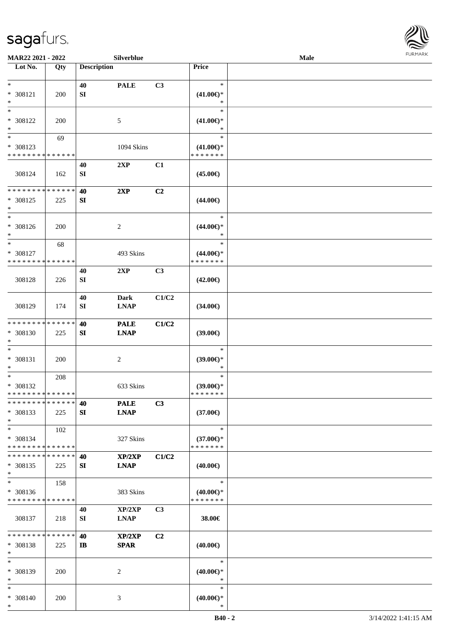

| MAR22 2021 - 2022                             |     |                    | Silverblue                 |                |                     | Male |  |
|-----------------------------------------------|-----|--------------------|----------------------------|----------------|---------------------|------|--|
| Lot No.                                       | Qty | <b>Description</b> |                            |                | Price               |      |  |
|                                               |     |                    |                            |                |                     |      |  |
| $\ast$                                        |     | 40                 | <b>PALE</b>                | C3             | $\ast$              |      |  |
| * 308121                                      | 200 | SI                 |                            |                | $(41.00\epsilon)$ * |      |  |
| $\ast$                                        |     |                    |                            |                | $\ast$              |      |  |
| $\ast$                                        |     |                    |                            |                | $\ast$              |      |  |
| * 308122                                      | 200 |                    | 5                          |                | $(41.00\epsilon)$ * |      |  |
| $\ast$                                        |     |                    |                            |                | $\ast$              |      |  |
| $_{\ast}^{-}$                                 | 69  |                    |                            |                | $\ast$              |      |  |
| * 308123                                      |     |                    | 1094 Skins                 |                | $(41.00\epsilon)$ * |      |  |
| * * * * * * * * * * * * * *                   |     |                    |                            |                | * * * * * * *       |      |  |
|                                               |     | 40                 | 2XP                        | C1             |                     |      |  |
| 308124                                        | 162 | ${\bf SI}$         |                            |                | $(45.00\epsilon)$   |      |  |
| * * * * * * * * * * * * * *                   |     |                    |                            |                |                     |      |  |
|                                               |     | 40                 | 2XP                        | C2             |                     |      |  |
| * 308125<br>$\ast$                            | 225 | <b>SI</b>          |                            |                | $(44.00\epsilon)$   |      |  |
| $\ast$                                        |     |                    |                            |                | $\ast$              |      |  |
| $* 308126$                                    | 200 |                    | $\boldsymbol{2}$           |                | $(44.00\epsilon)$ * |      |  |
| $\ast$                                        |     |                    |                            |                | $\ast$              |      |  |
| $\ast$                                        | 68  |                    |                            |                | $\ast$              |      |  |
| * 308127                                      |     |                    | 493 Skins                  |                | $(44.00\epsilon)$ * |      |  |
| * * * * * * * * * * * * * *                   |     |                    |                            |                | * * * * * * *       |      |  |
|                                               |     | 40                 | 2XP                        | C3             |                     |      |  |
| 308128                                        | 226 | SI                 |                            |                | $(42.00\epsilon)$   |      |  |
|                                               |     |                    |                            |                |                     |      |  |
|                                               |     | 40                 | <b>Dark</b>                | C1/C2          |                     |      |  |
| 308129                                        | 174 | SI                 | <b>LNAP</b>                |                | $(34.00\epsilon)$   |      |  |
|                                               |     |                    |                            |                |                     |      |  |
| * * * * * * * * * * * * * *                   |     | 40                 | <b>PALE</b>                | C1/C2          |                     |      |  |
| * 308130                                      | 225 | SI                 | <b>LNAP</b>                |                | (39.00)             |      |  |
| $\ast$                                        |     |                    |                            |                |                     |      |  |
| $\ast$                                        |     |                    |                            |                | $\ast$              |      |  |
| $* 308131$                                    | 200 |                    | $\boldsymbol{2}$           |                | $(39.00\epsilon)$ * |      |  |
| $\ast$                                        |     |                    |                            |                | $\ast$              |      |  |
| $\ast$                                        | 208 |                    |                            |                | $\ast$              |      |  |
| * 308132                                      |     |                    | 633 Skins                  |                | $(39.00\epsilon)$ * |      |  |
| **************<br>* * * * * * * * * * * * * * |     |                    |                            |                | * * * * * * *       |      |  |
| * 308133                                      | 225 | 40<br>SI           | <b>PALE</b><br><b>LNAP</b> | C3             | $(37.00\epsilon)$   |      |  |
| $\ast$                                        |     |                    |                            |                |                     |      |  |
| $\ast$                                        | 102 |                    |                            |                | $\ast$              |      |  |
| * 308134                                      |     |                    | 327 Skins                  |                | $(37.00\epsilon)$ * |      |  |
| * * * * * * * * * * * * * *                   |     |                    |                            |                | * * * * * * *       |      |  |
| * * * * * * * * * * * * * *                   |     | 40                 | XP/2XP                     | C1/C2          |                     |      |  |
| $* 308135$                                    | 225 | SI                 | <b>LNAP</b>                |                | $(40.00\epsilon)$   |      |  |
| $\ast$                                        |     |                    |                            |                |                     |      |  |
| $\ast$                                        | 158 |                    |                            |                | $\ast$              |      |  |
| * 308136                                      |     |                    | 383 Skins                  |                | $(40.00\epsilon)$ * |      |  |
| * * * * * * * * * * * * * *                   |     |                    |                            |                | * * * * * * *       |      |  |
|                                               |     | 40                 | XP/2XP                     | C3             |                     |      |  |
| 308137                                        | 218 | SI                 | <b>LNAP</b>                |                | 38.00€              |      |  |
|                                               |     |                    |                            |                |                     |      |  |
| * * * * * * * * * * * * * *                   |     | 40                 | XP/2XP                     | C <sub>2</sub> |                     |      |  |
| * 308138<br>$\ast$                            | 225 | $\mathbf{I}$       | <b>SPAR</b>                |                | $(40.00\epsilon)$   |      |  |
| $\ast$                                        |     |                    |                            |                | $\ast$              |      |  |
| * 308139                                      | 200 |                    | 2                          |                | $(40.00\epsilon)$ * |      |  |
| $\ast$                                        |     |                    |                            |                | $\ast$              |      |  |
| $\ast$                                        |     |                    |                            |                | $\ast$              |      |  |
| * 308140                                      | 200 |                    | 3                          |                | $(40.00\epsilon)$ * |      |  |
| $\ast$                                        |     |                    |                            |                | $\ast$              |      |  |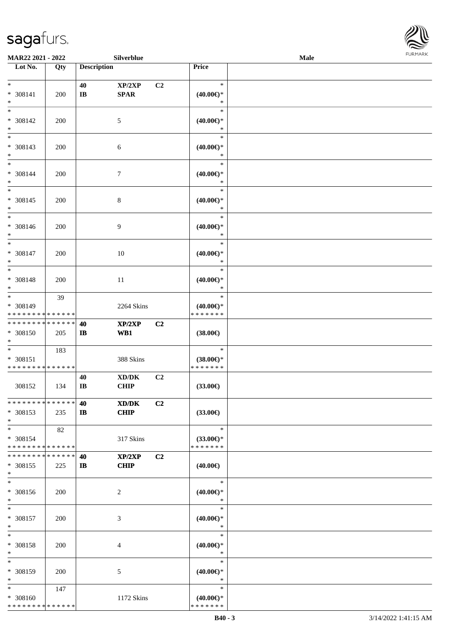

|                                                              | MAR22 2021 - 2022<br>Silverblue |                              |                                             |                |                                                | Male |  |  |  |  |
|--------------------------------------------------------------|---------------------------------|------------------------------|---------------------------------------------|----------------|------------------------------------------------|------|--|--|--|--|
| Lot No.                                                      | Qty                             | <b>Description</b>           |                                             |                | Price                                          |      |  |  |  |  |
| $*$<br>$* 308141$<br>$\ast$                                  | 200                             | 40<br>$\mathbf{I}\mathbf{B}$ | XP/2XP<br><b>SPAR</b>                       | C2             | $\ast$<br>$(40.00\epsilon)$ *<br>$\ast$        |      |  |  |  |  |
| $\overline{\phantom{1}}$<br>$* 308142$<br>$\ast$             | 200                             |                              | $\sqrt{5}$                                  |                | $\ast$<br>$(40.00\epsilon)$ *<br>$\ast$        |      |  |  |  |  |
| $\overline{\phantom{a}^*}$<br>$* 308143$<br>$\ast$           | 200                             |                              | 6                                           |                | $\ast$<br>$(40.00\epsilon)$ *<br>$\ast$        |      |  |  |  |  |
| $*$<br>$* 308144$<br>$\ast$                                  | 200                             |                              | $\boldsymbol{7}$                            |                | $\ast$<br>$(40.00\epsilon)$ *<br>$\ast$        |      |  |  |  |  |
| $\ast$<br>$* 308145$<br>$\ast$                               | 200                             |                              | $8\,$                                       |                | $\ast$<br>$(40.00\epsilon)$ *<br>$\ast$        |      |  |  |  |  |
| $\overline{\phantom{0}}$<br>* 308146<br>$\ast$               | 200                             |                              | 9                                           |                | $\ast$<br>$(40.00\epsilon)$ *<br>$\ast$        |      |  |  |  |  |
| $\ast$<br>* 308147<br>$\ast$                                 | 200                             |                              | 10                                          |                | $\ast$<br>$(40.00\epsilon)$ *<br>$\ast$        |      |  |  |  |  |
| $\overline{\phantom{a}^*}$<br>* 308148<br>$\ast$             | 200                             |                              | 11                                          |                | $\ast$<br>$(40.00\epsilon)$ *<br>$\ast$        |      |  |  |  |  |
| $_{\ast}$<br>* 308149<br>* * * * * * * * * * * * * *         | 39                              |                              | 2264 Skins                                  |                | $\ast$<br>$(40.00\epsilon)$ *<br>* * * * * * * |      |  |  |  |  |
| * * * * * * * * * * * * * *<br>* 308150<br>$\ast$            | 205                             | 40<br>$\mathbf{I}$           | XP/2XP<br>WB1                               | C2             | $(38.00\epsilon)$                              |      |  |  |  |  |
| $\ast$<br>$* 308151$<br>* * * * * * * * * * * * * *          | 183                             |                              | 388 Skins                                   |                | $\ast$<br>$(38.00\epsilon)$ *<br>* * * * * * * |      |  |  |  |  |
| 308152                                                       | 134                             | 40<br>$\mathbf{I}\mathbf{B}$ | $\bold{X}\bold{D}/\bold{D}\bold{K}$<br>CHIP | C2             | $(33.00\epsilon)$                              |      |  |  |  |  |
| * * * * * * * * * * * * * *<br>* 308153<br>$\ast$            | 235                             | 40<br>$\mathbf{I}$           | XD/DK<br><b>CHIP</b>                        | C <sub>2</sub> | $(33.00\epsilon)$                              |      |  |  |  |  |
| $\overline{\ast}$<br>* 308154<br>* * * * * * * * * * * * * * | 82                              |                              | 317 Skins                                   |                | $\ast$<br>$(33.00\epsilon)$ *<br>* * * * * * * |      |  |  |  |  |
| * * * * * * * * * * * * * *<br>* 308155<br>$\ast$            | 225                             | 40<br>$\mathbf{I}$           | XP/2XP<br><b>CHIP</b>                       | C2             | $(40.00\epsilon)$                              |      |  |  |  |  |
| $\ast$<br>* 308156<br>$\ast$                                 | 200                             |                              | 2                                           |                | $\ast$<br>$(40.00\epsilon)$ *<br>$\ast$        |      |  |  |  |  |
| $\ast$<br>* 308157<br>$\ast$                                 | 200                             |                              | 3                                           |                | $\ast$<br>$(40.00\epsilon)$ *<br>$\ast$        |      |  |  |  |  |
| $\ast$<br>* 308158<br>$\ast$                                 | 200                             |                              | 4                                           |                | $\ast$<br>$(40.00\epsilon)$ *<br>$\ast$        |      |  |  |  |  |
| $\ast$<br>* 308159<br>$\ast$                                 | 200                             |                              | 5                                           |                | $\ast$<br>$(40.00\epsilon)$ *<br>$\ast$        |      |  |  |  |  |
| $\ast$<br>* 308160<br>* * * * * * * * * * * * * *            | 147                             |                              | 1172 Skins                                  |                | $\ast$<br>(40.00)<br>* * * * * * *             |      |  |  |  |  |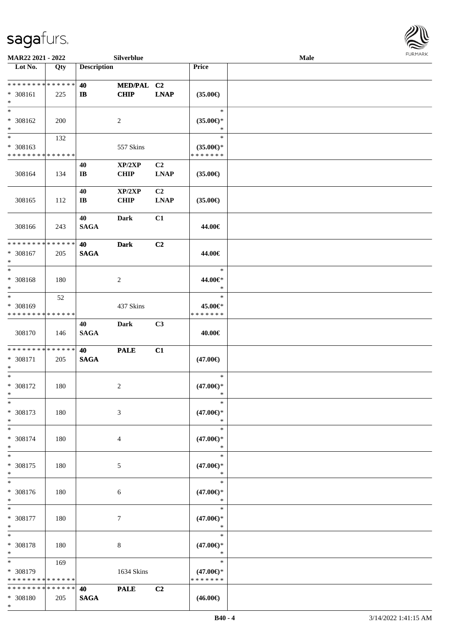

| MAR22 2021 - 2022                                          |                   |                        | Silverblue                |             |                               | Male |  |
|------------------------------------------------------------|-------------------|------------------------|---------------------------|-------------|-------------------------------|------|--|
| Lot No.                                                    | $\overline{Q}$ ty | <b>Description</b>     |                           |             | Price                         |      |  |
| ******** <mark>******</mark>                               |                   |                        |                           |             |                               |      |  |
|                                                            |                   | 40                     | MED/PAL C2<br><b>CHIP</b> |             |                               |      |  |
| * 308161<br>$\ast$                                         | 225               | $\mathbf{I}$           |                           | <b>LNAP</b> | $(35.00\epsilon)$             |      |  |
| $\ast$                                                     |                   |                        |                           |             | $\ast$                        |      |  |
| * 308162                                                   | 200               |                        | $\overline{c}$            |             | $(35.00\epsilon)$ *           |      |  |
| $\ast$                                                     |                   |                        |                           |             | *                             |      |  |
| $\overline{\phantom{0}}$                                   | 132               |                        |                           |             | $\ast$                        |      |  |
| * 308163                                                   |                   |                        | 557 Skins                 |             | $(35.00\epsilon)$ *           |      |  |
| * * * * * * * * * * * * * *                                |                   |                        |                           |             | * * * * * * *                 |      |  |
|                                                            |                   | 40                     | XP/2XP                    | C2          |                               |      |  |
| 308164                                                     | 134               | $\mathbf{I}\mathbf{B}$ | <b>CHIP</b>               | <b>LNAP</b> | $(35.00\epsilon)$             |      |  |
|                                                            |                   |                        |                           |             |                               |      |  |
|                                                            |                   | 40                     | XP/2XP                    | C2          |                               |      |  |
| 308165                                                     | 112               | $\mathbf{I}\mathbf{B}$ | <b>CHIP</b>               | <b>LNAP</b> | $(35.00\epsilon)$             |      |  |
|                                                            |                   |                        |                           |             |                               |      |  |
|                                                            |                   | 40                     | Dark                      | C1          |                               |      |  |
| 308166                                                     | 243               | <b>SAGA</b>            |                           |             | 44.00€                        |      |  |
| * * * * * * * * * * * * * *                                |                   | 40                     | <b>Dark</b>               | C2          |                               |      |  |
| $* 308167$                                                 | 205               | <b>SAGA</b>            |                           |             | 44.00€                        |      |  |
| $\ast$                                                     |                   |                        |                           |             |                               |      |  |
| $\ast$                                                     |                   |                        |                           |             | $\ast$                        |      |  |
| * 308168                                                   | 180               |                        | $\sqrt{2}$                |             | 44.00€*                       |      |  |
| $\ast$                                                     |                   |                        |                           |             | $\ast$                        |      |  |
| $\ast$                                                     | 52                |                        |                           |             | $\ast$                        |      |  |
| * 308169                                                   |                   |                        | 437 Skins                 |             | 45.00€*                       |      |  |
| * * * * * * * * * * * * * *                                |                   |                        |                           |             | * * * * * * *                 |      |  |
|                                                            |                   | 40                     | Dark                      | C3          |                               |      |  |
| 308170                                                     | 146               | <b>SAGA</b>            |                           |             | 40.00€                        |      |  |
|                                                            |                   |                        |                           |             |                               |      |  |
| * * * * * * * * * * * * * *                                |                   | 40                     | <b>PALE</b>               | C1          |                               |      |  |
| * 308171<br>$\ast$                                         | 205               | <b>SAGA</b>            |                           |             | $(47.00\epsilon)$             |      |  |
| $\ast$                                                     |                   |                        |                           |             | $\ast$                        |      |  |
| $* 308172$                                                 | 180               |                        | $\sqrt{2}$                |             | $(47.00\epsilon)$ *           |      |  |
| $*$                                                        |                   |                        |                           |             | $\ast$                        |      |  |
| $*$                                                        |                   |                        |                           |             | $\ast$                        |      |  |
| * 308173                                                   | 180               |                        | 3                         |             | $(47.00\epsilon)$ *           |      |  |
| $\ast$                                                     |                   |                        |                           |             | $\ast$                        |      |  |
| $\ast$                                                     |                   |                        |                           |             | $\ast$                        |      |  |
| * 308174                                                   | 180               |                        | 4                         |             | $(47.00\epsilon)$ *           |      |  |
| $\ast$                                                     |                   |                        |                           |             | $\ast$                        |      |  |
| $\ast$                                                     |                   |                        |                           |             | $\ast$                        |      |  |
| * 308175<br>$\ast$                                         | 180               |                        | 5                         |             | $(47.00\epsilon)$ *<br>$\ast$ |      |  |
| $\ast$                                                     |                   |                        |                           |             | $\ast$                        |      |  |
| * 308176                                                   | 180               |                        | 6                         |             | $(47.00\epsilon)$ *           |      |  |
| $*$                                                        |                   |                        |                           |             | $\ast$                        |      |  |
| $\ast$                                                     |                   |                        |                           |             | $\ast$                        |      |  |
| * 308177                                                   | 180               |                        | $\tau$                    |             | $(47.00\epsilon)$ *           |      |  |
| $\ast$                                                     |                   |                        |                           |             | $\ast$                        |      |  |
| $\ast$                                                     |                   |                        |                           |             | $\ast$                        |      |  |
| * 308178                                                   | 180               |                        | 8                         |             | $(47.00\epsilon)$ *           |      |  |
| $\ast$                                                     |                   |                        |                           |             | $\ast$                        |      |  |
| $\ast$                                                     | 169               |                        |                           |             | $\ast$                        |      |  |
| * 308179                                                   |                   |                        | 1634 Skins                |             | $(47.00\epsilon)$ *           |      |  |
| * * * * * * * * * * * * * *<br>* * * * * * * * * * * * * * |                   |                        |                           |             | * * * * * * *                 |      |  |
| * 308180                                                   |                   | 40                     | <b>PALE</b>               | C2          |                               |      |  |
|                                                            | 205               | <b>SAGA</b>            |                           |             | $(46.00\epsilon)$             |      |  |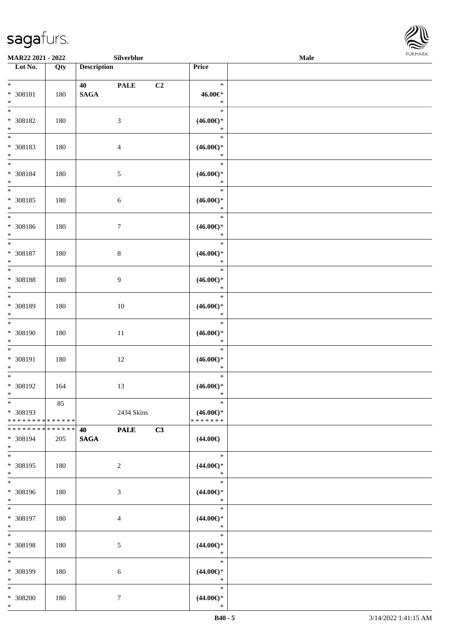

| <b>MAR22 2021 - 2022</b>                                                                |           | Silverblue                                  |                |                                                   | Male |  |
|-----------------------------------------------------------------------------------------|-----------|---------------------------------------------|----------------|---------------------------------------------------|------|--|
| Lot No.                                                                                 | Qty       | <b>Description</b>                          |                | Price                                             |      |  |
| $*$<br>* 308181<br>$*$                                                                  | 180       | 40 and $\sim$<br><b>PALE</b><br><b>SAGA</b> | C <sub>2</sub> | $\ast$<br>46.00€*<br>$\ast$                       |      |  |
| $*$<br>* 308182<br>$*$                                                                  | 180       | $\mathfrak{Z}$                              |                | $\ast$<br>$(46.00\epsilon)$ *<br>$\ast$           |      |  |
| * 308183<br>$\ast$                                                                      | 180       | $\overline{4}$                              |                | $\ast$<br>$(46.00\epsilon)$ *<br>$\ast$           |      |  |
| $*$<br>* 308184<br>$*$<br>$\overline{\ast}$                                             | 180       | $\mathfrak{S}$                              |                | $\ast$<br>$(46.00\epsilon)$ *<br>$\ast$<br>$\ast$ |      |  |
| * 308185<br>$\ast$                                                                      | 180       | $\sqrt{6}$                                  |                | $(46.00\epsilon)$ *<br>$\ast$<br>$\ast$           |      |  |
| * 308186<br>$*$<br>$*$                                                                  | 180       | $\tau$                                      |                | $(46.00\epsilon)$ *<br>$\ast$<br>$\ast$           |      |  |
| * 308187<br>$*$<br>$\ddot{x}$                                                           | 180       | 8                                           |                | $(46.00\epsilon)$ *<br>$\ast$<br>$\ast$           |      |  |
| * 308188<br>$\ast$<br>$\overline{\mathbf{r}}$                                           | 180       | 9                                           |                | $(46.00\epsilon)$ *<br>$\ast$<br>$\ast$           |      |  |
| * 308189<br>$\ast$<br>$\overline{\ast}$                                                 | 180       | 10                                          |                | $(46.00\epsilon)$ *<br>$\ast$<br>$\ast$           |      |  |
| * 308190<br>$\ast$<br>$\ast$                                                            | 180       | 11                                          |                | $(46.00ε)$ *<br>$\ast$<br>$\ast$                  |      |  |
| * 308191<br>$\ast$<br>$*$                                                               | 180       | 12                                          |                | $(46.00\epsilon)$ *<br>$\ast$<br>$\ast$           |      |  |
| * 308192<br>$\ast$<br>$\ast$                                                            | 164<br>85 | 13                                          |                | $(46.00\epsilon)$ *<br>$\ast$<br>$\ast$           |      |  |
| * 308193<br>* * * * * * * * * * * * * * *<br>* * * * * * * * <mark>* * * * * * *</mark> |           | 2434 Skins<br><b>PALE</b><br>40             | C3             | $(46.00\epsilon)$ *<br>* * * * * * *              |      |  |
| * 308194<br>$\ddot{x}$<br>$*$                                                           | 205       | <b>SAGA</b>                                 |                | $(44.00\epsilon)$<br>$*$                          |      |  |
| * 308195<br>$*$<br>$*$                                                                  | 180       | 2                                           |                | $(44.00ε)$ *<br>$\ast$<br>$\ast$                  |      |  |
| * 308196<br>$*$<br>$\overline{\ast}$                                                    | 180       | 3                                           |                | $(44.00\epsilon)$ *<br>$\ast$<br>$\ast$           |      |  |
| * 308197<br>$*$<br>$*$                                                                  | 180       | $\overline{4}$                              |                | $(44.00\epsilon)$ *<br>$\ast$<br>$\ast$           |      |  |
| * 308198<br>$*$<br>$\overline{\phantom{0}}$                                             | 180       | 5                                           |                | $(44.00\epsilon)$ *<br>$\ast$<br>$\ast$           |      |  |
| * 308199<br>$*$<br>$*$                                                                  | 180       | 6                                           |                | $(44.00\epsilon)$ *<br>$\ast$<br>$\ast$           |      |  |
| * 308200<br>$\ast$                                                                      | 180       | $\tau$                                      |                | $(44.00\epsilon)$ *<br>$\ast$                     |      |  |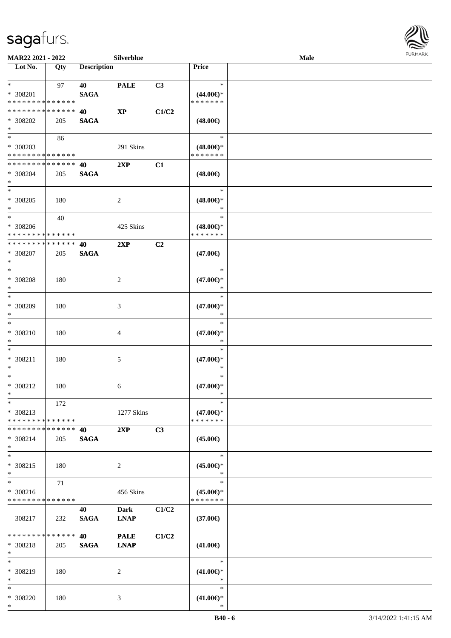

| MAR22 2021 - 2022                                 |               |                    | Silverblue                 |                |                                                | Male |  |
|---------------------------------------------------|---------------|--------------------|----------------------------|----------------|------------------------------------------------|------|--|
| Lot No.                                           | Qty           | <b>Description</b> |                            |                | Price                                          |      |  |
| $*$<br>* 308201<br>* * * * * * * * * * * * * *    | 97            | 40<br><b>SAGA</b>  | <b>PALE</b>                | C3             | $\ast$<br>$(44.00\epsilon)$ *<br>* * * * * * * |      |  |
| * * * * * * * * * * * * * *<br>* 308202<br>$\ast$ | 205           | 40<br><b>SAGA</b>  | $\mathbf{X}\mathbf{P}$     | C1/C2          | $(48.00\epsilon)$                              |      |  |
| $*$<br>* 308203<br>* * * * * * * * * * * * * *    | 86            |                    | 291 Skins                  |                | $\ast$<br>$(48.00\epsilon)$ *<br>* * * * * * * |      |  |
| * * * * * * * * * * * * * *<br>* 308204<br>$*$    | 205           | 40<br><b>SAGA</b>  | 2XP                        | C1             | $(48.00\epsilon)$                              |      |  |
| $*$<br>$* 308205$<br>$*$                          | 180           |                    | $\overline{c}$             |                | $\ast$<br>$(48.00\epsilon)$ *<br>$\ast$        |      |  |
| $*$<br>$* 308206$<br>* * * * * * * * * * * * * *  | 40            |                    | 425 Skins                  |                | $\ast$<br>$(48.00\epsilon)$ *<br>* * * * * * * |      |  |
| * * * * * * * * * * * * * *<br>$* 308207$<br>$*$  | 205           | 40<br><b>SAGA</b>  | 2XP                        | C <sub>2</sub> | $(47.00\epsilon)$                              |      |  |
| $*$<br>* 308208<br>$\ast$                         | 180           |                    | $\overline{c}$             |                | $\ast$<br>$(47.00\epsilon)$ *<br>∗             |      |  |
| $*$<br>$* 308209$<br>$*$                          | 180           |                    | 3                          |                | $\ast$<br>$(47.00\epsilon)$ *<br>$\ast$        |      |  |
| $\ast$<br>$* 308210$<br>$*$                       | 180           |                    | 4                          |                | $\ast$<br>$(47.00\epsilon)$ *<br>$\ast$        |      |  |
| $*$<br>$* 308211$<br>$*$                          | 180           |                    | $\mathfrak{S}$             |                | $\ast$<br>$(47.00\epsilon)$ *<br>$\ast$        |      |  |
| $*$<br>$* 308212$<br>$*$                          | 180           |                    | 6                          |                | $\ast$<br>$(47.00\epsilon)$ *<br>$\ast$        |      |  |
| $*$<br>* 308213<br>* * * * * * * * * * * * * *    | 172           |                    | 1277 Skins                 |                | $\ast$<br>$(47.00\epsilon)$ *<br>* * * * * * * |      |  |
| * * * * * * * * * * * * * *<br>* 308214<br>$*$    | 205           | 40<br><b>SAGA</b>  | 2XP                        | C3             | $(45.00\epsilon)$                              |      |  |
| $*$<br>* 308215<br>$*$                            | 180           |                    | 2                          |                | $\ast$<br>$(45.00\epsilon)$ *<br>$\ast$        |      |  |
| $*$<br>* 308216<br>* * * * * * * * * * * * * *    | 71            |                    | 456 Skins                  |                | $\ast$<br>$(45.00\epsilon)$ *<br>* * * * * * * |      |  |
| 308217                                            | 232           | 40<br><b>SAGA</b>  | Dark<br><b>LNAP</b>        | C1/C2          | $(37.00\epsilon)$                              |      |  |
| * * * * * * * *<br>* 308218<br>$*$                | ******<br>205 | 40<br><b>SAGA</b>  | <b>PALE</b><br><b>LNAP</b> | C1/C2          | $(41.00\epsilon)$                              |      |  |
| $*$<br>* 308219<br>$*$                            | 180           |                    | 2                          |                | $\ast$<br>$(41.00\epsilon)$ *<br>$\ast$        |      |  |
| $*$<br>* 308220<br>$*$                            | 180           |                    | 3                          |                | $\ast$<br>$(41.00\epsilon)$ *<br>$\ast$        |      |  |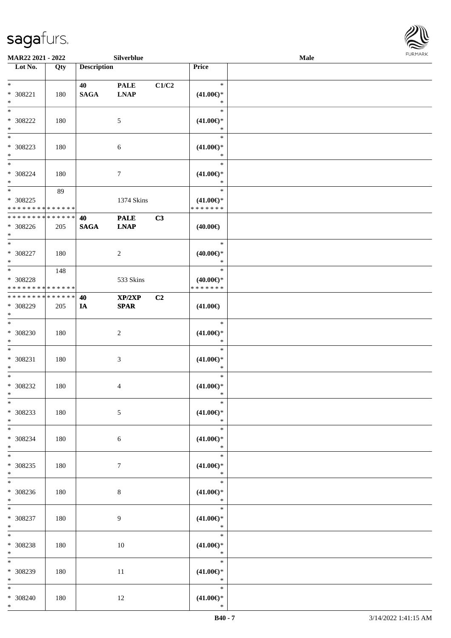

| <b>MAR22 2021 - 2022</b>    |     |                    | Silverblue      |       |                               | Male |  |
|-----------------------------|-----|--------------------|-----------------|-------|-------------------------------|------|--|
| Lot No.                     | Qty | <b>Description</b> |                 |       | Price                         |      |  |
|                             |     |                    |                 |       |                               |      |  |
| $*$                         |     | 40                 | <b>PALE</b>     | C1/C2 | $\ast$                        |      |  |
| * 308221                    | 180 | <b>SAGA</b>        | <b>LNAP</b>     |       | $(41.00\epsilon)$ *           |      |  |
| $*$                         |     |                    |                 |       | $\ast$                        |      |  |
|                             |     |                    |                 |       | $\ast$                        |      |  |
| * 308222                    | 180 |                    | 5               |       | $(41.00\epsilon)$ *           |      |  |
| $*$                         |     |                    |                 |       | $\ast$                        |      |  |
|                             |     |                    |                 |       | $\ast$                        |      |  |
| * 308223                    | 180 |                    | 6               |       | $(41.00\epsilon)$ *           |      |  |
| $*$                         |     |                    |                 |       | $\ast$                        |      |  |
| $*$                         |     |                    |                 |       | $\ast$                        |      |  |
| * 308224                    | 180 |                    |                 |       |                               |      |  |
| $*$                         |     |                    | 7               |       | $(41.00\epsilon)$ *<br>$\ast$ |      |  |
| $*$                         |     |                    |                 |       | $\ast$                        |      |  |
|                             | 89  |                    |                 |       |                               |      |  |
| * 308225                    |     |                    | 1374 Skins      |       | $(41.00\epsilon)$ *           |      |  |
| * * * * * * * * * * * * * * |     |                    |                 |       | * * * * * * *                 |      |  |
| * * * * * * * * * * * * * * |     | 40                 | <b>PALE</b>     | C3    |                               |      |  |
| * 308226                    | 205 | <b>SAGA</b>        | <b>LNAP</b>     |       | $(40.00\epsilon)$             |      |  |
| $*$                         |     |                    |                 |       |                               |      |  |
|                             |     |                    |                 |       | $\ast$                        |      |  |
| * 308227                    | 180 |                    | 2               |       | $(40.00\epsilon)$ *           |      |  |
| $*$                         |     |                    |                 |       | $\ast$                        |      |  |
| $\overline{\ast}$           | 148 |                    |                 |       | $\ast$                        |      |  |
| * 308228                    |     |                    | 533 Skins       |       | $(40.00\epsilon)$ *           |      |  |
| * * * * * * * * * * * * * * |     |                    |                 |       | * * * * * * *                 |      |  |
| * * * * * * * * * * * * * * |     | 40                 | XP/2XP          | C2    |                               |      |  |
| * 308229                    | 205 | IA                 | <b>SPAR</b>     |       | $(41.00\epsilon)$             |      |  |
| $*$                         |     |                    |                 |       |                               |      |  |
| $*$                         |     |                    |                 |       | $\ast$                        |      |  |
| * 308230                    | 180 |                    | $\overline{c}$  |       | $(41.00\epsilon)$ *           |      |  |
| $*$                         |     |                    |                 |       | $\ast$                        |      |  |
| $*$                         |     |                    |                 |       | $\ast$                        |      |  |
| * 308231                    | 180 |                    | 3               |       | $(41.00\epsilon)$ *           |      |  |
| $*$                         |     |                    |                 |       | $\ast$                        |      |  |
| $*$                         |     |                    |                 |       | $\ast$                        |      |  |
|                             |     |                    |                 |       |                               |      |  |
| * 308232<br>$*$             | 180 |                    | 4               |       | $(41.00\epsilon)$ *<br>$\ast$ |      |  |
| $*$                         |     |                    |                 |       | $\ast$                        |      |  |
|                             |     |                    |                 |       |                               |      |  |
| * 308233                    | 180 |                    | $5\phantom{.0}$ |       | $(41.00\epsilon)$ *           |      |  |
| $*$                         |     |                    |                 |       | $\ast$                        |      |  |
| $*$ $*$                     |     |                    |                 |       | $\ast$                        |      |  |
| * 308234                    | 180 |                    | 6               |       | $(41.00\epsilon)$ *           |      |  |
| $*$                         |     |                    |                 |       | $\ast$                        |      |  |
| $*$                         |     |                    |                 |       | $\ast$                        |      |  |
| * 308235                    | 180 |                    | $7\phantom{.0}$ |       | $(41.00\mathbb{E})^*$         |      |  |
| $*$                         |     |                    |                 |       | $\ast$                        |      |  |
|                             |     |                    |                 |       | $\ast$                        |      |  |
| * 308236                    | 180 |                    | 8               |       | $(41.00\epsilon)$ *           |      |  |
| $*$                         |     |                    |                 |       | $\ast$                        |      |  |
| $*$                         |     |                    |                 |       | $\ast$                        |      |  |
| * 308237                    | 180 |                    | $\overline{9}$  |       | $(41.00\mathbb{E})^*$         |      |  |
| $*$                         |     |                    |                 |       | $\ast$                        |      |  |
| $*$                         |     |                    |                 |       | $\ast$                        |      |  |
| * 308238                    | 180 |                    | 10              |       | $(41.00\epsilon)$ *           |      |  |
| $*$                         |     |                    |                 |       | $\ast$                        |      |  |
| $*$                         |     |                    |                 |       | $\ast$                        |      |  |
|                             |     |                    |                 |       |                               |      |  |
| * 308239                    | 180 |                    | 11              |       | $(41.00\epsilon)$ *           |      |  |
| $*$                         |     |                    |                 |       | $\ast$                        |      |  |
| $*$                         |     |                    |                 |       | $\ast$                        |      |  |
| * 308240                    | 180 |                    | 12              |       | $(41.00\epsilon)$ *           |      |  |
| $*$                         |     |                    |                 |       | $\ast$                        |      |  |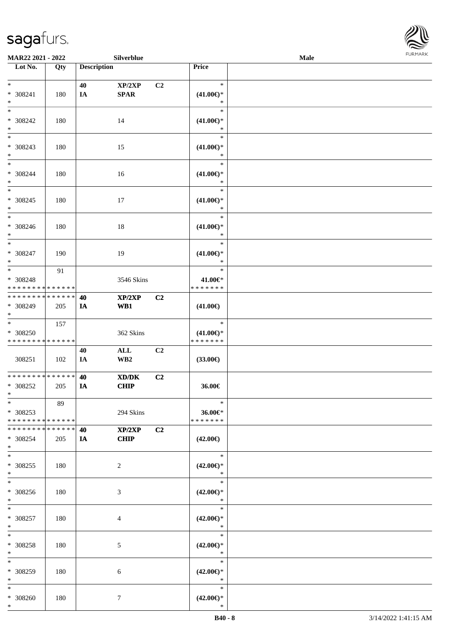

| <b>MAR22 2021 - 2022</b>      |     |                    | Silverblue      |                |                               | Male |  |
|-------------------------------|-----|--------------------|-----------------|----------------|-------------------------------|------|--|
| Lot No.                       | Qty | <b>Description</b> |                 |                | Price                         |      |  |
|                               |     |                    |                 |                |                               |      |  |
| $*$                           |     | 40                 | XP/2XP          | C <sub>2</sub> | $\ast$                        |      |  |
| * 308241                      | 180 | IA                 | <b>SPAR</b>     |                | $(41.00\epsilon)$ *           |      |  |
| $*$                           |     |                    |                 |                | $\ast$                        |      |  |
| $*$                           |     |                    |                 |                | $\ast$                        |      |  |
| * 308242                      | 180 |                    | 14              |                | $(41.00\epsilon)$ *           |      |  |
| $*$                           |     |                    |                 |                | $\ast$                        |      |  |
| $*$                           |     |                    |                 |                | $\ast$                        |      |  |
| * 308243                      | 180 |                    | 15              |                | $(41.00\epsilon)$ *           |      |  |
| $*$                           |     |                    |                 |                | $\ast$                        |      |  |
| $*$                           |     |                    |                 |                | $\ast$                        |      |  |
|                               |     |                    |                 |                |                               |      |  |
| * 308244                      | 180 |                    | 16              |                | $(41.00\epsilon)$ *           |      |  |
| $\ast$                        |     |                    |                 |                | $\ast$                        |      |  |
| $*$                           |     |                    |                 |                | $\ast$                        |      |  |
| $* 308245$                    | 180 |                    | 17              |                | $(41.00\epsilon)$ *           |      |  |
| $*$                           |     |                    |                 |                | $\ast$                        |      |  |
| $*$                           |     |                    |                 |                | $\ast$                        |      |  |
| * 308246                      | 180 |                    | 18              |                | $(41.00\epsilon)$ *           |      |  |
| $*$                           |     |                    |                 |                | $\ast$                        |      |  |
| $*$                           |     |                    |                 |                | $\ast$                        |      |  |
| * 308247                      | 190 |                    | 19              |                | $(41.00\epsilon)$ *           |      |  |
| $*$                           |     |                    |                 |                | $\ast$                        |      |  |
| $*$                           | 91  |                    |                 |                | $\ast$                        |      |  |
| * 308248                      |     |                    | 3546 Skins      |                | 41.00€*                       |      |  |
| * * * * * * * * * * * * * *   |     |                    |                 |                | * * * * * * *                 |      |  |
| * * * * * * * * * * * * * * * |     |                    |                 |                |                               |      |  |
|                               |     | 40                 | XP/2XP          | C <sub>2</sub> |                               |      |  |
| * 308249                      | 205 | IA                 | WB1             |                | $(41.00\epsilon)$             |      |  |
| $*$                           |     |                    |                 |                |                               |      |  |
|                               | 157 |                    |                 |                | $\ast$                        |      |  |
| * 308250                      |     |                    | 362 Skins       |                | $(41.00\epsilon)$ *           |      |  |
| * * * * * * * * * * * * * *   |     |                    |                 |                | * * * * * * *                 |      |  |
|                               |     | 40                 | $\mathbf{ALL}$  | C2             |                               |      |  |
| 308251                        | 102 | IA                 | WB <sub>2</sub> |                | $(33.00\epsilon)$             |      |  |
|                               |     |                    |                 |                |                               |      |  |
| * * * * * * * * * * * * * * * |     | 40                 | XD/DK           | C2             |                               |      |  |
| * 308252                      | 205 | IA                 | <b>CHIP</b>     |                | 36.00€                        |      |  |
| $*$                           |     |                    |                 |                |                               |      |  |
| $*$                           | 89  |                    |                 |                | $\ast$                        |      |  |
| * 308253                      |     |                    | 294 Skins       |                | 36.00€*                       |      |  |
| * * * * * * * * * * * * * * * |     |                    |                 |                | * * * * * * *                 |      |  |
| * * * * * * * * * * * * * * * |     | 40                 | XP/2XP          | C2             |                               |      |  |
| * 308254                      | 205 | IA                 | <b>CHIP</b>     |                | $(42.00\epsilon)$             |      |  |
| $*$                           |     |                    |                 |                |                               |      |  |
| $*$                           |     |                    |                 |                | $\ast$                        |      |  |
|                               |     |                    |                 |                |                               |      |  |
| * 308255                      | 180 |                    | $\overline{c}$  |                | $(42.00\epsilon)$ *           |      |  |
| $*$                           |     |                    |                 |                | $\ast$                        |      |  |
| $*$                           |     |                    |                 |                | $\ast$                        |      |  |
| * 308256                      | 180 |                    | 3               |                | $(42.00\epsilon)$ *           |      |  |
| $*$                           |     |                    |                 |                | $\ast$                        |      |  |
| $*$                           |     |                    |                 |                | $\ast$                        |      |  |
| * 308257                      | 180 |                    | 4               |                | $(42.00\epsilon)$ *           |      |  |
| $*$                           |     |                    |                 |                | $\ast$                        |      |  |
| $*$                           |     |                    |                 |                | $\ast$                        |      |  |
| $* 308258$                    | 180 |                    | 5               |                | $(42.00\epsilon)$ *           |      |  |
| $*$                           |     |                    |                 |                | $\ast$                        |      |  |
| $*$                           |     |                    |                 |                | $\ast$                        |      |  |
| * 308259                      | 180 |                    | 6               |                | $(42.00\epsilon)$ *           |      |  |
| $*$                           |     |                    |                 |                | $\ast$                        |      |  |
| $*$                           |     |                    |                 |                | $\ast$                        |      |  |
|                               |     |                    |                 |                |                               |      |  |
| * 308260<br>$*$               | 180 |                    | $\tau$          |                | $(42.00\epsilon)$ *<br>$\ast$ |      |  |
|                               |     |                    |                 |                |                               |      |  |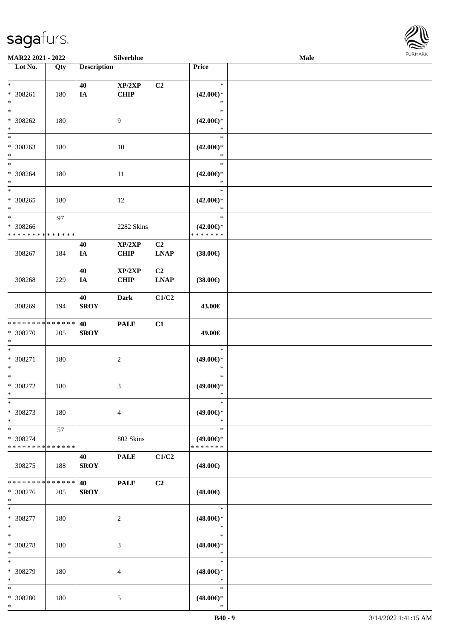

| MAR22 2021 - 2022                              |               |                    | Silverblue            |                               |                                                   | Male |  |
|------------------------------------------------|---------------|--------------------|-----------------------|-------------------------------|---------------------------------------------------|------|--|
| Lot No.                                        | Qty           | <b>Description</b> |                       |                               | Price                                             |      |  |
| $*$<br>$* 308261$<br>$\ast$                    | 180           | 40<br>IA           | XP/2XP<br><b>CHIP</b> | C2                            | $\ast$<br>$(42.00\epsilon)$ *<br>$\ast$           |      |  |
| $\ast$<br>* 308262<br>$\ast$                   | 180           |                    | 9                     |                               | $\ast$<br>$(42.00\epsilon)$ *<br>$\ast$           |      |  |
| * 308263<br>$*$                                | 180           |                    | $10\,$                |                               | $\ast$<br>$(42.00\epsilon)$ *<br>$\ast$           |      |  |
| $*$<br>$* 308264$<br>$\ast$<br>$\ast$          | 180           |                    | 11                    |                               | $\ast$<br>$(42.00\epsilon)$ *<br>$\ast$<br>$\ast$ |      |  |
| $* 308265$<br>$*$<br>$\ast$                    | 180           |                    | 12                    |                               | $(42.00\epsilon)$ *<br>$\ast$<br>$\ast$           |      |  |
| $* 308266$<br>* * * * * * * * * * * * * *      | 97            |                    | 2282 Skins            |                               | $(42.00\epsilon)$ *<br>* * * * * * *              |      |  |
| 308267                                         | 184           | 40<br>IA           | XP/2XP<br><b>CHIP</b> | C <sub>2</sub><br><b>LNAP</b> | $(38.00\epsilon)$                                 |      |  |
| 308268                                         | 229           | 40<br>IA           | XP/2XP<br><b>CHIP</b> | C <sub>2</sub><br><b>LNAP</b> | $(38.00\epsilon)$                                 |      |  |
| 308269                                         | 194           | 40<br><b>SROY</b>  | <b>Dark</b>           | C1/C2                         | 43.00€                                            |      |  |
| * * * * * * * * * * * * * *<br>* 308270<br>$*$ | 205           | 40<br><b>SROY</b>  | <b>PALE</b>           | C1                            | 49.00€                                            |      |  |
| $*$<br>$* 308271$<br>$*$                       | 180           |                    | $\boldsymbol{2}$      |                               | $\ast$<br>$(49.00ε)$ *<br>$\ast$                  |      |  |
| $\ast$<br>$* 308272$<br>$*$                    | 180           |                    | 3                     |                               | $\ast$<br>$(49.00\epsilon)$ *<br>$\ast$           |      |  |
| $\ast$<br>* 308273<br>$*$                      | 180           |                    | $\overline{4}$        |                               | $\ast$<br>$(49.00\epsilon)$ *<br>$\ast$           |      |  |
| $*$<br>* 308274<br>* * * * * * * * * * * * * * | 57            |                    | 802 Skins             |                               | $\ast$<br>$(49.00\epsilon)$ *<br>* * * * * * *    |      |  |
| 308275                                         | 188           | 40<br><b>SROY</b>  | <b>PALE</b>           | C1/C2                         | $(48.00\epsilon)$                                 |      |  |
| * * * * * * * *<br>* 308276<br>$*$             | ******<br>205 | 40<br><b>SROY</b>  | <b>PALE</b>           | C2                            | $(48.00\epsilon)$                                 |      |  |
| $*$<br>$* 308277$<br>$*$                       | 180           |                    | $\overline{c}$        |                               | $\ast$<br>$(48.00\epsilon)$ *<br>$\ast$           |      |  |
| $*$<br>* 308278<br>$*$                         | 180           |                    | 3                     |                               | $\ast$<br>$(48.00\epsilon)$ *<br>$\ast$           |      |  |
| $\ast$<br>* 308279<br>$*$                      | 180           |                    | 4                     |                               | $\ast$<br>$(48.00\epsilon)$ *<br>$\ast$           |      |  |
| $*$<br>* 308280<br>$*$                         | 180           |                    | $\mathfrak{S}$        |                               | $\ast$<br>$(48.00\epsilon)$ *<br>$\ast$           |      |  |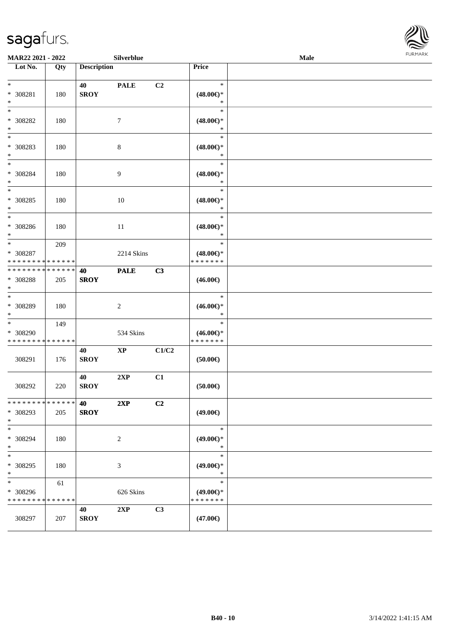

| <b>MAR22 2021 - 2022</b>                                         |     |                    | Silverblue  |                |                                                | Male |  |
|------------------------------------------------------------------|-----|--------------------|-------------|----------------|------------------------------------------------|------|--|
| Lot No.                                                          | Qty | <b>Description</b> |             |                | Price                                          |      |  |
| $\ast$<br>* 308281<br>$\ast$                                     | 180 | 40<br><b>SROY</b>  | <b>PALE</b> | C <sub>2</sub> | $\ast$<br>$(48.00\epsilon)$ *<br>$\ast$        |      |  |
| $\ddot{x}$<br>* 308282<br>$\ast$                                 | 180 |                    | $\tau$      |                | $\ast$<br>$(48.00\epsilon)$ *<br>$\ast$        |      |  |
| * 308283<br>$\ast$                                               | 180 |                    | $\,8\,$     |                | $\ast$<br>$(48.00\epsilon)$ *<br>$\ast$        |      |  |
| $\ddot{x}$<br>* 308284<br>$*$                                    | 180 |                    | 9           |                | $\ast$<br>$(48.00\epsilon)$ *<br>$\ast$        |      |  |
| $\ast$<br>* 308285<br>$\ast$                                     | 180 |                    | 10          |                | $\ast$<br>$(48.00\epsilon)$ *<br>$\ast$        |      |  |
| $\ast$<br>* 308286<br>$\ast$                                     | 180 |                    | 11          |                | $\ast$<br>$(48.00\epsilon)$ *<br>$\ast$        |      |  |
| $*$<br>* 308287<br>* * * * * * * * <mark>* * * * * *</mark>      | 209 |                    | 2214 Skins  |                | $\ast$<br>$(48.00\epsilon)$ *<br>* * * * * * * |      |  |
| * * * * * * * * * * * * * * *<br>* 308288<br>$\ast$              | 205 | 40<br><b>SROY</b>  | <b>PALE</b> | C3             | $(46.00\epsilon)$                              |      |  |
| * 308289<br>$\ast$                                               | 180 |                    | 2           |                | $\ast$<br>$(46.00\epsilon)$ *<br>$\ast$        |      |  |
| $\ast$<br>* 308290<br>* * * * * * * * * * * * * *                | 149 |                    | 534 Skins   |                | $\ast$<br>$(46.00\epsilon)$ *<br>* * * * * * * |      |  |
| 308291                                                           | 176 | 40<br><b>SROY</b>  | <b>XP</b>   | C1/C2          | $(50.00\epsilon)$                              |      |  |
| 308292                                                           | 220 | 40<br><b>SROY</b>  | 2XP         | C1             | $(50.00\epsilon)$                              |      |  |
| * * * * * * * * * * * * * * <mark>*</mark><br>* 308293<br>$\ast$ | 205 | 40<br><b>SROY</b>  | 2XP         | C2             | $(49.00\epsilon)$                              |      |  |
| $\ast$<br>* 308294<br>$\ast$                                     | 180 |                    | 2           |                | $\ast$<br>$(49.00\epsilon)$ *<br>$*$           |      |  |
| $\ast$<br>* 308295<br>$\ast$                                     | 180 |                    | 3           |                | $\ast$<br>$(49.00\epsilon)$ *<br>$\ast$        |      |  |
| $*$<br>* 308296<br>* * * * * * * * * * * * * *                   | 61  |                    | 626 Skins   |                | $\ast$<br>$(49.00\epsilon)$ *<br>* * * * * * * |      |  |
| 308297                                                           | 207 | 40<br><b>SROY</b>  | 2XP         | C3             | $(47.00\epsilon)$                              |      |  |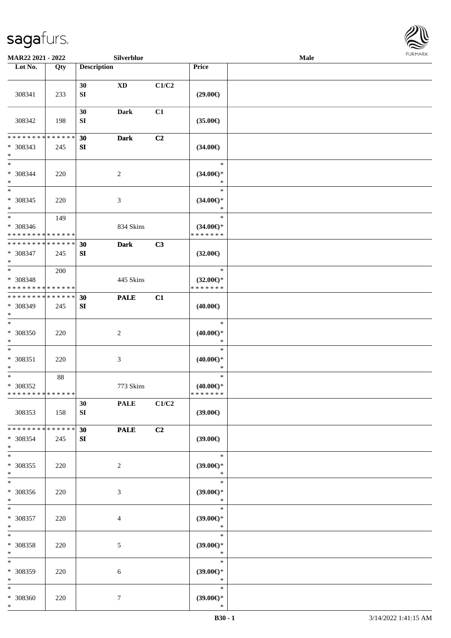

| MAR22 2021 - 2022                              |     |                    | Silverblue       |                |                                         | Male | <b>FURMARK</b> |
|------------------------------------------------|-----|--------------------|------------------|----------------|-----------------------------------------|------|----------------|
| Lot No.                                        | Qty | <b>Description</b> |                  |                | Price                                   |      |                |
| 308341                                         | 233 | 30<br>SI           | <b>XD</b>        | C1/C2          | $(29.00\epsilon)$                       |      |                |
| 308342                                         | 198 | 30<br>SI           | Dark             | C1             | $(35.00\epsilon)$                       |      |                |
| * * * * * * * * * * * * * *                    |     | 30                 | <b>Dark</b>      | C2             |                                         |      |                |
| * 308343<br>$\ast$<br>$\ast$                   | 245 | SI                 |                  |                | $(34.00\epsilon)$<br>$\ast$             |      |                |
| $* 308344$<br>$\ast$<br>$\ast$                 | 220 |                    | $\boldsymbol{2}$ |                | $(34.00\epsilon)$ *<br>$\ast$           |      |                |
| $* 308345$<br>$\ast$                           | 220 |                    | $\mathfrak{Z}$   |                | $\ast$<br>$(34.00\epsilon)$ *<br>$\ast$ |      |                |
| $\overline{\phantom{a}^*}$                     | 149 |                    |                  |                | $\ast$                                  |      |                |
| * 308346<br>* * * * * * * * * * * * * *        |     |                    | 834 Skins        |                | $(34.00\epsilon)$ *<br>* * * * * * *    |      |                |
| * * * * * * * * * * * * * *                    |     | 30                 | <b>Dark</b>      | C3             |                                         |      |                |
| * 308347<br>$\ast$                             | 245 | SI                 |                  |                | $(32.00\epsilon)$                       |      |                |
| $\overline{\ast}$                              | 200 |                    |                  |                | $\ast$                                  |      |                |
| * 308348<br>* * * * * * * * * * * * * *        |     |                    | 445 Skins        |                | $(32.00\epsilon)$ *<br>* * * * * * *    |      |                |
| * * * * * * * * * * * * * *                    |     | 30                 | <b>PALE</b>      | C1             |                                         |      |                |
| * 308349<br>$\ast$                             | 245 | SI                 |                  |                | $(40.00\epsilon)$                       |      |                |
| $\ast$                                         |     |                    |                  |                | $\ast$                                  |      |                |
| * 308350<br>$\ast$<br>$\ast$                   | 220 |                    | $\overline{c}$   |                | $(40.00\epsilon)$ *<br>$\ast$<br>$\ast$ |      |                |
| $* 308351$<br>$\ast$                           | 220 |                    | $\mathfrak{Z}$   |                | $(40.00\epsilon)$ *<br>$\ast$           |      |                |
| $\ast$                                         | 88  |                    |                  |                | $\ast$                                  |      |                |
| $* 308352$<br>* * * * * * * * * * * * * *      |     |                    | 773 Skins        |                | $(40.00\epsilon)$ *<br>* * * * * * *    |      |                |
|                                                |     | 30                 | <b>PALE</b>      | C1/C2          |                                         |      |                |
| 308353                                         | 158 | SI                 |                  |                | (39.00)                                 |      |                |
| * * * * * * * * * * * * * *<br>* 308354<br>$*$ | 245 | 30<br>SI           | <b>PALE</b>      | C <sub>2</sub> | (39.00)                                 |      |                |
| $\ast$<br>$* 308355$<br>$\ast$                 | 220 |                    | $\sqrt{2}$       |                | $\ast$<br>(39.00)<br>$\ast$             |      |                |
| $\ast$<br>* 308356<br>$\ast$                   | 220 |                    | $\mathfrak{Z}$   |                | $\ast$<br>$(39.00\epsilon)$ *<br>$\ast$ |      |                |
| $\ast$<br>* 308357<br>$\ast$                   | 220 |                    | 4                |                | $\ast$<br>$(39.00\epsilon)$ *<br>$\ast$ |      |                |
| $\ast$<br>* 308358<br>$\ast$                   | 220 |                    | $\mathfrak{S}$   |                | $\ast$<br>$(39.00\epsilon)$ *<br>$\ast$ |      |                |
| $\ast$<br>* 308359<br>$\ast$                   | 220 |                    | 6                |                | $\ast$<br>$(39.00\epsilon)$ *<br>$\ast$ |      |                |
| $\ast$<br>$* 308360$<br>$*$                    | 220 |                    | $\tau$           |                | $\ast$<br>$(39.00\epsilon)$ *<br>$\ast$ |      |                |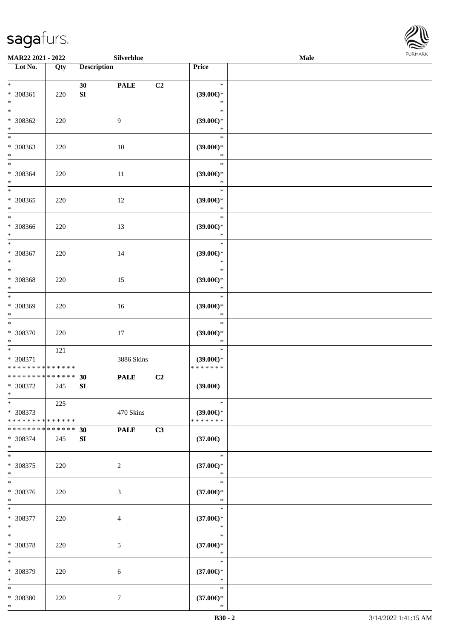

| MAR22 2021 - 2022                                                   |     |                        | Silverblue       |    |                                                | FURMARK<br>Male |  |  |
|---------------------------------------------------------------------|-----|------------------------|------------------|----|------------------------------------------------|-----------------|--|--|
| Lot No.                                                             | Qty | <b>Description</b>     |                  |    | Price                                          |                 |  |  |
| $\ast$<br>* 308361<br>$\ast$                                        | 220 | 30<br>SI               | <b>PALE</b>      | C2 | $\ast$<br>$(39.00\epsilon)$ *<br>$\ast$        |                 |  |  |
| $\overline{\phantom{0}}$<br>$* 308362$<br>$\ast$                    | 220 |                        | $\overline{9}$   |    | $\ast$<br>$(39.00\in)^\ast$<br>$\ast$          |                 |  |  |
| $\overline{\phantom{0}}$<br>* 308363<br>$\ast$                      | 220 |                        | $10\,$           |    | $\ast$<br>$(39.00\in)^\ast$<br>$\ast$          |                 |  |  |
| $\ast$<br>$* 308364$<br>$\ast$                                      | 220 |                        | $11\,$           |    | $\ast$<br>$(39.00\epsilon)$ *<br>$\ast$        |                 |  |  |
| $\ast$<br>$* 308365$<br>$\ast$                                      | 220 |                        | 12               |    | $\ast$<br>$(39.00\epsilon)$ *<br>$\ast$        |                 |  |  |
| $\overline{\phantom{a}^*}$<br>* 308366<br>$\ast$                    | 220 |                        | 13               |    | $\ast$<br>(39.00)<br>$\ast$                    |                 |  |  |
| $\ast$<br>* 308367<br>$\ast$                                        | 220 |                        | 14               |    | $\ast$<br>(39.00)<br>$\ast$                    |                 |  |  |
| $_{\ast}^{-}$<br>* 308368<br>$\ast$                                 | 220 |                        | 15               |    | $\ast$<br>$(39.00\epsilon)$ *<br>$\ast$        |                 |  |  |
| $_{\ast}$<br>* 308369<br>$\ast$                                     | 220 |                        | $16\,$           |    | $\ast$<br>(39.00)<br>$\ast$                    |                 |  |  |
| $\ast$<br>$* 308370$<br>$\ast$                                      | 220 |                        | 17               |    | $\ast$<br>(39.00)<br>$\ast$                    |                 |  |  |
| $\overline{\phantom{0}}$<br>* 308371<br>* * * * * * * * * * * * * * | 121 |                        | 3886 Skins       |    | $\ast$<br>$(39.00\epsilon)$ *<br>* * * * * * * |                 |  |  |
| * * * * * * * * * * * * * *<br>* 308372<br>$\ast$                   | 245 | 30<br>${\bf S}{\bf I}$ | <b>PALE</b>      | C2 | (39.00)                                        |                 |  |  |
| $\ast$<br>* 308373<br>* * * * * * * * * * * * * *                   | 225 |                        | 470 Skins        |    | $\ast$<br>(39.00)<br>* * * * * * *             |                 |  |  |
| * * * * * * * * * * * * * *<br>* 308374<br>$\ast$                   | 245 | 30<br>SI               | <b>PALE</b>      | C3 | $(37.00\epsilon)$                              |                 |  |  |
| $\overline{\phantom{a}^*}$<br>$* 308375$<br>$\ast$                  | 220 |                        | $\sqrt{2}$       |    | $\ast$<br>$(37.00\epsilon)$ *<br>$\ast$        |                 |  |  |
| $\ast$<br>$* 308376$<br>$\ast$                                      | 220 |                        | $\mathfrak{Z}$   |    | $\ast$<br>$(37.00\epsilon)$ *<br>$\ast$        |                 |  |  |
| $\ast$<br>* 308377<br>$\ast$                                        | 220 |                        | 4                |    | $\ast$<br>$(37.00\epsilon)$ *<br>$\ast$        |                 |  |  |
| $\ast$<br>* 308378<br>$\ast$                                        | 220 |                        | 5                |    | $\ast$<br>$(37.00\epsilon)$ *<br>$\ast$        |                 |  |  |
| $\ast$<br>* 308379<br>$\ast$                                        | 220 |                        | 6                |    | $\ast$<br>$(37.00\epsilon)$ *<br>$\ast$        |                 |  |  |
| $\ast$<br>* 308380<br>$\ast$                                        | 220 |                        | $\boldsymbol{7}$ |    | $\ast$<br>$(37.00\in)^\ast$<br>$\ast$          |                 |  |  |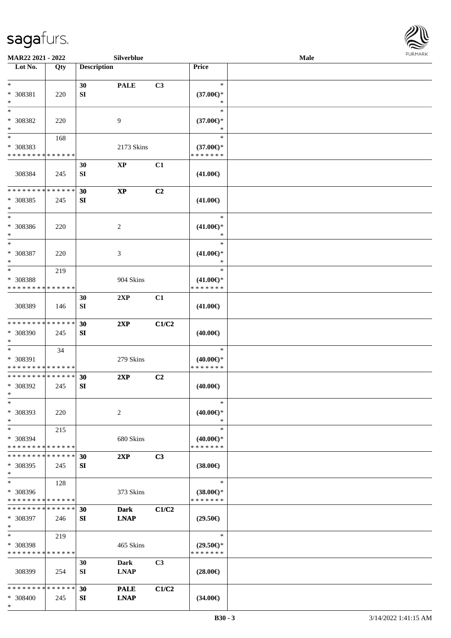

| MAR22 2021 - 2022                                                     |     |                        | Silverblue                 |       |                                                | Male |  |
|-----------------------------------------------------------------------|-----|------------------------|----------------------------|-------|------------------------------------------------|------|--|
| Lot No.                                                               | Qty | <b>Description</b>     |                            |       | Price                                          |      |  |
| $\ast$<br>* 308381<br>$\ast$                                          | 220 | 30<br>SI               | <b>PALE</b>                | C3    | $\ast$<br>$(37.00\epsilon)$ *<br>$\ast$        |      |  |
| $\ast$<br>* 308382<br>$\ast$                                          | 220 |                        | 9                          |       | $\ast$<br>$(37.00\epsilon)$ *<br>*             |      |  |
| $\overline{\phantom{a}^*}$<br>* 308383<br>* * * * * * * * * * * * * * | 168 |                        | 2173 Skins                 |       | $\ast$<br>$(37.00\epsilon)$ *<br>* * * * * * * |      |  |
| 308384                                                                | 245 | 30<br>${\bf S}{\bf I}$ | $\bold{XP}$                | C1    | $(41.00\epsilon)$                              |      |  |
| * * * * * * * * * * * * * *<br>* 308385<br>$\ast$                     | 245 | 30<br>SI               | $\mathbf{X}\mathbf{P}$     | C2    | $(41.00\epsilon)$                              |      |  |
| $\ast$<br>$\,^*$ 308386<br>$\ast$                                     | 220 |                        | 2                          |       | $\ast$<br>$(41.00\epsilon)$ *<br>$\ast$        |      |  |
| $\ast$<br>$* 308387$<br>$\ast$                                        | 220 |                        | 3                          |       | $\ast$<br>$(41.00\epsilon)$ *<br>$\ast$        |      |  |
| $\ast$<br>* 308388<br>* * * * * * * * * * * * * *                     | 219 |                        | 904 Skins                  |       | $\ast$<br>$(41.00\epsilon)$ *<br>* * * * * * * |      |  |
| 308389                                                                | 146 | 30<br>SI               | 2XP                        | C1    | $(41.00\epsilon)$                              |      |  |
| ******** <mark>*****</mark> *<br>* 308390<br>$\ast$                   | 245 | 30<br>SI               | 2XP                        | C1/C2 | $(40.00\epsilon)$                              |      |  |
| $\ast$<br>* 308391<br>* * * * * * * * * * * * * *                     | 34  |                        | 279 Skins                  |       | $\ast$<br>$(40.00\epsilon)$ *<br>* * * * * * * |      |  |
| ******** <mark>******</mark><br>* 308392<br>$*$                       | 245 | 30<br>SI               | 2XP                        | C2    | $(40.00\epsilon)$                              |      |  |
| $\ast$<br>* 308393<br>$\ast$                                          | 220 |                        | $\overline{c}$             |       | $\ast$<br>$(40.00\epsilon)$ *<br>$\ast$        |      |  |
| $\ast$<br>* 308394<br>* * * * * * * * * * * * * *                     | 215 |                        | 680 Skins                  |       | $\ast$<br>$(40.00\epsilon)$ *<br>* * * * * * * |      |  |
| * * * * * * * * * * * * * *<br>* 308395<br>$\ast$                     | 245 | 30<br>SI               | 2XP                        | C3    | $(38.00\epsilon)$                              |      |  |
| $\ast$<br>* 308396<br>* * * * * * * * * * * * * *                     | 128 |                        | 373 Skins                  |       | $\ast$<br>$(38.00\epsilon)$ *<br>* * * * * * * |      |  |
| * * * * * * * * * * * * * *<br>* 308397<br>$\ast$                     | 246 | 30<br>SI               | <b>Dark</b><br><b>LNAP</b> | C1/C2 | $(29.50\epsilon)$                              |      |  |
| $\ast$<br>* 308398<br>* * * * * * * * * * * * * *                     | 219 |                        | 465 Skins                  |       | $\ast$<br>$(29.50\epsilon)$ *<br>* * * * * * * |      |  |
| 308399                                                                | 254 | 30<br>SI               | Dark<br><b>LNAP</b>        | C3    | $(28.00\epsilon)$                              |      |  |
| * * * * * * * * * * * * * *<br>* 308400<br>$\ast$                     | 245 | 30<br>SI               | <b>PALE</b><br><b>LNAP</b> | C1/C2 | $(34.00\epsilon)$                              |      |  |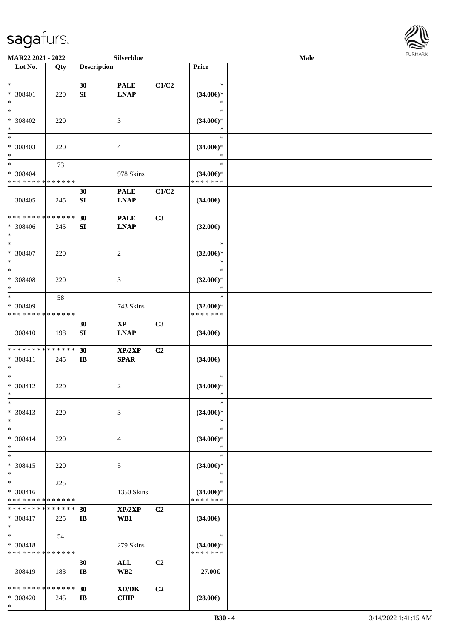

| MAR22 2021 - 2022             |     |                       | Silverblue                         |                |                               | Male |  |
|-------------------------------|-----|-----------------------|------------------------------------|----------------|-------------------------------|------|--|
| Lot No.                       | Qty | <b>Description</b>    |                                    |                | Price                         |      |  |
|                               |     |                       |                                    |                |                               |      |  |
| $*$                           |     | 30                    | <b>PALE</b>                        | C1/C2          | $\ast$                        |      |  |
| * 308401                      | 220 | SI                    | <b>LNAP</b>                        |                | $(34.00\epsilon)$ *           |      |  |
| $\ast$                        |     |                       |                                    |                | $\ast$                        |      |  |
| $*$                           |     |                       |                                    |                | $\ast$                        |      |  |
| * 308402                      | 220 |                       | 3                                  |                | $(34.00\epsilon)$ *           |      |  |
| $\ast$                        |     |                       |                                    |                | $\ast$                        |      |  |
| $\overline{\phantom{0}}$      |     |                       |                                    |                | $\ast$                        |      |  |
| $* 308403$                    | 220 |                       | $\overline{4}$                     |                | $(34.00\epsilon)$ *           |      |  |
| $*$                           |     |                       |                                    |                | $\ast$                        |      |  |
| $\ast$                        | 73  |                       |                                    |                | $\ast$                        |      |  |
| * 308404                      |     |                       | 978 Skins                          |                | $(34.00\epsilon)$ *           |      |  |
| * * * * * * * * * * * * * *   |     |                       |                                    |                | * * * * * * *                 |      |  |
|                               |     | 30                    | <b>PALE</b>                        | C1/C2          |                               |      |  |
| 308405                        | 245 | SI                    | <b>LNAP</b>                        |                | $(34.00\epsilon)$             |      |  |
|                               |     |                       |                                    |                |                               |      |  |
| * * * * * * * * * * * * * *   |     | 30                    | <b>PALE</b>                        | C3             |                               |      |  |
| * 308406                      | 245 | SI                    | <b>LNAP</b>                        |                | $(32.00\epsilon)$             |      |  |
| $\ast$                        |     |                       |                                    |                |                               |      |  |
| $\ast$                        |     |                       |                                    |                | $\ast$                        |      |  |
| * 308407                      | 220 |                       | 2                                  |                | $(32.00\epsilon)$ *           |      |  |
| $\ast$                        |     |                       |                                    |                | $\ast$                        |      |  |
| $\ast$                        |     |                       |                                    |                | $\ast$                        |      |  |
| * 308408                      | 220 |                       | 3                                  |                | $(32.00\epsilon)$ *           |      |  |
| $\ast$                        |     |                       |                                    |                | $\ast$                        |      |  |
| $\ast$                        | 58  |                       |                                    |                | $\ast$                        |      |  |
| * 308409                      |     |                       | 743 Skins                          |                | $(32.00\epsilon)$ *           |      |  |
| * * * * * * * * * * * * * *   |     |                       |                                    |                | * * * * * * *                 |      |  |
|                               |     | 30                    | $\mathbf{X}\mathbf{P}$             | C <sub>3</sub> |                               |      |  |
| 308410                        | 198 | ${\bf S}{\bf I}$      | <b>LNAP</b>                        |                | $(34.00\epsilon)$             |      |  |
|                               |     |                       |                                    |                |                               |      |  |
| * * * * * * * * * * * * * *   |     | 30                    | XP/2XP                             | C2             |                               |      |  |
| * 308411                      | 245 | $\mathbf{I}$          | <b>SPAR</b>                        |                | $(34.00\epsilon)$             |      |  |
| $*$<br>$\ast$                 |     |                       |                                    |                | $\ast$                        |      |  |
|                               |     |                       |                                    |                |                               |      |  |
| * 308412<br>$*$               | 220 |                       | 2                                  |                | $(34.00\epsilon)$ *<br>$\ast$ |      |  |
| $*$                           |     |                       |                                    |                | $\ast$                        |      |  |
| * 308413                      | 220 |                       | 3                                  |                | $(34.00\epsilon)$ *           |      |  |
| $\ast$                        |     |                       |                                    |                | $\ast$                        |      |  |
| $*$                           |     |                       |                                    |                | $\ast$                        |      |  |
| * 308414                      | 220 |                       | 4                                  |                | $(34.00\epsilon)$ *           |      |  |
| $*$                           |     |                       |                                    |                | $\ast$                        |      |  |
| $\ast$                        |     |                       |                                    |                | $\ast$                        |      |  |
| * 308415                      | 220 |                       | 5                                  |                | $(34.00\epsilon)$ *           |      |  |
| $*$                           |     |                       |                                    |                | $\ast$                        |      |  |
| $\ast$                        | 225 |                       |                                    |                | $\ast$                        |      |  |
| * 308416                      |     |                       | 1350 Skins                         |                | $(34.00\epsilon)$ *           |      |  |
| * * * * * * * * * * * * * *   |     |                       |                                    |                | * * * * * * *                 |      |  |
| * * * * * * * * * * * * * * * |     | 30                    | XP/2XP                             | C <sub>2</sub> |                               |      |  |
| * 308417                      | 225 | IB                    | WB1                                |                | $(34.00\epsilon)$             |      |  |
| $*$                           |     |                       |                                    |                |                               |      |  |
| $*$                           | 54  |                       |                                    |                | $\ast$                        |      |  |
| * 308418                      |     |                       | 279 Skins                          |                | $(34.00\epsilon)$ *           |      |  |
| * * * * * * * * * * * * * *   |     |                       |                                    |                | * * * * * * *                 |      |  |
|                               |     | 30                    | ALL                                | C <sub>2</sub> |                               |      |  |
| 308419                        | 183 | $\mathbf{I}$ <b>B</b> | WB <sub>2</sub>                    |                | 27.00€                        |      |  |
|                               |     |                       |                                    |                |                               |      |  |
| * * * * * * * * * * * * * *   |     | 30                    | $\boldsymbol{\text{XD}/\text{DK}}$ | C <sub>2</sub> |                               |      |  |
| * 308420                      | 245 | $\mathbf{I}$          | <b>CHIP</b>                        |                | $(28.00\epsilon)$             |      |  |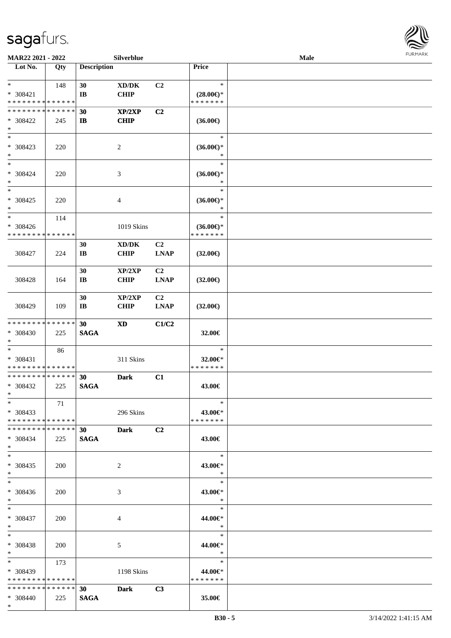

| MAR22 2021 - 2022                       |     |                        | Silverblue                          |                |                                      | <b>Male</b> |  |
|-----------------------------------------|-----|------------------------|-------------------------------------|----------------|--------------------------------------|-------------|--|
| Lot No.                                 | Qty | <b>Description</b>     |                                     |                | Price                                |             |  |
|                                         |     |                        |                                     |                |                                      |             |  |
| $*$                                     | 148 | 30                     | $\bold{X}\bold{D}/\bold{D}\bold{K}$ | C2             | $\ast$                               |             |  |
| * 308421<br>* * * * * * * * * * * * * * |     | $\mathbf{I}$ <b>B</b>  | <b>CHIP</b>                         |                | $(28.00\epsilon)$ *<br>* * * * * * * |             |  |
| * * * * * * * * * * * * * *             |     | 30                     | XP/2XP                              | C2             |                                      |             |  |
| * 308422                                | 245 | IB                     | <b>CHIP</b>                         |                | $(36.00\epsilon)$                    |             |  |
| $\ast$                                  |     |                        |                                     |                |                                      |             |  |
| $*$                                     |     |                        |                                     |                | $\ast$                               |             |  |
| * 308423                                | 220 |                        | 2                                   |                | $(36.00\epsilon)$ *                  |             |  |
| $*$                                     |     |                        |                                     |                | $\ast$                               |             |  |
| $*$                                     |     |                        |                                     |                | $\ast$                               |             |  |
| $* 308424$                              | 220 |                        | $\mathfrak{Z}$                      |                | $(36.00\epsilon)$ *                  |             |  |
| $\ast$<br>$*$                           |     |                        |                                     |                | $\ast$<br>$\ast$                     |             |  |
|                                         |     |                        |                                     |                |                                      |             |  |
| * 308425<br>$\ast$                      | 220 |                        | $\overline{4}$                      |                | $(36.00\epsilon)$ *<br>$\ast$        |             |  |
| $\ast$                                  | 114 |                        |                                     |                | $\ast$                               |             |  |
| * 308426                                |     |                        | 1019 Skins                          |                | $(36.00\epsilon)$ *                  |             |  |
| * * * * * * * * * * * * * *             |     |                        |                                     |                | * * * * * * *                        |             |  |
|                                         |     | 30                     | XD/DK                               | C <sub>2</sub> |                                      |             |  |
| 308427                                  | 224 | $\mathbf{I}\mathbf{B}$ | <b>CHIP</b>                         | <b>LNAP</b>    | $(32.00\epsilon)$                    |             |  |
|                                         |     |                        |                                     |                |                                      |             |  |
|                                         |     | 30                     | XP/2XP                              | C <sub>2</sub> |                                      |             |  |
| 308428                                  | 164 | $\mathbf{I}\mathbf{B}$ | <b>CHIP</b>                         | <b>LNAP</b>    | $(32.00\epsilon)$                    |             |  |
|                                         |     | 30                     | XP/2XP                              | C <sub>2</sub> |                                      |             |  |
| 308429                                  | 109 | $\mathbf{I}\mathbf{B}$ | <b>CHIP</b>                         | <b>LNAP</b>    | $(32.00\epsilon)$                    |             |  |
|                                         |     |                        |                                     |                |                                      |             |  |
| * * * * * * * * * * * * * *             |     | 30                     | <b>XD</b>                           | C1/C2          |                                      |             |  |
| * 308430                                | 225 | <b>SAGA</b>            |                                     |                | 32.00€                               |             |  |
| $*$                                     |     |                        |                                     |                |                                      |             |  |
| $*$                                     | 86  |                        |                                     |                | $\ast$                               |             |  |
| * 308431<br>* * * * * * * * * * * * * * |     |                        | 311 Skins                           |                | 32.00€*<br>* * * * * * *             |             |  |
| * * * * * * * * * * * * * *             |     | 30                     | <b>Dark</b>                         | C1             |                                      |             |  |
| * 308432                                | 225 | <b>SAGA</b>            |                                     |                | 43.00€                               |             |  |
| $*$                                     |     |                        |                                     |                |                                      |             |  |
| $*$                                     | 71  |                        |                                     |                | $\ast$                               |             |  |
| $*308433$                               |     |                        | 296 Skins                           |                | 43.00€*                              |             |  |
| * * * * * * * * * * * * * * *           |     |                        |                                     |                | * * * * * * *                        |             |  |
| * * * * * * * * * * * * * * *           |     | 30                     | <b>Dark</b>                         | C2             |                                      |             |  |
| * 308434                                | 225 | <b>SAGA</b>            |                                     |                | 43.00€                               |             |  |
| $*$ $-$<br>$*$                          |     |                        |                                     |                | $\ast$                               |             |  |
| * 308435                                | 200 |                        | 2                                   |                | 43.00€*                              |             |  |
| $*$                                     |     |                        |                                     |                | $\ast$                               |             |  |
| $*$                                     |     |                        |                                     |                | $\ast$                               |             |  |
| * 308436                                | 200 |                        | 3                                   |                | 43.00€*                              |             |  |
| $*$ $*$                                 |     |                        |                                     |                | $\ddot{x}$                           |             |  |
| $*$ and $*$                             |     |                        |                                     |                | $\Box$<br>$\ast$                     |             |  |
| * 308437                                | 200 |                        | 4                                   |                | 44.00€*                              |             |  |
| $*$ $*$                                 |     |                        |                                     |                | $\ast$                               |             |  |
| $*$ $*$                                 |     |                        |                                     |                | $\ast$                               |             |  |
| * 308438<br>$*$ $*$                     | 200 |                        | 5                                   |                | 44.00€*<br>$\ast$                    |             |  |
| $*$ and $*$                             | 173 |                        |                                     |                | $\ast$                               |             |  |
| * 308439                                |     |                        | 1198 Skins                          |                | 44.00€*                              |             |  |
| * * * * * * * * * * * * * *             |     |                        |                                     |                | * * * * * * *                        |             |  |
| * * * * * * * * * * * * * * *           |     | 30                     | <b>Dark</b>                         | C3             |                                      |             |  |
| * 308440                                | 225 | <b>SAGA</b>            |                                     |                | 35.00€                               |             |  |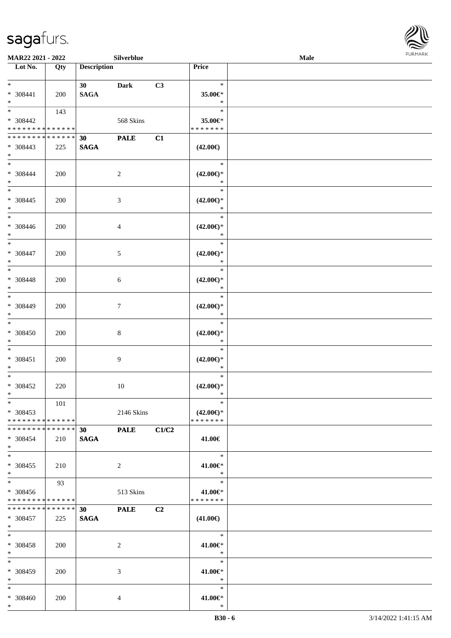

| MAR22 2021 - 2022                                              |     |                    | Silverblue     |       |                                                | Male | <b>FURMARK</b> |
|----------------------------------------------------------------|-----|--------------------|----------------|-------|------------------------------------------------|------|----------------|
| Lot No.                                                        | Qty | <b>Description</b> |                |       | Price                                          |      |                |
| $*$<br>* 308441<br>$*$                                         | 200 | 30<br><b>SAGA</b>  | <b>Dark</b>    | C3    | $\ast$<br>35.00€*<br>$\ast$                    |      |                |
| * 308442<br>* * * * * * * * <mark>* * * * * * *</mark>         | 143 |                    | 568 Skins      |       | $\ast$<br>35.00€*<br>* * * * * * *             |      |                |
| * * * * * * * * * * * * * *<br>* 308443<br>$*$                 | 225 | 30<br><b>SAGA</b>  | <b>PALE</b>    | C1    | $(42.00\epsilon)$                              |      |                |
| $*$ $-$<br>* 308444<br>$*$                                     | 200 |                    | $\overline{c}$ |       | $\ast$<br>$(42.00\epsilon)$ *<br>$\ast$        |      |                |
| $*$ $-$<br>* 308445<br>$*$                                     | 200 |                    | 3              |       | $\ast$<br>$(42.00\epsilon)$ *<br>$\ast$        |      |                |
| $*$ $-$<br>* 308446<br>$*$                                     | 200 |                    | $\overline{4}$ |       | $\ast$<br>$(42.00\epsilon)$ *<br>$\ast$        |      |                |
| $*$<br>* 308447<br>$*$                                         | 200 |                    | 5              |       | $\ast$<br>$(42.00\epsilon)$ *<br>$\ast$        |      |                |
| * 308448<br>$*$                                                | 200 |                    | 6              |       | $\ast$<br>$(42.00\epsilon)$ *<br>$\ast$        |      |                |
| $\overline{\ast}$<br>* 308449<br>$*$                           | 200 |                    | $\tau$         |       | $\ast$<br>$(42.00\epsilon)$ *<br>$\ast$        |      |                |
| $\ast$<br>* 308450<br>$*$                                      | 200 |                    | $8\,$          |       | $\ast$<br>$(42.00\epsilon)$ *<br>$\ast$        |      |                |
| $*$<br>* 308451<br>$*$                                         | 200 |                    | 9              |       | $\ast$<br>$(42.00\epsilon)$ *<br>$\ast$        |      |                |
| $*$<br>* 308452<br>$\ast$                                      | 220 |                    | $10\,$         |       | $\ast$<br>$(42.00\epsilon)$ *<br>$\ast$        |      |                |
| $*$<br>* 308453<br>* * * * * * * * <mark>* * * * * * *</mark>  | 101 |                    | 2146 Skins     |       | $\ast$<br>$(42.00\epsilon)$ *<br>* * * * * * * |      |                |
| * * * * * * * * * * * * * * *<br>* 308454<br>$*$               | 210 | 30<br><b>SAGA</b>  | <b>PALE</b>    | C1/C2 | 41.00€                                         |      |                |
| $*$<br>$* 308455$<br>$*$                                       | 210 |                    | 2              |       | $\ast$<br>41.00€*<br>$\ast$                    |      |                |
| $*$<br>* 308456<br>* * * * * * * * * * * * * * *               | 93  |                    | 513 Skins      |       | $\ast$<br>41.00€*<br>* * * * * * *             |      |                |
| * * * * * * * * <mark>* * * * * *</mark><br>* 308457<br>$\ast$ | 225 | 30<br><b>SAGA</b>  | <b>PALE</b>    | C2    | $(41.00\epsilon)$                              |      |                |
| $*$<br>* 308458<br>$*$                                         | 200 |                    | 2              |       | $\ast$<br>41.00€*<br>$\ast$                    |      |                |
| $*$<br>* 308459<br>$\ast$                                      | 200 |                    | 3              |       | $\ast$<br>41.00€*<br>$\ast$                    |      |                |
| $*$<br>* 308460<br>$*$                                         | 200 |                    | 4              |       | $\ast$<br>41.00€*<br>$\ast$                    |      |                |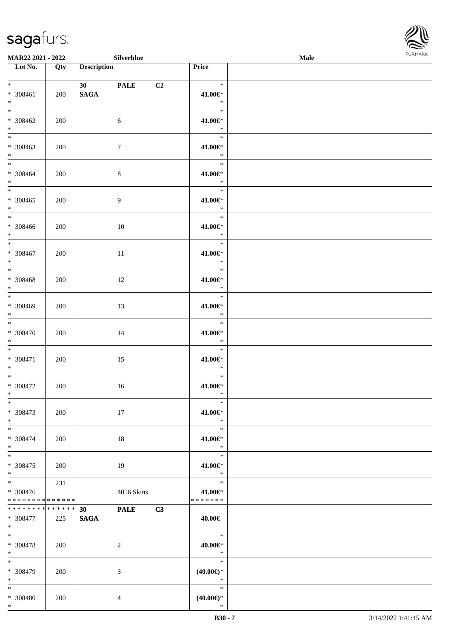

| Silverblue<br>MAR22 2021 - 2022          |     |                    |                 |    |                                                             | <b>FURMARK</b><br>Male |  |  |
|------------------------------------------|-----|--------------------|-----------------|----|-------------------------------------------------------------|------------------------|--|--|
| $\overline{\phantom{1}}$ Lot No.         | Qty | <b>Description</b> |                 |    | Price                                                       |                        |  |  |
| $*$ $\overline{\phantom{1}}$             |     |                    | <b>30</b> PALE  | C2 | $\ast$                                                      |                        |  |  |
| $* 308461$                               | 200 | <b>SAGA</b>        |                 |    | 41.00€*                                                     |                        |  |  |
| $\ast$<br>$\overline{\phantom{0}}$       |     |                    |                 |    | $\ast$<br>$\ast$                                            |                        |  |  |
| $* 308462$                               | 200 |                    | 6               |    | 41.00€*                                                     |                        |  |  |
| $\ast$                                   |     |                    |                 |    | $\ast$                                                      |                        |  |  |
| $\overline{\phantom{0}}$                 |     |                    |                 |    | $\ast$                                                      |                        |  |  |
| $* 308463$<br>$*$                        | 200 |                    | $7\phantom{.0}$ |    | 41.00€*<br>$\ast$                                           |                        |  |  |
| $\frac{1}{*}$                            |     |                    |                 |    | $\ast$                                                      |                        |  |  |
| $* 308464$                               | 200 |                    | $\,8\,$         |    | 41.00€*                                                     |                        |  |  |
| $*$<br>$\overline{\phantom{0}}$          |     |                    |                 |    | $\begin{array}{c c}\n\ast \\ \ast \\ \end{array}$<br>$\ast$ |                        |  |  |
| $* 308465$                               | 200 |                    | $\overline{9}$  |    | 41.00€*                                                     |                        |  |  |
| $*$<br>$\overline{\phantom{a}}$          |     |                    |                 |    | $\mathbb{R}^n$<br>$\ast$                                    |                        |  |  |
| $* 308466$                               | 200 |                    | $10\,$          |    | 41.00€*                                                     |                        |  |  |
| $*$                                      |     |                    |                 |    | $\ast$                                                      |                        |  |  |
| $\ast$                                   |     |                    |                 |    | $\ast$                                                      |                        |  |  |
| $* 308467$<br>$*$                        | 200 |                    | 11              |    | 41.00€*<br>$\ast$                                           |                        |  |  |
|                                          |     |                    |                 |    | $\ast$                                                      |                        |  |  |
| $* 308468$<br>$\ast$                     | 200 |                    | 12              |    | 41.00€*<br>$\ast$                                           |                        |  |  |
| $\overline{\phantom{0}}$                 |     |                    |                 |    | $\ast$                                                      |                        |  |  |
| * 308469                                 | 200 |                    | 13              |    | 41.00€*                                                     |                        |  |  |
| $\ast$<br>$\overline{\phantom{a}^*}$     |     |                    |                 |    | $\ast$<br>$\ast$                                            |                        |  |  |
| $* 308470$                               | 200 |                    | 14              |    | 41.00€*                                                     |                        |  |  |
| $\ast$<br>$\overline{\phantom{1}}$       |     |                    |                 |    | $\ast$                                                      |                        |  |  |
| * 308471                                 | 200 |                    | 15              |    | $\ast$<br>41.00€*                                           |                        |  |  |
| $\ast$                                   |     |                    |                 |    | $\ast$                                                      |                        |  |  |
| $\overline{\phantom{0}}$                 |     |                    |                 |    | $\ast$                                                      |                        |  |  |
| $* 308472$<br>$\ast$                     | 200 |                    | 16              |    | 41.00€*<br>$*$                                              |                        |  |  |
| $\ast$                                   |     |                    |                 |    | $\ast$                                                      |                        |  |  |
| * 308473                                 | 200 |                    | 17              |    | 41.00€*<br>$\ast$                                           |                        |  |  |
| $*$<br>$\ast$                            |     |                    |                 |    | $\ast$                                                      |                        |  |  |
| * 308474                                 | 200 |                    | 18              |    | 41.00€*                                                     |                        |  |  |
| $\ast$<br>$_{\ast}$                      |     |                    |                 |    | $\ast$<br>$\ast$                                            |                        |  |  |
| $* 308475$                               | 200 |                    | 19              |    | 41.00€*                                                     |                        |  |  |
| $\ast$                                   |     |                    |                 |    | $\ast$                                                      |                        |  |  |
| $\overline{\phantom{a}^*}$<br>$* 308476$ | 231 |                    | 4056 Skins      |    | $\ast$<br>41.00€*                                           |                        |  |  |
| * * * * * * * * * * * * * *              |     |                    |                 |    | * * * * * * *                                               |                        |  |  |
| * * * * * * * * * * * * * *              |     | 30 <sup>°</sup>    | <b>PALE</b>     | C3 |                                                             |                        |  |  |
| * 308477<br>$\ast$                       | 225 | <b>SAGA</b>        |                 |    | 40.00€                                                      |                        |  |  |
| $\overline{\phantom{1}}$                 |     |                    |                 |    | $\ast$                                                      |                        |  |  |
| * 308478                                 | 200 |                    | $\sqrt{2}$      |    | $40.00 \in$ *                                               |                        |  |  |
| $\ast$<br>$\ast$                         |     |                    |                 |    | $\ast$<br>$\ast$                                            |                        |  |  |
| * 308479                                 | 200 |                    | 3               |    | $(40.00\epsilon)$ *                                         |                        |  |  |
| $\ast$                                   |     |                    |                 |    | $\ast$                                                      |                        |  |  |
| $\ast$<br>* 308480                       | 200 |                    | 4               |    | $\ast$<br>$(40.00\epsilon)$ *                               |                        |  |  |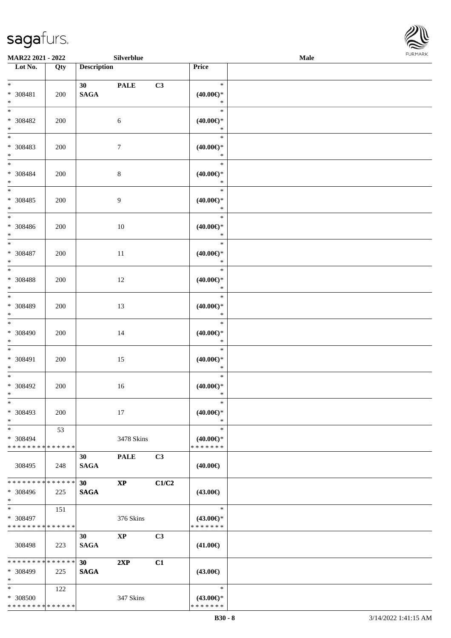

| MAR22 2021 - 2022                                          |     |                                | Silverblue       |       |                                                | Male | FURMARK |
|------------------------------------------------------------|-----|--------------------------------|------------------|-------|------------------------------------------------|------|---------|
| $\overline{\phantom{1}}$ Lot No.                           | Qty | <b>Description</b>             |                  |       | Price                                          |      |         |
| $*$<br>$* 308481$<br>$\ast$                                | 200 | 30<br><b>SAGA</b>              | <b>PALE</b>      | C3    | $\ast$<br>(40.00)<br>$\ast$                    |      |         |
| $\overline{\phantom{0}}$<br>$* 308482$<br>$*$              | 200 |                                | $\sqrt{6}$       |       | $\ast$<br>$(40.00\epsilon)$ *<br>$\ast$        |      |         |
| $\frac{1}{1}$<br>$* 308483$<br>$*$                         | 200 |                                | $\boldsymbol{7}$ |       | $\ast$<br>$(40.00 \in )^*$<br>$\ast$           |      |         |
| $*$<br>* 308484<br>$\ast$<br>$\frac{1}{*}$                 | 200 |                                | $\,8\,$          |       | $\ast$<br>$(40.00\epsilon)$ *<br>$\ast$        |      |         |
| * 308485<br>$\ast$<br>$\overline{\phantom{a}^*}$           | 200 |                                | $\overline{9}$   |       | $\ast$<br>$(40.00\epsilon)$ *<br>$\ast$        |      |         |
| * 308486<br>$\ast$                                         | 200 |                                | 10               |       | $\ast$<br>(40.00)<br>$\ast$                    |      |         |
| $\ast$<br>$* 308487$<br>$\ast$<br>$\overline{\phantom{0}}$ | 200 |                                | 11               |       | $\ast$<br>$(40.00\epsilon)$ *<br>$\ast$        |      |         |
| $* 308488$<br>$\ast$<br>$\overline{\ast}$                  | 200 |                                | 12               |       | $\ast$<br>(40.00)<br>$\ast$                    |      |         |
| $* 308489$<br>$\ast$                                       | 200 |                                | 13               |       | $\ast$<br>(40.00)<br>$\ast$                    |      |         |
| $\ast$<br>$* 308490$<br>$\ast$<br>$\overline{\phantom{a}}$ | 200 |                                | 14               |       | $\ast$<br>(40.00)<br>$\ast$                    |      |         |
| * 308491<br>$\ast$<br>$_{\ast}$                            | 200 |                                | 15               |       | $\ast$<br>$(40.00\epsilon)$ *<br>$\ast$        |      |         |
| $* 308492$<br>$\ast$                                       | 200 |                                | 16               |       | $\ast$<br>$(40.00\epsilon)$ *<br>∗             |      |         |
| $\ast$<br>* 308493<br>$\ast$<br>$\overline{\phantom{a}^*}$ | 200 |                                | 17               |       | $\ast$<br>$(40.00\epsilon)$ *<br>$\ast$        |      |         |
| * 308494<br>* * * * * * * * * * * * * *                    | 53  |                                | 3478 Skins       |       | $\ast$<br>$(40.00\epsilon)$ *<br>* * * * * * * |      |         |
| 308495                                                     | 248 | 30<br><b>SAGA</b>              | <b>PALE</b>      | C3    | $(40.00\epsilon)$                              |      |         |
| * * * * * * * * * * * * * *<br>* 308496<br>$\ast$          | 225 | 30 <sup>°</sup><br><b>SAGA</b> | $\bold{XP}$      | C1/C2 | $(43.00\epsilon)$                              |      |         |
| $\ast$<br>* 308497<br>* * * * * * * * * * * * * *          | 151 |                                | 376 Skins        |       | $\ast$<br>$(43.00\epsilon)$ *<br>* * * * * * * |      |         |
| 308498                                                     | 223 | 30<br><b>SAGA</b>              | <b>XP</b>        | C3    | $(41.00\epsilon)$                              |      |         |
| * * * * * * * * * * * * * *<br>* 308499<br>$\ast$          | 225 | 30<br><b>SAGA</b>              | 2XP              | C1    | $(43.00\epsilon)$                              |      |         |
| $\ast$<br>* 308500<br>* * * * * * * * * * * * * *          | 122 |                                | 347 Skins        |       | $\ast$<br>$(43.00\epsilon)$ *<br>* * * * * * * |      |         |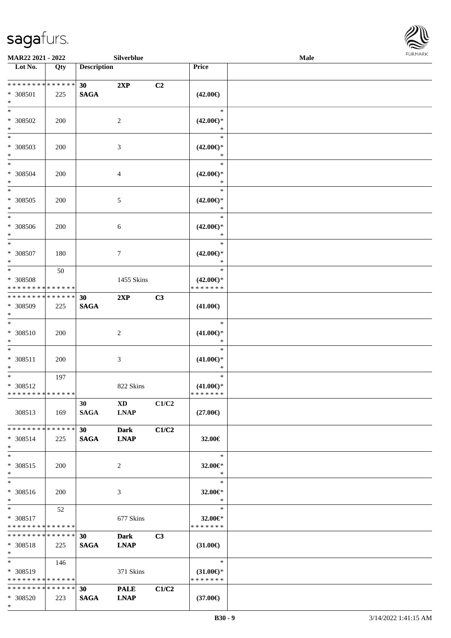

| <b>MAR22 2021 - 2022</b>                                         |     |                    | Silverblue                            |       |                                                | Male |  |
|------------------------------------------------------------------|-----|--------------------|---------------------------------------|-------|------------------------------------------------|------|--|
| Lot No.                                                          | Qty | <b>Description</b> |                                       |       | Price                                          |      |  |
| * * * * * * * * * * * * * * *<br>* 308501<br>$\ast$              | 225 | 30<br><b>SAGA</b>  | 2XP                                   | C2    | $(42.00\epsilon)$                              |      |  |
| $\ast$<br>* 308502<br>$\ast$                                     | 200 |                    | 2                                     |       | $\ast$<br>$(42.00\epsilon)$ *<br>∗             |      |  |
| * 308503<br>$\ast$                                               | 200 |                    | 3                                     |       | $\ast$<br>$(42.00\epsilon)$ *<br>$\ast$        |      |  |
| $\ddot{x}$<br>* 308504<br>$*$                                    | 200 |                    | $\overline{4}$                        |       | $\ast$<br>$(42.00\epsilon)$ *<br>$\ast$        |      |  |
| $\ast$<br>* 308505<br>$\ast$                                     | 200 |                    | 5                                     |       | $\ast$<br>$(42.00\epsilon)$ *<br>$\ast$        |      |  |
| $\ast$<br>* 308506<br>$\ast$                                     | 200 |                    | 6                                     |       | $\ast$<br>$(42.00\epsilon)$ *<br>$\ast$        |      |  |
| $\overline{\ast}$<br>* 308507<br>$\ast$                          | 180 |                    | $\tau$                                |       | $\ast$<br>$(42.00\epsilon)$ *<br>$\ast$        |      |  |
| $\ast$<br>* 308508<br>* * * * * * * * <mark>* * * * * *</mark>   | 50  |                    | 1455 Skins                            |       | $\ast$<br>$(42.00\epsilon)$ *<br>* * * * * * * |      |  |
| * * * * * * * * * * * * * * *<br>* 308509<br>$\ast$              | 225 | 30<br><b>SAGA</b>  | 2XP                                   | C3    | $(41.00\epsilon)$                              |      |  |
| $*$<br>* 308510<br>$\ast$                                        | 200 |                    | 2                                     |       | $\ast$<br>$(41.00\epsilon)$ *<br>$\ast$        |      |  |
| $\ast$<br>* 308511<br>$\ast$                                     | 200 |                    | $\sqrt{3}$                            |       | $\ast$<br>$(41.00\epsilon)$ *<br>$\ast$        |      |  |
| $\ast$<br>* 308512<br>* * * * * * * * <mark>* * * * * *</mark>   | 197 |                    | 822 Skins                             |       | $\ast$<br>$(41.00\epsilon)$ *<br>*******       |      |  |
| 308513                                                           | 169 | 30<br>SAGA         | $\mathbf{X}\mathbf{D}$<br><b>LNAP</b> | C1/C2 | $(27.00\epsilon)$                              |      |  |
| * * * * * * * * <mark>* * * * * * *</mark><br>* 308514<br>$\ast$ | 225 | 30<br><b>SAGA</b>  | <b>Dark</b><br><b>LNAP</b>            | C1/C2 | 32.00€                                         |      |  |
| $\ast$<br>* 308515<br>$\ast$                                     | 200 |                    | 2                                     |       | $\ast$<br>32.00€*<br>$\ast$                    |      |  |
| $\ast$<br>* 308516<br>$*$                                        | 200 |                    | 3                                     |       | $\ast$<br>32.00€*<br>$\ast$                    |      |  |
| $*$ $*$<br>* 308517<br>* * * * * * * * <mark>* * * * * *</mark>  | 52  |                    | 677 Skins                             |       | $\ast$<br>32.00€*<br>*******                   |      |  |
| * * * * * * * * <mark>* * * * * * *</mark><br>* 308518<br>$\ast$ | 225 | 30<br><b>SAGA</b>  | <b>Dark</b><br><b>LNAP</b>            | C3    | $(31.00\epsilon)$                              |      |  |
| $*$ $-$<br>* 308519<br>* * * * * * * * * * * * * * *             | 146 |                    | 371 Skins                             |       | $*$<br>$(31.00\epsilon)$ *<br>* * * * * * *    |      |  |
| * * * * * * * * <mark>* * * * * *</mark> *<br>* 308520           | 223 | 30<br><b>SAGA</b>  | <b>PALE</b><br><b>LNAP</b>            | C1/C2 | $(37.00\epsilon)$                              |      |  |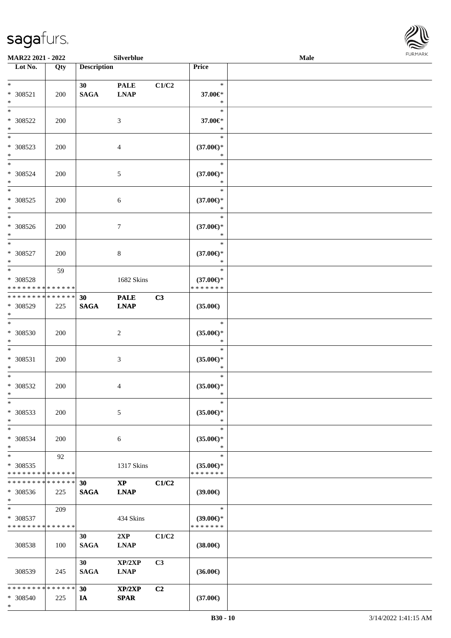

| <b>MAR22 2021 - 2022</b>                 |     |                    | Silverblue             |                |                     | Male |  |
|------------------------------------------|-----|--------------------|------------------------|----------------|---------------------|------|--|
| Lot No.                                  | Qty | <b>Description</b> |                        |                | Price               |      |  |
|                                          |     |                    |                        |                |                     |      |  |
| $*$                                      |     | 30                 | <b>PALE</b>            | C1/C2          | $\ast$              |      |  |
| * 308521                                 | 200 | <b>SAGA</b>        | <b>LNAP</b>            |                | 37.00€*             |      |  |
| $*$                                      |     |                    |                        |                | $\ast$              |      |  |
| $\ast$                                   |     |                    |                        |                | $\ast$              |      |  |
| * 308522                                 | 200 |                    | 3                      |                | 37.00€*             |      |  |
| $*$                                      |     |                    |                        |                | $\ast$              |      |  |
|                                          |     |                    |                        |                | $\ast$              |      |  |
|                                          |     |                    |                        |                |                     |      |  |
| * 308523                                 | 200 |                    | $\overline{4}$         |                | $(37.00\epsilon)$ * |      |  |
| $*$                                      |     |                    |                        |                | $\ast$              |      |  |
| $*$                                      |     |                    |                        |                | $\ast$              |      |  |
| * 308524                                 | 200 |                    | 5                      |                | $(37.00\epsilon)$ * |      |  |
| $*$                                      |     |                    |                        |                | $\ast$              |      |  |
| $*$                                      |     |                    |                        |                | $\ast$              |      |  |
| * 308525                                 | 200 |                    | 6                      |                | $(37.00\epsilon)$ * |      |  |
| $\ast$                                   |     |                    |                        |                | $\ast$              |      |  |
|                                          |     |                    |                        |                | $\ast$              |      |  |
| * 308526                                 | 200 |                    | 7                      |                | $(37.00\epsilon)$ * |      |  |
| $*$                                      |     |                    |                        |                | $\ast$              |      |  |
| $*$                                      |     |                    |                        |                |                     |      |  |
|                                          |     |                    |                        |                | $\ast$              |      |  |
| * 308527                                 | 200 |                    | 8                      |                | $(37.00\epsilon)$ * |      |  |
| $*$                                      |     |                    |                        |                | $\ast$              |      |  |
| $*$                                      | 59  |                    |                        |                | $\ast$              |      |  |
| * 308528                                 |     |                    | 1682 Skins             |                | $(37.00\epsilon)$ * |      |  |
| * * * * * * * * * * * * * *              |     |                    |                        |                | * * * * * * *       |      |  |
| * * * * * * * * * * * * * *              |     | 30                 | <b>PALE</b>            | C3             |                     |      |  |
| * 308529                                 | 225 | <b>SAGA</b>        | <b>LNAP</b>            |                | $(35.00\epsilon)$   |      |  |
| $*$                                      |     |                    |                        |                |                     |      |  |
| $*$                                      |     |                    |                        |                | $\ast$              |      |  |
| * 308530                                 | 200 |                    | 2                      |                | $(35.00\epsilon)$ * |      |  |
| $*$                                      |     |                    |                        |                | $\ast$              |      |  |
| $*$                                      |     |                    |                        |                | $\ast$              |      |  |
|                                          |     |                    |                        |                |                     |      |  |
| * 308531                                 | 200 |                    | 3                      |                | $(35.00\epsilon)$ * |      |  |
| $\ast$                                   |     |                    |                        |                | $\ast$              |      |  |
| $*$                                      |     |                    |                        |                | $\ast$              |      |  |
| * 308532                                 | 200 |                    | 4                      |                | $(35.00\epsilon)$ * |      |  |
| $*$                                      |     |                    |                        |                | $\ast$              |      |  |
| $\ast$                                   |     |                    |                        |                | $\ast$              |      |  |
| * 308533                                 | 200 |                    | 5                      |                | $(35.00\epsilon)$ * |      |  |
| $*$                                      |     |                    |                        |                | $\ast$              |      |  |
| $*$                                      |     |                    |                        |                | $\ast$              |      |  |
| * 308534                                 | 200 |                    | 6                      |                | $(35.00\epsilon)$ * |      |  |
| $*$                                      |     |                    |                        |                | $\ast$              |      |  |
| $*$                                      |     |                    |                        |                | $\ast$              |      |  |
|                                          | 92  |                    |                        |                |                     |      |  |
| * 308535                                 |     |                    | 1317 Skins             |                | $(35.00\epsilon)$ * |      |  |
| * * * * * * * * * * * * * *              |     |                    |                        |                | * * * * * * *       |      |  |
| * * * * * * * * * * * * * * *            |     | 30                 | $\mathbf{X}\mathbf{P}$ | C1/C2          |                     |      |  |
| * 308536                                 | 225 | <b>SAGA</b>        | <b>LNAP</b>            |                | $(39.00\epsilon)$   |      |  |
| $*$                                      |     |                    |                        |                |                     |      |  |
| $*$ $\qquad$                             | 209 |                    |                        |                | $\ast$              |      |  |
| * 308537                                 |     |                    | 434 Skins              |                | $(39.00\epsilon)$ * |      |  |
| * * * * * * * * * * * * * *              |     |                    |                        |                | * * * * * * *       |      |  |
|                                          |     | 30                 | 2XP                    | C1/C2          |                     |      |  |
| 308538                                   | 100 | <b>SAGA</b>        | <b>LNAP</b>            |                | $(38.00\epsilon)$   |      |  |
|                                          |     |                    |                        |                |                     |      |  |
|                                          |     |                    |                        |                |                     |      |  |
|                                          |     | 30                 | XP/2XP                 | C <sub>3</sub> |                     |      |  |
| 308539                                   | 245 | <b>SAGA</b>        | <b>LNAP</b>            |                | $(36.00\epsilon)$   |      |  |
|                                          |     |                    |                        |                |                     |      |  |
| * * * * * * * * <mark>* * * * * *</mark> |     | 30                 | XP/2XP                 | C2             |                     |      |  |
| $* 308540$                               | 225 | IA                 | <b>SPAR</b>            |                | $(37.00\epsilon)$   |      |  |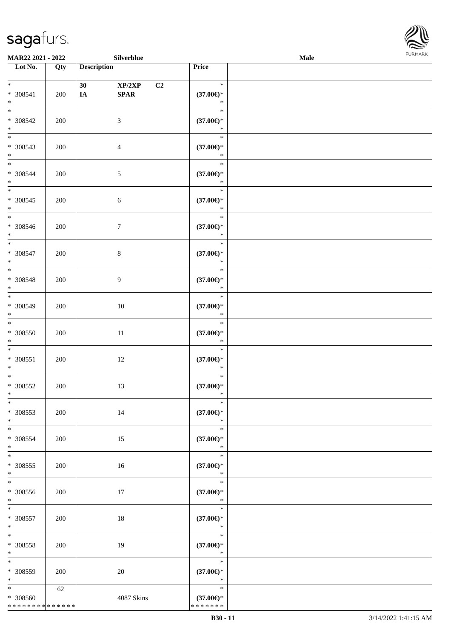

| MAR22 2021 - 2022                                            |     |                    | Silverblue                                                  |                                                | Male | FURMARK |
|--------------------------------------------------------------|-----|--------------------|-------------------------------------------------------------|------------------------------------------------|------|---------|
| $\overline{\phantom{1}}$ Lot No.                             | Qty | <b>Description</b> |                                                             | Price                                          |      |         |
| $\ast$<br>$* 308541$<br>$\ast$                               | 200 | 30<br>IA           | XP/2XP<br>C <sub>2</sub><br>$\pmb{\quad \text{SPAR} \quad}$ | $\ast$<br>$(37.00\in)^\ast$<br>$\ast$          |      |         |
| $\overline{\phantom{0}}$<br>$* 308542$<br>$\ast$             | 200 |                    | $\sqrt{3}$                                                  | $\ast$<br>$(37.00\in)^\ast$<br>$\ast$          |      |         |
| $\overline{\phantom{0}}$<br>$* 308543$<br>$\ast$             | 200 |                    | $\overline{4}$                                              | $\ast$<br>$(37.00\in)^\ast$<br>$\ast$          |      |         |
| $\ast$<br>$* 308544$<br>$\ast$<br>$\overline{\phantom{a}^*}$ | 200 |                    | $\sqrt{5}$                                                  | $\ast$<br>$(37.00\epsilon)$ *<br>$\ast$        |      |         |
| $* 308545$<br>$\ast$                                         | 200 |                    | $\sqrt{6}$                                                  | $\ast$<br>$(37.00\epsilon)$ *<br>$\ast$        |      |         |
| $\overline{\phantom{a}^*}$<br>$* 308546$<br>$\ast$           | 200 |                    | $7\phantom{.0}$                                             | $\ast$<br>$(37.00\epsilon)$ *<br>$\ast$        |      |         |
| $\ast$<br>$* 308547$<br>$\ast$<br>$\overline{\phantom{0}}$   | 200 |                    | $\,8\,$                                                     | $\ast$<br>$(37.00\epsilon)^\ast$<br>$\ast$     |      |         |
| $* 308548$<br>$\ast$<br>$\overline{\ast}$                    | 200 |                    | $\overline{9}$                                              | $\ast$<br>$(37.00\epsilon)^\ast$<br>$\ast$     |      |         |
| * 308549<br>$\ast$                                           | 200 |                    | $10\,$                                                      | $\ast$<br>$(37.00\epsilon)^\ast$<br>$\ast$     |      |         |
| $\ast$<br>$* 308550$<br>$\ast$<br>$\overline{\phantom{a}^*}$ | 200 |                    | 11                                                          | $\ast$<br>$(37.00\epsilon)$ *<br>$\ast$        |      |         |
| $* 308551$<br>$\ast$                                         | 200 |                    | 12                                                          | $\ast$<br>$(37.00\epsilon)$ *<br>$\ast$        |      |         |
| $\overline{\ast}$<br>* 308552<br>$\ast$                      | 200 |                    | 13                                                          | $\ast$<br>$(37.00\epsilon)$ *<br>$\ast$        |      |         |
| $\ast$<br>* 308553<br>$\ast$<br>$_{\ast}$                    | 200 |                    | 14                                                          | $\ast$<br>$(37.00\epsilon)$ *<br>$\ast$        |      |         |
| * 308554<br>$\ast$                                           | 200 |                    | 15                                                          | $\ast$<br>$(37.00\epsilon)$ *<br>$\ast$        |      |         |
| $\overline{\ast}$<br>$* 308555$<br>$\ast$                    | 200 |                    | 16                                                          | $\ast$<br>$(37.00\epsilon)$ *<br>$\ast$        |      |         |
| $\overline{\phantom{1}}$<br>$* 308556$<br>$\ast$             | 200 |                    | 17                                                          | $\ast$<br>$(37.00\epsilon)$ *<br>$\ast$        |      |         |
| $_{*}$<br>$* 308557$<br>$\ast$                               | 200 |                    | 18                                                          | $\ast$<br>$(37.00\epsilon)^\ast$<br>$\ast$     |      |         |
| $\ast$<br>* 308558<br>$\ast$                                 | 200 |                    | 19                                                          | $\ast$<br>$(37.00\epsilon)$ *<br>$\ast$        |      |         |
| $\ast$<br>* 308559<br>$\ast$                                 | 200 |                    | 20                                                          | $\ast$<br>$(37.00\epsilon)$ *<br>$\ast$        |      |         |
| $\ast$<br>* 308560<br>* * * * * * * * * * * * * *            | 62  |                    | 4087 Skins                                                  | $\ast$<br>$(37.00\epsilon)$ *<br>* * * * * * * |      |         |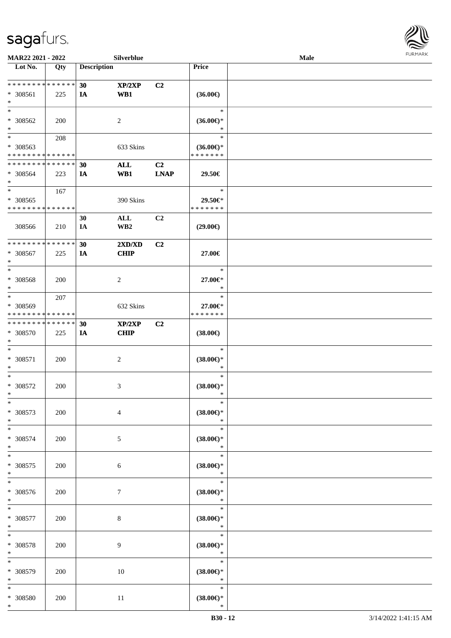

| MAR22 2021 - 2022            |     |                    | Silverblue       |             |                     | Male |  |
|------------------------------|-----|--------------------|------------------|-------------|---------------------|------|--|
| Lot No.                      | Qty | <b>Description</b> |                  |             | <b>Price</b>        |      |  |
|                              |     |                    |                  |             |                     |      |  |
| ******** <mark>******</mark> |     | 30                 | XP/2XP           | C2          |                     |      |  |
| * 308561                     | 225 | <b>IA</b>          | WB1              |             | $(36.00\epsilon)$   |      |  |
| $\ast$                       |     |                    |                  |             |                     |      |  |
| $\ast$                       |     |                    |                  |             | $\ast$              |      |  |
| * 308562                     | 200 |                    | $\overline{c}$   |             | $(36.00\epsilon)$ * |      |  |
| $\ast$                       |     |                    |                  |             | ∗                   |      |  |
| $\overline{\ast}$            | 208 |                    |                  |             | $\ast$              |      |  |
| * 308563                     |     |                    | 633 Skins        |             | $(36.00\epsilon)$ * |      |  |
| * * * * * * * * * * * * * *  |     |                    |                  |             | * * * * * * *       |      |  |
| * * * * * * * * * * * * * *  |     | 30                 | $\mathbf{ALL}$   | C2          |                     |      |  |
| * 308564                     | 223 | IA                 | WB1              | <b>LNAP</b> | 29.50€              |      |  |
| $\ast$                       |     |                    |                  |             |                     |      |  |
| $\ast$                       | 167 |                    |                  |             | $\ast$              |      |  |
| $* 308565$                   |     |                    | 390 Skins        |             | 29.50€*             |      |  |
| * * * * * * * * * * * * * *  |     |                    |                  |             | * * * * * * *       |      |  |
|                              |     | 30                 | $\mathbf{ALL}$   | C2          |                     |      |  |
| 308566                       | 210 | IA                 | WB <sub>2</sub>  |             | $(29.00\epsilon)$   |      |  |
|                              |     |                    |                  |             |                     |      |  |
| ******** <mark>******</mark> |     | 30                 | 2XD/XD           | C2          |                     |      |  |
| * 308567                     | 225 | IA                 | <b>CHIP</b>      |             | 27.00€              |      |  |
| $\ast$                       |     |                    |                  |             |                     |      |  |
| $\ast$                       |     |                    |                  |             | $\ast$              |      |  |
| * 308568                     | 200 |                    | $\sqrt{2}$       |             | 27.00€*             |      |  |
| $\ast$                       |     |                    |                  |             | $\ast$              |      |  |
| $\ast$                       | 207 |                    |                  |             | $\ast$              |      |  |
| * 308569                     |     |                    | 632 Skins        |             | 27.00€*             |      |  |
| * * * * * * * * * * * * * *  |     |                    |                  |             | * * * * * * *       |      |  |
| * * * * * * * * * * * * * *  |     | 30                 | XP/2XP           | C2          |                     |      |  |
| * 308570                     | 225 | IA                 | <b>CHIP</b>      |             | $(38.00\epsilon)$   |      |  |
| $\ast$                       |     |                    |                  |             |                     |      |  |
| $\ast$                       |     |                    |                  |             | $\ast$              |      |  |
| $* 308571$                   | 200 |                    | $\boldsymbol{2}$ |             | $(38.00\epsilon)$ * |      |  |
| $\ast$                       |     |                    |                  |             | $\ast$              |      |  |
| $\ast$                       |     |                    |                  |             | $\ast$              |      |  |
| $* 308572$                   |     |                    |                  |             | $(38.00\epsilon)$ * |      |  |
| $\ast$                       | 200 |                    | 3                |             | $\ast$              |      |  |
| $\ast$                       |     |                    |                  |             | $\ast$              |      |  |
|                              |     |                    |                  |             |                     |      |  |
| $* 308573$                   | 200 |                    | $\overline{4}$   |             | $(38.00\epsilon)$ * |      |  |
| $\ast$<br>$\ast$             |     |                    |                  |             | $\ast$<br>$\ast$    |      |  |
|                              |     |                    |                  |             |                     |      |  |
| $* 308574$                   | 200 |                    | 5                |             | $(38.00\epsilon)$ * |      |  |
| $\ast$                       |     |                    |                  |             | $\ast$              |      |  |
| $\ast$                       |     |                    |                  |             | $\ast$              |      |  |
| * 308575                     | 200 |                    | 6                |             | $(38.00\epsilon)$ * |      |  |
| $\ast$                       |     |                    |                  |             | $\ast$              |      |  |
| $\ast$                       |     |                    |                  |             | $\ast$              |      |  |
| * 308576                     | 200 |                    | $\tau$           |             | $(38.00\in)^\ast$   |      |  |
| $\ast$                       |     |                    |                  |             | $\ast$              |      |  |
| $\ast$                       |     |                    |                  |             | $\ast$              |      |  |
| * 308577                     | 200 |                    | $8\,$            |             | $(38.00\in)^\ast$   |      |  |
| $\ast$                       |     |                    |                  |             | $\ast$              |      |  |
| $\ast$                       |     |                    |                  |             | $\ast$              |      |  |
| * 308578                     | 200 |                    | 9                |             | $(38.00\epsilon)$ * |      |  |
| $\ast$                       |     |                    |                  |             | $\ast$              |      |  |
| $\ast$                       |     |                    |                  |             | $\ast$              |      |  |
| * 308579                     | 200 |                    | 10               |             | $(38.00\epsilon)$ * |      |  |
| $\ast$                       |     |                    |                  |             | $\ast$              |      |  |
| $\ast$                       |     |                    |                  |             | $\ast$              |      |  |
| * 308580                     | 200 |                    | $11\,$           |             | $(38.00\epsilon)$ * |      |  |
| $*$                          |     |                    |                  |             | $\ast$              |      |  |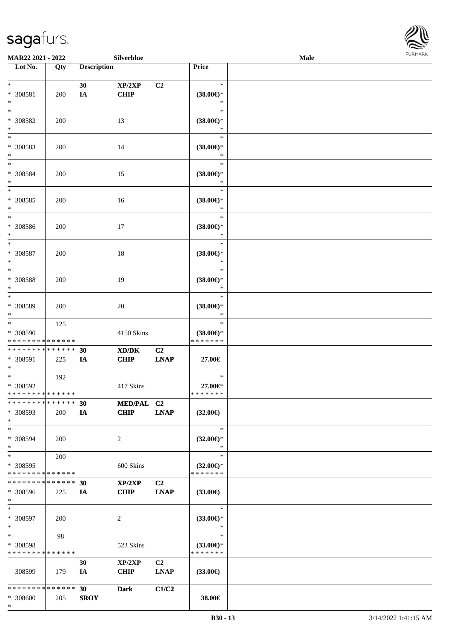

| MAR22 2021 - 2022                       |     |                    | Silverblue                                  |                |                                      | Male |  |
|-----------------------------------------|-----|--------------------|---------------------------------------------|----------------|--------------------------------------|------|--|
| Lot No.                                 | Qty | <b>Description</b> |                                             |                | Price                                |      |  |
|                                         |     |                    |                                             |                |                                      |      |  |
| $*$                                     |     | 30                 | XP/2XP                                      | C <sub>2</sub> | $\ast$                               |      |  |
| * 308581                                | 200 | $I\!\!A$           | <b>CHIP</b>                                 |                | $(38.00\epsilon)$ *                  |      |  |
| $\ast$                                  |     |                    |                                             |                | $\ast$                               |      |  |
| $*$                                     |     |                    |                                             |                | $\ast$                               |      |  |
| * 308582                                | 200 |                    | 13                                          |                | $(38.00\epsilon)$ *                  |      |  |
| $\ast$                                  |     |                    |                                             |                | ∗                                    |      |  |
| $\overline{\ast}$                       |     |                    |                                             |                | $\ast$                               |      |  |
| * 308583                                | 200 |                    | 14                                          |                | $(38.00\epsilon)$ *                  |      |  |
| $*$                                     |     |                    |                                             |                | $\ast$                               |      |  |
| $*$                                     |     |                    |                                             |                | $\ast$                               |      |  |
| $* 308584$                              | 200 |                    | 15                                          |                | $(38.00\epsilon)$ *                  |      |  |
| $\ast$                                  |     |                    |                                             |                | $\ast$                               |      |  |
| $\ast$                                  |     |                    |                                             |                | $\ast$                               |      |  |
| $* 308585$                              | 200 |                    | 16                                          |                | $(38.00\epsilon)$ *                  |      |  |
| $\ast$                                  |     |                    |                                             |                | $\ast$                               |      |  |
| $\ast$                                  |     |                    |                                             |                | $\ast$                               |      |  |
| $* 308586$                              | 200 |                    | 17                                          |                | $(38.00\epsilon)$ *                  |      |  |
| $*$                                     |     |                    |                                             |                | $\ast$                               |      |  |
| $\ast$                                  |     |                    |                                             |                | $\ast$                               |      |  |
| $* 308587$                              | 200 |                    | 18                                          |                | $(38.00\epsilon)$ *                  |      |  |
| $\ast$                                  |     |                    |                                             |                | $\ast$                               |      |  |
| $*$                                     |     |                    |                                             |                | $\ast$                               |      |  |
| * 308588                                | 200 |                    | 19                                          |                | $(38.00\epsilon)$ *                  |      |  |
| $\ast$                                  |     |                    |                                             |                | $\ast$                               |      |  |
| $*$                                     |     |                    |                                             |                | $\ast$                               |      |  |
| * 308589                                | 200 |                    | 20                                          |                | $(38.00\epsilon)$ *                  |      |  |
| $*$                                     |     |                    |                                             |                | *                                    |      |  |
| $*$                                     | 125 |                    |                                             |                | $\ast$                               |      |  |
| * 308590                                |     |                    | 4150 Skins                                  |                | $(38.00\epsilon)$ *                  |      |  |
| * * * * * * * * * * * * * *             |     |                    |                                             |                | * * * * * * *                        |      |  |
| * * * * * * * * * * * * * *             |     | 30                 | $\mathbf{X}\mathbf{D}/\mathbf{D}\mathbf{K}$ | C2             |                                      |      |  |
| * 308591                                | 225 | IA                 | <b>CHIP</b>                                 | <b>LNAP</b>    | 27.00€                               |      |  |
| $*$                                     |     |                    |                                             |                |                                      |      |  |
| $*$                                     | 192 |                    |                                             |                | $\ast$                               |      |  |
| $* 308592$                              |     |                    | 417 Skins                                   |                | 27.00€*                              |      |  |
| * * * * * * * * * * * * * * *           |     |                    |                                             |                | * * * * * * *                        |      |  |
| * * * * * * * * * * * * * * *           |     | 30                 | MED/PAL C2                                  |                |                                      |      |  |
| * 308593                                | 200 | IA                 | <b>CHIP</b>                                 | <b>LNAP</b>    | $(32.00\epsilon)$                    |      |  |
| $*$                                     |     |                    |                                             |                |                                      |      |  |
| $*$                                     |     |                    |                                             |                | $\ast$                               |      |  |
| * 308594                                | 200 |                    | 2                                           |                | $(32.00\epsilon)$ *                  |      |  |
| $*$                                     |     |                    |                                             |                | $\ast$                               |      |  |
| $*$                                     | 200 |                    |                                             |                | $\ast$                               |      |  |
| * 308595                                |     |                    | 600 Skins                                   |                | $(32.00\epsilon)$ *                  |      |  |
| * * * * * * * * * * * * * *             |     |                    |                                             |                | * * * * * * *                        |      |  |
| * * * * * * * * * * * * * *             |     | 30                 | XP/2XP                                      | C2             |                                      |      |  |
| * 308596                                | 225 | IA                 | <b>CHIP</b>                                 | <b>LNAP</b>    | $(33.00\epsilon)$                    |      |  |
| $*$                                     |     |                    |                                             |                |                                      |      |  |
| $*$                                     |     |                    |                                             |                | $\ast$                               |      |  |
| * 308597                                | 200 |                    | 2                                           |                | $(33.00\epsilon)$ *                  |      |  |
| $*$                                     |     |                    |                                             |                | $\ast$                               |      |  |
| $*$                                     | 98  |                    |                                             |                | $\ast$                               |      |  |
| * 308598<br>* * * * * * * * * * * * * * |     |                    | 523 Skins                                   |                | $(33.00\epsilon)$ *<br>* * * * * * * |      |  |
|                                         |     |                    |                                             |                |                                      |      |  |
|                                         |     | 30                 | XP/2XP                                      | C <sub>2</sub> |                                      |      |  |
| 308599                                  | 179 | IA                 | <b>CHIP</b>                                 | <b>LNAP</b>    | $(33.00\epsilon)$                    |      |  |
| * * * * * * * * * * * * * *             |     |                    |                                             |                |                                      |      |  |
|                                         |     | 30                 | <b>Dark</b>                                 | C1/C2          |                                      |      |  |
| * 308600                                | 205 | <b>SROY</b>        |                                             |                | 38.00€                               |      |  |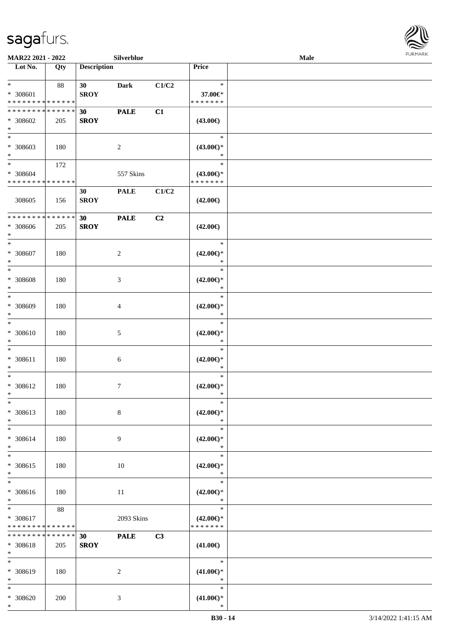

| MAR22 2021 - 2022                                        |                    |                    | Silverblue     |       |                                                | Male |  |
|----------------------------------------------------------|--------------------|--------------------|----------------|-------|------------------------------------------------|------|--|
| Lot No.                                                  | Qty                | <b>Description</b> |                |       | Price                                          |      |  |
| $*$<br>* 308601<br>* * * * * * * * * * * * * *           | 88                 | 30<br><b>SROY</b>  | <b>Dark</b>    | C1/C2 | $\ast$<br>37.00€*<br>* * * * * * *             |      |  |
| * * * * * * * * * * * * * *<br>* 308602<br>$\ast$        | 205                | 30<br><b>SROY</b>  | <b>PALE</b>    | C1    | $(43.00\epsilon)$                              |      |  |
| $*$<br>* 308603<br>$*$                                   | 180                |                    | $\overline{2}$ |       | $\ast$<br>$(43.00\epsilon)$ *<br>$\ast$        |      |  |
| $*$<br>$* 308604$<br>* * * * * * * * * * * * * *         | 172                |                    | 557 Skins      |       | $\ast$<br>$(43.00\epsilon)$ *<br>* * * * * * * |      |  |
| 308605                                                   | 156                | 30<br><b>SROY</b>  | <b>PALE</b>    | C1/C2 | $(42.00\epsilon)$                              |      |  |
| * * * * * * * * * * * * * *<br>* 308606<br>$*$           | 205                | 30<br><b>SROY</b>  | <b>PALE</b>    | C2    | $(42.00\epsilon)$                              |      |  |
| $\ast$<br>* 308607<br>$\ast$                             | 180                |                    | $\overline{c}$ |       | $\ast$<br>$(42.00\epsilon)$ *<br>$\ast$        |      |  |
| $*$<br>$* 308608$<br>$\ast$                              | 180                |                    | $\mathfrak{Z}$ |       | $\ast$<br>$(42.00\epsilon)$ *<br>$\ast$        |      |  |
| $*$<br>* 308609<br>$\ast$                                | 180                |                    | 4              |       | $\ast$<br>$(42.00\epsilon)$ *<br>$\ast$        |      |  |
| $\ast$<br>$* 308610$<br>$*$                              | 180                |                    | 5              |       | $\ast$<br>$(42.00\epsilon)$ *<br>$\ast$        |      |  |
| $\ast$<br>* 308611<br>$\ast$                             | 180                |                    | 6              |       | $\ast$<br>$(42.00\epsilon)$ *<br>$\ast$        |      |  |
| $\ast$<br>$* 308612$<br>$*$                              | 180                |                    | $\overline{7}$ |       | $\ast$<br>$(42.00\epsilon)$ *<br>$\ast$        |      |  |
| $*$<br>* 308613<br>$*$                                   | 180                |                    | $\,8\,$        |       | $\ast$<br>$(42.00\epsilon)$ *<br>$\ast$        |      |  |
| $*$<br>$* 308614$<br>$*$                                 | 180                |                    | 9              |       | $\ast$<br>$(42.00\epsilon)$ *<br>$\ast$        |      |  |
| $*$<br>* 308615<br>$*$                                   | 180                |                    | 10             |       | $\ast$<br>$(42.00\epsilon)$ *<br>$\ast$        |      |  |
| $\ast$<br>* 308616<br>$*$                                | 180                |                    | 11             |       | $\ast$<br>$(42.00\epsilon)$ *<br>$\ast$        |      |  |
| $*$ and $*$<br>$* 308617$<br>* * * * * * * * * * * * * * | 88                 |                    | 2093 Skins     |       | $\ast$<br>$(42.00\epsilon)$ *<br>* * * * * * * |      |  |
| * * * * * * * *<br>* 308618<br>$*$                       | * * * * * *<br>205 | 30<br><b>SROY</b>  | <b>PALE</b>    | C3    | $(41.00\epsilon)$                              |      |  |
| $*$<br>* 308619<br>$*$                                   | 180                |                    | 2              |       | $\ast$<br>$(41.00\epsilon)$ *<br>$\ast$        |      |  |
| $*$<br>$* 308620$<br>$*$                                 | 200                |                    | $\mathfrak{Z}$ |       | $\ast$<br>$(41.00\epsilon)$ *<br>$\ast$        |      |  |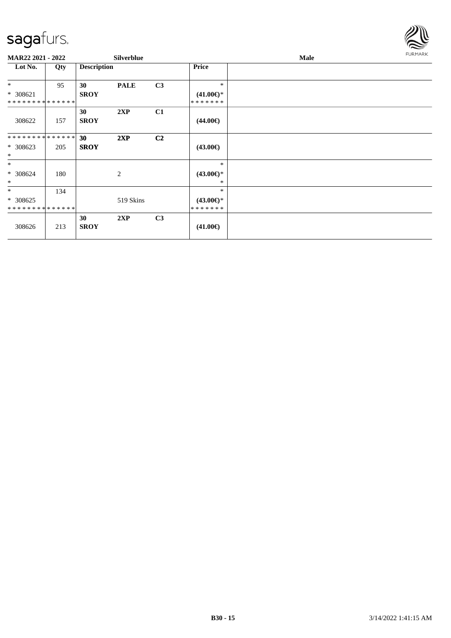

| <b>MAR22 2021 - 2022</b>      |     |                    | <b>Silverblue</b> |                |                     | <b>Male</b> | <b>FURMARK</b> |
|-------------------------------|-----|--------------------|-------------------|----------------|---------------------|-------------|----------------|
| Lot No.                       | Qty | <b>Description</b> |                   |                | <b>Price</b>        |             |                |
| $*$                           | 95  | 30                 | <b>PALE</b>       | C3             | $\ast$              |             |                |
| * 308621                      |     | <b>SROY</b>        |                   |                | $(41.00\epsilon)$ * |             |                |
| **************                |     |                    |                   |                | *******             |             |                |
|                               |     | 30                 | 2XP               | C1             |                     |             |                |
| 308622                        | 157 | <b>SROY</b>        |                   |                | $(44.00\epsilon)$   |             |                |
| * * * * * * * * * * * * * * * |     | 30                 | 2XP               | C <sub>2</sub> |                     |             |                |
| $* 308623$<br>$*$             | 205 | <b>SROY</b>        |                   |                | $(43.00\epsilon)$   |             |                |
| $*$                           |     |                    |                   |                | $\ast$              |             |                |
| * 308624                      | 180 |                    | 2                 |                | $(43.00\epsilon)$ * |             |                |
| $\ast$                        |     |                    |                   |                | $\ast$              |             |                |
| $*$                           | 134 |                    |                   |                | $\ast$              |             |                |
| $* 308625$                    |     |                    | 519 Skins         |                | $(43.00\epsilon)$ * |             |                |
| * * * * * * * * * * * * * *   |     |                    |                   |                | *******             |             |                |
|                               |     | 30                 | 2XP               | C <sub>3</sub> |                     |             |                |
| 308626                        | 213 | <b>SROY</b>        |                   |                | $(41.00\epsilon)$   |             |                |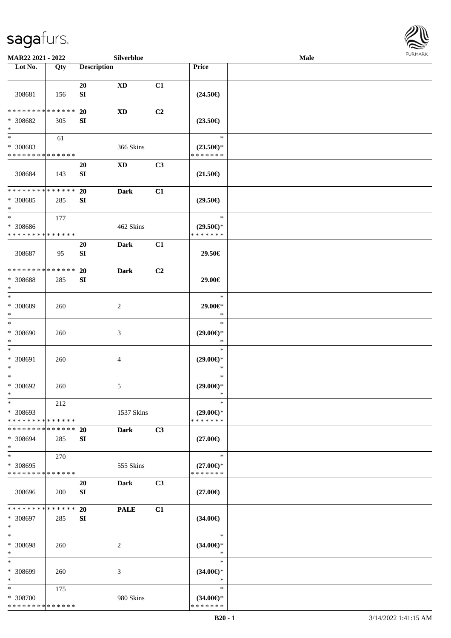

| MAR22 2021 - 2022                                   |                      |                    | Silverblue                  |    |                                                   | Male |  |
|-----------------------------------------------------|----------------------|--------------------|-----------------------------|----|---------------------------------------------------|------|--|
| Lot No.                                             | Qty                  | <b>Description</b> |                             |    | Price                                             |      |  |
| 308681                                              | 156                  | 20<br>SI           | $\mathbf{X}\mathbf{D}$      | C1 | $(24.50\epsilon)$                                 |      |  |
| * * * * * * * *<br>* 308682<br>$\ast$               | * * * * * *<br>305   | 20<br>SI           | $\mathbf{X}\mathbf{D}$      | C2 | $(23.50\epsilon)$                                 |      |  |
| $*$<br>* 308683<br>* * * * * * * * * * * * * *      | 61                   |                    | 366 Skins                   |    | $\ast$<br>$(23.50\epsilon)$ *<br>* * * * * * *    |      |  |
| 308684                                              | 143                  | 20<br>${\bf SI}$   | $\mathbf{X}\mathbf{D}$      | C3 | $(21.50\epsilon)$                                 |      |  |
| * * * * * * * * * * * * * *<br>* 308685<br>$\ast$   | 285                  | 20<br>SI           | <b>Dark</b>                 | C1 | $(29.50\epsilon)$                                 |      |  |
| $\ast$<br>$* 308686$<br>* * * * * * * * * * * * * * | 177                  |                    | 462 Skins                   |    | $\ast$<br>$(29.50\epsilon)$ *<br>* * * * * * *    |      |  |
| 308687                                              | 95                   | 20<br>${\bf SI}$   | <b>Dark</b>                 | C1 | 29.50€                                            |      |  |
| * * * * * * * * * * * * * *<br>* 308688<br>$\ast$   | 285                  | 20<br>SI           | <b>Dark</b>                 | C2 | 29.00€                                            |      |  |
| $*$<br>* 308689<br>$\ast$<br>$\ast$                 | 260                  |                    | 2                           |    | $\ast$<br>29.00€*<br>$\ast$                       |      |  |
| $* 308690$<br>$*$<br>$\ast$                         | 260                  |                    | $\ensuremath{\mathfrak{Z}}$ |    | $\ast$<br>$(29.00\epsilon)$ *<br>$\ast$<br>$\ast$ |      |  |
| * 308691<br>$\ast$<br>$\ast$                        | 260                  |                    | 4                           |    | $(29.00\epsilon)$ *<br>$\ast$<br>$\ast$           |      |  |
| $* 308692$<br>$*$<br>$\ast$                         | 260                  |                    | 5                           |    | $(29.00\epsilon)$ *<br>$\ast$<br>$\ast$           |      |  |
| * 308693<br>* * * * * * * * * * * * * * *           | 212                  |                    | 1537 Skins                  |    | $(29.00\epsilon)$ *<br>* * * * * * *              |      |  |
| * * * * * * * *<br>* 308694<br>$*$                  | * * * * * *  <br>285 | 20<br>SI           | <b>Dark</b>                 | C3 | $(27.00\epsilon)$                                 |      |  |
| $*$<br>* 308695<br>* * * * * * * * * * * * * *      | 270                  |                    | 555 Skins                   |    | $\ast$<br>$(27.00\epsilon)$ *<br>* * * * * * *    |      |  |
| 308696                                              | 200                  | 20<br>SI           | <b>Dark</b>                 | C3 | $(27.00\epsilon)$                                 |      |  |
| * * * * * * * * * * * * * * *<br>* 308697<br>$*$    | 285                  | 20<br>SI           | <b>PALE</b>                 | C1 | $(34.00\epsilon)$                                 |      |  |
| $*$<br>* 308698<br>$*$                              | 260                  |                    | 2                           |    | $\ast$<br>$(34.00\epsilon)$ *<br>$\ast$           |      |  |
| $\ast$<br>* 308699<br>$*$                           | 260                  |                    | 3                           |    | $\ast$<br>$(34.00\epsilon)$ *<br>$\ast$           |      |  |
| $*$<br>* 308700<br>* * * * * * * * * * * * * *      | 175                  |                    | 980 Skins                   |    | $\ast$<br>$(34.00€)$ *<br>* * * * * * *           |      |  |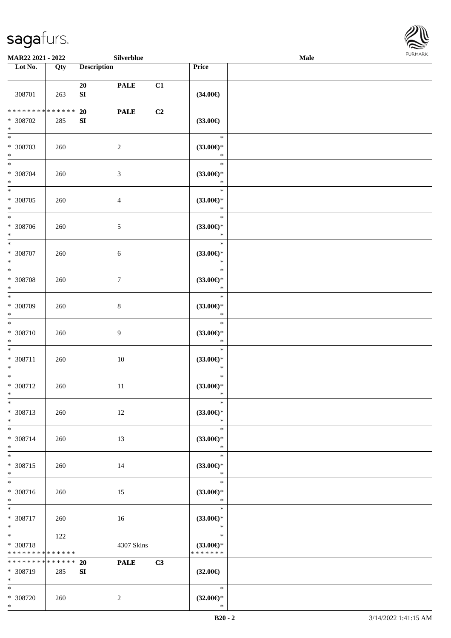

| <b>MAR22 2021 - 2022</b>                                           |                      |                        | Silverblue     |    |                                                | Male |  |
|--------------------------------------------------------------------|----------------------|------------------------|----------------|----|------------------------------------------------|------|--|
| Lot No.                                                            | Qty                  | <b>Description</b>     |                |    | Price                                          |      |  |
| 308701                                                             | 263                  | 20<br>${\bf S}{\bf I}$ | <b>PALE</b>    | C1 | $(34.00\epsilon)$                              |      |  |
| * * * * * * * *<br>* 308702<br>$\ast$                              | * * * * * * *<br>285 | 20<br>${\bf SI}$       | <b>PALE</b>    | C2 | $(33.00\epsilon)$                              |      |  |
| $\overline{\ast}$<br>* 308703<br>$\ast$                            | 260                  |                        | $\overline{2}$ |    | $\ast$<br>$(33.00\epsilon)$ *<br>$\ast$        |      |  |
| $*$<br>* 308704<br>$*$<br>$\overline{\ast}$                        | 260                  |                        | $\mathfrak{Z}$ |    | $\ast$<br>$(33.00\epsilon)$ *<br>$\ast$        |      |  |
| * 308705<br>$\ast$                                                 | 260                  |                        | $\overline{4}$ |    | $\ast$<br>$(33.00\epsilon)$ *<br>$\ast$        |      |  |
| $*$<br>* 308706<br>$\ast$                                          | 260                  |                        | $5\,$          |    | $\ast$<br>$(33.00\epsilon)$ *<br>$\ast$        |      |  |
| $\overline{\ast}$<br>* 308707<br>$\ast$                            | 260                  |                        | 6              |    | $\ast$<br>$(33.00\epsilon)$ *<br>$\ast$        |      |  |
| $\ast$<br>* 308708<br>$\ast$                                       | 260                  |                        | $\tau$         |    | $\ast$<br>$(33.00\epsilon)$ *<br>$\ast$        |      |  |
| $*$<br>* 308709<br>$\ast$                                          | 260                  |                        | $8\,$          |    | $\ast$<br>$(33.00\epsilon)$ *<br>$\ast$        |      |  |
| $\ast$<br>* 308710<br>$\ast$                                       | 260                  |                        | $\overline{9}$ |    | $\ast$<br>$(33.00\epsilon)$ *<br>$\ast$        |      |  |
| $\ast$<br>* 308711<br>$\ast$                                       | 260                  |                        | $10\,$         |    | $\ast$<br>$(33.00\epsilon)$ *<br>$\ast$        |      |  |
| $\ast$<br>* 308712<br>$*$                                          | 260                  |                        | 11             |    | $\ast$<br>$(33.00\epsilon)$ *<br>$\ast$        |      |  |
| $\ast$<br>* 308713<br>$*$                                          | 260                  |                        | 12             |    | $\ast$<br>$(33.00\epsilon)$ *<br>$\ast$        |      |  |
| $*$ $-$<br>* 308714<br>$\ast$                                      | 260                  |                        | 13             |    | $\ast$<br>$(33.00\epsilon)$ *<br>$\ast$        |      |  |
| $*$<br>* 308715<br>$\ast$                                          | 260                  |                        | 14             |    | $\ast$<br>$(33.00\epsilon)$ *<br>$\ast$        |      |  |
| $\overline{\ast}$<br>* 308716<br>$*$                               | 260                  |                        | 15             |    | $\ast$<br>$(33.00\epsilon)$ *<br>$\ast$        |      |  |
| $\ast$<br>* 308717<br>$*$                                          | 260                  |                        | 16             |    | $\ast$<br>$(33.00\epsilon)$ *<br>$\ast$        |      |  |
| $\ddot{x}$<br>* 308718<br>* * * * * * * * <mark>* * * * * *</mark> | 122                  |                        | 4307 Skins     |    | $\ast$<br>$(33.00\epsilon)$ *<br>* * * * * * * |      |  |
| * * * * * * * * <mark>* * * * * * *</mark><br>* 308719<br>$*$      | 285                  | 20<br>SI               | <b>PALE</b>    | C3 | $(32.00\epsilon)$                              |      |  |
| $*$<br>* 308720                                                    | 260                  |                        | 2              |    | $*$<br>$(32.00\epsilon)$ *                     |      |  |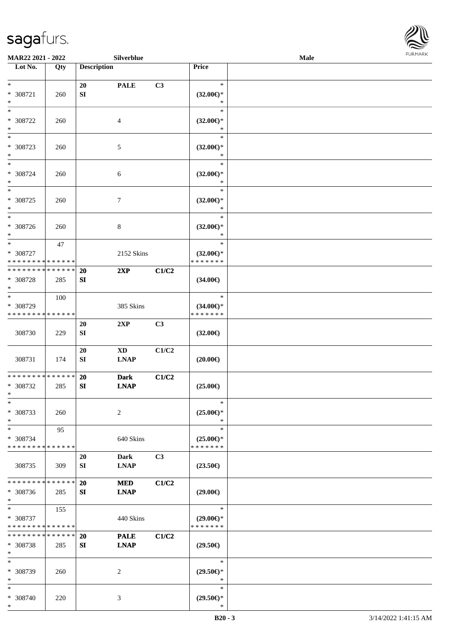

| MAR22 2021 - 2022                                                     |     |                    | Silverblue                            |       |                                                | Male | <b>FURMARK</b> |
|-----------------------------------------------------------------------|-----|--------------------|---------------------------------------|-------|------------------------------------------------|------|----------------|
| Lot No.                                                               | Qty | <b>Description</b> |                                       |       | Price                                          |      |                |
| $\ast$<br>$* 308721$<br>$\ast$                                        | 260 | 20<br>SI           | <b>PALE</b>                           | C3    | $\ast$<br>$(32.00\epsilon)$ *<br>$\ast$        |      |                |
| $\ast$<br>$* 308722$<br>$\ast$                                        | 260 |                    | $\overline{4}$                        |       | $\ast$<br>$(32.00\epsilon)$ *<br>$\ast$        |      |                |
| $\ast$<br>* 308723<br>$\ast$                                          | 260 |                    | 5                                     |       | $\ast$<br>$(32.00\epsilon)$ *<br>$\ast$        |      |                |
| $\ast$<br>* 308724<br>$\ast$                                          | 260 |                    | $\sqrt{6}$                            |       | $\ast$<br>$(32.00\epsilon)$ *<br>$\ast$        |      |                |
| $\ast$<br>* 308725<br>$\ast$                                          | 260 |                    | $\tau$                                |       | $\ast$<br>$(32.00\epsilon)$ *<br>$\ast$        |      |                |
| $\ast$<br>* 308726<br>$\ast$                                          | 260 |                    | 8                                     |       | $\ast$<br>$(32.00\epsilon)$ *<br>$\ast$        |      |                |
| $\ast$<br>* 308727<br>* * * * * * * * * * * * * *                     | 47  |                    | 2152 Skins                            |       | $\ast$<br>$(32.00\epsilon)$ *<br>* * * * * * * |      |                |
| * * * * * * * * * * * * * *<br>* 308728<br>$\ast$                     | 285 | 20<br>SI           | 2XP                                   | C1/C2 | $(34.00\epsilon)$                              |      |                |
| $\overline{\phantom{a}^*}$<br>* 308729<br>* * * * * * * * * * * * * * | 100 |                    | 385 Skins                             |       | $\ast$<br>$(34.00\epsilon)$ *<br>* * * * * * * |      |                |
| 308730                                                                | 229 | <b>20</b><br>SI    | 2XP                                   | C3    | $(32.00\epsilon)$                              |      |                |
| 308731                                                                | 174 | 20<br>SI           | $\mathbf{X}\mathbf{D}$<br><b>LNAP</b> | C1/C2 | $(20.00\epsilon)$                              |      |                |
| **************<br>* 308732<br>$\ast$                                  | 285 | 20<br>SI           | <b>Dark</b><br><b>LNAP</b>            | C1/C2 | $(25.00\epsilon)$                              |      |                |
| $\ast$<br>* 308733<br>$\ast$                                          | 260 |                    | $\boldsymbol{2}$                      |       | $\ast$<br>$(25.00\epsilon)$ *<br>$\ast$        |      |                |
| $\overline{\ast}$<br>* 308734<br>* * * * * * * * * * * * * *          | 95  |                    | 640 Skins                             |       | $\ast$<br>$(25.00\epsilon)$ *<br>* * * * * * * |      |                |
| 308735                                                                | 309 | 20<br>SI           | <b>Dark</b><br><b>LNAP</b>            | C3    | $(23.50\epsilon)$                              |      |                |
| * * * * * * * * * * * * * *<br>$* 308736$<br>$\ast$                   | 285 | 20<br>SI           | <b>MED</b><br><b>LNAP</b>             | C1/C2 | $(29.00\epsilon)$                              |      |                |
| $\ast$<br>* 308737<br>* * * * * * * * * * * * * *                     | 155 |                    | 440 Skins                             |       | $\ast$<br>$(29.00\epsilon)$ *<br>* * * * * * * |      |                |
| * * * * * * * * * * * * * *<br>* 308738<br>$\ast$                     | 285 | 20<br>SI           | <b>PALE</b><br><b>LNAP</b>            | C1/C2 | $(29.50\epsilon)$                              |      |                |
| $\ast$<br>* 308739<br>$\ast$                                          | 260 |                    | $\overline{2}$                        |       | $\ast$<br>$(29.50\epsilon)$ *<br>$\ast$        |      |                |
| $\ast$<br>* 308740<br>$\ast$                                          | 220 |                    | $\mathfrak{Z}$                        |       | $\ast$<br>$(29.50\epsilon)$ *<br>$\ast$        |      |                |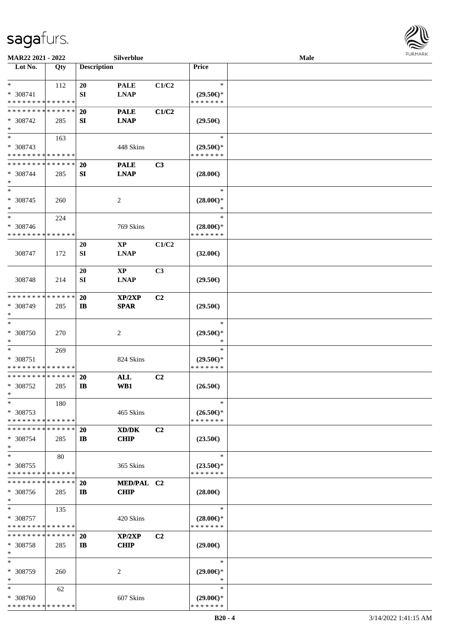

| MAR22 2021 - 2022                                          |     |                    | Silverblue     |                |                                      | <b>Male</b> | <b>FURMARK</b> |
|------------------------------------------------------------|-----|--------------------|----------------|----------------|--------------------------------------|-------------|----------------|
| $\overline{\phantom{1}}$ Lot No.                           | Qty | <b>Description</b> |                |                | Price                                |             |                |
| $*$                                                        | 112 | 20                 | <b>PALE</b>    | C1/C2          | $\ast$                               |             |                |
| * 308741                                                   |     | SI                 | <b>LNAP</b>    |                | $(29.50\epsilon)$ *                  |             |                |
| * * * * * * * * * * * * * *                                |     |                    |                |                | * * * * * * *                        |             |                |
| * * * * * * * * * * * * * *                                |     | 20                 | <b>PALE</b>    | C1/C2          |                                      |             |                |
| * 308742                                                   | 285 | SI                 | <b>LNAP</b>    |                | $(29.50\epsilon)$                    |             |                |
| $\ast$                                                     |     |                    |                |                |                                      |             |                |
| $\ast$                                                     | 163 |                    |                |                | $\ast$                               |             |                |
| * 308743                                                   |     |                    | 448 Skins      |                | $(29.50\epsilon)$ *                  |             |                |
| * * * * * * * * * * * * * *                                |     |                    |                |                | * * * * * * *                        |             |                |
| * * * * * * * * * * * * * *                                |     | 20                 | <b>PALE</b>    | C3             |                                      |             |                |
| * 308744<br>$\ast$                                         | 285 | SI                 | <b>LNAP</b>    |                | $(28.00\epsilon)$                    |             |                |
| $\ast$                                                     |     |                    |                |                | $\ast$                               |             |                |
| $* 308745$                                                 | 260 |                    | $\overline{c}$ |                | $(28.00\epsilon)$ *                  |             |                |
| $\ast$                                                     |     |                    |                |                | $\ast$                               |             |                |
| $\ast$                                                     | 224 |                    |                |                | $\ast$                               |             |                |
| * 308746                                                   |     |                    | 769 Skins      |                | $(28.00\epsilon)$ *                  |             |                |
| * * * * * * * * * * * * * *                                |     |                    |                |                | * * * * * * *                        |             |                |
|                                                            |     | 20                 | $\mathbf{XP}$  | C1/C2          |                                      |             |                |
| 308747                                                     | 172 | SI                 | <b>LNAP</b>    |                | $(32.00\epsilon)$                    |             |                |
|                                                            |     |                    |                |                |                                      |             |                |
|                                                            |     | 20                 | <b>XP</b>      | C <sub>3</sub> |                                      |             |                |
| 308748                                                     | 214 | SI                 | <b>LNAP</b>    |                | $(29.50\epsilon)$                    |             |                |
|                                                            |     |                    |                |                |                                      |             |                |
| * * * * * * * * * * * * * *                                |     | 20                 | XP/2XP         | C <sub>2</sub> |                                      |             |                |
| * 308749                                                   | 285 | $\mathbf{I}$       | <b>SPAR</b>    |                | $(29.50\epsilon)$                    |             |                |
| $\ast$                                                     |     |                    |                |                |                                      |             |                |
| $\ast$                                                     |     |                    |                |                | $\ast$                               |             |                |
| $* 308750$                                                 | 270 |                    | $\overline{c}$ |                | $(29.50\epsilon)$ *                  |             |                |
| $\ast$                                                     |     |                    |                |                | $\ast$                               |             |                |
| $\ast$                                                     | 269 |                    |                |                | $\ast$                               |             |                |
| * 308751<br>* * * * * * * * * * * * * *                    |     |                    | 824 Skins      |                | $(29.50\epsilon)$ *<br>* * * * * * * |             |                |
| ******** <mark>******</mark>                               |     |                    |                | C2             |                                      |             |                |
| $* 308752$                                                 | 285 | 20<br>$\mathbf{I}$ | ALL<br>WB1     |                | $(26.50\in)$                         |             |                |
| $\ast$                                                     |     |                    |                |                |                                      |             |                |
| $\ast$                                                     | 180 |                    |                |                | $\ast$                               |             |                |
| * 308753                                                   |     |                    | 465 Skins      |                | $(26.50\epsilon)$ *                  |             |                |
| * * * * * * * * * * * * * *                                |     |                    |                |                | * * * * * * *                        |             |                |
| * * * * * * * * * * * * * *                                |     | <b>20</b>          | XD/DK          | C <sub>2</sub> |                                      |             |                |
| * 308754                                                   | 285 | $\mathbf{I}$       | <b>CHIP</b>    |                | $(23.50\epsilon)$                    |             |                |
| $\ast$                                                     |     |                    |                |                |                                      |             |                |
| $\ast$                                                     | 80  |                    |                |                | $\ast$                               |             |                |
| $*308755$                                                  |     |                    | 365 Skins      |                | $(23.50\epsilon)$ *                  |             |                |
| * * * * * * * * * * * * * *                                |     |                    |                |                | * * * * * * *                        |             |                |
| * * * * * * * * * * * * * *                                |     | 20                 | MED/PAL C2     |                |                                      |             |                |
| $* 308756$                                                 | 285 | $\mathbf{I}$       | <b>CHIP</b>    |                | $(28.00\epsilon)$                    |             |                |
| $\ast$                                                     |     |                    |                |                |                                      |             |                |
| $\ast$                                                     | 135 |                    |                |                | $\ast$                               |             |                |
| * 308757                                                   |     |                    | 420 Skins      |                | $(28.00\epsilon)$ *                  |             |                |
| * * * * * * * * * * * * * *<br>* * * * * * * * * * * * * * |     |                    |                |                | * * * * * * *                        |             |                |
|                                                            |     | 20                 | XP/2XP         | C <sub>2</sub> |                                      |             |                |
| $* 308758$<br>$\ast$                                       | 285 | $\mathbf{I}$       | <b>CHIP</b>    |                | $(29.00\epsilon)$                    |             |                |
| $\ast$                                                     |     |                    |                |                | $\ast$                               |             |                |
| * 308759                                                   | 260 |                    | 2              |                | $(29.00\epsilon)$ *                  |             |                |
| $\ast$                                                     |     |                    |                |                | *                                    |             |                |
| $\ast$                                                     | 62  |                    |                |                | ∗                                    |             |                |
| * 308760                                                   |     |                    | 607 Skins      |                | $(29.00\epsilon)$ *                  |             |                |
| * * * * * * * * * * * * * *                                |     |                    |                |                | * * * * * * *                        |             |                |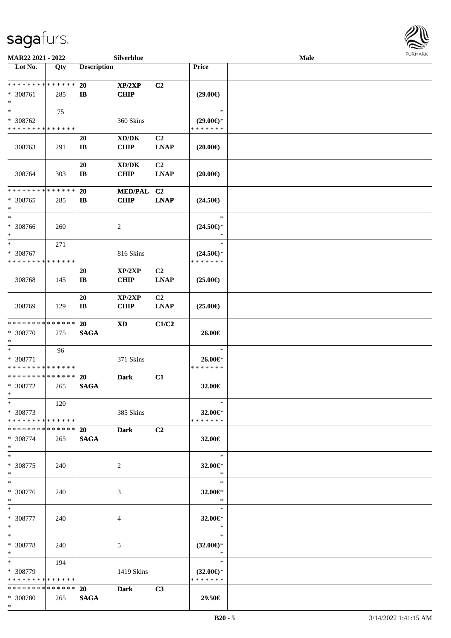

| MAR22 2021 - 2022                                 |     |                                     | Silverblue                |                               |                                                | Male |  |
|---------------------------------------------------|-----|-------------------------------------|---------------------------|-------------------------------|------------------------------------------------|------|--|
| Lot No.                                           | Qty | <b>Description</b>                  |                           |                               | Price                                          |      |  |
| **************<br>* 308761<br>$\ast$              | 285 | 20<br>$\mathbf{I}$                  | XP/2XP<br><b>CHIP</b>     | C <sub>2</sub>                | $(29.00\epsilon)$                              |      |  |
| $\ast$<br>* 308762<br>* * * * * * * * * * * * * * | 75  |                                     | 360 Skins                 |                               | $\ast$<br>$(29.00\epsilon)$ *<br>* * * * * * * |      |  |
| 308763                                            | 291 | <b>20</b><br>$\mathbf{I}\mathbf{B}$ | XD/DK<br><b>CHIP</b>      | C <sub>2</sub><br><b>LNAP</b> | $(20.00\epsilon)$                              |      |  |
| 308764                                            | 303 | 20<br>$\mathbf{I}\mathbf{B}$        | XD/DK<br><b>CHIP</b>      | C <sub>2</sub><br><b>LNAP</b> | $(20.00\epsilon)$                              |      |  |
| * * * * * * * * * * * * * *<br>* 308765<br>∗      | 285 | 20<br>$\mathbf{I}$                  | MED/PAL C2<br><b>CHIP</b> | <b>LNAP</b>                   | $(24.50\epsilon)$                              |      |  |
| $\ast$<br>* 308766<br>$\ast$                      | 260 |                                     | $\overline{c}$            |                               | $\ast$<br>$(24.50\epsilon)$ *<br>$\ast$        |      |  |
| $\ast$<br>* 308767<br>* * * * * * * * * * * * * * | 271 |                                     | 816 Skins                 |                               | $\ast$<br>$(24.50\epsilon)$ *<br>* * * * * * * |      |  |
| 308768                                            | 145 | <b>20</b><br>$\mathbf{I}\mathbf{B}$ | XP/2XP<br><b>CHIP</b>     | C <sub>2</sub><br><b>LNAP</b> | $(25.00\epsilon)$                              |      |  |
| 308769                                            | 129 | <b>20</b><br>$\mathbf{I}\mathbf{B}$ | XP/2XP<br><b>CHIP</b>     | C <sub>2</sub><br><b>LNAP</b> | $(25.00\epsilon)$                              |      |  |
| * * * * * * * * * * * * * *<br>* 308770<br>$\ast$ | 275 | 20<br><b>SAGA</b>                   | <b>XD</b>                 | C1/C2                         | 26.00€                                         |      |  |
| $\ast$<br>* 308771<br>* * * * * * * * * * * * * * | 96  |                                     | 371 Skins                 |                               | $\ast$<br>26.00€*<br>* * * * * * *             |      |  |
| ******** <mark>******</mark><br>$* 308772$<br>$*$ | 265 | 20<br><b>SAGA</b>                   | <b>Dark</b>               | C1                            | 32.00€                                         |      |  |
| $\ast$<br>* 308773<br>* * * * * * * * * * * * * * | 120 |                                     | 385 Skins                 |                               | $\ast$<br>32.00€*<br>* * * * * * *             |      |  |
| * * * * * * * * * * * * * * *<br>* 308774<br>$*$  | 265 | 20<br><b>SAGA</b>                   | <b>Dark</b>               | C2                            | 32.00€                                         |      |  |
| $\ast$<br>* 308775<br>$*$                         | 240 |                                     | 2                         |                               | $\ast$<br>32.00€*<br>$\ast$                    |      |  |
| $\ast$<br>* 308776<br>$*$                         | 240 |                                     | 3                         |                               | $\ast$<br>32.00€*<br>$\rightarrow$             |      |  |
| $*$<br>* 308777<br>$*$                            | 240 |                                     | 4                         |                               | T.<br>$\ast$<br>32.00€*<br>$\ast$              |      |  |
| $\ast$<br>* 308778<br>$*$                         | 240 |                                     | 5                         |                               | $\ast$<br>$(32.00\epsilon)$ *<br>$\ast$        |      |  |
| $*$<br>* 308779<br>* * * * * * * * * * * * * *    | 194 |                                     | 1419 Skins                |                               | $\ast$<br>$(32.00\epsilon)$ *<br>* * * * * * * |      |  |
| * * * * * * * * * * * * * *<br>* 308780<br>$*$    | 265 | 20<br><b>SAGA</b>                   | <b>Dark</b>               | C3                            | 29.50€                                         |      |  |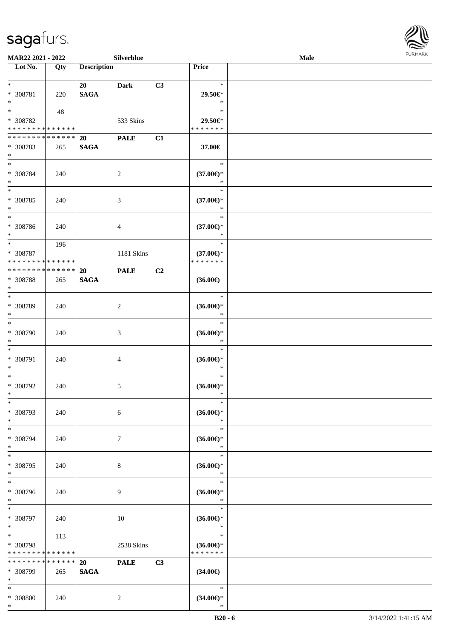

| <b>MAR22 2021 - 2022</b>                   |             |                    | <b>Silverblue</b> |                |                               | Male |  |
|--------------------------------------------|-------------|--------------------|-------------------|----------------|-------------------------------|------|--|
| Lot No.                                    | Qty         | <b>Description</b> |                   |                | Price                         |      |  |
|                                            |             |                    |                   |                |                               |      |  |
| $*$                                        |             | 20                 | <b>Dark</b>       | C3             | $\ast$                        |      |  |
| * 308781<br>$*$                            | 220         | <b>SAGA</b>        |                   |                | 29.50€*<br>$\ast$             |      |  |
|                                            | 48          |                    |                   |                | $\ast$                        |      |  |
| * 308782                                   |             |                    | 533 Skins         |                | 29.50€*                       |      |  |
| * * * * * * * * * * * * * *                |             |                    |                   |                | * * * * * * *                 |      |  |
| * * * * * * * * <mark>* * * * * * *</mark> |             | 20                 | <b>PALE</b>       | C1             |                               |      |  |
| * 308783                                   | 265         | <b>SAGA</b>        |                   |                | 37.00€                        |      |  |
| $*$                                        |             |                    |                   |                |                               |      |  |
| $*$                                        |             |                    |                   |                | $\ast$                        |      |  |
| * 308784                                   | 240         |                    | $\overline{2}$    |                | $(37.00\epsilon)$ *           |      |  |
| $*$                                        |             |                    |                   |                | $\ast$                        |      |  |
| $\overline{\ast}$                          |             |                    |                   |                | $\ast$                        |      |  |
| * 308785<br>$*$                            | 240         |                    | 3                 |                | $(37.00\epsilon)$ *<br>$\ast$ |      |  |
| $\overline{\phantom{0}}$                   |             |                    |                   |                | $\ast$                        |      |  |
| * 308786                                   | 240         |                    | 4                 |                | $(37.00\epsilon)$ *           |      |  |
| $*$                                        |             |                    |                   |                | $\ast$                        |      |  |
| $*$                                        | 196         |                    |                   |                | $\ast$                        |      |  |
| * 308787                                   |             |                    | 1181 Skins        |                | $(37.00\epsilon)$ *           |      |  |
| * * * * * * * * * * * * * *                |             |                    |                   |                | * * * * * * *                 |      |  |
| * * * * * * * * * * * * * * *              |             | 20                 | <b>PALE</b>       | C <sub>2</sub> |                               |      |  |
| * 308788                                   | 265         | <b>SAGA</b>        |                   |                | $(36.00\epsilon)$             |      |  |
| $*$<br>$\overline{\phantom{0}}$            |             |                    |                   |                |                               |      |  |
| * 308789                                   |             |                    |                   |                | $\ast$                        |      |  |
| $*$                                        | 240         |                    | 2                 |                | $(36.00\epsilon)$ *<br>$\ast$ |      |  |
| $*$                                        |             |                    |                   |                | $\ast$                        |      |  |
| * 308790                                   | 240         |                    | 3                 |                | $(36.00\epsilon)$ *           |      |  |
| $*$                                        |             |                    |                   |                | $\ast$                        |      |  |
| $*$                                        |             |                    |                   |                | $\ast$                        |      |  |
| * 308791                                   | 240         |                    | $\overline{4}$    |                | $(36.00\epsilon)$ *           |      |  |
| $*$                                        |             |                    |                   |                | $\ast$                        |      |  |
| $*$                                        |             |                    |                   |                | $\ast$                        |      |  |
| * 308792<br>$*$                            | 240         |                    | $\mathfrak{S}$    |                | $(36.00\epsilon)$ *<br>$\ast$ |      |  |
| $*$                                        |             |                    |                   |                | $\ast$                        |      |  |
| * 308793                                   | 240         |                    | 6                 |                | $(36.00\epsilon)$ *           |      |  |
| $*$                                        |             |                    |                   |                | $\ast$                        |      |  |
| $*$                                        |             |                    |                   |                | $\ast$                        |      |  |
| * 308794                                   | 240         |                    | $7\phantom{.0}$   |                | $(36.00\epsilon)$ *           |      |  |
| $*$                                        |             |                    |                   |                | $\ast$                        |      |  |
| $*$                                        |             |                    |                   |                | $\ast$                        |      |  |
| * 308795                                   | 240         |                    | 8                 |                | $(36.00\epsilon)$ *           |      |  |
| $*$<br>$*$                                 |             |                    |                   |                | $\ast$<br>$\ast$              |      |  |
|                                            |             |                    |                   |                |                               |      |  |
| * 308796<br>$*$                            | 240         |                    | 9                 |                | $(36.00\epsilon)$ *<br>$\ast$ |      |  |
| $*$                                        |             |                    |                   |                | $\ast$                        |      |  |
| * 308797                                   | 240         |                    | $10\,$            |                | $(36.00\epsilon)$ *           |      |  |
| $*$                                        |             |                    |                   |                | $\ast$                        |      |  |
| $*$ $*$                                    | 113         |                    |                   |                | $\ast$                        |      |  |
| * 308798                                   |             |                    | 2538 Skins        |                | $(36.00\epsilon)$ *           |      |  |
| * * * * * * * *                            | * * * * * * |                    |                   |                | * * * * * * *                 |      |  |
| * * * * * * * * * * * * * *                |             | 20                 | <b>PALE</b>       | C3             |                               |      |  |
| * 308799                                   | 265         | <b>SAGA</b>        |                   |                | $(34.00\epsilon)$             |      |  |
| $*$<br>$*$                                 |             |                    |                   |                | $\ast$                        |      |  |
| * 308800                                   | 240         |                    | $\overline{c}$    |                | $(34.00\epsilon)$ *           |      |  |
| $\ast$                                     |             |                    |                   |                | $\ast$                        |      |  |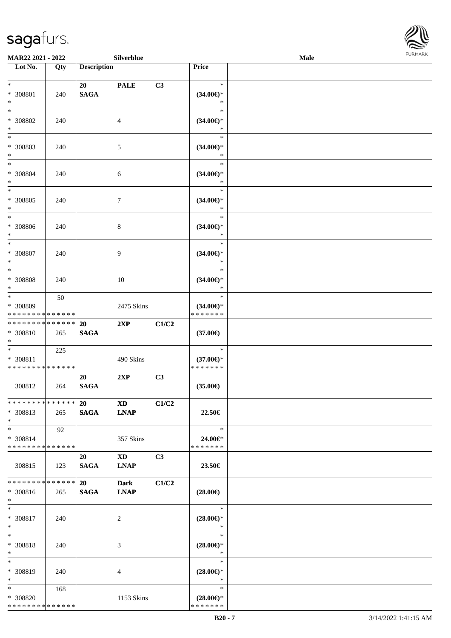

| MAR22 2021 - 2022                                                   |     |                          | Silverblue                            |       |                                                | Male | FURMARK |
|---------------------------------------------------------------------|-----|--------------------------|---------------------------------------|-------|------------------------------------------------|------|---------|
| Lot No.                                                             | Qty | <b>Description</b>       |                                       |       | Price                                          |      |         |
| $\ast$<br>$* 308801$<br>$\ast$                                      | 240 | 20<br>$\mathbf{SAGA}$    | <b>PALE</b>                           | C3    | $\ast$<br>$(34.00\epsilon)$ *<br>$\ast$        |      |         |
| $\overline{\phantom{0}}$<br>$* 308802$<br>$\ast$                    | 240 |                          | $\overline{4}$                        |       | $\ast$<br>$(34.00\epsilon)$ *<br>$\ast$        |      |         |
| $\overline{\ast}$<br>* 308803<br>$\ast$                             | 240 |                          | $\sqrt{5}$                            |       | $\ast$<br>$(34.00\epsilon)$ *<br>$\ast$        |      |         |
| $\ast$<br>* 308804<br>$\ast$                                        | 240 |                          | $\sqrt{6}$                            |       | $\ast$<br>$(34.00\epsilon)$ *<br>$\ast$        |      |         |
| $\ast$<br>* 308805<br>$\ast$                                        | 240 |                          | $\tau$                                |       | $\ast$<br>$(34.00\epsilon)$ *<br>$\ast$        |      |         |
| $\overline{\phantom{a}^*}$<br>* 308806<br>$\ast$                    | 240 |                          | 8                                     |       | $\ast$<br>$(34.00\epsilon)$ *<br>$\ast$        |      |         |
| $\ast$<br>* 308807<br>$\ast$<br>$\overline{\phantom{0}}$            | 240 |                          | 9                                     |       | $\ast$<br>$(34.00\epsilon)$ *<br>$\ast$        |      |         |
| * 308808<br>$\ast$<br>$_{\ast}$                                     | 240 |                          | 10                                    |       | $\ast$<br>$(34.00\epsilon)$ *<br>$\ast$        |      |         |
| * 308809<br>* * * * * * * * * * * * * *                             | 50  |                          | 2475 Skins                            |       | $\ast$<br>$(34.00\epsilon)$ *<br>* * * * * * * |      |         |
| * * * * * * * * * * * * * *<br>* 308810<br>$\ast$                   | 265 | 20<br><b>SAGA</b>        | 2XP                                   | C1/C2 | $(37.00\epsilon)$                              |      |         |
| $\ast$<br>* 308811<br>* * * * * * * * * * * * * *                   | 225 |                          | 490 Skins                             |       | $\ast$<br>$(37.00\epsilon)$ *<br>* * * * * * * |      |         |
| 308812                                                              | 264 | 20<br>$\mathbf{SAGA}$    | 2XP                                   | C3    | $(35.00\epsilon)$                              |      |         |
| * * * * * * * * * * * * * *<br>* 308813<br>$\ast$                   | 265 | <b>20</b><br><b>SAGA</b> | <b>XD</b><br><b>LNAP</b>              | C1/C2 | 22.50€                                         |      |         |
| $\overline{\phantom{1}}$<br>* 308814<br>* * * * * * * * * * * * * * | 92  |                          | 357 Skins                             |       | $\ast$<br>24.00€*<br>* * * * * * *             |      |         |
| 308815                                                              | 123 | 20<br><b>SAGA</b>        | $\mathbf{X}\mathbf{D}$<br><b>LNAP</b> | C3    | 23.50€                                         |      |         |
| * * * * * * * * * * * * * *<br>* 308816<br>$\ast$                   | 265 | <b>20</b><br><b>SAGA</b> | <b>Dark</b><br><b>LNAP</b>            | C1/C2 | $(28.00\epsilon)$                              |      |         |
| $\ast$<br>* 308817<br>$\ast$                                        | 240 |                          | 2                                     |       | $\ast$<br>$(28.00\epsilon)$ *<br>$\ast$        |      |         |
| $\ast$<br>* 308818<br>$\ast$                                        | 240 |                          | 3                                     |       | $\ast$<br>$(28.00\epsilon)$ *<br>$\ast$        |      |         |
| $\ast$<br>* 308819<br>$\ast$                                        | 240 |                          | 4                                     |       | $\ast$<br>$(28.00\epsilon)$ *<br>$\ast$        |      |         |
| $\ast$<br>* 308820<br>**************                                | 168 |                          | 1153 Skins                            |       | $\ast$<br>$(28.00\epsilon)$ *<br>* * * * * * * |      |         |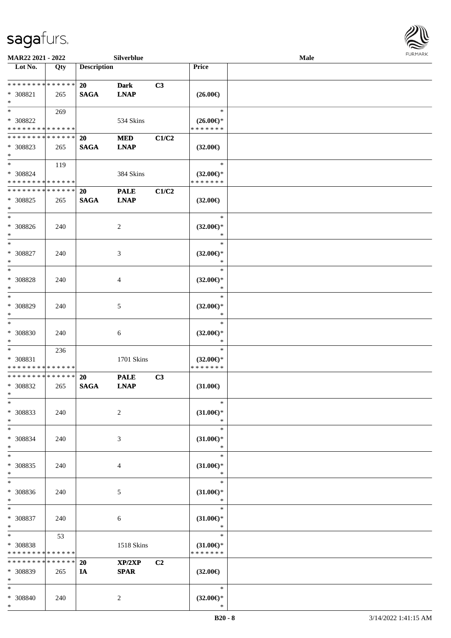

| MAR22 2021 - 2022                                 |     |                          | Silverblue                 |       |                                                | <b>Male</b> |  |
|---------------------------------------------------|-----|--------------------------|----------------------------|-------|------------------------------------------------|-------------|--|
| Lot No.                                           | Qty | <b>Description</b>       |                            |       | Price                                          |             |  |
| **************<br>$* 308821$<br>$\ast$            | 265 | 20<br><b>SAGA</b>        | <b>Dark</b><br><b>LNAP</b> | C3    | $(26.00\epsilon)$                              |             |  |
| $*$<br>* 308822<br>* * * * * * * * * * * * * *    | 269 |                          | 534 Skins                  |       | $\ast$<br>$(26.00\epsilon)$ *<br>* * * * * * * |             |  |
| * * * * * * * * * * * * * *<br>* 308823<br>$*$    | 265 | <b>20</b><br><b>SAGA</b> | <b>MED</b><br><b>LNAP</b>  | C1/C2 | $(32.00\epsilon)$                              |             |  |
| $*$<br>* 308824<br>* * * * * * * * * * * * * *    | 119 |                          | 384 Skins                  |       | $\ast$<br>$(32.00\epsilon)$ *<br>* * * * * * * |             |  |
| * * * * * * * * * * * * * *<br>* 308825<br>$\ast$ | 265 | 20<br><b>SAGA</b>        | <b>PALE</b><br><b>LNAP</b> | C1/C2 | $(32.00\epsilon)$                              |             |  |
| $\ast$<br>$* 308826$<br>$\ast$                    | 240 |                          | 2                          |       | $\ast$<br>$(32.00\epsilon)$ *<br>$\ast$        |             |  |
| $\ast$<br>$* 308827$<br>$\ast$                    | 240 |                          | 3                          |       | $\ast$<br>$(32.00\epsilon)$ *<br>$\ast$        |             |  |
| $\ast$<br>* 308828<br>$\ast$                      | 240 |                          | 4                          |       | $\ast$<br>$(32.00\epsilon)$ *<br>∗             |             |  |
| $\ast$<br>$* 308829$<br>$\ast$                    | 240 |                          | 5                          |       | $\ast$<br>$(32.00\epsilon)$ *<br>$\ast$        |             |  |
| $\ast$<br>$* 308830$<br>$\ast$                    | 240 |                          | 6                          |       | $\ast$<br>$(32.00\in)\!\!^*$<br>$\ast$         |             |  |
| $*$<br>* 308831<br>* * * * * * * * * * * * * *    | 236 |                          | 1701 Skins                 |       | $\ast$<br>$(32.00\epsilon)$ *<br>* * * * * * * |             |  |
| * * * * * * * * * * * * * *<br>* 308832<br>$*$    | 265 | <b>20</b><br><b>SAGA</b> | <b>PALE</b><br><b>LNAP</b> | C3    | $(31.00\in)$                                   |             |  |
| $\ast$<br>$* 308833$<br>$\ast$                    | 240 |                          | $\sqrt{2}$                 |       | $\ast$<br>$(31.00\epsilon)$ *<br>$\ast$        |             |  |
| $\ast$<br>* 308834<br>$\ast$                      | 240 |                          | 3                          |       | $\ast$<br>$(31.00\epsilon)$ *<br>$\ast$        |             |  |
| $\ast$<br>* 308835<br>$*$                         | 240 |                          | 4                          |       | $\ast$<br>$(31.00\epsilon)$ *<br>$\ast$        |             |  |
| $\ast$<br>$* 308836$<br>$*$                       | 240 |                          | 5                          |       | $\ast$<br>$(31.00\epsilon)$ *<br>$\ast$        |             |  |
| $\ast$<br>$* 308837$<br>$*$                       | 240 |                          | 6                          |       | $\ast$<br>$(31.00\epsilon)$ *<br>$\ast$        |             |  |
| $\ast$<br>* 308838<br>* * * * * * * * * * * * * * | 53  |                          | 1518 Skins                 |       | $\ast$<br>$(31.00\epsilon)$ *<br>* * * * * * * |             |  |
| * * * * * * * * * * * * * *<br>* 308839<br>$*$    | 265 | <b>20</b><br>IA          | XP/2XP<br><b>SPAR</b>      | C2    | $(32.00\epsilon)$                              |             |  |
| $*$<br>* 308840<br>$*$                            | 240 |                          | $\overline{2}$             |       | $\ast$<br>$(32.00\epsilon)$ *<br>∗             |             |  |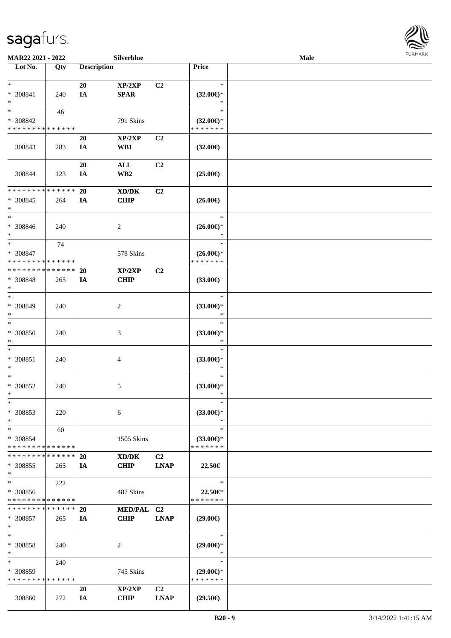

| MAR22 2021 - 2022           |     |                    | Silverblue      |                |                     | Male |  |
|-----------------------------|-----|--------------------|-----------------|----------------|---------------------|------|--|
| Lot No.                     | Qty | <b>Description</b> |                 |                | Price               |      |  |
|                             |     |                    |                 |                |                     |      |  |
| $\ast$                      |     | 20                 | XP/2XP          | C2             | $\ast$              |      |  |
| * 308841                    | 240 | IA                 | <b>SPAR</b>     |                | $(32.00\epsilon)$ * |      |  |
| $\ast$                      |     |                    |                 |                | $\ast$              |      |  |
| $\ast$                      | 46  |                    |                 |                | $\ast$              |      |  |
| * 308842                    |     |                    | 791 Skins       |                | $(32.00\epsilon)$ * |      |  |
| * * * * * * * * * * * * * * |     |                    |                 |                | * * * * * * *       |      |  |
|                             |     | <b>20</b>          | XP/2XP          | C <sub>2</sub> |                     |      |  |
| 308843                      | 283 | IA                 | WB1             |                | $(32.00\epsilon)$   |      |  |
|                             |     |                    |                 |                |                     |      |  |
|                             |     | 20                 | $\mathbf{ALL}$  | C <sub>2</sub> |                     |      |  |
| 308844                      | 123 | IA                 | WB <sub>2</sub> |                | $(25.00\epsilon)$   |      |  |
|                             |     |                    |                 |                |                     |      |  |
| * * * * * * * * * * * * * * |     | <b>20</b>          | XD/DK           | C2             |                     |      |  |
| * 308845                    | 264 | <b>IA</b>          | <b>CHIP</b>     |                | $(26.00\epsilon)$   |      |  |
| $\ast$                      |     |                    |                 |                |                     |      |  |
| $\ast$                      |     |                    |                 |                | $\ast$              |      |  |
| $* 308846$                  | 240 |                    | $\sqrt{2}$      |                | $(26.00\epsilon)$ * |      |  |
| $\ast$                      |     |                    |                 |                | $\ast$              |      |  |
| $\ast$                      | 74  |                    |                 |                | $\ast$              |      |  |
| * 308847                    |     |                    | 578 Skins       |                | $(26.00\epsilon)$ * |      |  |
| * * * * * * * * * * * * * * |     |                    |                 |                | * * * * * * *       |      |  |
| * * * * * * * * * * * * * * |     | <b>20</b>          | XP/2XP          | C2             |                     |      |  |
| * 308848                    | 265 | IA                 | <b>CHIP</b>     |                | $(33.00\epsilon)$   |      |  |
| $\ast$                      |     |                    |                 |                |                     |      |  |
| $\ast$                      |     |                    |                 |                | $\ast$              |      |  |
| * 308849                    |     |                    |                 |                | $(33.00\epsilon)$ * |      |  |
| $\ast$                      | 240 |                    | $\overline{c}$  |                | $\ast$              |      |  |
| $\ast$                      |     |                    |                 |                | $\ast$              |      |  |
|                             |     |                    |                 |                |                     |      |  |
| $* 308850$                  | 240 |                    | $\mathfrak{Z}$  |                | $(33.00\epsilon)$ * |      |  |
| $\ast$                      |     |                    |                 |                | $\ast$              |      |  |
| $\ast$                      |     |                    |                 |                | $\ast$              |      |  |
| $* 308851$                  | 240 |                    | $\overline{4}$  |                | $(33.00\epsilon)$ * |      |  |
| $\ast$                      |     |                    |                 |                | $\ast$              |      |  |
| $\ast$                      |     |                    |                 |                | $\ast$              |      |  |
| $* 308852$                  | 240 |                    | 5               |                | $(33.00\epsilon)$ * |      |  |
| $*$                         |     |                    |                 |                | $\ast$              |      |  |
| $\ast$                      |     |                    |                 |                | $\ast$              |      |  |
| * 308853                    | 220 |                    | 6               |                | $(33.00\epsilon)$ * |      |  |
| $\ast$                      |     |                    |                 |                | $\ast$              |      |  |
| $\ast$                      | 60  |                    |                 |                | $\ast$              |      |  |
| * 308854                    |     |                    | 1505 Skins      |                | $(33.00\epsilon)$ * |      |  |
| * * * * * * * * * * * * * * |     |                    |                 |                | * * * * * * *       |      |  |
| * * * * * * * * * * * * * * |     | <b>20</b>          | XD/DK           | C <sub>2</sub> |                     |      |  |
| * 308855                    | 265 | IA                 | <b>CHIP</b>     | <b>LNAP</b>    | 22.50€              |      |  |
| $*$                         |     |                    |                 |                |                     |      |  |
| $\ast$                      | 222 |                    |                 |                | $\ast$              |      |  |
| * 308856                    |     |                    | 487 Skins       |                | 22.50€*             |      |  |
| * * * * * * * * * * * * * * |     |                    |                 |                | * * * * * * *       |      |  |
| * * * * * * * * * * * * * * |     | 20                 | MED/PAL C2      |                |                     |      |  |
| * 308857                    | 265 | IA                 | <b>CHIP</b>     | <b>LNAP</b>    | $(29.00\epsilon)$   |      |  |
| $\ast$                      |     |                    |                 |                |                     |      |  |
| $\ast$                      |     |                    |                 |                | $\ast$              |      |  |
| * 308858                    | 240 |                    | 2               |                | $(29.00\epsilon)$ * |      |  |
| $\ast$                      |     |                    |                 |                | $\ast$              |      |  |
| $\ast$                      | 240 |                    |                 |                | $\ast$              |      |  |
| * 308859                    |     |                    | 745 Skins       |                | $(29.00\epsilon)$ * |      |  |
| * * * * * * * * * * * * * * |     |                    |                 |                | * * * * * * *       |      |  |
|                             |     | <b>20</b>          | XP/2XP          | C <sub>2</sub> |                     |      |  |
|                             |     |                    |                 |                |                     |      |  |
| 308860                      | 272 | IA                 | <b>CHIP</b>     | <b>LNAP</b>    | $(29.50\epsilon)$   |      |  |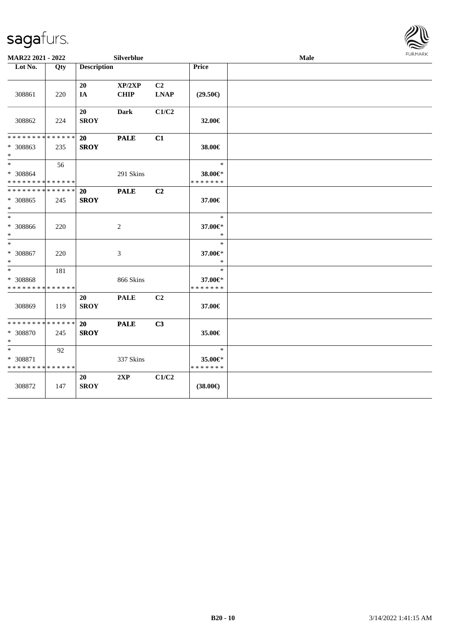

| MAR22 2021 - 2022                                                |     |                          | Silverblue            |                   |                                    | Male | <b>FURMARK</b> |
|------------------------------------------------------------------|-----|--------------------------|-----------------------|-------------------|------------------------------------|------|----------------|
| Lot No.                                                          | Qty | <b>Description</b>       |                       |                   | <b>Price</b>                       |      |                |
| 308861                                                           | 220 | 20<br>IA                 | XP/2XP<br><b>CHIP</b> | C2<br><b>LNAP</b> | $(29.50\epsilon)$                  |      |                |
| 308862                                                           | 224 | 20<br><b>SROY</b>        | <b>Dark</b>           | C1/C2             | 32.00€                             |      |                |
| * * * * * * * * <mark>* * * * * * *</mark><br>* 308863<br>$\ast$ | 235 | 20<br><b>SROY</b>        | <b>PALE</b>           | C1                | 38.00€                             |      |                |
| $\ddot{x}$<br>* 308864<br>* * * * * * * * * * * * * *            | 56  |                          | 291 Skins             |                   | $\ast$<br>38.00€*<br>* * * * * * * |      |                |
| * * * * * * * * <mark>* * * * * * *</mark><br>* 308865<br>$\ast$ | 245 | 20<br><b>SROY</b>        | <b>PALE</b>           | C <sub>2</sub>    | 37.00€                             |      |                |
| $\ast$<br>* 308866<br>$\ast$                                     | 220 |                          | 2                     |                   | $\ast$<br>37.00€*<br>$\ast$        |      |                |
| $\ast$<br>* 308867<br>$\ast$                                     | 220 |                          | 3                     |                   | $\ast$<br>37.00€*<br>$\ast$        |      |                |
| $\ast$<br>* 308868<br>* * * * * * * * * * * * * *                | 181 |                          | 866 Skins             |                   | $\ast$<br>37.00€*<br>* * * * * * * |      |                |
| 308869                                                           | 119 | 20<br><b>SROY</b>        | <b>PALE</b>           | C2                | 37.00€                             |      |                |
| * * * * * * * * * * * * * * *<br>* 308870<br>$\ast$              | 245 | <b>20</b><br><b>SROY</b> | <b>PALE</b>           | C <sub>3</sub>    | 35.00€                             |      |                |
| $\ast$<br>* 308871<br>* * * * * * * * <mark>* * * * * * *</mark> | 92  |                          | 337 Skins             |                   | $\ast$<br>35.00€*<br>* * * * * * * |      |                |
| 308872                                                           | 147 | 20<br><b>SROY</b>        | 2XP                   | C1/C2             | $(38.00\epsilon)$                  |      |                |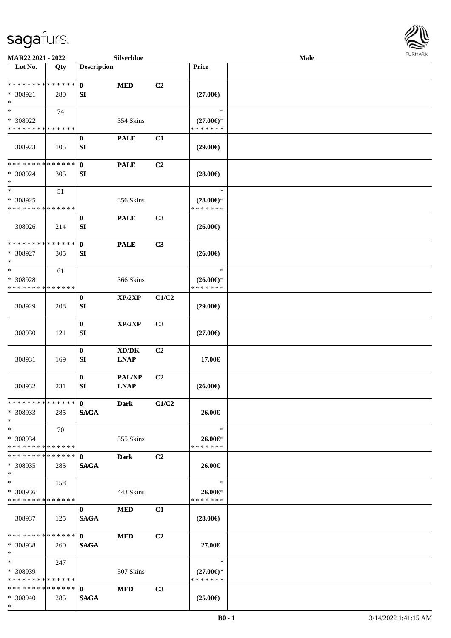

| MAR22 2021 - 2022             |     |                               | Silverblue                          |                |                     | Male |  |
|-------------------------------|-----|-------------------------------|-------------------------------------|----------------|---------------------|------|--|
| Lot No.                       | Qty | <b>Description</b>            |                                     |                | <b>Price</b>        |      |  |
| **************                |     | $\mathbf{0}$                  | <b>MED</b>                          | C <sub>2</sub> |                     |      |  |
|                               |     |                               |                                     |                |                     |      |  |
| * 308921                      | 280 | SI                            |                                     |                | $(27.00\epsilon)$   |      |  |
| $\ast$                        |     |                               |                                     |                |                     |      |  |
| $\ast$                        | 74  |                               |                                     |                | $\ast$              |      |  |
| * 308922                      |     |                               | 354 Skins                           |                | $(27.00\epsilon)$ * |      |  |
| * * * * * * * * * * * * * *   |     |                               |                                     |                | * * * * * * *       |      |  |
|                               |     | $\bf{0}$                      | <b>PALE</b>                         | C1             |                     |      |  |
| 308923                        | 105 | SI                            |                                     |                | $(29.00\epsilon)$   |      |  |
|                               |     |                               |                                     |                |                     |      |  |
| * * * * * * * * * * * * * *   |     | $\mathbf{0}$                  | <b>PALE</b>                         | C2             |                     |      |  |
| * 308924                      | 305 | SI                            |                                     |                | $(28.00\epsilon)$   |      |  |
| $\ast$                        |     |                               |                                     |                |                     |      |  |
| $\ast$                        | 51  |                               |                                     |                | $\ast$              |      |  |
| * 308925                      |     |                               | 356 Skins                           |                | $(28.00\epsilon)$ * |      |  |
| * * * * * * * * * * * * * *   |     |                               |                                     |                | * * * * * * *       |      |  |
|                               |     | $\bf{0}$                      | <b>PALE</b>                         | C3             |                     |      |  |
|                               |     |                               |                                     |                |                     |      |  |
| 308926                        | 214 | SI                            |                                     |                | $(26.00\epsilon)$   |      |  |
| * * * * * * * * * * * * * *   |     |                               |                                     |                |                     |      |  |
|                               |     | $\mathbf{0}$                  | <b>PALE</b>                         | C3             |                     |      |  |
| * 308927                      | 305 | SI                            |                                     |                | $(26.00\epsilon)$   |      |  |
| $\ast$                        |     |                               |                                     |                |                     |      |  |
| $\ast$                        | 61  |                               |                                     |                | $\ast$              |      |  |
| * 308928                      |     |                               | 366 Skins                           |                | $(26.00\epsilon)$ * |      |  |
| * * * * * * * * * * * * * *   |     |                               |                                     |                | * * * * * * *       |      |  |
|                               |     | $\bf{0}$                      | XP/2XP                              | C1/C2          |                     |      |  |
| 308929                        | 208 | SI                            |                                     |                | $(29.00\epsilon)$   |      |  |
|                               |     |                               |                                     |                |                     |      |  |
|                               |     | $\bf{0}$                      | XP/2XP                              | C3             |                     |      |  |
| 308930                        | 121 | SI                            |                                     |                | $(27.00\epsilon)$   |      |  |
|                               |     |                               |                                     |                |                     |      |  |
|                               |     | $\boldsymbol{0}$              | $\bold{X}\bold{D}/\bold{D}\bold{K}$ | C2             |                     |      |  |
| 308931                        | 169 | SI                            | <b>LNAP</b>                         |                | 17.00€              |      |  |
|                               |     |                               |                                     |                |                     |      |  |
|                               |     | $\bf{0}$                      | PAL/XP                              | C2             |                     |      |  |
|                               |     |                               |                                     |                |                     |      |  |
| 308932                        | 231 | SI                            | <b>LNAP</b>                         |                | $(26.00\epsilon)$   |      |  |
| * * * * * * * * * * * * * * * |     |                               |                                     |                |                     |      |  |
|                               |     | $\mathbf{0}$                  | <b>Dark</b>                         | C1/C2          |                     |      |  |
| * 308933                      | 285 | <b>SAGA</b>                   |                                     |                | 26.00€              |      |  |
| $*$                           |     |                               |                                     |                |                     |      |  |
| $*$                           | 70  |                               |                                     |                | $\ast$              |      |  |
| * 308934                      |     |                               | 355 Skins                           |                | 26.00€*             |      |  |
| * * * * * * * * * * * * * * * |     |                               |                                     |                | * * * * * * *       |      |  |
| * * * * * * * * * * * * * * * |     | $\mathbf{0}$                  | <b>Dark</b>                         | C <sub>2</sub> |                     |      |  |
| * 308935                      | 285 | <b>SAGA</b>                   |                                     |                | 26.00€              |      |  |
| $*$                           |     |                               |                                     |                |                     |      |  |
| $*$                           | 158 |                               |                                     |                | $\ast$              |      |  |
| * 308936                      |     |                               | 443 Skins                           |                | 26.00€*             |      |  |
| * * * * * * * * * * * * * *   |     |                               |                                     |                | * * * * * * *       |      |  |
|                               |     | $\mathbf{0}$                  | <b>MED</b>                          | C1             |                     |      |  |
| 308937                        | 125 | <b>SAGA</b>                   |                                     |                | $(28.00\epsilon)$   |      |  |
|                               |     |                               |                                     |                |                     |      |  |
| * * * * * * * * * * * * * * * |     | $\mathbf{0}$ and $\mathbf{0}$ | <b>MED</b>                          | C <sub>2</sub> |                     |      |  |
| * 308938                      | 260 | <b>SAGA</b>                   |                                     |                | 27.00€              |      |  |
| $*$                           |     |                               |                                     |                |                     |      |  |
| $*$ and $*$                   |     |                               |                                     |                | $\ast$              |      |  |
|                               | 247 |                               |                                     |                |                     |      |  |
| $*308939$                     |     |                               | 507 Skins                           |                | $(27.00\epsilon)$ * |      |  |
| * * * * * * * * * * * * * *   |     |                               |                                     |                | * * * * * * *       |      |  |
| * * * * * * * * * * * * * * * |     | $\mathbf{0}$                  | <b>MED</b>                          | C3             |                     |      |  |
| * 308940                      | 285 | <b>SAGA</b>                   |                                     |                | $(25.00\epsilon)$   |      |  |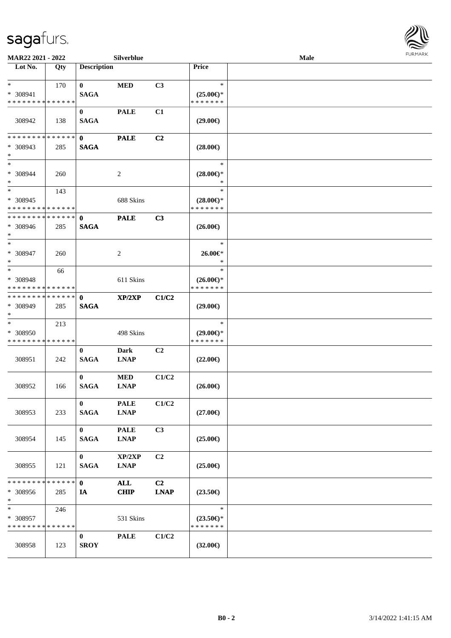

| MAR22 2021 - 2022                                   |     |                             | Silverblue                 |                   |                                                | Male |  |
|-----------------------------------------------------|-----|-----------------------------|----------------------------|-------------------|------------------------------------------------|------|--|
| Lot No.                                             | Qty | <b>Description</b>          |                            |                   | <b>Price</b>                                   |      |  |
| $*$<br>* 308941                                     | 170 | $\bf{0}$<br><b>SAGA</b>     | <b>MED</b>                 | C3                | $\ast$<br>$(25.00\epsilon)$ *                  |      |  |
| * * * * * * * * * * * * * *<br>308942               | 138 | $\bf{0}$<br><b>SAGA</b>     | <b>PALE</b>                | C1                | * * * * * * *<br>$(29.00\epsilon)$             |      |  |
| * * * * * * * * * * * * * *<br>* 308943<br>$\ast$   | 285 | $\mathbf 0$<br><b>SAGA</b>  | <b>PALE</b>                | C2                | $(28.00\epsilon)$                              |      |  |
| $\ast$<br>* 308944<br>$\ast$                        | 260 |                             | $\overline{c}$             |                   | $\ast$<br>$(28.00\epsilon)$ *<br>$\ast$        |      |  |
| $*$<br>* 308945<br>* * * * * * * * * * * * * *      | 143 |                             | 688 Skins                  |                   | $\ast$<br>$(28.00\epsilon)$ *<br>* * * * * * * |      |  |
| * * * * * * * * * * * * * *<br>$* 308946$<br>$\ast$ | 285 | $\mathbf{0}$<br><b>SAGA</b> | <b>PALE</b>                | C3                | $(26.00\epsilon)$                              |      |  |
| $\ast$<br>* 308947<br>$\ast$                        | 260 |                             | 2                          |                   | $\ast$<br>26.00€*<br>$\ast$                    |      |  |
| $\ast$<br>* 308948<br>* * * * * * * * * * * * * *   | 66  |                             | 611 Skins                  |                   | $\ast$<br>$(26.00\epsilon)$ *<br>* * * * * * * |      |  |
| * * * * * * * * * * * * * *<br>* 308949<br>$\ast$   | 285 | $\mathbf 0$<br><b>SAGA</b>  | XP/2XP                     | C1/C2             | $(29.00\epsilon)$                              |      |  |
| $\ast$<br>* 308950<br>* * * * * * * * * * * * * *   | 213 |                             | 498 Skins                  |                   | $\ast$<br>$(29.00\epsilon)$ *<br>* * * * * * * |      |  |
| 308951                                              | 242 | $\bf{0}$<br><b>SAGA</b>     | Dark<br><b>LNAP</b>        | C <sub>2</sub>    | $(22.00\epsilon)$                              |      |  |
| 308952                                              | 166 | $\mathbf{0}$<br><b>SAGA</b> | <b>MED</b><br><b>LNAP</b>  | C1/C2             | $(26.00\epsilon)$                              |      |  |
| 308953                                              | 233 | $\bf{0}$<br><b>SAGA</b>     | <b>PALE</b><br><b>LNAP</b> | C1/C2             | $(27.00\epsilon)$                              |      |  |
| 308954                                              | 145 | $\bf{0}$<br><b>SAGA</b>     | <b>PALE</b><br><b>LNAP</b> | C3                | $(25.00\epsilon)$                              |      |  |
| 308955                                              | 121 | $\bf{0}$<br><b>SAGA</b>     | XP/2XP<br><b>LNAP</b>      | C <sub>2</sub>    | $(25.00\epsilon)$                              |      |  |
| * * * * * * * * * * * * * *<br>* 308956<br>$*$      | 285 | $\mathbf{0}$<br><b>IA</b>   | <b>ALL</b><br><b>CHIP</b>  | C2<br><b>LNAP</b> | $(23.50\epsilon)$                              |      |  |
| $\ast$<br>* 308957<br>* * * * * * * * * * * * * *   | 246 |                             | 531 Skins                  |                   | $\ast$<br>$(23.50\epsilon)$ *<br>* * * * * * * |      |  |
| 308958                                              | 123 | $\bf{0}$<br><b>SROY</b>     | <b>PALE</b>                | C1/C2             | $(32.00\epsilon)$                              |      |  |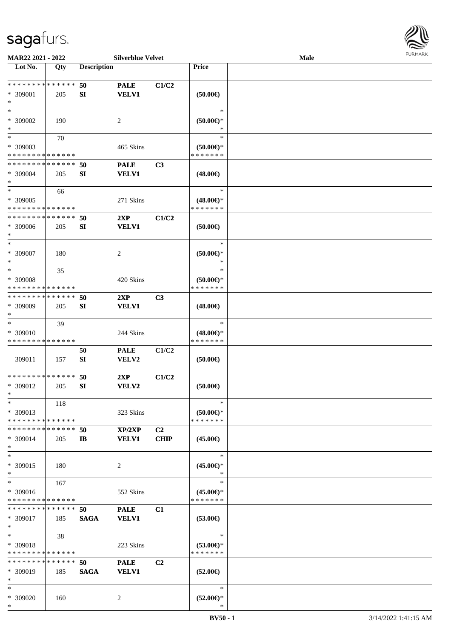

| MAR22 2021 - 2022                                            |             |                    | <b>Silverblue Velvet</b> |                |                                      | <b>Male</b> |  |
|--------------------------------------------------------------|-------------|--------------------|--------------------------|----------------|--------------------------------------|-------------|--|
| Lot No.                                                      | Qty         | <b>Description</b> |                          |                | <b>Price</b>                         |             |  |
|                                                              |             |                    |                          |                |                                      |             |  |
| * * * * * * * * * * * * * *                                  |             | 50                 | <b>PALE</b>              | C1/C2          |                                      |             |  |
| * 309001<br>$\ast$                                           | 205         | SI                 | <b>VELV1</b>             |                | (50.00)                              |             |  |
| $*$                                                          |             |                    |                          |                | $\ast$                               |             |  |
|                                                              |             |                    |                          |                |                                      |             |  |
| * 309002<br>$\ast$                                           | 190         |                    | 2                        |                | $(50.00 \in )$ *                     |             |  |
| $*$                                                          | 70          |                    |                          |                | $\ast$                               |             |  |
| * 309003                                                     |             |                    | 465 Skins                |                | $(50.00 \in )$ *                     |             |  |
| * * * * * * * * * * * * * *                                  |             |                    |                          |                | * * * * * * *                        |             |  |
| * * * * * * * * * * * * * *                                  |             | 50                 | <b>PALE</b>              | C3             |                                      |             |  |
| * 309004                                                     | 205         | SI                 | <b>VELV1</b>             |                | $(48.00\epsilon)$                    |             |  |
| $*$                                                          |             |                    |                          |                |                                      |             |  |
| $*$                                                          | 66          |                    |                          |                | $\ast$                               |             |  |
| * 309005                                                     |             |                    | 271 Skins                |                | $(48.00\epsilon)$ *                  |             |  |
| * * * * * * * * * * * * * *                                  |             |                    |                          |                | * * * * * * *                        |             |  |
| * * * * * * * * * * * * * *                                  |             | 50                 | 2XP                      | C1/C2          |                                      |             |  |
| * 309006                                                     | 205         | SI                 | <b>VELV1</b>             |                | (50.00)                              |             |  |
| $\ast$                                                       |             |                    |                          |                |                                      |             |  |
| $*$                                                          |             |                    |                          |                | $\ast$                               |             |  |
| * 309007                                                     | 180         |                    | 2                        |                | $(50.00 \in )$ *                     |             |  |
| $\ast$                                                       |             |                    |                          |                | ∗                                    |             |  |
| $*$                                                          | 35          |                    |                          |                | $\ast$                               |             |  |
| * 309008                                                     |             |                    | 420 Skins                |                | $(50.00\epsilon)$ *                  |             |  |
| * * * * * * * * * * * * * *                                  |             |                    |                          |                | * * * * * * *                        |             |  |
| * * * * * * * * * * * * * *                                  |             | 50                 | 2XP                      | C3             |                                      |             |  |
| * 309009                                                     | 205         | SI                 | <b>VELV1</b>             |                | $(48.00\epsilon)$                    |             |  |
| $*$<br>$\ast$                                                |             |                    |                          |                |                                      |             |  |
|                                                              | 39          |                    |                          |                | $\ast$                               |             |  |
| * 309010<br>* * * * * * * * * * * * * *                      |             |                    | 244 Skins                |                | $(48.00\epsilon)$ *<br>* * * * * * * |             |  |
|                                                              |             |                    | <b>PALE</b>              | C1/C2          |                                      |             |  |
| 309011                                                       | 157         | 50<br>SI           | VELV2                    |                | (50.00)                              |             |  |
|                                                              |             |                    |                          |                |                                      |             |  |
| * * * * * * * * * * * * * *                                  |             | 50                 | 2XP                      | C1/C2          |                                      |             |  |
| * 309012                                                     | 205         | SI                 | VELV2                    |                | (50.00)                              |             |  |
| $*$                                                          |             |                    |                          |                |                                      |             |  |
| $*$                                                          | 118         |                    |                          |                | $\ast$                               |             |  |
| * 309013                                                     |             |                    | 323 Skins                |                | $(50.00 \in )$ *                     |             |  |
| * * * * * * * * * * * * * *                                  |             |                    |                          |                | * * * * * * *                        |             |  |
| * * * * * * * *                                              | * * * * * * | 50                 | XP/2XP                   | C <sub>2</sub> |                                      |             |  |
| * 309014                                                     | 205         | IB                 | <b>VELV1</b>             | <b>CHIP</b>    | $(45.00\epsilon)$                    |             |  |
| $*$                                                          |             |                    |                          |                |                                      |             |  |
| $*$                                                          |             |                    |                          |                | $\ast$                               |             |  |
| * 309015                                                     | 180         |                    | 2                        |                | $(45.00\epsilon)$ *                  |             |  |
| $*$                                                          |             |                    |                          |                | $\ast$                               |             |  |
| $*$                                                          | 167         |                    |                          |                | $\ast$                               |             |  |
| * 309016                                                     |             |                    | 552 Skins                |                | $(45.00\epsilon)$ *                  |             |  |
| * * * * * * * * * * * * * *<br>* * * * * * * * * * * * * * * |             |                    |                          |                | * * * * * * *                        |             |  |
|                                                              |             | 50                 | <b>PALE</b>              | C1             |                                      |             |  |
| * 309017<br>$*$                                              | 185         | <b>SAGA</b>        | <b>VELV1</b>             |                | $(53.00\epsilon)$                    |             |  |
| $*$                                                          | 38          |                    |                          |                | $\ast$                               |             |  |
| * 309018                                                     |             |                    | 223 Skins                |                | $(53.00\epsilon)$ *                  |             |  |
| * * * * * * * * * * * * * *                                  |             |                    |                          |                | * * * * * * *                        |             |  |
| * * * * * * * * * * * * * *                                  |             | 50                 | <b>PALE</b>              | C <sub>2</sub> |                                      |             |  |
| * 309019                                                     | 185         | <b>SAGA</b>        | <b>VELV1</b>             |                | $(52.00\epsilon)$                    |             |  |
| $*$                                                          |             |                    |                          |                |                                      |             |  |
| $*$                                                          |             |                    |                          |                | $\ast$                               |             |  |
| * 309020                                                     | 160         |                    | 2                        |                | $(52.00\epsilon)$ *                  |             |  |
| $*$                                                          |             |                    |                          |                | ∗                                    |             |  |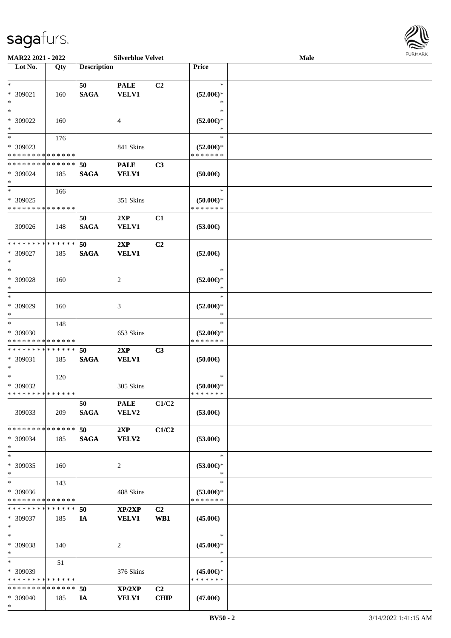

| MAR22 2021 - 2022           |     |                    | <b>Silverblue Velvet</b> |                |                     | <b>Male</b> |  |
|-----------------------------|-----|--------------------|--------------------------|----------------|---------------------|-------------|--|
| Lot No.                     | Qty | <b>Description</b> |                          |                | <b>Price</b>        |             |  |
|                             |     |                    |                          |                |                     |             |  |
| $\ast$                      |     | 50                 | <b>PALE</b>              | C <sub>2</sub> | $\ast$              |             |  |
| * 309021                    | 160 | <b>SAGA</b>        | <b>VELV1</b>             |                | $(52.00\epsilon)$ * |             |  |
| $\ast$                      |     |                    |                          |                | ∗                   |             |  |
|                             |     |                    |                          |                |                     |             |  |
| $*$                         |     |                    |                          |                | $\ast$              |             |  |
| * 309022                    | 160 |                    | 4                        |                | $(52.00\epsilon)$ * |             |  |
| $\ast$                      |     |                    |                          |                |                     |             |  |
| $\ast$                      | 176 |                    |                          |                | $\ast$              |             |  |
| * 309023                    |     |                    | 841 Skins                |                | $(52.00\epsilon)$ * |             |  |
| * * * * * * * * * * * * * * |     |                    |                          |                | * * * * * * *       |             |  |
| * * * * * * * * * * * * * * |     |                    |                          |                |                     |             |  |
|                             |     | 50                 | <b>PALE</b>              | C3             |                     |             |  |
| * 309024                    | 185 | <b>SAGA</b>        | <b>VELV1</b>             |                | (50.00)             |             |  |
| $\ast$                      |     |                    |                          |                |                     |             |  |
| $*$                         | 166 |                    |                          |                | $\ast$              |             |  |
| * 309025                    |     |                    | 351 Skins                |                | $(50.00 \in )$ *    |             |  |
| * * * * * * * * * * * * * * |     |                    |                          |                | * * * * * * *       |             |  |
|                             |     | 50                 | 2XP                      | C1             |                     |             |  |
|                             |     |                    |                          |                |                     |             |  |
| 309026                      | 148 | <b>SAGA</b>        | <b>VELV1</b>             |                | $(53.00\epsilon)$   |             |  |
|                             |     |                    |                          |                |                     |             |  |
| * * * * * * * * * * * * * * |     | 50                 | 2XP                      | C2             |                     |             |  |
| * 309027                    | 185 | <b>SAGA</b>        | <b>VELV1</b>             |                | $(52.00\epsilon)$   |             |  |
| $\ast$                      |     |                    |                          |                |                     |             |  |
| $*$                         |     |                    |                          |                | $\ast$              |             |  |
| * 309028                    | 160 |                    |                          |                | $(52.00\epsilon)$ * |             |  |
|                             |     |                    | 2                        |                |                     |             |  |
| $\ast$                      |     |                    |                          |                | ∗                   |             |  |
| $\ast$                      |     |                    |                          |                | $\ast$              |             |  |
| * 309029                    | 160 |                    | 3                        |                | $(52.00\epsilon)$ * |             |  |
| $\ast$                      |     |                    |                          |                | *                   |             |  |
| $\ast$                      | 148 |                    |                          |                | $\ast$              |             |  |
| * 309030                    |     |                    | 653 Skins                |                | $(52.00\epsilon)$ * |             |  |
| * * * * * * * * * * * * * * |     |                    |                          |                | * * * * * * *       |             |  |
| * * * * * * * * * * * * * * |     |                    |                          |                |                     |             |  |
|                             |     | 50                 | 2XP                      | C3             |                     |             |  |
| * 309031                    | 185 | <b>SAGA</b>        | <b>VELV1</b>             |                | $(50.00\epsilon)$   |             |  |
| $*$                         |     |                    |                          |                |                     |             |  |
| $*$                         | 120 |                    |                          |                | $\ast$              |             |  |
| * 309032                    |     |                    | 305 Skins                |                | $(50.00 \in )^*$    |             |  |
| * * * * * * * * * * * * * * |     |                    |                          |                | * * * * * * *       |             |  |
|                             |     | 50                 | <b>PALE</b>              | C1/C2          |                     |             |  |
|                             |     |                    |                          |                |                     |             |  |
| 309033                      | 209 | <b>SAGA</b>        | VELV2                    |                | $(53.00\epsilon)$   |             |  |
|                             |     |                    |                          |                |                     |             |  |
| * * * * * * * * * * * * * * |     | 50                 | 2XP                      | C1/C2          |                     |             |  |
| * 309034                    | 185 | <b>SAGA</b>        | VELV2                    |                | $(53.00\epsilon)$   |             |  |
| $*$                         |     |                    |                          |                |                     |             |  |
| $\ast$                      |     |                    |                          |                | $\ast$              |             |  |
| * 309035                    | 160 |                    | 2                        |                | $(53.00\epsilon)$ * |             |  |
| $*$                         |     |                    |                          |                | $\ast$              |             |  |
|                             |     |                    |                          |                |                     |             |  |
| $\ast$                      | 143 |                    |                          |                | $\ast$              |             |  |
| * 309036                    |     |                    | 488 Skins                |                | $(53.00\epsilon)$ * |             |  |
| * * * * * * * * * * * * * * |     |                    |                          |                | * * * * * * *       |             |  |
| * * * * * * * * * * * * * * |     | 50                 | XP/2XP                   | C2             |                     |             |  |
| * 309037                    | 185 | IA                 | <b>VELV1</b>             | WB1            | $(45.00\epsilon)$   |             |  |
| $*$                         |     |                    |                          |                |                     |             |  |
| $\ast$                      |     |                    |                          |                | $\ast$              |             |  |
|                             |     |                    |                          |                |                     |             |  |
| * 309038                    | 140 |                    | 2                        |                | $(45.00\epsilon)$ * |             |  |
| $*$                         |     |                    |                          |                | $\ast$              |             |  |
| $*$                         | 51  |                    |                          |                | $\ast$              |             |  |
| $*309039$                   |     |                    | 376 Skins                |                | $(45.00\epsilon)$ * |             |  |
| * * * * * * * * * * * * * * |     |                    |                          |                | * * * * * * *       |             |  |
| * * * * * * * * * * * * * * |     |                    |                          |                |                     |             |  |
|                             |     | 50                 | XP/2XP                   | C <sub>2</sub> |                     |             |  |
| * 309040                    | 185 | IA                 | <b>VELV1</b>             | <b>CHIP</b>    | $(47.00\epsilon)$   |             |  |
| $*$                         |     |                    |                          |                |                     |             |  |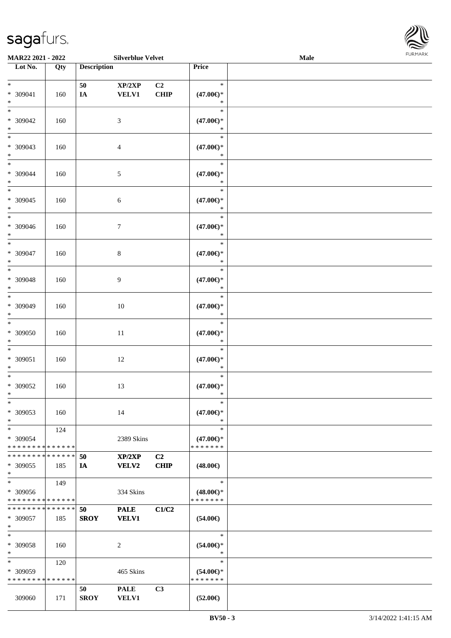

| MAR22 2021 - 2022             |     |                    | <b>Silverblue Velvet</b> |                |                     | Male |  |
|-------------------------------|-----|--------------------|--------------------------|----------------|---------------------|------|--|
| Lot No.                       | Qty | <b>Description</b> |                          |                | Price               |      |  |
|                               |     |                    |                          |                |                     |      |  |
| $*$                           |     | 50                 | XP/2XP                   | C <sub>2</sub> | $\ast$              |      |  |
| * 309041                      | 160 | $I\!\!A$           | <b>VELV1</b>             | <b>CHIP</b>    | $(47.00\epsilon)$ * |      |  |
| $\ast$                        |     |                    |                          |                | $\ast$              |      |  |
| $*$                           |     |                    |                          |                | $\ast$              |      |  |
|                               |     |                    |                          |                |                     |      |  |
| * 309042                      | 160 |                    | 3                        |                | $(47.00\epsilon)$ * |      |  |
| $\ast$                        |     |                    |                          |                | $\ast$              |      |  |
| $\overline{\phantom{0}}$      |     |                    |                          |                | $\ast$              |      |  |
| * 309043                      | 160 |                    | 4                        |                | $(47.00\epsilon)$ * |      |  |
| $*$                           |     |                    |                          |                | $\ast$              |      |  |
| $*$                           |     |                    |                          |                | $\ast$              |      |  |
| * 309044                      | 160 |                    | 5                        |                | $(47.00\epsilon)$ * |      |  |
| $\ast$                        |     |                    |                          |                | $\ast$              |      |  |
| $\overline{\ast}$             |     |                    |                          |                | $\ast$              |      |  |
|                               |     |                    |                          |                |                     |      |  |
| $* 309045$                    | 160 |                    | 6                        |                | $(47.00\epsilon)$ * |      |  |
| $\ast$                        |     |                    |                          |                | $\ast$              |      |  |
| $*$                           |     |                    |                          |                | $\ast$              |      |  |
| $* 309046$                    | 160 |                    | $\tau$                   |                | $(47.00\epsilon)$ * |      |  |
| $*$                           |     |                    |                          |                | $\ast$              |      |  |
| $\ast$                        |     |                    |                          |                | $\ast$              |      |  |
| * 309047                      | 160 |                    | 8                        |                | $(47.00\epsilon)$ * |      |  |
| $\ast$                        |     |                    |                          |                | $\ast$              |      |  |
| $\ast$                        |     |                    |                          |                | $\ast$              |      |  |
|                               |     |                    |                          |                |                     |      |  |
| * 309048                      | 160 |                    | 9                        |                | $(47.00\epsilon)$ * |      |  |
| $\ast$                        |     |                    |                          |                | $\ast$              |      |  |
| $*$                           |     |                    |                          |                | $\ast$              |      |  |
| * 309049                      | 160 |                    | 10                       |                | $(47.00\epsilon)$ * |      |  |
| $*$                           |     |                    |                          |                | $\ast$              |      |  |
| $\ast$                        |     |                    |                          |                | $\ast$              |      |  |
| $* 309050$                    | 160 |                    | 11                       |                | $(47.00\epsilon)$ * |      |  |
| $*$                           |     |                    |                          |                | $\ast$              |      |  |
| $*$                           |     |                    |                          |                | $\ast$              |      |  |
|                               |     |                    |                          |                |                     |      |  |
| $* 309051$                    | 160 |                    | 12                       |                | $(47.00\epsilon)$ * |      |  |
| $*$                           |     |                    |                          |                | $\ast$              |      |  |
| $\ast$                        |     |                    |                          |                | $\ast$              |      |  |
| $* 309052$                    | 160 |                    | 13                       |                | $(47.00\epsilon)$ * |      |  |
| $*$                           |     |                    |                          |                | $\ast$              |      |  |
| $*$                           |     |                    |                          |                | $\ast$              |      |  |
| * 309053                      | 160 |                    | 14                       |                | $(47.00\epsilon)$ * |      |  |
| $*$                           |     |                    |                          |                | $\ast$              |      |  |
| $*$                           | 124 |                    |                          |                | $\ast$              |      |  |
| * 309054                      |     |                    | 2389 Skins               |                | $(47.00\epsilon)$ * |      |  |
| * * * * * * * * * * * * * * * |     |                    |                          |                | * * * * * * *       |      |  |
|                               |     |                    |                          |                |                     |      |  |
| * * * * * * * * * * * * * * * |     | 50                 | XP/2XP                   | C <sub>2</sub> |                     |      |  |
| * 309055                      | 185 | IA                 | <b>VELV2</b>             | <b>CHIP</b>    | $(48.00\epsilon)$   |      |  |
| $*$                           |     |                    |                          |                |                     |      |  |
| $*$                           | 149 |                    |                          |                | $\ast$              |      |  |
| * 309056                      |     |                    | 334 Skins                |                | $(48.00\epsilon)$ * |      |  |
| * * * * * * * * * * * * * *   |     |                    |                          |                | * * * * * * *       |      |  |
| * * * * * * * * * * * * * * * |     | 50                 | <b>PALE</b>              | C1/C2          |                     |      |  |
| * 309057                      | 185 | <b>SROY</b>        | <b>VELV1</b>             |                | $(54.00\epsilon)$   |      |  |
| $*$                           |     |                    |                          |                |                     |      |  |
|                               |     |                    |                          |                | $\ast$              |      |  |
| $*$                           |     |                    |                          |                |                     |      |  |
| $* 309058$                    | 160 |                    | 2                        |                | $(54.00ε)$ *        |      |  |
| $*$                           |     |                    |                          |                | $\ast$              |      |  |
| $*$                           | 120 |                    |                          |                | $\ast$              |      |  |
| * 309059                      |     |                    | 465 Skins                |                | $(54.00\epsilon)$ * |      |  |
| * * * * * * * * * * * * * *   |     |                    |                          |                | * * * * * * *       |      |  |
|                               |     | 50                 | <b>PALE</b>              | C3             |                     |      |  |
| 309060                        | 171 | <b>SROY</b>        | <b>VELV1</b>             |                | $(52.00\epsilon)$   |      |  |
|                               |     |                    |                          |                |                     |      |  |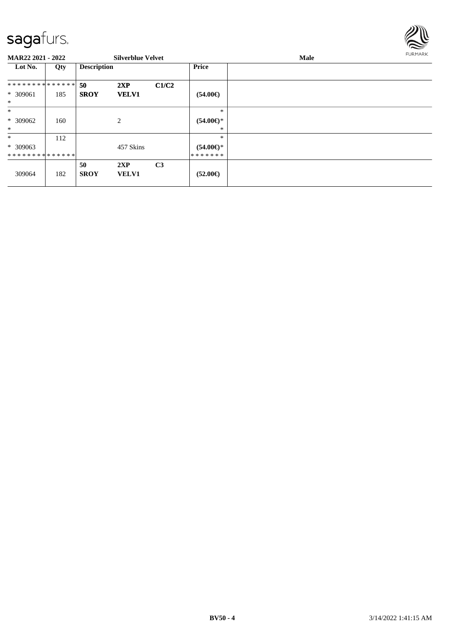

#### **MAR22 2021 - 2022 Silverblue Velvet Male Lot No. Qty Description Price 50 2XP C1/C2 SROY VELV1** \* \* \* \* \* \* \* \* \* \* \* \* \* \* \* 309061 185 \* **(54.00€)** \* \* 309062 160 2 \* \* \* **(54.00€)** \* \* \* 309063 \* \* \* \* \* \* \* \* \* \* \* \* \* \* 112 457 Skins \* \* **(54.00€)** \* \* \* \* \* \* \* 309064 182 **50 2XP C3 VELV1 (52.00€)**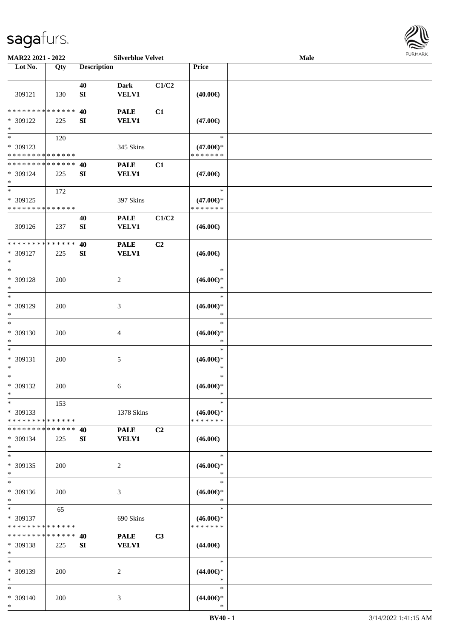

| MAR22 2021 - 2022                                 |                    |                        | <b>Silverblue Velvet</b>    |       |                                                | <b>Male</b> |  |
|---------------------------------------------------|--------------------|------------------------|-----------------------------|-------|------------------------------------------------|-------------|--|
| Lot No.                                           | Qty                | <b>Description</b>     |                             |       | Price                                          |             |  |
| 309121                                            | 130                | 40<br>${\bf SI}$       | <b>Dark</b><br><b>VELV1</b> | C1/C2 | $(40.00\epsilon)$                              |             |  |
| **************<br>* 309122<br>$\ast$              | 225                | 40<br>SI               | <b>PALE</b><br><b>VELV1</b> | C1    | $(47.00\epsilon)$                              |             |  |
| $\ast$<br>* 309123<br>* * * * * * * * * * * * * * | 120                |                        | 345 Skins                   |       | $\ast$<br>$(47.00\epsilon)$ *<br>* * * * * * * |             |  |
| * * * * * * * * * * * * * *<br>* 309124<br>$\ast$ | 225                | 40<br>${\bf S}{\bf I}$ | <b>PALE</b><br><b>VELV1</b> | C1    | $(47.00\epsilon)$                              |             |  |
| $\ast$<br>* 309125<br>* * * * * * * * * * * * * * | 172                |                        | 397 Skins                   |       | $\ast$<br>$(47.00\epsilon)$ *<br>* * * * * * * |             |  |
| 309126                                            | 237                | 40<br>${\bf SI}$       | <b>PALE</b><br>VELV1        | C1/C2 | $(46.00\epsilon)$                              |             |  |
| * * * * * * * *<br>* 309127<br>$\ast$             | * * * * * *<br>225 | 40<br>${\bf S}{\bf I}$ | <b>PALE</b><br><b>VELV1</b> | C2    | $(46.00\epsilon)$                              |             |  |
| $\ast$<br>* 309128<br>$\ast$                      | 200                |                        | $\overline{c}$              |       | $\ast$<br>$(46.00ε)$ *<br>$\ast$               |             |  |
| $\ast$<br>* 309129<br>$\ast$                      | 200                |                        | 3                           |       | $\ast$<br>$(46.00ε)$ *<br>$\ast$               |             |  |
| $\ast$<br>$* 309130$<br>$\ast$                    | 200                |                        | $\overline{4}$              |       | $\ast$<br>$(46.00\epsilon)$ *<br>$\ast$        |             |  |
| $\ast$<br>* 309131<br>$\ast$                      | 200                |                        | $\sqrt{5}$                  |       | $\ast$<br>$(46.00\epsilon)$ *<br>$\ast$        |             |  |
| $\ast$<br>$* 309132$<br>$*$                       | 200                |                        | 6                           |       | $\ast$<br>$(46.00ε)$ *<br>$\ast$               |             |  |
| $*$<br>* 309133<br>* * * * * * * * * * * * * * *  | 153                |                        | 1378 Skins                  |       | $\ast$<br>$(46.00\epsilon)$ *<br>* * * * * * * |             |  |
| * * * * * * * * * * * * * *<br>$* 309134$<br>$*$  | 225                | 40<br>SI               | <b>PALE</b><br><b>VELV1</b> | C2    | $(46.00\epsilon)$                              |             |  |
| $\ast$<br>* 309135<br>$\ast$                      | <b>200</b>         |                        | $\overline{c}$              |       | $\ast$<br>$(46.00\epsilon)$ *<br>$\ast$        |             |  |
| $\ast$<br>* 309136<br>$\ast$                      | 200                |                        | $\mathfrak{Z}$              |       | $\ast$<br>$(46.00\epsilon)$ *<br>$\ast$        |             |  |
| $\ast$<br>* 309137<br>* * * * * * * *             | 65<br>* * * * * *  |                        | 690 Skins                   |       | $\ast$<br>$(46.00\epsilon)$ *<br>* * * * * * * |             |  |
| * * * * * * * * * * * * * *<br>* 309138<br>$*$    | 225                | 40<br>SI               | <b>PALE</b><br><b>VELV1</b> | C3    | $(44.00\epsilon)$                              |             |  |
| $*$<br>* 309139<br>$\ast$                         | 200                |                        | 2                           |       | $\ast$<br>$(44.00\epsilon)$ *<br>$\ast$        |             |  |
| $\ast$<br>* 309140<br>$*$                         | 200                |                        | 3                           |       | $\ast$<br>$(44.00\epsilon)$ *<br>$\ast$        |             |  |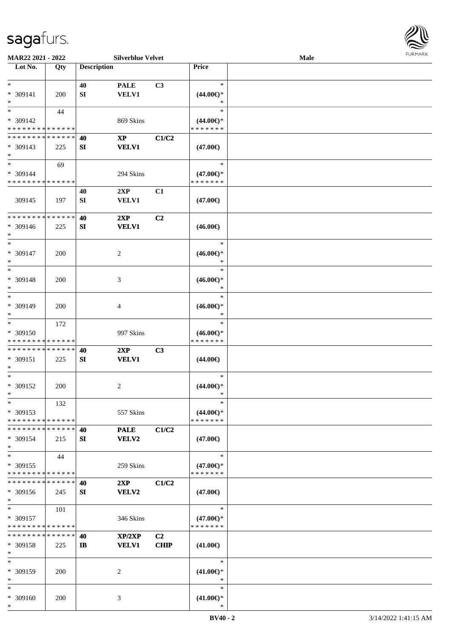

| MAR22 2021 - 2022           |             |                    | <b>Silverblue Velvet</b> |                |                     | <b>Male</b> |  |
|-----------------------------|-------------|--------------------|--------------------------|----------------|---------------------|-------------|--|
| Lot No.                     | Qty         | <b>Description</b> |                          |                | Price               |             |  |
|                             |             |                    |                          |                |                     |             |  |
| $*$                         |             | 40                 | <b>PALE</b>              | C3             | $\ast$              |             |  |
| * 309141                    | 200         | SI                 | <b>VELV1</b>             |                | $(44.00\epsilon)$ * |             |  |
| $\ast$                      |             |                    |                          |                | $\ast$              |             |  |
| $*$                         | 44          |                    |                          |                | $\ast$              |             |  |
|                             |             |                    |                          |                |                     |             |  |
| * 309142                    |             |                    | 869 Skins                |                | $(44.00\epsilon)$ * |             |  |
| * * * * * * * * * * * * * * |             |                    |                          |                | * * * * * * *       |             |  |
| * * * * * * * * * * * * * * |             | 40                 | $\mathbf{X}\mathbf{P}$   | C1/C2          |                     |             |  |
| * 309143                    | 225         | SI                 | <b>VELV1</b>             |                | $(47.00\epsilon)$   |             |  |
| $*$                         |             |                    |                          |                |                     |             |  |
| $*$                         | 69          |                    |                          |                | $\ast$              |             |  |
| * 309144                    |             |                    | 294 Skins                |                | $(47.00\epsilon)$ * |             |  |
| * * * * * * * * * * * * * * |             |                    |                          |                | * * * * * * *       |             |  |
|                             |             | 40                 | 2XP                      | C1             |                     |             |  |
|                             |             |                    |                          |                |                     |             |  |
| 309145                      | 197         | SI                 | <b>VELV1</b>             |                | $(47.00\epsilon)$   |             |  |
|                             |             |                    |                          |                |                     |             |  |
| * * * * * * * * * * * * * * |             | 40                 | 2XP                      | C2             |                     |             |  |
| * 309146                    | 225         | SI                 | <b>VELV1</b>             |                | $(46.00\epsilon)$   |             |  |
| $*$                         |             |                    |                          |                |                     |             |  |
| $*$                         |             |                    |                          |                | $\ast$              |             |  |
| * 309147                    | 200         |                    | 2                        |                | $(46.00\epsilon)$ * |             |  |
| $*$                         |             |                    |                          |                | $\ast$              |             |  |
| $*$                         |             |                    |                          |                | $\ast$              |             |  |
|                             |             |                    |                          |                |                     |             |  |
| * 309148                    | 200         |                    | 3                        |                | $(46.00ε)$ *        |             |  |
| $\ast$                      |             |                    |                          |                | $\ast$              |             |  |
| $*$                         |             |                    |                          |                | $\ast$              |             |  |
| * 309149                    | 200         |                    | 4                        |                | $(46.00ε)$ *        |             |  |
| $*$                         |             |                    |                          |                | $\ast$              |             |  |
| $*$                         | 172         |                    |                          |                | $\ast$              |             |  |
| * 309150                    |             |                    | 997 Skins                |                | $(46.00\epsilon)$ * |             |  |
| * * * * * * * * * * * * * * |             |                    |                          |                | * * * * * * *       |             |  |
| * * * * * * * * * * * * * * |             |                    |                          | C3             |                     |             |  |
|                             |             | 40                 | 2XP                      |                |                     |             |  |
| * 309151                    | 225         | SI                 | <b>VELV1</b>             |                | $(44.00\epsilon)$   |             |  |
| $\ast$                      |             |                    |                          |                |                     |             |  |
| $*$                         |             |                    |                          |                | $\ast$              |             |  |
| * 309152                    | 200         |                    | 2                        |                | $(44.00\epsilon)$ * |             |  |
| $*$                         |             |                    |                          |                | $\ast$              |             |  |
| $*$                         | 132         |                    |                          |                | $\ast$              |             |  |
| * 309153                    |             |                    | 557 Skins                |                | $(44.00\epsilon)$ * |             |  |
| * * * * * * * * * * * * * * |             |                    |                          |                | * * * * * * *       |             |  |
| * * * * * * * * * * * * * * |             | 40                 | <b>PALE</b>              | C1/C2          |                     |             |  |
| * 309154                    | 215         | SI                 | VELV2                    |                | $(47.00\epsilon)$   |             |  |
|                             |             |                    |                          |                |                     |             |  |
| $*$                         |             |                    |                          |                |                     |             |  |
| $*$                         | 44          |                    |                          |                | $\ast$              |             |  |
| * 309155                    |             |                    | 259 Skins                |                | $(47.00\epsilon)$ * |             |  |
| * * * * * * * * * * * * * * |             |                    |                          |                | * * * * * * *       |             |  |
| * * * * * * * * * * * * * * |             | 40                 | 2XP                      | C1/C2          |                     |             |  |
| * 309156                    | 245         | SI                 | VELV2                    |                | $(47.00\epsilon)$   |             |  |
| $*$                         |             |                    |                          |                |                     |             |  |
| $*$                         | 101         |                    |                          |                | $\ast$              |             |  |
| * 309157                    |             |                    | 346 Skins                |                | $(47.00\epsilon)$ * |             |  |
| * * * * * * * * * * * * * * |             |                    |                          |                | * * * * * * *       |             |  |
| * * * * * * * *             | * * * * * * |                    |                          |                |                     |             |  |
|                             |             | 40                 | XP/2XP                   | C <sub>2</sub> |                     |             |  |
| * 309158                    | 225         | IB                 | <b>VELV1</b>             | <b>CHIP</b>    | $(41.00\epsilon)$   |             |  |
| $*$                         |             |                    |                          |                |                     |             |  |
| $*$                         |             |                    |                          |                | $\ast$              |             |  |
| * 309159                    | 200         |                    | 2                        |                | $(41.00\epsilon)$ * |             |  |
| $*$                         |             |                    |                          |                | $\ast$              |             |  |
| $*$                         |             |                    |                          |                | $\ast$              |             |  |
| * 309160                    | 200         |                    | 3                        |                | $(41.00\epsilon)$ * |             |  |
| $*$                         |             |                    |                          |                | $\ast$              |             |  |
|                             |             |                    |                          |                |                     |             |  |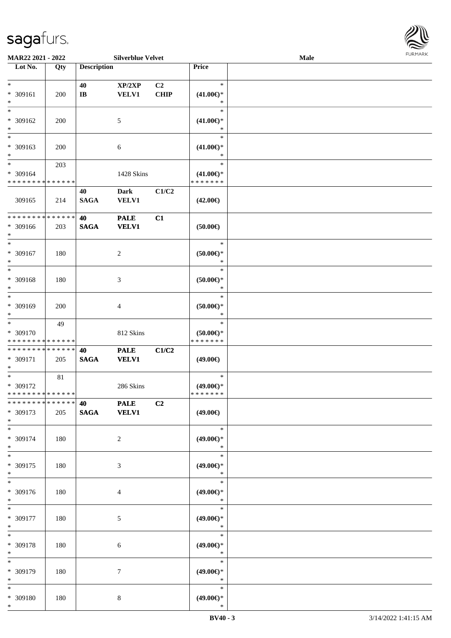

| MAR22 2021 - 2022             |     |                        | <b>Silverblue Velvet</b> |                |                               | Male |  |
|-------------------------------|-----|------------------------|--------------------------|----------------|-------------------------------|------|--|
| Lot No.                       | Qty | <b>Description</b>     |                          |                | Price                         |      |  |
|                               |     |                        |                          |                |                               |      |  |
| $*$                           |     | 40                     | XP/2XP                   | C <sub>2</sub> | $\ast$                        |      |  |
| * 309161                      | 200 | $\mathbf{I}\mathbf{B}$ | <b>VELV1</b>             | <b>CHIP</b>    | $(41.00\epsilon)$ *           |      |  |
| $\ast$                        |     |                        |                          |                | ∗                             |      |  |
| $*$                           |     |                        |                          |                | $\ast$                        |      |  |
| $* 309162$                    | 200 |                        | 5                        |                | $(41.00\epsilon)$ *           |      |  |
| $\ast$                        |     |                        |                          |                | ∗                             |      |  |
| $\overline{\ast}$             |     |                        |                          |                | $\ast$                        |      |  |
| * 309163                      | 200 |                        | 6                        |                | $(41.00\epsilon)$ *           |      |  |
| $*$                           |     |                        |                          |                | $\ast$                        |      |  |
| $*$                           | 203 |                        |                          |                | $\ast$                        |      |  |
| * 309164                      |     |                        | 1428 Skins               |                | $(41.00\epsilon)$ *           |      |  |
| * * * * * * * * * * * * * *   |     |                        |                          |                | * * * * * * *                 |      |  |
|                               |     | 40                     | <b>Dark</b>              | C1/C2          |                               |      |  |
| 309165                        | 214 | <b>SAGA</b>            | <b>VELV1</b>             |                | $(42.00\epsilon)$             |      |  |
|                               |     |                        |                          |                |                               |      |  |
| * * * * * * * * * * * * * *   |     | 40                     | <b>PALE</b>              | C1             |                               |      |  |
| * 309166                      | 203 | <b>SAGA</b>            | <b>VELV1</b>             |                | $(50.00\epsilon)$             |      |  |
| $*$                           |     |                        |                          |                |                               |      |  |
| $*$                           |     |                        |                          |                | $\ast$                        |      |  |
| $* 309167$                    | 180 |                        | $\overline{c}$           |                | $(50.00ε)$ *                  |      |  |
| $\ast$                        |     |                        |                          |                | $\ast$                        |      |  |
| $*$                           |     |                        |                          |                | $\ast$                        |      |  |
| * 309168                      | 180 |                        | 3                        |                | $(50.00ε)$ *                  |      |  |
| $\ast$                        |     |                        |                          |                | $\ast$                        |      |  |
| $*$                           |     |                        |                          |                | $\ast$                        |      |  |
| * 309169                      | 200 |                        | 4                        |                | $(50.00ε)$ *                  |      |  |
| $*$                           |     |                        |                          |                | $\ast$                        |      |  |
| $\overline{\ast}$             | 49  |                        |                          |                | $\ast$                        |      |  |
| * 309170                      |     |                        | 812 Skins                |                | $(50.00ε)$ *                  |      |  |
| * * * * * * * * * * * * * *   |     |                        |                          |                | * * * * * * *                 |      |  |
| * * * * * * * * * * * * * *   |     | 40                     | <b>PALE</b>              | C1/C2          |                               |      |  |
| * 309171                      | 205 | <b>SAGA</b>            | <b>VELV1</b>             |                | $(49.00\epsilon)$             |      |  |
| $*$                           |     |                        |                          |                |                               |      |  |
| $*$                           | 81  |                        |                          |                | $\ast$                        |      |  |
| * 309172                      |     |                        | 286 Skins                |                | $(49.00€)$ *                  |      |  |
| * * * * * * * * * * * * * * * |     |                        |                          |                | *******                       |      |  |
| * * * * * * * * * * * * * * * |     | 40                     | <b>PALE</b>              | C <sub>2</sub> |                               |      |  |
| * 309173                      | 205 | <b>SAGA</b>            | <b>VELV1</b>             |                | $(49.00\epsilon)$             |      |  |
| $*$                           |     |                        |                          |                |                               |      |  |
| $*$                           |     |                        |                          |                | $\ast$                        |      |  |
| * 309174                      | 180 |                        |                          |                | $(49.00\epsilon)$ *           |      |  |
| $*$                           |     |                        | $\overline{c}$           |                | $\ast$                        |      |  |
| $*$                           |     |                        |                          |                | $\ast$                        |      |  |
|                               |     |                        |                          |                |                               |      |  |
| * 309175<br>$*$               | 180 |                        | 3                        |                | $(49.00\epsilon)$ *<br>$\ast$ |      |  |
| $*$                           |     |                        |                          |                | $\ast$                        |      |  |
|                               |     |                        |                          |                |                               |      |  |
| * 309176                      | 180 |                        | 4                        |                | $(49.00\epsilon)$ *           |      |  |
| $*$                           |     |                        |                          |                | $\ast$                        |      |  |
| $*$                           |     |                        |                          |                | $\ast$                        |      |  |
| $* 309177$                    | 180 |                        | 5                        |                | $(49.00\epsilon)$ *           |      |  |
| $*$                           |     |                        |                          |                | $\ast$                        |      |  |
| $*$                           |     |                        |                          |                | $\ast$                        |      |  |
| * 309178                      | 180 |                        | 6                        |                | $(49.00\epsilon)$ *           |      |  |
| $*$                           |     |                        |                          |                | $\ast$                        |      |  |
| $*$                           |     |                        |                          |                | $\ast$                        |      |  |
| * 309179                      | 180 |                        | 7                        |                | $(49.00\epsilon)$ *           |      |  |
| $*$                           |     |                        |                          |                | $\ast$                        |      |  |
| $*$                           |     |                        |                          |                | $\ast$                        |      |  |
| * 309180                      | 180 |                        | 8                        |                | $(49.00\epsilon)$ *           |      |  |
| $*$                           |     |                        |                          |                | $\ast$                        |      |  |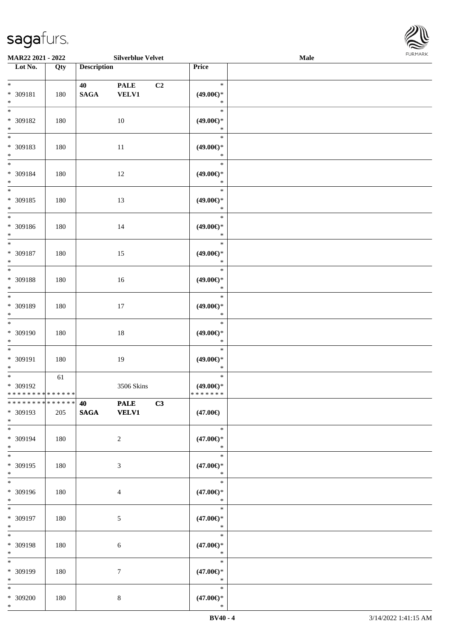

| <b>MAR22 2021 - 2022</b>                         |     |                                   | <b>Silverblue Velvet</b>    |                |                                         | Male |  |
|--------------------------------------------------|-----|-----------------------------------|-----------------------------|----------------|-----------------------------------------|------|--|
| Lot No.                                          | Qty | <b>Description</b>                |                             |                | Price                                   |      |  |
| $*$<br>* 309181<br>$*$                           | 180 | 40<br><b>SAGA</b>                 | <b>PALE</b><br><b>VELV1</b> | C <sub>2</sub> | $\ast$<br>$(49.00\epsilon)$ *<br>$\ast$ |      |  |
| * 309182<br>$*$                                  | 180 |                                   | 10                          |                | $\ast$<br>$(49.00\epsilon)$ *<br>$\ast$ |      |  |
| * 309183<br>$*$                                  | 180 |                                   | 11                          |                | $\ast$<br>$(49.00\epsilon)$ *<br>$\ast$ |      |  |
| $*$<br>* 309184<br>$*$                           | 180 |                                   | 12                          |                | $\ast$<br>$(49.00\epsilon)$ *<br>$\ast$ |      |  |
| * 309185<br>$*$                                  | 180 |                                   | 13                          |                | $\ast$<br>$(49.00\epsilon)$ *<br>$\ast$ |      |  |
| $\overline{\phantom{0}}$<br>* 309186<br>$*$      | 180 |                                   | 14                          |                | $\ast$<br>$(49.00\epsilon)$ *<br>$\ast$ |      |  |
| $*$<br>* 309187<br>$*$                           | 180 |                                   | 15                          |                | $\ast$<br>$(49.00\epsilon)$ *<br>$\ast$ |      |  |
| * 309188<br>$*$                                  | 180 |                                   | 16                          |                | $\ast$<br>$(49.00\epsilon)$ *<br>$\ast$ |      |  |
| $\overline{\phantom{0}}$<br>* 309189<br>$*$      | 180 |                                   | 17                          |                | $\ast$<br>$(49.00\epsilon)$ *<br>$\ast$ |      |  |
| $*$<br>* 309190<br>$*$                           | 180 |                                   | 18                          |                | $\ast$<br>$(49.00\epsilon)$ *<br>$\ast$ |      |  |
| $*$<br>* 309191<br>$*$                           | 180 |                                   | 19                          |                | $\ast$<br>$(49.00\epsilon)$ *<br>$\ast$ |      |  |
| $*$<br>* 309192<br>* * * * * * * * * * * * * * * | 61  |                                   | 3506 Skins                  |                | $\ast$<br>$(49.00ε)$ *<br>* * * * * * * |      |  |
| * * * * * * * * * * * * * *<br>* 309193<br>$*$   | 205 | <b>40</b> and the set of $\theta$ | <b>PALE</b><br>SAGA VELV1   | C3             | $(47.00\epsilon)$                       |      |  |
| $*$<br>* 309194<br>$*$                           | 180 |                                   | 2                           |                | $\ast$<br>$(47.00\epsilon)$ *<br>$\ast$ |      |  |
| $*$<br>* 309195<br>$*$<br>$\overline{\ }$        | 180 |                                   | 3                           |                | $\ast$<br>$(47.00\epsilon)$ *<br>$\ast$ |      |  |
| * 309196<br>$*$                                  | 180 |                                   | $\overline{4}$              |                | $\ast$<br>$(47.00\epsilon)$ *<br>$\ast$ |      |  |
| $*$<br>* 309197<br>$*$                           | 180 |                                   | 5                           |                | $\ast$<br>$(47.00\epsilon)$ *<br>$\ast$ |      |  |
| $*$ $-$<br>* 309198<br>$*$                       | 180 |                                   | 6                           |                | $\ast$<br>$(47.00\epsilon)$ *<br>$\ast$ |      |  |
| $*$<br>* 309199<br>$*$                           | 180 |                                   | $\tau$                      |                | $\ast$<br>$(47.00\epsilon)$ *<br>$\ast$ |      |  |
| $*$<br>* 309200<br>$*$                           | 180 |                                   | $\bf 8$                     |                | $\ast$<br>$(47.00\epsilon)$ *<br>$\ast$ |      |  |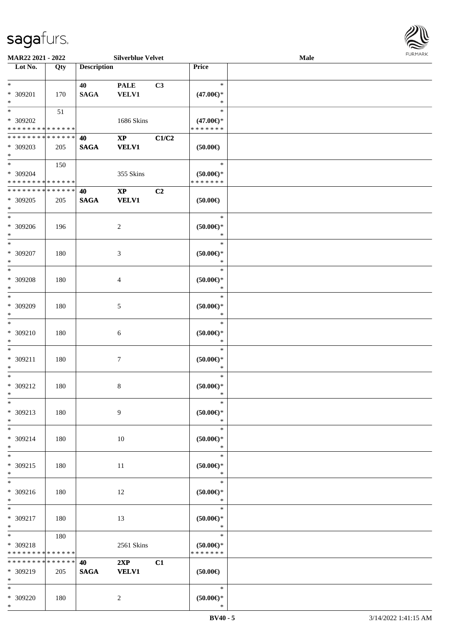| MAR22 2021 - 2022                                                              |     |                    | <b>Silverblue Velvet</b>      |       |                                                | <b>Male</b> | FURMARK |
|--------------------------------------------------------------------------------|-----|--------------------|-------------------------------|-------|------------------------------------------------|-------------|---------|
| $\overline{\phantom{1}}$ Lot No.                                               | Qty | <b>Description</b> |                               |       | Price                                          |             |         |
| $\ast$<br>* 309201<br>$\ast$                                                   | 170 | 40<br><b>SAGA</b>  | <b>PALE</b><br><b>VELV1</b>   | C3    | $\ast$<br>$(47.00\epsilon)$ *<br>$\ast$        |             |         |
| $\frac{1}{1}$<br>* 309202<br>******** <mark>*****</mark> *                     | 51  |                    | 1686 Skins                    |       | $\ast$<br>$(47.00\epsilon)$ *<br>* * * * * * * |             |         |
| **************<br>* 309203<br>$\ast$                                           | 205 | 40<br><b>SAGA</b>  | $\mathbf{XP}$<br><b>VELV1</b> | C1/C2 | $(50.00\epsilon)$                              |             |         |
| $\overline{\phantom{a}^*}$<br>* 309204<br>******** <mark>*****</mark> *        | 150 |                    | 355 Skins                     |       | $\ast$<br>$(50.00ε)$ *<br>* * * * * * *        |             |         |
| ******** <mark>******</mark><br>* 309205<br>$\ast$                             | 205 | 40<br><b>SAGA</b>  | $\mathbf{XP}$<br><b>VELV1</b> | C2    | (50.00)                                        |             |         |
| $\ast$<br>* 309206<br>$\ast$                                                   | 196 |                    | $\overline{c}$                |       | $\ast$<br>$(50.00ε)$ *<br>$\ast$               |             |         |
| $\ast$<br>* 309207<br>$\ast$                                                   | 180 |                    | $\mathfrak{Z}$                |       | $\ast$<br>$(50.00 \textrm{E})^*$<br>$\ast$     |             |         |
| $_{*}^{-}$<br>* 309208<br>$\ast$                                               | 180 |                    | $\overline{4}$                |       | $\ast$<br>$(50.00\epsilon)$ *<br>$\ast$        |             |         |
| $\overline{\ast}$<br>* 309209<br>$\ast$                                        | 180 |                    | $\sqrt{5}$                    |       | $\ast$<br>$(50.00ε)$ *<br>$\ast$               |             |         |
| $\overline{\phantom{1}}$<br>$* 309210$<br>$\ast$                               | 180 |                    | $\sqrt{6}$                    |       | $\ast$<br>$(50.00ε)$ *<br>$\ast$               |             |         |
| $\overline{\phantom{a}}$<br>* 309211<br>$\ast$                                 | 180 |                    | $\tau$                        |       | $\ast$<br>$(50.00ε)$ *<br>$\ast$               |             |         |
| $\ast$<br>* 309212<br>$\ast$                                                   | 180 |                    | 8                             |       | $\ast$<br>$(50.00ε)$ *                         |             |         |
| $\overline{\phantom{a}^*}$<br>* 309213<br>$\ast$<br>$\overline{\phantom{a}^*}$ | 180 |                    | $\overline{9}$                |       | $\ast$<br>$(50.00)$ *<br>$\ast$                |             |         |
| * 309214<br>$\ast$                                                             | 180 |                    | 10                            |       | $\ast$<br>$(50.00 \textrm{E})^*$<br>$\ast$     |             |         |
| $\overline{\ast}$<br>$* 309215$<br>$\ast$<br>$\overline{\phantom{a}^*}$        | 180 |                    | $11\,$                        |       | $\ast$<br>$(50.00ε)$ *<br>$\ast$               |             |         |
| $* 309216$<br>$\ast$                                                           | 180 |                    | 12                            |       | $\ast$<br>$(50.00 \textrm{E})^*$<br>$\ast$     |             |         |
| $\overline{\phantom{1}}$<br>* 309217<br>$\ast$                                 | 180 |                    | 13                            |       | $\ast$<br>$(50.00ε)$ *<br>$\ast$               |             |         |
| $\ast$<br>* 309218<br>******** <mark>******</mark>                             | 180 |                    | 2561 Skins                    |       | $\ast$<br>(50.00)<br>* * * * * * *             |             |         |
| **************<br>* 309219<br>$\ast$                                           | 205 | 40<br><b>SAGA</b>  | 2XP<br><b>VELV1</b>           | C1    | $(50.00\in)$                                   |             |         |
| $\ast$<br>* 309220<br>$\ast$                                                   | 180 |                    | $\overline{c}$                |       | $\ast$<br>$(50.00 \in )^*$<br>$\ast$           |             |         |

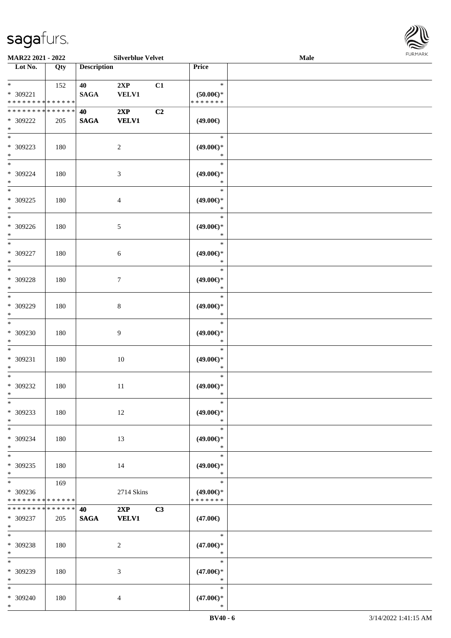

| MAR22 2021 - 2022                                                   |     |                    | <b>Silverblue Velvet</b> |    |                                                | Male |  |
|---------------------------------------------------------------------|-----|--------------------|--------------------------|----|------------------------------------------------|------|--|
| Lot No.                                                             | Qty | <b>Description</b> |                          |    | <b>Price</b>                                   |      |  |
| $*$<br>* 309221<br>* * * * * * * * * * * * * *                      | 152 | 40<br><b>SAGA</b>  | 2XP<br><b>VELV1</b>      | C1 | $\ast$<br>$(50.00\epsilon)$ *<br>* * * * * * * |      |  |
| * * * * * * * * * * * * * *<br>* 309222<br>$\ast$                   | 205 | 40<br><b>SAGA</b>  | 2XP<br><b>VELV1</b>      | C2 | $(49.00\epsilon)$                              |      |  |
| $\ast$<br>* 309223<br>$\ast$                                        | 180 |                    | $\overline{c}$           |    | $\ast$<br>$(49.00\epsilon)$ *<br>$\ast$        |      |  |
| $\overline{\phantom{0}}$<br>$* 309224$<br>$\ast$                    | 180 |                    | $\mathfrak{Z}$           |    | $\ast$<br>$(49.00\epsilon)$ *<br>$\ast$        |      |  |
| $*$<br>$* 309225$<br>$\ast$                                         | 180 |                    | 4                        |    | $\ast$<br>$(49.00\epsilon)$ *<br>$\ast$        |      |  |
| $\ast$<br>$* 309226$<br>$\ast$                                      | 180 |                    | 5                        |    | $\ast$<br>$(49.00\epsilon)$ *<br>$\ast$        |      |  |
| $\ast$<br>$* 309227$<br>$\ast$                                      | 180 |                    | $\sqrt{6}$               |    | $\ast$<br>$(49.00\epsilon)$ *<br>$\ast$        |      |  |
| $*$<br>* 309228<br>$\ast$                                           | 180 |                    | $\tau$                   |    | $\ast$<br>$(49.00\epsilon)$ *<br>$\ast$        |      |  |
| $\ast$<br>$* 309229$<br>$\ast$                                      | 180 |                    | $\,8\,$                  |    | $\ast$<br>$(49.00\epsilon)$ *<br>$\ast$        |      |  |
| $\ast$<br>$* 309230$<br>$\ast$                                      | 180 |                    | $\overline{9}$           |    | $\ast$<br>$(49.00\epsilon)$ *<br>$\ast$        |      |  |
| $*$<br>$* 309231$<br>$*$                                            | 180 |                    | $10\,$                   |    | $\ast$<br>$(49.00\epsilon)$ *<br>$\ast$        |      |  |
| $*$<br>$* 309232$<br>$*$                                            | 180 |                    | 11                       |    | $\ast$<br>$(49.00\epsilon)$ *<br>$\ast$        |      |  |
| $\ast$<br>* 309233<br>$*$                                           | 180 |                    | 12                       |    | $\ast$<br>$(49.00\epsilon)$ *<br>$\ast$        |      |  |
| $*$<br>* 309234<br>$*$                                              | 180 |                    | 13                       |    | $\ast$<br>$(49.00\epsilon)$ *<br>$\ast$        |      |  |
| $*$<br>* 309235<br>$*$                                              | 180 |                    | 14                       |    | $\ast$<br>$(49.00\epsilon)$ *<br>$\ast$        |      |  |
| $\overline{\phantom{0}}$<br>* 309236<br>* * * * * * * * * * * * * * | 169 |                    | 2714 Skins               |    | $\ast$<br>$(49.00\epsilon)$ *<br>* * * * * * * |      |  |
| * * * * * * * * * * * * * * *<br>* 309237<br>$*$ $*$                | 205 | 40<br><b>SAGA</b>  | 2XP<br><b>VELV1</b>      | C3 | $(47.00\epsilon)$                              |      |  |
| $*$<br>* 309238<br>$*$                                              | 180 |                    | 2                        |    | $\ast$<br>$(47.00\epsilon)$ *<br>$\ast$        |      |  |
| $*$<br>* 309239<br>$*$                                              | 180 |                    | 3                        |    | $\ast$<br>$(47.00\epsilon)$ *<br>$\ast$        |      |  |
| $*$<br>* 309240<br>$*$                                              | 180 |                    | $\overline{4}$           |    | $\ast$<br>$(47.00\epsilon)$ *<br>$\ast$        |      |  |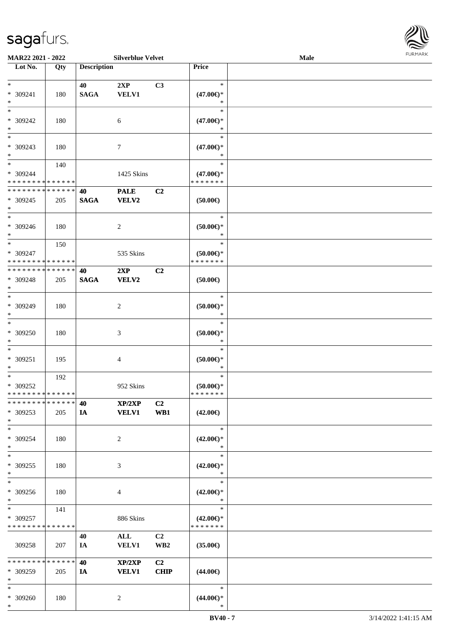

| MAR22 2021 - 2022             |     |                    | <b>Silverblue Velvet</b> |                 |                        | <b>Male</b> |  |
|-------------------------------|-----|--------------------|--------------------------|-----------------|------------------------|-------------|--|
| Lot No.                       | Qty | <b>Description</b> |                          |                 | Price                  |             |  |
|                               |     |                    |                          |                 |                        |             |  |
| $*$                           |     | 40                 | 2XP                      | C3              | $\ast$                 |             |  |
| * 309241                      | 180 | <b>SAGA</b>        | <b>VELV1</b>             |                 | $(47.00\epsilon)$ *    |             |  |
| $*$                           |     |                    |                          |                 | $\ast$                 |             |  |
| $*$                           |     |                    |                          |                 | $\ast$                 |             |  |
|                               |     |                    |                          |                 |                        |             |  |
| $* 309242$                    | 180 |                    | 6                        |                 | $(47.00\epsilon)$ *    |             |  |
| $\ast$                        |     |                    |                          |                 | $\ast$                 |             |  |
| $\overline{\phantom{0}}$      |     |                    |                          |                 | $\ast$                 |             |  |
| * 309243                      | 180 |                    | 7                        |                 | $(47.00\epsilon)$ *    |             |  |
| $*$                           |     |                    |                          |                 | $\ast$                 |             |  |
| $*$                           | 140 |                    |                          |                 | $\ast$                 |             |  |
|                               |     |                    |                          |                 |                        |             |  |
| * 309244                      |     |                    | 1425 Skins               |                 | $(47.00\epsilon)$ *    |             |  |
| * * * * * * * * * * * * * *   |     |                    |                          |                 | * * * * * * *          |             |  |
| * * * * * * * * * * * * * *   |     | 40                 | <b>PALE</b>              | C2              |                        |             |  |
| * 309245                      | 205 | <b>SAGA</b>        | VELV2                    |                 | $(50.00\epsilon)$      |             |  |
| $*$                           |     |                    |                          |                 |                        |             |  |
| $*$                           |     |                    |                          |                 | $\ast$                 |             |  |
| $* 309246$                    | 180 |                    | 2                        |                 | $(50.00ε)$ *           |             |  |
| $*$                           |     |                    |                          |                 | $\ast$                 |             |  |
|                               |     |                    |                          |                 |                        |             |  |
| $*$                           | 150 |                    |                          |                 | $\ast$                 |             |  |
| * 309247                      |     |                    | 535 Skins                |                 | $(50.00\epsilon)$ *    |             |  |
| * * * * * * * * * * * * * *   |     |                    |                          |                 | * * * * * * *          |             |  |
| * * * * * * * * * * * * * * * |     | 40                 | 2XP                      | C2              |                        |             |  |
| * 309248                      | 205 | <b>SAGA</b>        | VELV2                    |                 | $(50.00\in)$           |             |  |
| $*$                           |     |                    |                          |                 |                        |             |  |
| $*$                           |     |                    |                          |                 | $\ast$                 |             |  |
|                               |     |                    |                          |                 |                        |             |  |
| $* 309249$                    | 180 |                    | 2                        |                 | $(50.00ε)$ *           |             |  |
| $*$                           |     |                    |                          |                 | $\ast$                 |             |  |
| $\ast$                        |     |                    |                          |                 | $\ast$                 |             |  |
| $* 309250$                    | 180 |                    | 3                        |                 | $(50.00ε)$ *           |             |  |
| $*$                           |     |                    |                          |                 | $\ast$                 |             |  |
| $*$                           |     |                    |                          |                 | $\ast$                 |             |  |
| $* 309251$                    | 195 |                    | 4                        |                 | $(50.00ε)$ *           |             |  |
|                               |     |                    |                          |                 | $\ast$                 |             |  |
| $*$                           |     |                    |                          |                 |                        |             |  |
| $*$                           | 192 |                    |                          |                 | $\ast$                 |             |  |
| $* 309252$                    |     |                    | 952 Skins                |                 | $(50.00\varepsilon)$ * |             |  |
| * * * * * * * * * * * * * * * |     |                    |                          |                 | * * * * * * *          |             |  |
| * * * * * * * * * * * * * * * |     | 40                 | XP/2XP                   | C <sub>2</sub>  |                        |             |  |
| * 309253                      | 205 | IA                 | <b>VELV1</b>             | WB1             | $(42.00\epsilon)$      |             |  |
| $*$                           |     |                    |                          |                 |                        |             |  |
| $*$                           |     |                    |                          |                 | $\ast$                 |             |  |
|                               |     |                    |                          |                 |                        |             |  |
| * 309254                      | 180 |                    | 2                        |                 | $(42.00\epsilon)$ *    |             |  |
| $*$                           |     |                    |                          |                 | $\ast$                 |             |  |
| $*$                           |     |                    |                          |                 | $\ast$                 |             |  |
| * 309255                      | 180 |                    | 3                        |                 | $(42.00\epsilon)$ *    |             |  |
| $*$                           |     |                    |                          |                 | $\ast$                 |             |  |
| $\ast$                        |     |                    |                          |                 | $\ast$                 |             |  |
|                               |     |                    |                          |                 |                        |             |  |
| $* 309256$                    | 180 |                    | 4                        |                 | $(42.00\epsilon)$ *    |             |  |
| $*$                           |     |                    |                          |                 | $\ast$                 |             |  |
| $*$                           | 141 |                    |                          |                 | $\ast$                 |             |  |
| * 309257                      |     |                    | 886 Skins                |                 | $(42.00\epsilon)$ *    |             |  |
| * * * * * * * * * * * * * *   |     |                    |                          |                 | * * * * * * *          |             |  |
|                               |     | 40                 | ALL                      | C <sub>2</sub>  |                        |             |  |
| 309258                        | 207 |                    | <b>VELV1</b>             | WB <sub>2</sub> |                        |             |  |
|                               |     | IA                 |                          |                 | $(35.00\epsilon)$      |             |  |
|                               |     |                    |                          |                 |                        |             |  |
| * * * * * * * * * * * * * *   |     | 40                 | XP/2XP                   | C <sub>2</sub>  |                        |             |  |
| * 309259                      | 205 | IA                 | <b>VELV1</b>             | <b>CHIP</b>     | $(44.00\epsilon)$      |             |  |
| $*$                           |     |                    |                          |                 |                        |             |  |
| $*$                           |     |                    |                          |                 | $\ast$                 |             |  |
| * 309260                      | 180 |                    | 2                        |                 | $(44.00\epsilon)$ *    |             |  |
| $*$                           |     |                    |                          |                 | $\ast$                 |             |  |
|                               |     |                    |                          |                 |                        |             |  |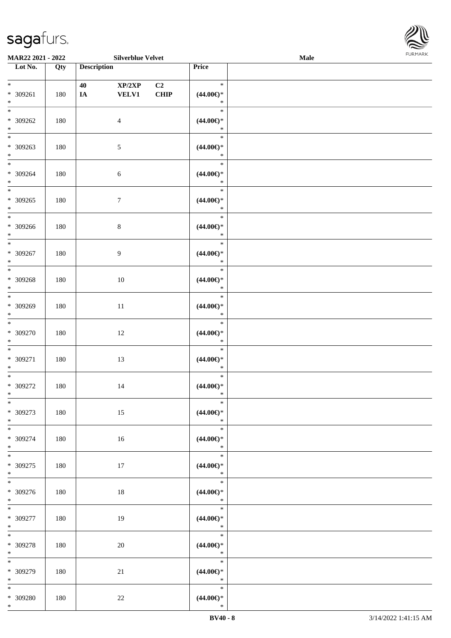

| MAR22 2021 - 2022                             |     |                    | <b>Silverblue Velvet</b> |            |                                                   | Male |  |
|-----------------------------------------------|-----|--------------------|--------------------------|------------|---------------------------------------------------|------|--|
| Lot No.                                       | Qty | <b>Description</b> |                          |            | Price                                             |      |  |
| $*$<br>* 309261<br>$*$                        | 180 | 40<br>IA           | XP/2XP<br><b>VELV1</b>   | C2<br>CHIP | $\ast$<br>$(44.00ε)$ *<br>$\ast$                  |      |  |
| $*$<br>* 309262<br>$*$                        | 180 |                    | $\overline{4}$           |            | $\ast$<br>$(44.00ε)$ *<br>$\ast$                  |      |  |
| $\overline{\phantom{0}}$<br>$* 309263$<br>$*$ | 180 |                    | $\sqrt{5}$               |            | $\ast$<br>$(44.00ε)$ *<br>$\ast$                  |      |  |
| $\overline{\phantom{0}}$<br>* 309264<br>$*$   | 180 |                    | $6\,$                    |            | $\ast$<br>$(44.00ε)$ *<br>$\ast$                  |      |  |
| $\overline{\phantom{0}}$<br>* 309265<br>$*$   | 180 |                    | $\boldsymbol{7}$         |            | $\ast$<br>$(44.00ε)$ *<br>$\ast$                  |      |  |
| $\overline{\phantom{0}}$<br>$* 309266$<br>$*$ | 180 |                    | $\,8\,$                  |            | $\ast$<br>$(44.00ε)$ *<br>$\ast$                  |      |  |
| $\ast$<br>$* 309267$<br>$*$<br>$*$            | 180 |                    | 9                        |            | $\ast$<br>$(44.00ε)$ *<br>$\ast$<br>$\ast$        |      |  |
| * 309268<br>$*$<br>$*$                        | 180 |                    | 10                       |            | $(44.00\epsilon)$ *<br>$\ast$                     |      |  |
| * 309269<br>$*$<br>$\overline{\phantom{0}}$   | 180 |                    | 11                       |            | $\ast$<br>$(44.00ε)$ *<br>$\ast$                  |      |  |
| $* 309270$<br>$*$                             | 180 |                    | 12                       |            | $\ast$<br>$(44.00ε)$ *<br>$\ast$                  |      |  |
| $*$<br>$* 309271$<br>$*$                      | 180 |                    | 13                       |            | $\ast$<br>$(44.00ε)$ *<br>$\ast$                  |      |  |
| $*$<br>$* 309272$<br>$*$<br>$\ast$            | 180 |                    | 14                       |            | $\ast$<br>$(44.00\epsilon)$ *<br>$\ast$<br>$\ast$ |      |  |
| * 309273<br>$*$<br>$*$                        | 180 |                    | 15                       |            | $(44.00ε)$ *<br>$\ast$<br>$\ast$                  |      |  |
| * 309274<br>$*$<br>$*$                        | 180 |                    | 16                       |            | $(44.00\epsilon)$ *<br>$\ast$<br>$\ast$           |      |  |
| $* 309275$<br>$*$                             | 180 |                    | 17                       |            | $(44.00ε)$ *<br>$\ast$<br>$\ast$                  |      |  |
| $* 309276$<br>$*$<br>$*$                      | 180 |                    | 18                       |            | $(44.00ε)$ *<br>$\ast$<br>$\ast$                  |      |  |
| $* 309277$<br>$*$<br>$*$                      | 180 |                    | 19                       |            | $(44.00\in)^\ast$<br>$\ast$<br>$\ast$             |      |  |
| $* 309278$<br>$*$<br>$*$                      | 180 |                    | $20\,$                   |            | $(44.00ε)$ *<br>$\ast$<br>$\ast$                  |      |  |
| $* 309279$<br>$*$<br>$*$                      | 180 |                    | 21                       |            | $(44.00ε)$ *<br>$\ast$<br>$\ast$                  |      |  |
| * 309280<br>$*$                               | 180 |                    | $22\,$                   |            | $(44.00ε)$ *<br>$\ast$                            |      |  |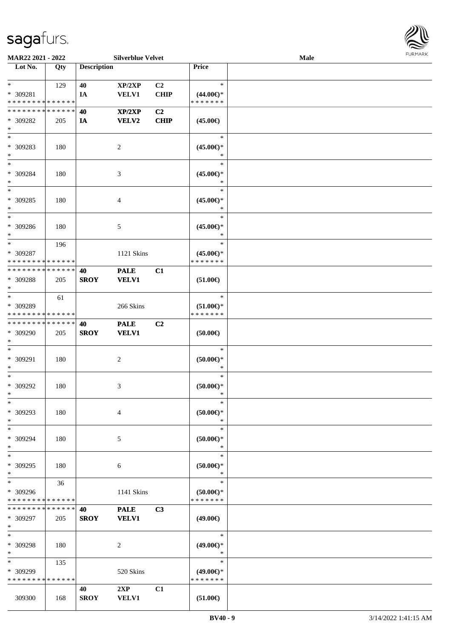

| MAR22 2021 - 2022           |             |                    | <b>Silverblue Velvet</b> |                |                        | Male |  |
|-----------------------------|-------------|--------------------|--------------------------|----------------|------------------------|------|--|
| Lot No.                     | Qty         | <b>Description</b> |                          |                | Price                  |      |  |
|                             |             |                    |                          |                |                        |      |  |
| $*$                         | 129         | 40                 | XP/2XP                   | C <sub>2</sub> | $\ast$                 |      |  |
| * 309281                    |             | IA                 | <b>VELV1</b>             | <b>CHIP</b>    | $(44.00\epsilon)$ *    |      |  |
| * * * * * * * * * * * * * * |             |                    |                          |                | * * * * * * *          |      |  |
| * * * * * * * * * * * * * * |             | 40                 | XP/2XP                   | C <sub>2</sub> |                        |      |  |
| * 309282                    | 205         | IA                 | <b>VELV2</b>             | <b>CHIP</b>    | $(45.00\epsilon)$      |      |  |
| $\ast$                      |             |                    |                          |                |                        |      |  |
| $\ast$                      |             |                    |                          |                | $\ast$                 |      |  |
| * 309283                    | 180         |                    | 2                        |                | $(45.00ε)$ *           |      |  |
| $\ast$                      |             |                    |                          |                | ∗                      |      |  |
| $*$                         |             |                    |                          |                | $\ast$                 |      |  |
| * 309284                    | 180         |                    | $\mathfrak{Z}$           |                | $(45.00\epsilon)$ *    |      |  |
| $\ast$                      |             |                    |                          |                | $\ast$                 |      |  |
| $\ast$                      |             |                    |                          |                | $\ast$                 |      |  |
| $* 309285$                  | 180         |                    | 4                        |                | $(45.00\epsilon)$ *    |      |  |
| $\ast$                      |             |                    |                          |                | $\ast$                 |      |  |
| $\ast$                      |             |                    |                          |                | $\ast$                 |      |  |
| $* 309286$                  | 180         |                    | 5                        |                | $(45.00\epsilon)$ *    |      |  |
| $*$                         |             |                    |                          |                | $\ast$                 |      |  |
| $\ast$                      | 196         |                    |                          |                | $\ast$                 |      |  |
| * 309287                    |             |                    | 1121 Skins               |                | $(45.00\epsilon)$ *    |      |  |
| * * * * * * * * * * * * * * |             |                    |                          |                | * * * * * * *          |      |  |
| * * * * * * * * * * * * * * |             | 40                 | <b>PALE</b>              | C1             |                        |      |  |
| * 309288                    | 205         | <b>SROY</b>        | <b>VELV1</b>             |                | $(51.00\epsilon)$      |      |  |
| $\ast$                      |             |                    |                          |                |                        |      |  |
| $*$                         | 61          |                    |                          |                | $\ast$                 |      |  |
| * 309289                    |             |                    | 266 Skins                |                | $(51.00\epsilon)$ *    |      |  |
| * * * * * * * * * * * * * * |             |                    |                          |                | * * * * * * *          |      |  |
| * * * * * * * * * * * * * * |             | 40                 | <b>PALE</b>              | C <sub>2</sub> |                        |      |  |
| * 309290                    | 205         | <b>SROY</b>        | <b>VELV1</b>             |                | (50.00)                |      |  |
| $*$                         |             |                    |                          |                |                        |      |  |
| $*$                         |             |                    |                          |                | $\ast$                 |      |  |
| * 309291                    | 180         |                    | $\boldsymbol{2}$         |                | $(50.00\in)^\ast$      |      |  |
| $\ast$                      |             |                    |                          |                | $\ast$                 |      |  |
| $*$                         |             |                    |                          |                | $\ast$                 |      |  |
| $* 309292$                  | 180         |                    | 3                        |                | $(50.00ε)$ *           |      |  |
| $*$                         |             |                    |                          |                | $\ast$                 |      |  |
| $\ast$                      |             |                    |                          |                | $\ast$                 |      |  |
| * 309293                    | 180         |                    | $\overline{4}$           |                | $(50.00ε)$ *           |      |  |
| $*$                         |             |                    |                          |                | $\ast$                 |      |  |
| $*$                         |             |                    |                          |                | $\ast$                 |      |  |
| * 309294<br>$*$             | 180         |                    | 5                        |                | $(50.00ε)$ *<br>$\ast$ |      |  |
| $*$                         |             |                    |                          |                | $\ast$                 |      |  |
| * 309295                    | 180         |                    | 6                        |                | $(50.00)$ *            |      |  |
| $*$                         |             |                    |                          |                | $\ast$                 |      |  |
| $*$                         | 36          |                    |                          |                | $\ast$                 |      |  |
| * 309296                    |             |                    | 1141 Skins               |                | $(50.00)$ *            |      |  |
| * * * * * * * * * * * * * * |             |                    |                          |                | * * * * * * *          |      |  |
| * * * * * * * * * * * * * * |             | 40                 | <b>PALE</b>              | C3             |                        |      |  |
| * 309297                    | 205         | <b>SROY</b>        | <b>VELV1</b>             |                | $(49.00\epsilon)$      |      |  |
| $*$                         |             |                    |                          |                |                        |      |  |
| $*$                         |             |                    |                          |                | $\ast$                 |      |  |
| * 309298                    | 180         |                    | 2                        |                | $(49.00\epsilon)$ *    |      |  |
| $*$                         |             |                    |                          |                | $\ast$                 |      |  |
| $*$                         | 135         |                    |                          |                | $\ast$                 |      |  |
| * 309299                    |             |                    | 520 Skins                |                | $(49.00\epsilon)$ *    |      |  |
| * * * * * * * *             | * * * * * * |                    |                          |                | * * * * * * *          |      |  |
|                             |             | 40                 | 2XP                      | C1             |                        |      |  |
| 309300                      | 168         | <b>SROY</b>        | <b>VELV1</b>             |                | $(51.00\epsilon)$      |      |  |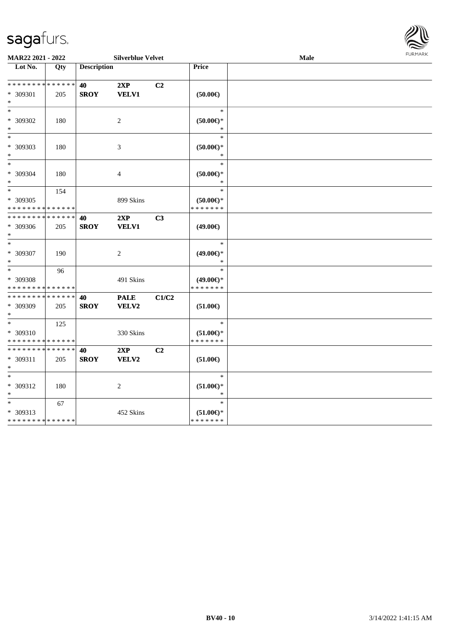

| MAR22 2021 - 2022<br><b>Silverblue Velvet</b>                  |     |                    |                      |                |                                                                         | Male | FURMARK |
|----------------------------------------------------------------|-----|--------------------|----------------------|----------------|-------------------------------------------------------------------------|------|---------|
| Lot No.                                                        | Qty | <b>Description</b> |                      |                | <b>Price</b>                                                            |      |         |
| * * * * * * * * <mark>* * * * * * *</mark><br>* 309301<br>$*$  | 205 | 40<br><b>SROY</b>  | 2XP<br><b>VELV1</b>  | C2             | $(50.00\epsilon)$                                                       |      |         |
| $*$<br>* 309302<br>$\ast$                                      | 180 |                    | $\overline{2}$       |                | $\ast$<br>$(50.00 \in )^*$<br>∗                                         |      |         |
| $*$<br>* 309303<br>$\ast$                                      | 180 |                    | 3                    |                | $\ast$<br>$(50.00ε)$ *<br>$\ast$                                        |      |         |
| $*$<br>* 309304<br>$*$                                         | 180 |                    | $\overline{4}$       |                | $\ast$<br>$(50.00ε)$ *<br>*                                             |      |         |
| $*$<br>* 309305<br>* * * * * * * * * * * * * *                 | 154 |                    | 899 Skins            |                | $\ast$<br>$(50.00 \in )^*$<br>* * * * * * *                             |      |         |
| * * * * * * * * <mark>* * * * * *</mark><br>* 309306<br>$\ast$ | 205 | 40<br><b>SROY</b>  | 2XP<br><b>VELV1</b>  | C <sub>3</sub> | (49.00€)                                                                |      |         |
| $*$<br>* 309307<br>$*$                                         | 190 |                    | 2                    |                | $\ast$<br>$(49.00\epsilon)$ *<br>*                                      |      |         |
| $*$<br>* 309308<br>* * * * * * * * * * * * * *                 | 96  |                    | 491 Skins            |                | $\ast$<br>$(49.00\epsilon)$ *<br>* * * * * * *                          |      |         |
| * * * * * * * * * * * * * *<br>* 309309<br>$*$                 | 205 | 40<br><b>SROY</b>  | <b>PALE</b><br>VELV2 | C1/C2          | $(51.00\epsilon)$                                                       |      |         |
| $*$<br>* 309310<br>* * * * * * * * * * * * * *                 | 125 |                    | 330 Skins            |                | $\ast$<br>$(51.00\epsilon)$ *<br>* * * * * * *                          |      |         |
| * * * * * * * * * * * * * *<br>* 309311<br>$\ast$              | 205 | 40<br><b>SROY</b>  | 2XP<br>VELV2         | C <sub>2</sub> | $(51.00\epsilon)$                                                       |      |         |
| $*$<br>* 309312<br>$\ast$                                      | 180 |                    | 2                    |                | $\ast$<br>$(51.00\mathnormal{\in }\mathcal{)^{\! \! \times}}$<br>$\ast$ |      |         |
| $*$<br>* 309313<br>* * * * * * * * * * * * * *                 | 67  |                    | 452 Skins            |                | $\ast$<br>$(51.00\epsilon)$ *<br>* * * * * * *                          |      |         |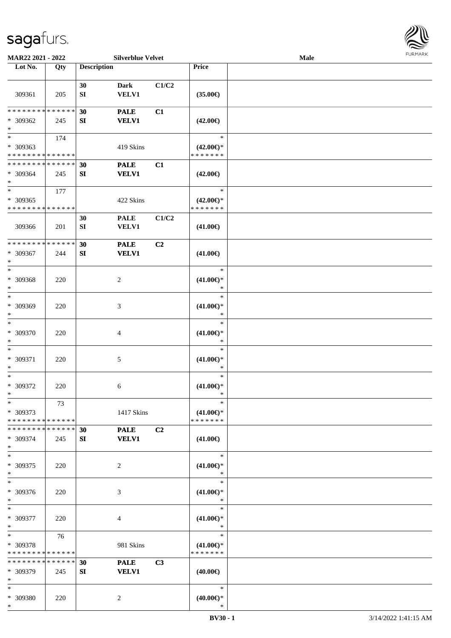

| MAR22 2021 - 2022                                                   |                    |                        | <b>Silverblue Velvet</b>    |                |                                                | <b>Male</b> |  |
|---------------------------------------------------------------------|--------------------|------------------------|-----------------------------|----------------|------------------------------------------------|-------------|--|
| Lot No.                                                             | Qty                | <b>Description</b>     |                             |                | Price                                          |             |  |
| 309361                                                              | 205                | 30<br>${\bf S}{\bf I}$ | <b>Dark</b><br><b>VELV1</b> | C1/C2          | $(35.00\epsilon)$                              |             |  |
| * * * * * * * * * * * * * *<br>* 309362<br>$\ast$                   | 245                | 30<br>SI               | <b>PALE</b><br><b>VELV1</b> | C1             | $(42.00\epsilon)$                              |             |  |
| $\overline{\phantom{0}}$<br>* 309363<br>* * * * * * * * * * * * * * | 174                |                        | 419 Skins                   |                | $\ast$<br>$(42.00\epsilon)$ *<br>* * * * * * * |             |  |
| * * * * * * * * * * * * * *<br>* 309364<br>$\ast$                   | 245                | 30<br>SI               | <b>PALE</b><br><b>VELV1</b> | C1             | $(42.00\epsilon)$                              |             |  |
| $\ast$<br>* 309365<br>* * * * * * * * * * * * * *                   | 177                |                        | 422 Skins                   |                | $\ast$<br>$(42.00\epsilon)$ *<br>* * * * * * * |             |  |
| 309366                                                              | 201                | 30<br>SI               | <b>PALE</b><br><b>VELV1</b> | C1/C2          | $(41.00\epsilon)$                              |             |  |
| * * * * * * * * * * * * * *<br>* 309367<br>$\ast$                   | 244                | 30<br>SI               | <b>PALE</b><br><b>VELV1</b> | C2             | $(41.00\epsilon)$                              |             |  |
| $\ast$<br>* 309368<br>$\ast$                                        | 220                |                        | $\sqrt{2}$                  |                | $\ast$<br>$(41.00\epsilon)$ *<br>$\ast$        |             |  |
| $\ast$<br>* 309369<br>$\ast$                                        | 220                |                        | 3                           |                | $\ast$<br>$(41.00\epsilon)$ *<br>$\ast$        |             |  |
| $\ast$<br>* 309370<br>$\ast$                                        | 220                |                        | $\overline{4}$              |                | $\ast$<br>$(41.00\epsilon)$ *<br>$\ast$        |             |  |
| $\ast$<br>$* 309371$<br>$\ast$                                      | 220                |                        | $5\,$                       |                | $\ast$<br>$(41.00\epsilon)$ *<br>$\ast$        |             |  |
| $\ast$<br>* 309372<br>$\ast$                                        | 220                |                        | 6                           |                | $\ast$<br>$(41.00\mathbb{E})^*$<br>$\ast$      |             |  |
| $*$<br>* 309373<br>* * * * * * * * * * * * * *                      | 73                 |                        | 1417 Skins                  |                | $\ast$<br>$(41.00\epsilon)$ *<br>* * * * * * * |             |  |
| * * * * * * * *<br>* 309374<br>$\ast$                               | * * * * * *<br>245 | 30<br>SI               | <b>PALE</b><br><b>VELV1</b> | C <sub>2</sub> | $(41.00\epsilon)$                              |             |  |
| $\ast$<br>$* 309375$<br>$\ast$                                      | 220                |                        | $\sqrt{2}$                  |                | $\ast$<br>$(41.00\epsilon)$ *<br>$\ast$        |             |  |
| $\ast$<br>* 309376<br>$\ast$                                        | 220                |                        | 3                           |                | $\ast$<br>$(41.00\epsilon)$ *<br>$\ast$        |             |  |
| $\ast$<br>* 309377<br>$\ast$                                        | 220                |                        | 4                           |                | $\ast$<br>$(41.00\epsilon)$ *<br>$\ast$        |             |  |
| $\ast$<br>* 309378<br>* * * * * * * * * * * * * *                   | 76                 |                        | 981 Skins                   |                | $\ast$<br>$(41.00\epsilon)$ *<br>* * * * * * * |             |  |
| * * * * * * * * <mark>* * * * * * *</mark><br>* 309379<br>$\ast$    | 245                | 30<br>SI               | <b>PALE</b><br><b>VELV1</b> | C3             | $(40.00\epsilon)$                              |             |  |
| $\ast$<br>* 309380<br>$*$                                           | 220                |                        | 2                           |                | $\ast$<br>$(40.00\epsilon)$ *<br>$\ast$        |             |  |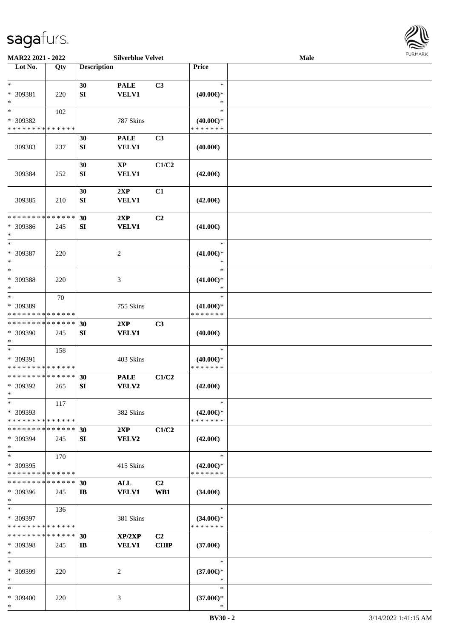

| MAR22 2021 - 2022                                                   |                    |                        | <b>Silverblue Velvet</b>      |                               |                                                | <b>FURMARK</b><br>Male |  |  |
|---------------------------------------------------------------------|--------------------|------------------------|-------------------------------|-------------------------------|------------------------------------------------|------------------------|--|--|
| Lot No.                                                             | Qty                | <b>Description</b>     |                               |                               | Price                                          |                        |  |  |
| $*$<br>* 309381<br>$\ast$                                           | 220                | 30<br>SI               | <b>PALE</b><br><b>VELV1</b>   | C3                            | $\ast$<br>$(40.00\epsilon)$ *<br>$\ast$        |                        |  |  |
| $\ast$<br>* 309382<br>* * * * * * * * * * * * * *                   | 102                |                        | 787 Skins                     |                               | $\ast$<br>$(40.00\epsilon)$ *<br>* * * * * * * |                        |  |  |
| 309383                                                              | 237                | 30<br>${\bf S}{\bf I}$ | <b>PALE</b><br>VELV1          | C3                            | $(40.00\epsilon)$                              |                        |  |  |
| 309384                                                              | 252                | 30<br>SI               | $\mathbf{XP}$<br><b>VELV1</b> | C1/C2                         | $(42.00\epsilon)$                              |                        |  |  |
| 309385                                                              | 210                | 30<br>SI               | 2XP<br><b>VELV1</b>           | C1                            | $(42.00\epsilon)$                              |                        |  |  |
| * * * * * * * *<br>* 309386<br>$\ast$                               | * * * * * *<br>245 | 30<br>SI               | 2XP<br><b>VELV1</b>           | C <sub>2</sub>                | $(41.00\epsilon)$                              |                        |  |  |
| $*$<br>* 309387<br>$\ast$                                           | 220                |                        | $\overline{c}$                |                               | $\ast$<br>$(41.00\epsilon)$ *<br>∗             |                        |  |  |
| $*$<br>* 309388<br>$\ast$                                           | 220                |                        | 3                             |                               | $\ast$<br>$(41.00\epsilon)$ *<br>$\ast$        |                        |  |  |
| $\overline{\phantom{0}}$<br>* 309389<br>* * * * * * * * * * * * * * | 70                 |                        | 755 Skins                     |                               | $\ast$<br>$(41.00\epsilon)$ *<br>* * * * * * * |                        |  |  |
| * * * * * * * * * * * * * *<br>* 309390<br>$\ast$                   | 245                | 30<br>SI               | 2XP<br><b>VELV1</b>           | C3                            | $(40.00\epsilon)$                              |                        |  |  |
| $\ast$<br>* 309391<br>* * * * * * * * * * * * * *                   | 158                |                        | 403 Skins                     |                               | $\ast$<br>$(40.00\epsilon)$ *<br>* * * * * * * |                        |  |  |
| * * * * * * * * * * * * * *<br>* 309392<br>$\ast$                   | 265                | 30<br>SI               | <b>PALE</b><br>VELV2          | C1/C2                         | $(42.00\epsilon)$                              |                        |  |  |
| $\ast$<br>* 309393<br>* * * * * * * * * * * * * *                   | 117                |                        | 382 Skins                     |                               | $\ast$<br>$(42.00\epsilon)$ *<br>* * * * * * * |                        |  |  |
| * * * * * * * * * * * * * *<br>* 309394<br>$\ast$                   | 245                | 30<br>SI               | 2XP<br><b>VELV2</b>           | C1/C2                         | $(42.00\epsilon)$                              |                        |  |  |
| $*$<br>* 309395<br>* * * * * * * * * * * * * *                      | 170                |                        | 415 Skins                     |                               | $\ast$<br>$(42.00\epsilon)$ *<br>* * * * * * * |                        |  |  |
| * * * * * * * * * * * * * *<br>* 309396<br>$*$                      | 245                | 30<br>$\mathbf{I}$     | <b>ALL</b><br><b>VELV1</b>    | C2<br>WB1                     | $(34.00\epsilon)$                              |                        |  |  |
| $\ast$<br>* 309397<br>* * * * * * * * * * * * * *                   | 136                |                        | 381 Skins                     |                               | $\ast$<br>$(34.00€)$ *<br>* * * * * * *        |                        |  |  |
| * * * * * * * *<br>* 309398<br>$*$                                  | ******<br>245      | 30<br>$\mathbf{I}$     | XP/2XP<br><b>VELV1</b>        | C <sub>2</sub><br><b>CHIP</b> | $(37.00\epsilon)$                              |                        |  |  |
| $\ast$<br>* 309399<br>$\ast$                                        | 220                |                        | 2                             |                               | $\ast$<br>$(37.00\epsilon)$ *<br>$\ast$        |                        |  |  |
| $*$<br>* 309400<br>$*$                                              | 220                |                        | 3                             |                               | ∗<br>$(37.00\epsilon)$ *<br>$\ast$             |                        |  |  |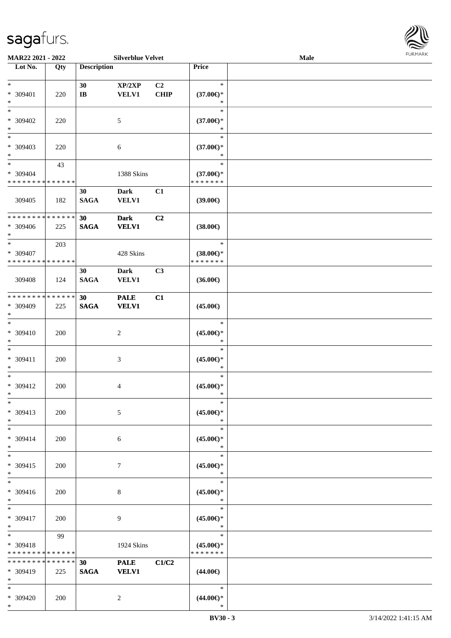

| MAR22 2021 - 2022                                    |                    |                    | <b>Silverblue Velvet</b>    |                   |                                                | <b>Male</b> |  |
|------------------------------------------------------|--------------------|--------------------|-----------------------------|-------------------|------------------------------------------------|-------------|--|
| Lot No.                                              | Qty                | <b>Description</b> |                             |                   | Price                                          |             |  |
| $\ast$<br>* 309401                                   | 220                | 30<br>$\bf I\bf B$ | XP/2XP<br><b>VELV1</b>      | C2<br><b>CHIP</b> | $\ast$<br>$(37.00\epsilon)$ *                  |             |  |
| $*$<br>$*$<br>$* 309402$<br>$\ast$                   | 220                |                    | 5                           |                   | ∗<br>$\ast$<br>$(37.00\epsilon)$ *<br>$\ast$   |             |  |
| $*$<br>* 309403<br>$\ast$                            | 220                |                    | 6                           |                   | $\ast$<br>$(37.00\epsilon)$ *<br>$\ast$        |             |  |
| $\ast$<br>* 309404<br>* * * * * * * * * * * * * *    | 43                 |                    | 1388 Skins                  |                   | $\ast$<br>$(37.00\epsilon)$ *<br>* * * * * * * |             |  |
| 309405                                               | 182                | 30<br><b>SAGA</b>  | <b>Dark</b><br><b>VELV1</b> | C1                | (39.00)                                        |             |  |
| * * * * * * * * * * * * * *<br>$* 309406$<br>$*$     | 225                | 30<br><b>SAGA</b>  | <b>Dark</b><br><b>VELV1</b> | C <sub>2</sub>    | $(38.00\epsilon)$                              |             |  |
| $\ast$<br>* 309407<br>* * * * * * * * * * * * * *    | 203                |                    | 428 Skins                   |                   | $\ast$<br>$(38.00\epsilon)$ *<br>* * * * * * * |             |  |
| 309408                                               | 124                | 30<br><b>SAGA</b>  | Dark<br><b>VELV1</b>        | C3                | $(36.00\epsilon)$                              |             |  |
| * * * * * * * * * * * * * *<br>* 309409<br>$*$       | 225                | 30<br><b>SAGA</b>  | <b>PALE</b><br><b>VELV1</b> | C1                | $(45.00\epsilon)$                              |             |  |
| $*$<br>$* 309410$<br>$*$                             | 200                |                    | $\overline{c}$              |                   | $\ast$<br>$(45.00\epsilon)$ *<br>$\ast$        |             |  |
| $\ast$<br>$* 309411$<br>$*$                          | 200                |                    | 3                           |                   | $\ast$<br>$(45.00\epsilon)$ *<br>$\ast$        |             |  |
| $*$<br>$* 309412$<br>$*$                             | 200                |                    | 4                           |                   | $\ast$<br>$(45.00\epsilon)$ *<br>$\ast$        |             |  |
| $*$<br>* 309413<br>$*$                               | 200                |                    | 5                           |                   | $\ast$<br>$(45.00\epsilon)$ *<br>$\ast$        |             |  |
| $*$<br>* 309414<br>$*$                               | 200                |                    | 6                           |                   | $\ast$<br>$(45.00\epsilon)$ *<br>$\ast$        |             |  |
| $*$<br>* 309415<br>$*$                               | 200                |                    | 7                           |                   | $\ast$<br>$(45.00\epsilon)$ *<br>$\ast$        |             |  |
| $*$<br>* 309416<br>$*$                               | 200                |                    | 8                           |                   | $\ast$<br>$(45.00\epsilon)$ *<br>$\ast$        |             |  |
| $*$<br>$* 309417$<br>$*$                             | 200                |                    | 9                           |                   | $\ast$<br>$(45.00\epsilon)$ *<br>$\ast$        |             |  |
| $*$ $*$<br>$* 309418$<br>* * * * * * * * * * * * * * | 99                 |                    | 1924 Skins                  |                   | $\ast$<br>$(45.00\epsilon)$ *<br>* * * * * * * |             |  |
| * * * * * * * *<br>* 309419<br>$\ast$                | * * * * * *<br>225 | 30<br><b>SAGA</b>  | <b>PALE</b><br><b>VELV1</b> | C1/C2             | $(44.00\epsilon)$                              |             |  |
| $*$<br>* 309420<br>$*$                               | 200                |                    | $\overline{c}$              |                   | $\ast$<br>$(44.00\epsilon)$ *<br>$\ast$        |             |  |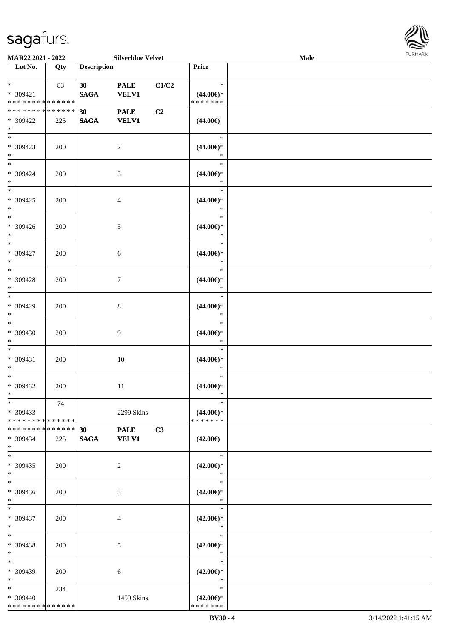

| MAR22 2021 - 2022                                                              |     |                                | <b>Silverblue Velvet</b>    |       |                                                | <b>Male</b> |  |
|--------------------------------------------------------------------------------|-----|--------------------------------|-----------------------------|-------|------------------------------------------------|-------------|--|
| Lot No.                                                                        | Qty | <b>Description</b>             |                             |       | Price                                          |             |  |
| $*$<br>$* 309421$<br>* * * * * * * * * * * * * *                               | 83  | 30 <sub>1</sub><br><b>SAGA</b> | <b>PALE</b><br><b>VELV1</b> | C1/C2 | $\ast$<br>$(44.00\epsilon)$ *<br>* * * * * * * |             |  |
| * * * * * * * * * * * * * *<br>* 309422<br>$\ast$                              | 225 | 30 <sub>o</sub><br><b>SAGA</b> | <b>PALE</b><br><b>VELV1</b> | C2    | $(44.00\epsilon)$                              |             |  |
| $\overline{\phantom{0}}$<br>* 309423<br>$*$                                    | 200 |                                | $\sqrt{2}$                  |       | $\ast$<br>$(44.00\epsilon)$ *<br>$\ast$        |             |  |
| $\overline{\phantom{a}^*}$<br>$* 309424$<br>$\ast$<br>$\overline{\phantom{0}}$ | 200 |                                | $\mathfrak{Z}$              |       | $\ast$<br>$(44.00ε)$ *<br>$\ast$               |             |  |
| $* 309425$<br>$\ast$<br>$\overline{\phantom{a}^*}$                             | 200 |                                | $\overline{4}$              |       | $\ast$<br>$(44.00ε)$ *<br>$\ast$               |             |  |
| * 309426<br>$\ast$                                                             | 200 |                                | $\mathfrak{S}$              |       | $\ast$<br>$(44.00\epsilon)$ *<br>$\ast$        |             |  |
| $\ast$<br>$* 309427$<br>$\ast$<br>$*$                                          | 200 |                                | $6\,$                       |       | $\ast$<br>$(44.00\epsilon)$ *<br>$\ast$        |             |  |
| $* 309428$<br>$\ast$<br>$\overline{\ast}$                                      | 200 |                                | $\tau$                      |       | $\ast$<br>$(44.00\epsilon)$ *<br>$\ast$        |             |  |
| * 309429<br>$*$<br>$\overline{\ast}$                                           | 200 |                                | $\,8\,$                     |       | $\ast$<br>$(44.00ε)$ *<br>$\ast$               |             |  |
| $* 309430$<br>$\ast$                                                           | 200 |                                | $\overline{9}$              |       | $\ast$<br>$(44.00\epsilon)$ *<br>$\ast$        |             |  |
| $\ast$<br>$* 309431$<br>$\ast$                                                 | 200 |                                | $10\,$                      |       | $\ast$<br>$(44.00ε)$ *<br>$\ast$               |             |  |
| $\ast$<br>$* 309432$<br>$*$                                                    | 200 |                                | $11\,$                      |       | $\ast$<br>$(44.00ε)$ *<br>$\ast$               |             |  |
| $*$<br>* 309433<br>* * * * * * * * * * * * * *                                 | 74  |                                | 2299 Skins                  |       | $\ast$<br>$(44.00\epsilon)$ *<br>* * * * * * * |             |  |
| * * * * * * * * * * * * * * *<br>* 309434<br>$*$<br>$\overline{\ast}$          | 225 | 30 <sub>o</sub><br><b>SAGA</b> | <b>PALE</b><br><b>VELV1</b> | C3    | $(42.00\epsilon)$                              |             |  |
| $* 309435$<br>$*$                                                              | 200 |                                | $\overline{2}$              |       | $\ast$<br>$(42.00\epsilon)$ *<br>$\ast$        |             |  |
| $\ast$<br>* 309436<br>$*$                                                      | 200 |                                | 3                           |       | $\ast$<br>$(42.00\epsilon)$ *<br>$\ast$        |             |  |
| $*$<br>* 309437<br>$*$                                                         | 200 |                                | $\overline{4}$              |       | $\ast$<br>$(42.00\epsilon)$ *<br>$\ast$        |             |  |
| $\ast$<br>* 309438<br>$*$                                                      | 200 |                                | $\mathfrak{S}$              |       | $\ast$<br>$(42.00\epsilon)$ *<br>$\ast$        |             |  |
| $*$<br>* 309439<br>$*$                                                         | 200 |                                | 6                           |       | $\ast$<br>$(42.00\epsilon)$ *<br>$\ast$        |             |  |
| $*$<br>* 309440<br>* * * * * * * * * * * * * *                                 | 234 |                                | 1459 Skins                  |       | $\ast$<br>$(42.00\epsilon)$ *<br>* * * * * * * |             |  |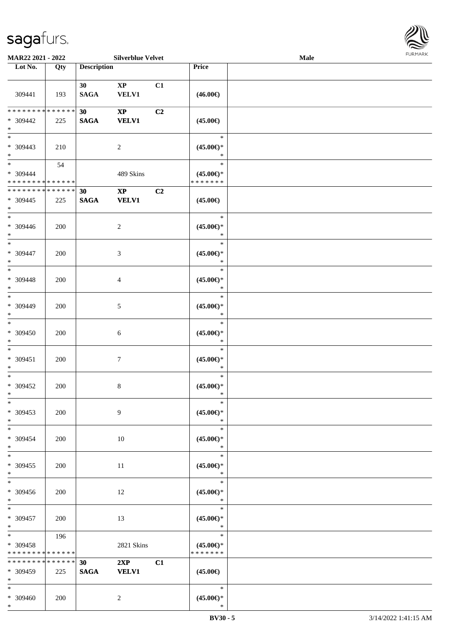

| MAR22 2021 - 2022                                              |                   |                    | <b>Silverblue Velvet</b>               |    |                                                | <b>Male</b> |  |
|----------------------------------------------------------------|-------------------|--------------------|----------------------------------------|----|------------------------------------------------|-------------|--|
| Lot No.                                                        | $\overline{Q}$ ty | <b>Description</b> |                                        |    | Price                                          |             |  |
| 309441                                                         | 193               | 30<br><b>SAGA</b>  | $\mathbf{X}\mathbf{P}$<br><b>VELV1</b> | C1 | $(46.00\epsilon)$                              |             |  |
| ******** <mark>******</mark><br>* 309442<br>$\ast$             | 225               | 30<br><b>SAGA</b>  | $\mathbf{X}\mathbf{P}$<br><b>VELV1</b> | C2 | $(45.00\epsilon)$                              |             |  |
| $\overline{\phantom{0}}$<br>$* 309443$<br>$\ast$               | 210               |                    | $\sqrt{2}$                             |    | $\ast$<br>$(45.00ε)$ *<br>$\ast$               |             |  |
| $\overline{\ast}$<br>$* 309444$<br>* * * * * * * * * * * * * * | 54                |                    | 489 Skins                              |    | $\ast$<br>$(45.00\epsilon)$ *<br>* * * * * * * |             |  |
| * * * * * * * * * * * * * *<br>$* 309445$<br>$\ast$            | 225               | 30<br><b>SAGA</b>  | $\mathbf{X}\mathbf{P}$<br><b>VELV1</b> | C2 | $(45.00\epsilon)$                              |             |  |
| $\overline{\phantom{a}^*}$<br>$* 309446$<br>$\ast$             | 200               |                    | $\sqrt{2}$                             |    | $\ast$<br>$(45.00\epsilon)$ *<br>$\ast$        |             |  |
| $\ast$<br>$* 309447$<br>$\ast$                                 | 200               |                    | 3                                      |    | $\ast$<br>$(45.00\epsilon)$ *<br>$\ast$        |             |  |
| $\ast$<br>$* 309448$<br>$\ast$                                 | 200               |                    | $\overline{4}$                         |    | $\ast$<br>$(45.00\epsilon)$ *<br>$\ast$        |             |  |
| $\overline{\phantom{a}^*}$<br>* 309449<br>$\ast$               | 200               |                    | $5\,$                                  |    | $\ast$<br>$(45.00ε)$ *<br>$\ast$               |             |  |
| $\overline{\phantom{1}}$<br>$* 309450$<br>$\ast$               | 200               |                    | $\sqrt{6}$                             |    | $\ast$<br>$(45.00\epsilon)$ *<br>$\ast$        |             |  |
| $\ast$<br>$* 309451$<br>$\ast$                                 | 200               |                    | $\boldsymbol{7}$                       |    | $\ast$<br>$(45.00\epsilon)$ *<br>$\ast$        |             |  |
| $\ast$<br>$* 309452$<br>$*$                                    | 200               |                    | $8\,$                                  |    | $\ast$<br>$(45.00ε)$ *<br>$\ast$               |             |  |
| $*$<br>$* 309453$<br>$*$                                       | 200               |                    | 9                                      |    | $\ast$<br>$(45.00\epsilon)$ *<br>$\ast$        |             |  |
| $*$<br>* 309454<br>$*$                                         | 200               |                    | 10                                     |    | $\ast$<br>$(45.00\epsilon)$ *<br>$\ast$        |             |  |
| $\overline{\phantom{0}}$<br>$* 309455$<br>$*$                  | 200               |                    | 11                                     |    | $\ast$<br>$(45.00\epsilon)$ *<br>$\ast$        |             |  |
| $*$<br>$* 309456$<br>$*$                                       | 200               |                    | 12                                     |    | $\ast$<br>$(45.00\epsilon)$ *<br>$\ast$        |             |  |
| $*$<br>* 309457<br>$*$                                         | 200               |                    | 13                                     |    | $\ast$<br>$(45.00\epsilon)$ *<br>$\ast$        |             |  |
| $*$<br>* 309458<br>* * * * * * * * * * * * * *                 | 196               |                    | 2821 Skins                             |    | $\ast$<br>$(45.00\epsilon)$ *<br>* * * * * * * |             |  |
| ******** <mark>******</mark><br>* 309459<br>$*$                | 225               | 30<br><b>SAGA</b>  | 2XP<br><b>VELV1</b>                    | C1 | $(45.00\epsilon)$                              |             |  |
| $*$<br>* 309460                                                | 200               |                    | $\overline{2}$                         |    | $\ast$<br>$(45.00ε)$ *                         |             |  |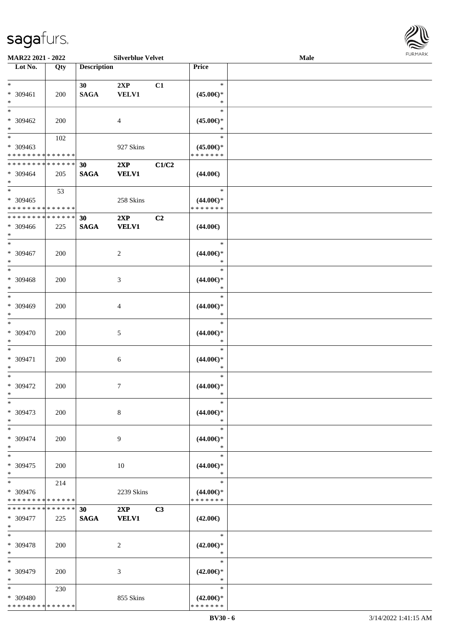

| MAR22 2021 - 2022             |             |                    | <b>Silverblue Velvet</b> |                |                     | Male |  |
|-------------------------------|-------------|--------------------|--------------------------|----------------|---------------------|------|--|
| Lot No.                       | Qty         | <b>Description</b> |                          |                | Price               |      |  |
|                               |             |                    |                          |                |                     |      |  |
| $*$                           |             | 30                 | 2XP                      | C1             | $\ast$              |      |  |
|                               |             |                    |                          |                |                     |      |  |
| * 309461                      | 200         | <b>SAGA</b>        | <b>VELV1</b>             |                | $(45.00\epsilon)$ * |      |  |
| $\ast$                        |             |                    |                          |                | ∗                   |      |  |
| $*$                           |             |                    |                          |                | $\ast$              |      |  |
| * 309462                      | 200         |                    | 4                        |                | $(45.00\epsilon)$ * |      |  |
| $\ast$                        |             |                    |                          |                | *                   |      |  |
|                               |             |                    |                          |                |                     |      |  |
| $\overline{\phantom{0}}$      | 102         |                    |                          |                | $\ast$              |      |  |
| * 309463                      |             |                    | 927 Skins                |                | $(45.00\epsilon)$ * |      |  |
| * * * * * * * * * * * * * *   |             |                    |                          |                | * * * * * * *       |      |  |
| * * * * * * * * * * * * * *   |             | 30                 | 2XP                      | C1/C2          |                     |      |  |
|                               |             |                    |                          |                |                     |      |  |
| * 309464                      | 205         | <b>SAGA</b>        | <b>VELV1</b>             |                | $(44.00\epsilon)$   |      |  |
| $*$                           |             |                    |                          |                |                     |      |  |
| $*$                           | 53          |                    |                          |                | $\ast$              |      |  |
| $* 309465$                    |             |                    | 258 Skins                |                | $(44.00\epsilon)$ * |      |  |
|                               |             |                    |                          |                |                     |      |  |
| * * * * * * * * * * * * * *   |             |                    |                          |                | * * * * * * *       |      |  |
| * * * * * * * *               | * * * * * * | 30                 | 2XP                      | C2             |                     |      |  |
| * 309466                      | 225         | <b>SAGA</b>        | <b>VELV1</b>             |                | $(44.00\epsilon)$   |      |  |
| $*$                           |             |                    |                          |                |                     |      |  |
|                               |             |                    |                          |                |                     |      |  |
| $\ast$                        |             |                    |                          |                | $\ast$              |      |  |
| $* 309467$                    | 200         |                    | 2                        |                | $(44.00\epsilon)$ * |      |  |
| $\ast$                        |             |                    |                          |                | $\ast$              |      |  |
| $*$                           |             |                    |                          |                | $\ast$              |      |  |
|                               |             |                    |                          |                |                     |      |  |
| * 309468                      | 200         |                    | 3                        |                | $(44.00\epsilon)$ * |      |  |
| $\ast$                        |             |                    |                          |                | $\ast$              |      |  |
| $*$                           |             |                    |                          |                | $\ast$              |      |  |
|                               |             |                    |                          |                |                     |      |  |
| * 309469                      | 200         |                    | 4                        |                | $(44.00\epsilon)$ * |      |  |
| $*$                           |             |                    |                          |                | *                   |      |  |
| $\ast$                        |             |                    |                          |                | $\ast$              |      |  |
| $* 309470$                    | 200         |                    | 5                        |                | $(44.00ε)$ *        |      |  |
| $*$                           |             |                    |                          |                | $\ast$              |      |  |
|                               |             |                    |                          |                |                     |      |  |
| $*$                           |             |                    |                          |                | $\ast$              |      |  |
| * 309471                      | 200         |                    | 6                        |                | $(44.00ε)$ *        |      |  |
| $\ast$                        |             |                    |                          |                | $\ast$              |      |  |
| $*$                           |             |                    |                          |                | $\ast$              |      |  |
|                               |             |                    |                          |                |                     |      |  |
| $* 309472$                    | 200         |                    | $\overline{7}$           |                | $(44.00ε)$ *        |      |  |
| $*$                           |             |                    |                          |                | $\ast$              |      |  |
| $\ast$                        |             |                    |                          |                | $\ast$              |      |  |
|                               |             |                    |                          |                |                     |      |  |
| * 309473                      | 200         |                    | 8                        |                | $(44.00\epsilon)$ * |      |  |
| $*$                           |             |                    |                          |                | $\ast$              |      |  |
| $*$                           |             |                    |                          |                | $\ast$              |      |  |
| * 309474                      | 200         |                    | 9                        |                | $(44.00\epsilon)$ * |      |  |
| $*$                           |             |                    |                          |                | $\ast$              |      |  |
|                               |             |                    |                          |                |                     |      |  |
| $*$                           |             |                    |                          |                | $\ast$              |      |  |
| * 309475                      | 200         |                    | 10                       |                | $(44.00\epsilon)$ * |      |  |
| $*$                           |             |                    |                          |                | $\ast$              |      |  |
| $*$                           |             |                    |                          |                | $\ast$              |      |  |
|                               | 214         |                    |                          |                |                     |      |  |
| * 309476                      |             |                    | 2239 Skins               |                | $(44.00\epsilon)$ * |      |  |
| * * * * * * * *               | * * * * * * |                    |                          |                | * * * * * * *       |      |  |
| * * * * * * * * * * * * * * * |             | 30                 | 2XP                      | C <sub>3</sub> |                     |      |  |
|                               |             |                    |                          |                |                     |      |  |
| * 309477                      | 225         | <b>SAGA</b>        | <b>VELV1</b>             |                | $(42.00\epsilon)$   |      |  |
| $*$                           |             |                    |                          |                |                     |      |  |
| $*$                           |             |                    |                          |                | $\ast$              |      |  |
| * 309478                      | 200         |                    | 2                        |                | $(42.00\epsilon)$ * |      |  |
| $*$                           |             |                    |                          |                | $\ast$              |      |  |
|                               |             |                    |                          |                |                     |      |  |
| $*$                           |             |                    |                          |                | $\ast$              |      |  |
| * 309479                      | 200         |                    | 3                        |                | $(42.00\epsilon)$ * |      |  |
| $*$                           |             |                    |                          |                | $\ast$              |      |  |
| $*$                           | 230         |                    |                          |                | $\ast$              |      |  |
|                               |             |                    |                          |                |                     |      |  |
| * 309480                      |             |                    | 855 Skins                |                | $(42.00\epsilon)$ * |      |  |
| * * * * * * * * * * * * * *   |             |                    |                          |                | * * * * * * *       |      |  |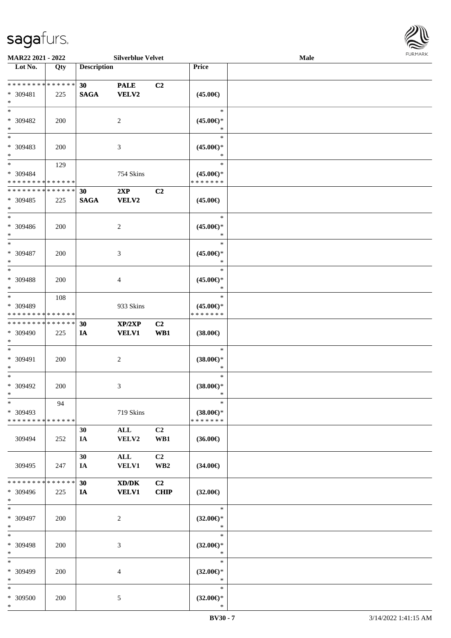

| <b>MAR22 2021 - 2022</b>      |             |                    | <b>Silverblue Velvet</b> |                 |                     | <b>Male</b> |  |
|-------------------------------|-------------|--------------------|--------------------------|-----------------|---------------------|-------------|--|
| Lot No.                       | Qty         | <b>Description</b> |                          |                 | Price               |             |  |
|                               |             |                    |                          |                 |                     |             |  |
| ******** <mark>******</mark>  |             | 30                 | <b>PALE</b>              | C <sub>2</sub>  |                     |             |  |
| * 309481                      | 225         | <b>SAGA</b>        | VELV2                    |                 | $(45.00\epsilon)$   |             |  |
| $*$                           |             |                    |                          |                 |                     |             |  |
| $*$                           |             |                    |                          |                 | $\ast$              |             |  |
|                               |             |                    |                          |                 |                     |             |  |
| * 309482                      | 200         |                    | 2                        |                 | $(45.00\epsilon)$ * |             |  |
| $*$                           |             |                    |                          |                 | $\ast$              |             |  |
| $*$                           |             |                    |                          |                 | $\ast$              |             |  |
| * 309483                      | 200         |                    | 3                        |                 | $(45.00\epsilon)$ * |             |  |
| $*$                           |             |                    |                          |                 | $\ast$              |             |  |
| $*$                           | 129         |                    |                          |                 | $\ast$              |             |  |
|                               |             |                    |                          |                 |                     |             |  |
| * 309484                      |             |                    | 754 Skins                |                 | $(45.00\epsilon)$ * |             |  |
| * * * * * * * * * * * * * *   |             |                    |                          |                 | * * * * * * *       |             |  |
| * * * * * * * * * * * * * *   |             | 30                 | 2XP                      | C2              |                     |             |  |
| * 309485                      | 225         | <b>SAGA</b>        | VELV2                    |                 | $(45.00\epsilon)$   |             |  |
| $\ast$                        |             |                    |                          |                 |                     |             |  |
| $*$                           |             |                    |                          |                 | $\ast$              |             |  |
| * 309486                      | 200         |                    | 2                        |                 | $(45.00\epsilon)$ * |             |  |
| $*$                           |             |                    |                          |                 | $\ast$              |             |  |
| $*$                           |             |                    |                          |                 | $\ast$              |             |  |
|                               |             |                    |                          |                 |                     |             |  |
| * 309487                      | 200         |                    | 3                        |                 | $(45.00\epsilon)$ * |             |  |
| $*$                           |             |                    |                          |                 | $\ast$              |             |  |
| $*$                           |             |                    |                          |                 | $\ast$              |             |  |
| $* 309488$                    | 200         |                    | 4                        |                 | $(45.00\epsilon)$ * |             |  |
| $*$                           |             |                    |                          |                 | $\ast$              |             |  |
| $*$                           | 108         |                    |                          |                 | $\ast$              |             |  |
|                               |             |                    |                          |                 |                     |             |  |
| * 309489                      |             |                    | 933 Skins                |                 | $(45.00\epsilon)$ * |             |  |
| * * * * * * * * * * * * * *   |             |                    |                          |                 | * * * * * * *       |             |  |
| * * * * * * * * * * * * * * * |             | 30                 | XP/2XP                   | C <sub>2</sub>  |                     |             |  |
| * 309490                      | 225         | IA                 | <b>VELV1</b>             | WB1             | $(38.00\epsilon)$   |             |  |
| $*$                           |             |                    |                          |                 |                     |             |  |
| $*$                           |             |                    |                          |                 | $\ast$              |             |  |
| * 309491                      | 200         |                    |                          |                 | $(38.00\epsilon)$ * |             |  |
|                               |             |                    | $\overline{c}$           |                 | $\ast$              |             |  |
| $*$                           |             |                    |                          |                 |                     |             |  |
| $*$                           |             |                    |                          |                 | $\ast$              |             |  |
| * 309492                      | 200         |                    | 3                        |                 | $(38.00\epsilon)$ * |             |  |
| $*$                           |             |                    |                          |                 | $\ast$              |             |  |
| $\ast$                        | 94          |                    |                          |                 | $\ast$              |             |  |
| * 309493                      |             |                    | 719 Skins                |                 | $(38.00\epsilon)$ * |             |  |
| * * * * * * * * * * * * * * * |             |                    |                          |                 | * * * * * * *       |             |  |
|                               |             |                    |                          | C2              |                     |             |  |
|                               |             | 30                 | ALL                      |                 |                     |             |  |
| 309494                        | 252         | IA                 | VELV2                    | WB1             | $(36.00\epsilon)$   |             |  |
|                               |             |                    |                          |                 |                     |             |  |
|                               |             | 30                 | ALL                      | C <sub>2</sub>  |                     |             |  |
| 309495                        | 247         | IA                 | <b>VELV1</b>             | WB <sub>2</sub> | $(34.00\epsilon)$   |             |  |
|                               |             |                    |                          |                 |                     |             |  |
| * * * * * * * *               | * * * * * * | 30                 | XD/DK                    | C2              |                     |             |  |
| * 309496                      | 225         | IA                 | <b>VELV1</b>             | <b>CHIP</b>     | $(32.00\epsilon)$   |             |  |
| $*$                           |             |                    |                          |                 |                     |             |  |
|                               |             |                    |                          |                 |                     |             |  |
| $*$                           |             |                    |                          |                 | $\ast$              |             |  |
| * 309497                      | 200         |                    | $\overline{2}$           |                 | $(32.00\epsilon)$ * |             |  |
| $*$                           |             |                    |                          |                 | $\ast$              |             |  |
| $*$                           |             |                    |                          |                 | $\ast$              |             |  |
| * 309498                      | 200         |                    | 3                        |                 | $(32.00\epsilon)$ * |             |  |
| $*$                           |             |                    |                          |                 | $\ast$              |             |  |
|                               |             |                    |                          |                 | $\ast$              |             |  |
| $*$                           |             |                    |                          |                 |                     |             |  |
| * 309499                      | 200         |                    | 4                        |                 | $(32.00\epsilon)$ * |             |  |
| $*$                           |             |                    |                          |                 | $\ast$              |             |  |
| $\ast$                        |             |                    |                          |                 | $\ast$              |             |  |
| * 309500                      | 200         |                    | 5                        |                 | $(32.00\epsilon)$ * |             |  |
| $\ast$                        |             |                    |                          |                 | $\ast$              |             |  |
|                               |             |                    |                          |                 |                     |             |  |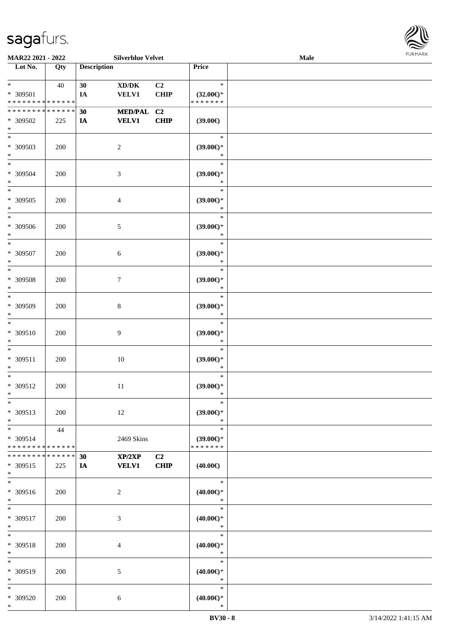

| MAR22 2021 - 2022                                 |                    |                    | <b>Silverblue Velvet</b>                            |                        |                                                | Male |  |
|---------------------------------------------------|--------------------|--------------------|-----------------------------------------------------|------------------------|------------------------------------------------|------|--|
| Lot No.                                           | Qty                | <b>Description</b> |                                                     |                        | <b>Price</b>                                   |      |  |
| $\ast$<br>* 309501<br>* * * * * * * * * * * * * * | 40                 | 30<br>IA           | $\bold{X}\bold{D}/\bold{D}\bold{K}$<br><b>VELV1</b> | C2<br>CHIP             | $\ast$<br>$(32.00\epsilon)$ *<br>* * * * * * * |      |  |
| * * * * * * * * * * * * * *<br>* 309502<br>$\ast$ | 225                | 30<br>IA           | <b>MED/PAL</b><br><b>VELV1</b>                      | C <sub>2</sub><br>CHIP | (39.00)                                        |      |  |
| $\overline{\ast}$<br>* 309503<br>$\ast$           | 200                |                    | $\overline{2}$                                      |                        | $\ast$<br>(39.00)<br>$\ast$                    |      |  |
| $\ast$<br>* 309504<br>$\ast$                      | 200                |                    | $\mathfrak{Z}$                                      |                        | $\ast$<br>(39.00)<br>$\ast$                    |      |  |
| $\ast$<br>$* 309505$<br>$\ast$                    | 200                |                    | $\overline{4}$                                      |                        | $\ast$<br>(39.00)<br>$\ast$                    |      |  |
| $\ast$<br>$* 309506$<br>$\ast$                    | 200                |                    | $5\,$                                               |                        | $\ast$<br>(39.00)<br>$\ast$                    |      |  |
| $\ast$<br>$* 309507$<br>$\ast$                    | 200                |                    | $\sqrt{6}$                                          |                        | $\ast$<br>$(39.00\epsilon)$ *<br>$\ast$        |      |  |
| $\ast$<br>$* 309508$<br>$\ast$                    | 200                |                    | $\boldsymbol{7}$                                    |                        | $\ast$<br>$(39.00\epsilon)$ *<br>$\ast$        |      |  |
| $\ast$<br>* 309509<br>$\ast$                      | 200                |                    | $8\,$                                               |                        | $\ast$<br>(39.00)<br>$\ast$                    |      |  |
| $\ast$<br>* 309510<br>$\ast$                      | 200                |                    | $\overline{9}$                                      |                        | $\ast$<br>$(39.00\epsilon)$ *<br>$\ast$        |      |  |
| $\ast$<br>$* 309511$<br>$\ast$                    | 200                |                    | $10\,$                                              |                        | $\ast$<br>(39.00)<br>$\ast$                    |      |  |
| $\ast$<br>* 309512<br>$*$                         | 200                |                    | $11\,$                                              |                        | $\ast$<br>(39.00)<br>$\ast$                    |      |  |
| $\ast$<br>* 309513<br>$\ast$                      | 200                |                    | 12                                                  |                        | $\ast$<br>$(39.00\epsilon)$ *<br>$\ast$        |      |  |
| $*$<br>* 309514<br>* * * * * * * * * * * * * *    | 44                 |                    | 2469 Skins                                          |                        | $\ast$<br>$(39.00\epsilon)$ *<br>* * * * * * * |      |  |
| * * * * * * * *<br>* 309515<br>$*$                | * * * * * *<br>225 | 30<br><b>IA</b>    | XP/2XP<br><b>VELV1</b>                              | C2<br>CHIP             | $(40.00\epsilon)$                              |      |  |
| $\ast$<br>* 309516<br>$*$                         | 200                |                    | $\overline{c}$                                      |                        | $\ast$<br>$(40.00\epsilon)$ *<br>$\ast$        |      |  |
| $*$<br>* 309517<br>$*$                            | 200                |                    | 3                                                   |                        | $\ast$<br>$(40.00\epsilon)$ *<br>$\ast$        |      |  |
| $\ast$<br>* 309518<br>$\ast$                      | 200                |                    | 4                                                   |                        | $\ast$<br>$(40.00\epsilon)$ *<br>$\ast$        |      |  |
| $\ast$<br>* 309519<br>$*$                         | 200                |                    | 5                                                   |                        | $\ast$<br>$(40.00\epsilon)$ *<br>$\ast$        |      |  |
| $*$<br>* 309520<br>$*$                            | 200                |                    | 6                                                   |                        | $\ast$<br>$(40.00\epsilon)$ *<br>$\ast$        |      |  |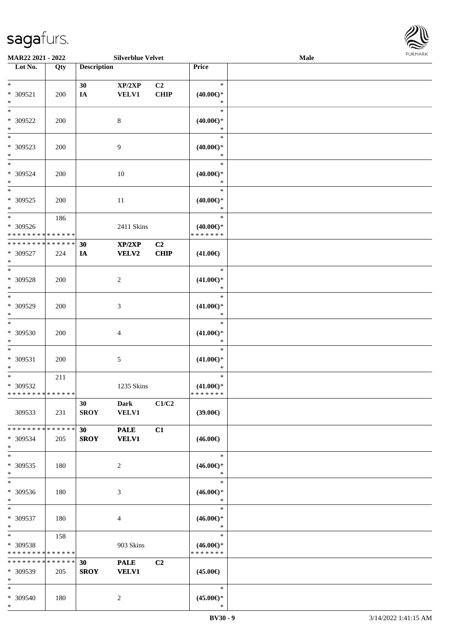

| <b>MAR22 2021 - 2022</b>      |     |                    | <b>Silverblue Velvet</b> |                |                     | Male |  |
|-------------------------------|-----|--------------------|--------------------------|----------------|---------------------|------|--|
| Lot No.                       | Qty | <b>Description</b> |                          |                | Price               |      |  |
|                               |     |                    |                          |                |                     |      |  |
| $*$                           |     | 30                 | XP/2XP                   | C <sub>2</sub> | $\ast$              |      |  |
| * 309521                      | 200 | IA                 | VELV1                    | <b>CHIP</b>    | $(40.00\epsilon)$ * |      |  |
| $*$                           |     |                    |                          |                | $\ast$              |      |  |
| $*$                           |     |                    |                          |                | $\ast$              |      |  |
| * 309522                      | 200 |                    | 8                        |                | $(40.00\epsilon)$ * |      |  |
| $*$                           |     |                    |                          |                | $\ast$              |      |  |
|                               |     |                    |                          |                | $\ast$              |      |  |
| * 309523                      | 200 |                    | 9                        |                | $(40.00\epsilon)$ * |      |  |
| $*$                           |     |                    |                          |                | $\ast$              |      |  |
| $*$                           |     |                    |                          |                | $\ast$              |      |  |
| * 309524                      | 200 |                    | 10                       |                | $(40.00\epsilon)$ * |      |  |
| $*$                           |     |                    |                          |                | $\ast$              |      |  |
| $\overline{\phantom{0}}$      |     |                    |                          |                | $\ast$              |      |  |
| * 309525                      | 200 |                    | 11                       |                | $(40.00\epsilon)$ * |      |  |
| $*$                           |     |                    |                          |                | $\ast$              |      |  |
| $\ast$                        | 186 |                    |                          |                | $\ast$              |      |  |
| * 309526                      |     |                    | 2411 Skins               |                | $(40.00\epsilon)$ * |      |  |
| * * * * * * * * * * * * * *   |     |                    |                          |                | * * * * * * *       |      |  |
| * * * * * * * * * * * * * *   |     | 30                 | XP/2XP                   | C <sub>2</sub> |                     |      |  |
| * 309527                      | 224 | IA                 | VELV2                    | CHIP           | $(41.00\epsilon)$   |      |  |
| $*$                           |     |                    |                          |                |                     |      |  |
| $*$                           |     |                    |                          |                | $\ast$              |      |  |
| * 309528                      | 200 |                    | 2                        |                | $(41.00\epsilon)$ * |      |  |
| $*$                           |     |                    |                          |                | $\ast$              |      |  |
| $*$                           |     |                    |                          |                | $\ast$              |      |  |
| * 309529                      | 200 |                    | 3                        |                | $(41.00\epsilon)$ * |      |  |
| $*$                           |     |                    |                          |                | $\ast$              |      |  |
| $*$                           |     |                    |                          |                | $\ast$              |      |  |
| * 309530                      | 200 |                    | 4                        |                | $(41.00\epsilon)$ * |      |  |
| $*$                           |     |                    |                          |                | $\ast$              |      |  |
| $\ast$                        |     |                    |                          |                | $\ast$              |      |  |
| * 309531                      | 200 |                    | 5                        |                | $(41.00\epsilon)$ * |      |  |
| $*$                           |     |                    |                          |                | $\ast$              |      |  |
| $*$                           | 211 |                    |                          |                | $\ast$              |      |  |
| * 309532                      |     |                    | 1235 Skins               |                | $(41.00\epsilon)$ * |      |  |
| * * * * * * * * * * * * * * * |     |                    |                          |                | * * * * * * *       |      |  |
|                               |     | 30                 |                          | C1/C2          |                     |      |  |
|                               |     |                    | <b>Dark</b>              |                |                     |      |  |
| 309533                        | 231 | <b>SROY</b>        | <b>VELV1</b>             |                | (39.00)             |      |  |
| * * * * * * * * * * * * * * * |     |                    |                          |                |                     |      |  |
|                               |     | 30                 | <b>PALE</b>              | C1             |                     |      |  |
| * 309534                      | 205 | <b>SROY</b>        | <b>VELV1</b>             |                | $(46.00\epsilon)$   |      |  |
| $*$                           |     |                    |                          |                |                     |      |  |
| $*$                           |     |                    |                          |                | $\ast$              |      |  |
| * 309535                      | 180 |                    | 2                        |                | $(46.00ε)$ *        |      |  |
| $*$                           |     |                    |                          |                | $\ast$              |      |  |
| $*$                           |     |                    |                          |                | $\ast$              |      |  |
| * 309536                      | 180 |                    | 3                        |                | $(46.00\epsilon)$ * |      |  |
| $*$                           |     |                    |                          |                | $\ast$              |      |  |
| $*$                           |     |                    |                          |                | $\ast$              |      |  |
| * 309537                      | 180 |                    | 4                        |                | $(46.00\epsilon)$ * |      |  |
| $*$                           |     |                    |                          |                | $\ast$              |      |  |
| $*$ $*$                       | 158 |                    |                          |                | $\ast$              |      |  |
| * 309538                      |     |                    | 903 Skins                |                | $(46.00\epsilon)$ * |      |  |
| * * * * * * * * * * * * * *   |     |                    |                          |                | * * * * * * *       |      |  |
| * * * * * * * * * * * * * *   |     | 30                 | <b>PALE</b>              | C2             |                     |      |  |
| * 309539                      | 205 | <b>SROY</b>        | <b>VELV1</b>             |                | $(45.00\epsilon)$   |      |  |
| $*$                           |     |                    |                          |                |                     |      |  |
| $*$                           |     |                    |                          |                | $\ast$              |      |  |
| * 309540                      | 180 |                    | 2                        |                | $(45.00\epsilon)$ * |      |  |
| $*$                           |     |                    |                          |                | $\ast$              |      |  |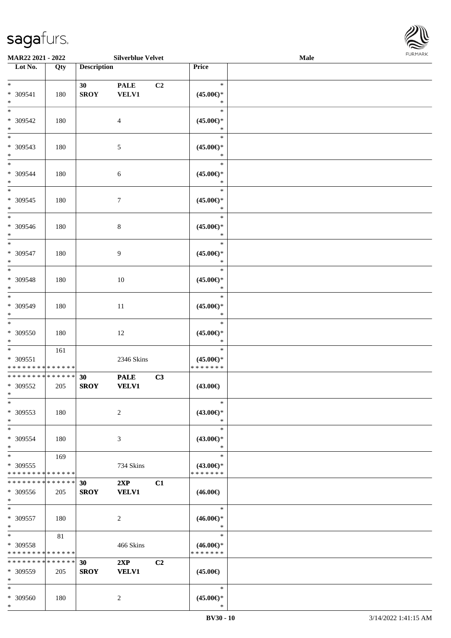| MAR22 2021 - 2022                                                   |     |                                | <b>Silverblue Velvet</b>    |    |                                                | Male | <b>FURMARK</b> |
|---------------------------------------------------------------------|-----|--------------------------------|-----------------------------|----|------------------------------------------------|------|----------------|
| Lot No.                                                             | Qty | <b>Description</b>             |                             |    | Price                                          |      |                |
| $\ast$<br>* 309541                                                  | 180 | 30<br><b>SROY</b>              | <b>PALE</b><br><b>VELV1</b> | C2 | $\ast$<br>$(45.00\epsilon)$ *                  |      |                |
| $\ast$<br>$\overline{\phantom{a}^*}$                                |     |                                |                             |    | $\ast$<br>$\ast$                               |      |                |
| * 309542<br>$\ast$                                                  | 180 |                                | $\overline{4}$              |    | $(45.00\epsilon)$ *<br>$\ast$                  |      |                |
| $\ast$<br>$* 309543$<br>$*$                                         | 180 |                                | $\sqrt{5}$                  |    | $\ast$<br>$(45.00\epsilon)$ *<br>$\ast$        |      |                |
| $\ast$<br>* 309544<br>$\ast$                                        | 180 |                                | 6                           |    | $\ast$<br>$(45.00\epsilon)$ *<br>$\ast$        |      |                |
| $\overline{\phantom{a}^*}$<br>* 309545<br>$\ast$                    | 180 |                                | $\tau$                      |    | $\ast$<br>$(45.00\epsilon)$ *<br>$\ast$        |      |                |
| $\overline{\phantom{0}}$<br>* 309546<br>$\ast$                      | 180 |                                | $\,8\,$                     |    | $\ast$<br>$(45.00\epsilon)*$<br>$\ast$         |      |                |
| $\frac{1}{*}$<br>$* 309547$<br>$\ast$                               | 180 |                                | $\overline{9}$              |    | $\ast$<br>$(45.00ε)$ *<br>$\ast$               |      |                |
| $\overline{\phantom{1}}$<br>* 309548<br>$\ast$                      | 180 |                                | 10                          |    | $\ast$<br>$(45.00ε)$ *<br>$\ast$               |      |                |
| $\overline{\ast}$<br>* 309549<br>$\ast$                             | 180 |                                | $11\,$                      |    | $\ast$<br>$(45.00\epsilon)$ *<br>$\ast$        |      |                |
| $\frac{1}{*}$<br>* 309550<br>$\ast$                                 | 180 |                                | 12                          |    | $\ast$<br>$(45.00\epsilon)$ *<br>$\ast$        |      |                |
| $\ast$<br>* 309551<br>******** <mark>******</mark>                  | 161 |                                | 2346 Skins                  |    | $\ast$<br>$(45.00\epsilon)$ *<br>* * * * * * * |      |                |
| **************<br>* 309552                                          | 205 | 30<br><b>SROY</b>              | <b>PALE</b><br><b>VELV1</b> | C3 | $(43.00\epsilon)$                              |      |                |
| $\ast$<br>* 309553<br>$\ast$                                        | 180 |                                | $\sqrt{2}$                  |    | $\ast$<br>$(43.00\epsilon)$ *<br>$\ast$        |      |                |
| $\overline{\phantom{a}^*}$<br>* 309554<br>$\ast$                    | 180 |                                | $\mathfrak{Z}$              |    | $\ast$<br>$(43.00\epsilon)$ *<br>$\ast$        |      |                |
| $\overline{\phantom{1}}$<br>* 309555<br>* * * * * * * * * * * * * * | 169 |                                | 734 Skins                   |    | $\ast$<br>$(43.00\epsilon)$ *<br>* * * * * * * |      |                |
| * * * * * * * * * * * * * *<br>$* 309556$<br>$\ast$                 | 205 | 30 <sup>°</sup><br><b>SROY</b> | 2XP<br><b>VELV1</b>         | C1 | $(46.00\epsilon)$                              |      |                |
| $\ast$<br>* 309557<br>$\ast$                                        | 180 |                                | $\overline{2}$              |    | $\ast$<br>$(46.00\epsilon)$ *<br>$\ast$        |      |                |
| $\ast$<br>* 309558<br>* * * * * * * * * * * * * *                   | 81  |                                | 466 Skins                   |    | $\ast$<br>$(46.00\epsilon)$ *<br>* * * * * * * |      |                |
| * * * * * * * * * * * * * *<br>* 309559<br>$\ast$                   | 205 | 30<br><b>SROY</b>              | 2XP<br><b>VELV1</b>         | C2 | $(45.00\epsilon)$                              |      |                |
| $\ast$<br>* 309560                                                  | 180 |                                | $\overline{2}$              |    | $\ast$<br>$(45.00\epsilon)$ *                  |      |                |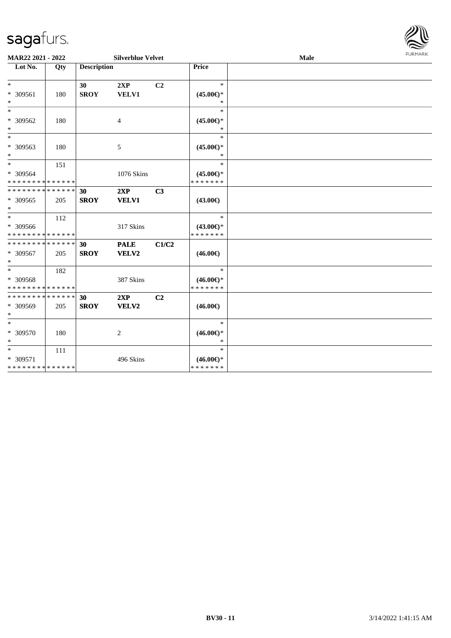

| MAR22 2021 - 2022                                                    |     |                    | <b>Silverblue Velvet</b> |                | <b>FURMARK</b><br>Male                         |  |  |  |  |
|----------------------------------------------------------------------|-----|--------------------|--------------------------|----------------|------------------------------------------------|--|--|--|--|
| Lot No.                                                              | Qty | <b>Description</b> |                          |                | Price                                          |  |  |  |  |
| $\ast$<br>* 309561<br>$\ast$                                         | 180 | 30<br><b>SROY</b>  | 2XP<br><b>VELV1</b>      | C <sub>2</sub> | $\ast$<br>$(45.00\epsilon)$ *<br>$\ast$        |  |  |  |  |
| $\ast$<br>* 309562<br>$\ast$                                         | 180 |                    | $\overline{4}$           |                | $\ast$<br>$(45.00\epsilon)$ *<br>$*$           |  |  |  |  |
| $\ast$<br>* 309563<br>$\ast$                                         | 180 |                    | 5                        |                | $\ast$<br>$(45.00\epsilon)$ *<br>$\ast$        |  |  |  |  |
| $*$<br>* 309564<br>* * * * * * * * <mark>* * * * * * *</mark>        | 151 |                    | 1076 Skins               |                | $\ast$<br>$(45.00\epsilon)$ *<br>* * * * * * * |  |  |  |  |
| * * * * * * * * <mark>* * * * * * *</mark><br>$* 309565$<br>$*$      | 205 | 30<br><b>SROY</b>  | 2XP<br><b>VELV1</b>      | C <sub>3</sub> | $(43.00\epsilon)$                              |  |  |  |  |
| $\ddot{x}$<br>* 309566<br>* * * * * * * * <mark>* * * * * * *</mark> | 112 |                    | 317 Skins                |                | $\ast$<br>$(43.00\epsilon)$ *<br>* * * * * * * |  |  |  |  |
| * * * * * * * * * * * * * * *<br>* 309567<br>$\ast$                  | 205 | 30<br><b>SROY</b>  | <b>PALE</b><br>VELV2     | C1/C2          | $(46.00\epsilon)$                              |  |  |  |  |
| * 309568<br>* * * * * * * * <mark>* * * * * * *</mark>               | 182 |                    | 387 Skins                |                | $\ast$<br>$(46.00\epsilon)$ *<br>* * * * * * * |  |  |  |  |
| * * * * * * * * <mark>* * * * * * *</mark><br>* 309569<br>$\ast$     | 205 | 30<br><b>SROY</b>  | 2XP<br>VELV2             | C <sub>2</sub> | $(46.00\epsilon)$                              |  |  |  |  |
| $\ast$<br>* 309570<br>$\ast$                                         | 180 |                    | 2                        |                | $\ast$<br>$(46.00\epsilon)$ *<br>$\ast$        |  |  |  |  |
| $*$<br>* 309571<br>* * * * * * * * * * * * * *                       | 111 |                    | 496 Skins                |                | $\ast$<br>$(46.00\epsilon)$ *<br>* * * * * * * |  |  |  |  |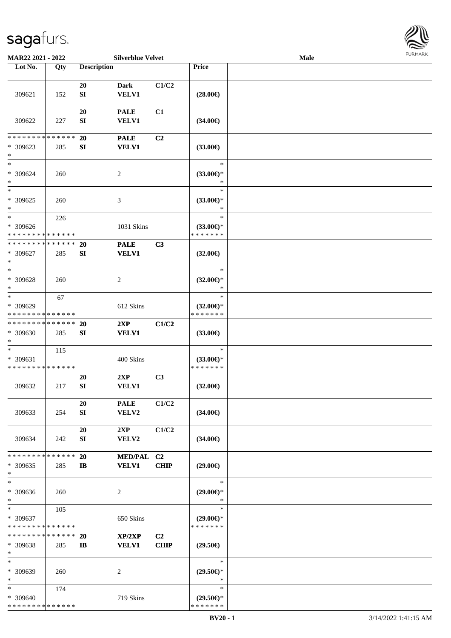

| MAR22 2021 - 2022                                                |     |                               | <b>Silverblue Velvet</b>    |                               |                                                | Male |  |
|------------------------------------------------------------------|-----|-------------------------------|-----------------------------|-------------------------------|------------------------------------------------|------|--|
| Lot No.                                                          | Qty | <b>Description</b>            |                             |                               | Price                                          |      |  |
| 309621                                                           | 152 | 20<br>${\bf SI}$              | <b>Dark</b><br><b>VELV1</b> | C1/C2                         | $(28.00\epsilon)$                              |      |  |
| 309622                                                           | 227 | 20<br>SI                      | <b>PALE</b><br><b>VELV1</b> | C1                            | $(34.00\epsilon)$                              |      |  |
| * * * * * * * * * * * * * *<br>$* 309623$<br>$\ast$              | 285 | 20<br>${\bf S}{\bf I}$        | <b>PALE</b><br><b>VELV1</b> | C2                            | $(33.00\epsilon)$                              |      |  |
| $\ast$<br>* 309624<br>$\ast$                                     | 260 |                               | $\boldsymbol{2}$            |                               | $\ast$<br>$(33.00\epsilon)$ *<br>$\ast$        |      |  |
| $\ast$<br>$* 309625$<br>$\ast$                                   | 260 |                               | $\ensuremath{\mathfrak{Z}}$ |                               | $\ast$<br>$(33.00\epsilon)$ *<br>$\ast$        |      |  |
| $\ast$<br>* 309626<br>* * * * * * * * * * * * * *                | 226 |                               | 1031 Skins                  |                               | $\ast$<br>$(33.00\epsilon)$ *<br>* * * * * * * |      |  |
| * * * * * * * * * * * * * *<br>* 309627<br>$\ast$                | 285 | 20<br>${\bf S}{\bf I}$        | <b>PALE</b><br><b>VELV1</b> | C3                            | $(32.00\epsilon)$                              |      |  |
| $\ast$<br>* 309628<br>$\ast$                                     | 260 |                               | $\overline{c}$              |                               | $\ast$<br>$(32.00\epsilon)$ *<br>∗             |      |  |
| $\ast$<br>* 309629<br>* * * * * * * * * * * * * *                | 67  |                               | 612 Skins                   |                               | $\ast$<br>$(32.00\epsilon)$ *<br>* * * * * * * |      |  |
| * * * * * * * * * * * * * *<br>* 309630<br>$\ast$                | 285 | <b>20</b><br>${\bf S}{\bf I}$ | 2XP<br><b>VELV1</b>         | C1/C2                         | $(33.00\epsilon)$                              |      |  |
| $\ast$<br>* 309631<br>* * * * * * * * * * * * * *                | 115 |                               | 400 Skins                   |                               | $\ast$<br>$(33.00\epsilon)$ *<br>* * * * * * * |      |  |
| 309632                                                           | 217 | 20<br>${\bf SI}$              | 2XP<br><b>VELV1</b>         | C3                            | $(32.00\epsilon)$                              |      |  |
| 309633                                                           | 254 | 20<br>SI                      | <b>PALE</b><br>VELV2        | C1/C2                         | $(34.00\epsilon)$                              |      |  |
| 309634                                                           | 242 | 20<br>SI                      | 2XP<br><b>VELV2</b>         | C1/C2                         | $(34.00\epsilon)$                              |      |  |
| * * * * * * * * * * * * * *<br>* 309635<br>$\ast$                | 285 | 20<br>$\mathbf{I}$            | MED/PAL C2<br><b>VELV1</b>  | <b>CHIP</b>                   | $(29.00\epsilon)$                              |      |  |
| $\ast$<br>* 309636<br>$\ast$                                     | 260 |                               | 2                           |                               | $\ast$<br>$(29.00\epsilon)$ *<br>$\ast$        |      |  |
| $*$<br>* 309637<br>* * * * * * * * * * * * * *                   | 105 |                               | 650 Skins                   |                               | $\ast$<br>$(29.00\epsilon)$ *<br>* * * * * * * |      |  |
| * * * * * * * * * * * * * *<br>* 309638<br>$\ast$                | 285 | 20<br>$\mathbf{I}$            | XP/2XP<br><b>VELV1</b>      | C <sub>2</sub><br><b>CHIP</b> | $(29.50\epsilon)$                              |      |  |
| $\ast$<br>* 309639<br>$\ast$                                     | 260 |                               | 2                           |                               | $\ast$<br>$(29.50\epsilon)$ *<br>$\ast$        |      |  |
| $\ast$<br>* 309640<br>* * * * * * * * <mark>* * * * * * *</mark> | 174 |                               | 719 Skins                   |                               | $\ast$<br>$(29.50\epsilon)$ *<br>* * * * * * * |      |  |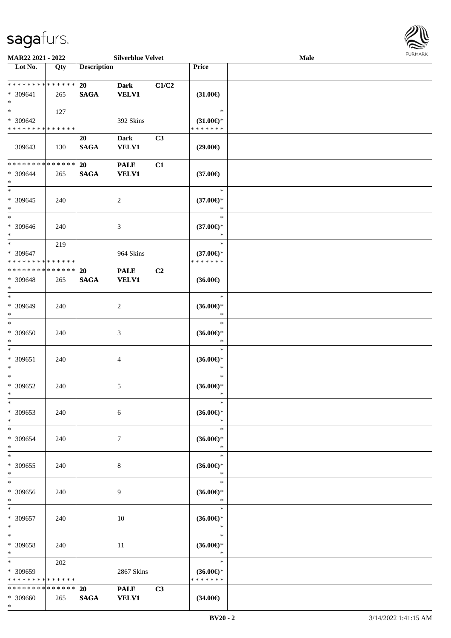

| MAR22 2021 - 2022                                  |     |                          | <b>Silverblue Velvet</b>    |       |                                                   | Male |  |
|----------------------------------------------------|-----|--------------------------|-----------------------------|-------|---------------------------------------------------|------|--|
| Lot No.                                            | Qty | <b>Description</b>       |                             |       | Price                                             |      |  |
| ******** <mark>******</mark><br>* 309641<br>$\ast$ | 265 | 20<br><b>SAGA</b>        | <b>Dark</b><br><b>VELV1</b> | C1/C2 | $(31.00\epsilon)$                                 |      |  |
| $\ast$<br>* 309642<br>* * * * * * * * * * * * * *  | 127 |                          | 392 Skins                   |       | $\ast$<br>$(31.00\epsilon)$ *<br>* * * * * * *    |      |  |
| 309643                                             | 130 | 20<br><b>SAGA</b>        | <b>Dark</b><br><b>VELV1</b> | C3    | $(29.00\epsilon)$                                 |      |  |
| * * * * * * * * * * * * * *<br>* 309644<br>$\ast$  | 265 | 20<br><b>SAGA</b>        | <b>PALE</b><br><b>VELV1</b> | C1    | $(37.00\epsilon)$                                 |      |  |
| $_{\ast}^{-}$<br>$* 309645$<br>$\ast$<br>$\ast$    | 240 |                          | $\sqrt{2}$                  |       | $\ast$<br>$(37.00\epsilon)$ *<br>$\ast$<br>$\ast$ |      |  |
| * 309646<br>$\ast$                                 | 240 |                          | $\mathfrak{Z}$              |       | $(37.00\epsilon)$ *<br>$\ast$                     |      |  |
| $\ast$<br>* 309647<br>* * * * * * * * * * * * * *  | 219 |                          | 964 Skins                   |       | $\ast$<br>$(37.00\epsilon)$ *<br>* * * * * * *    |      |  |
| * * * * * * * * * * * * * *<br>* 309648<br>$\ast$  | 265 | <b>20</b><br><b>SAGA</b> | <b>PALE</b><br><b>VELV1</b> | C2    | $(36.00\epsilon)$                                 |      |  |
| $*$<br>* 309649<br>$\ast$                          | 240 |                          | $\sqrt{2}$                  |       | $\ast$<br>$(36.00\epsilon)$ *<br>$\ast$           |      |  |
| $\ast$<br>* 309650<br>$\ast$                       | 240 |                          | $\mathfrak{Z}$              |       | $\ast$<br>$(36.00\epsilon)$ *<br>$\ast$           |      |  |
| $\ast$<br>$* 309651$<br>$\ast$                     | 240 |                          | $\overline{4}$              |       | $\ast$<br>$(36.00\epsilon)$ *<br>$\ast$           |      |  |
| $\ast$<br>$* 309652$<br>$*$                        | 240 |                          | $\mathfrak{S}$              |       | $\ast$<br>$(36.00\epsilon)$ *<br>$\ast$           |      |  |
| $*$<br>* 309653<br>$\ast$                          | 240 |                          | 6                           |       | $\ast$<br>$(36.00\epsilon)$ *<br>$\ast$           |      |  |
| $\ast$<br>* 309654<br>$\ast$                       | 240 |                          | $\tau$                      |       | $\ast$<br>$(36.00\epsilon)$ *<br>$\ast$           |      |  |
| $\ast$<br>* 309655<br>$\ast$                       | 240 |                          | 8                           |       | $\ast$<br>$(36.00\epsilon)$ *<br>$\ast$           |      |  |
| $\ast$<br>* 309656<br>$\ast$                       | 240 |                          | 9                           |       | $\ast$<br>$(36.00\epsilon)$ *<br>$\ast$           |      |  |
| $\ast$<br>$* 309657$<br>$*$                        | 240 |                          | 10                          |       | $\ast$<br>$(36.00\epsilon)$ *<br>$\ast$           |      |  |
| $\ast$<br>* 309658<br>$*$                          | 240 |                          | 11                          |       | $\ast$<br>$(36.00\epsilon)$ *<br>$\ast$           |      |  |
| $\ast$<br>* 309659<br>* * * * * * * * * * * * * *  | 202 |                          | 2867 Skins                  |       | $\ast$<br>$(36.00\epsilon)$ *<br>* * * * * * *    |      |  |
| * * * * * * * * * * * * * *<br>* 309660<br>$*$     | 265 | <b>20</b><br><b>SAGA</b> | <b>PALE</b><br><b>VELV1</b> | C3    | $(34.00\epsilon)$                                 |      |  |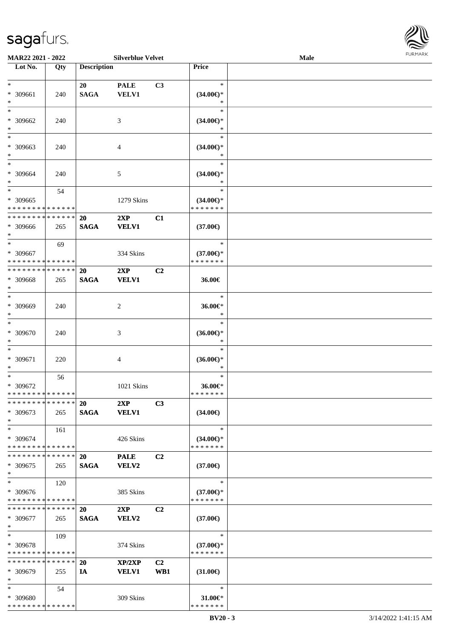

| MAR22 2021 - 2022             |     |                    | <b>Silverblue Velvet</b> |                |                                      | Male |  |
|-------------------------------|-----|--------------------|--------------------------|----------------|--------------------------------------|------|--|
| Lot No.                       | Qty | <b>Description</b> |                          |                | Price                                |      |  |
|                               |     |                    |                          |                |                                      |      |  |
| $\ast$                        |     | 20                 | <b>PALE</b>              | C3             | $\ast$                               |      |  |
| * 309661                      | 240 | <b>SAGA</b>        | <b>VELV1</b>             |                | $(34.00\epsilon)$ *                  |      |  |
| $\ast$                        |     |                    |                          |                | ∗                                    |      |  |
| $\ast$                        |     |                    |                          |                | $\ast$                               |      |  |
| * 309662                      | 240 |                    | 3                        |                | $(34.00\epsilon)$ *                  |      |  |
| $\ast$                        |     |                    |                          |                |                                      |      |  |
| $\overline{\phantom{1}}$      |     |                    |                          |                | $\ast$                               |      |  |
| * 309663                      | 240 |                    | 4                        |                | $(34.00\epsilon)$ *                  |      |  |
| $\ast$                        |     |                    |                          |                |                                      |      |  |
| $\ast$                        |     |                    |                          |                | $\ast$                               |      |  |
| * 309664                      | 240 |                    | 5                        |                | $(34.00\epsilon)$ *                  |      |  |
| $\ast$                        |     |                    |                          |                | $\ast$                               |      |  |
| $\ast$                        | 54  |                    |                          |                | $\ast$                               |      |  |
| * 309665                      |     |                    | 1279 Skins               |                | $(34.00\epsilon)$ *                  |      |  |
| * * * * * * * * * * * * * *   |     |                    |                          |                | * * * * * * *                        |      |  |
| * * * * * * * * * * * * * *   |     | 20                 | 2XP                      | C1             |                                      |      |  |
| * 309666                      | 265 | <b>SAGA</b>        | <b>VELV1</b>             |                | $(37.00\epsilon)$                    |      |  |
| $*$                           |     |                    |                          |                |                                      |      |  |
| $\ast$                        | 69  |                    |                          |                | $\ast$                               |      |  |
| * 309667                      |     |                    |                          |                |                                      |      |  |
| * * * * * * * * * * * * * * * |     |                    | 334 Skins                |                | $(37.00\epsilon)$ *<br>* * * * * * * |      |  |
| * * * * * * * * * * * * * *   |     |                    |                          |                |                                      |      |  |
|                               |     | 20                 | 2XP                      | C2             |                                      |      |  |
| * 309668                      | 265 | <b>SAGA</b>        | <b>VELV1</b>             |                | 36.00€                               |      |  |
| $\ast$<br>$\ast$              |     |                    |                          |                |                                      |      |  |
|                               |     |                    |                          |                | $\ast$                               |      |  |
| * 309669                      | 240 |                    | $\overline{c}$           |                | 36.00€*                              |      |  |
| $\ast$                        |     |                    |                          |                | $\ast$                               |      |  |
| $\ast$                        |     |                    |                          |                | $\ast$                               |      |  |
| * 309670                      | 240 |                    | 3                        |                | $(36.00\epsilon)$ *                  |      |  |
| $\ast$                        |     |                    |                          |                | $\ast$                               |      |  |
| $\ast$                        |     |                    |                          |                | $\ast$                               |      |  |
| * 309671                      | 220 |                    | 4                        |                | $(36.00\epsilon)$ *                  |      |  |
| $\ast$                        |     |                    |                          |                | *                                    |      |  |
| $\ast$                        | 56  |                    |                          |                | $\ast$                               |      |  |
| * 309672                      |     |                    | 1021 Skins               |                | 36.00€*                              |      |  |
| * * * * * * * * * * * * * *   |     |                    |                          |                | * * * * * * *                        |      |  |
| * * * * * * * * * * * * * * * |     | <b>20</b>          | 2XP                      | C3             |                                      |      |  |
| * 309673                      | 265 | <b>SAGA</b>        | <b>VELV1</b>             |                | $(34.00\epsilon)$                    |      |  |
| $*$                           |     |                    |                          |                |                                      |      |  |
| $*$                           | 161 |                    |                          |                | $\ast$                               |      |  |
| * 309674                      |     |                    | 426 Skins                |                | $(34.00€)$ *                         |      |  |
| * * * * * * * * * * * * * *   |     |                    |                          |                | * * * * * * *                        |      |  |
| * * * * * * * * * * * * * * * |     | <b>20</b>          | <b>PALE</b>              | C <sub>2</sub> |                                      |      |  |
| * 309675                      | 265 | <b>SAGA</b>        | VELV2                    |                | $(37.00\epsilon)$                    |      |  |
| $\ast$                        |     |                    |                          |                |                                      |      |  |
| $\ast$                        | 120 |                    |                          |                | $\ast$                               |      |  |
| * 309676                      |     |                    | 385 Skins                |                | $(37.00\epsilon)$ *                  |      |  |
| * * * * * * * * * * * * * *   |     |                    |                          |                | * * * * * * *                        |      |  |
| * * * * * * * * * * * * * * * |     | 20                 | 2XP                      | C <sub>2</sub> |                                      |      |  |
| * 309677                      | 265 | <b>SAGA</b>        | <b>VELV2</b>             |                | $(37.00\epsilon)$                    |      |  |
| $*$                           |     |                    |                          |                |                                      |      |  |
| $\ast$                        | 109 |                    |                          |                | $\ast$                               |      |  |
| * 309678                      |     |                    | 374 Skins                |                | $(37.00\epsilon)$ *                  |      |  |
| * * * * * * * * * * * * * *   |     |                    |                          |                | * * * * * * *                        |      |  |
| * * * * * * * * * * * * * *   |     | <b>20</b>          | XP/2XP                   | C <sub>2</sub> |                                      |      |  |
| * 309679                      | 255 | IA                 | <b>VELV1</b>             | WB1            | $(31.00\epsilon)$                    |      |  |
| $\ast$                        |     |                    |                          |                |                                      |      |  |
| $*$                           | 54  |                    |                          |                | $\ast$                               |      |  |
| * 309680                      |     |                    | 309 Skins                |                | 31.00€*                              |      |  |
| * * * * * * * * * * * * * *   |     |                    |                          |                | * * * * * * *                        |      |  |
|                               |     |                    |                          |                |                                      |      |  |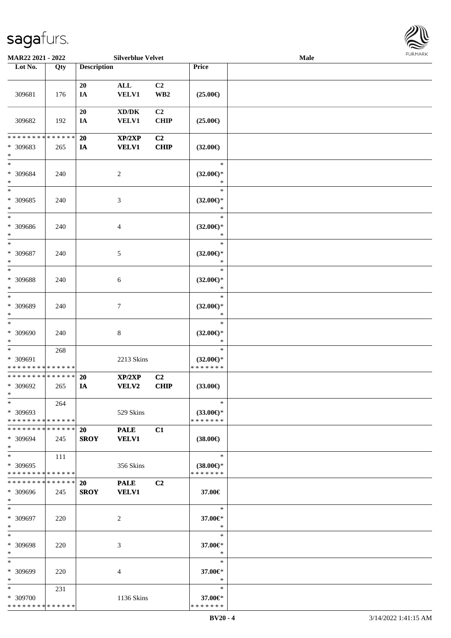

| MAR22 2021 - 2022                                      |     |                    | <b>Silverblue Velvet</b>            |                         |                          | Male |  |
|--------------------------------------------------------|-----|--------------------|-------------------------------------|-------------------------|--------------------------|------|--|
| Lot No.                                                | Qty | <b>Description</b> |                                     |                         | Price                    |      |  |
|                                                        |     |                    |                                     |                         |                          |      |  |
|                                                        |     | 20                 | $\mathbf{ALL}$                      | C <sub>2</sub>          |                          |      |  |
| 309681                                                 | 176 | IA                 | <b>VELV1</b>                        | $\mathbf{W}\mathbf{B2}$ | $(25.00\epsilon)$        |      |  |
|                                                        |     |                    |                                     |                         |                          |      |  |
|                                                        |     | 20                 | $\bold{X}\bold{D}/\bold{D}\bold{K}$ | C2                      |                          |      |  |
| 309682                                                 | 192 | IA                 | <b>VELV1</b>                        | <b>CHIP</b>             | $(25.00\epsilon)$        |      |  |
|                                                        |     |                    |                                     |                         |                          |      |  |
| * * * * * * * * * * * * * *                            |     | 20                 | XP/2XP                              | C2                      |                          |      |  |
| * 309683                                               | 265 | IA                 | <b>VELV1</b>                        | <b>CHIP</b>             | $(32.00\epsilon)$        |      |  |
| $\ast$                                                 |     |                    |                                     |                         |                          |      |  |
| $\ast$                                                 |     |                    |                                     |                         | $\ast$                   |      |  |
| * 309684                                               | 240 |                    | $\boldsymbol{2}$                    |                         | $(32.00\epsilon)$ *      |      |  |
| $\ast$                                                 |     |                    |                                     |                         | $\ast$                   |      |  |
| $\ast$                                                 |     |                    |                                     |                         | $\ast$                   |      |  |
| $* 309685$                                             | 240 |                    | 3                                   |                         | $(32.00\epsilon)$ *      |      |  |
| $\ast$                                                 |     |                    |                                     |                         | $\ast$                   |      |  |
| $\ast$                                                 |     |                    |                                     |                         | $\ast$                   |      |  |
| * 309686                                               | 240 |                    | 4                                   |                         | $(32.00\epsilon)$ *      |      |  |
| $\ast$                                                 |     |                    |                                     |                         | $\ast$                   |      |  |
| $\ast$                                                 |     |                    |                                     |                         | $\ast$                   |      |  |
| * 309687                                               | 240 |                    | 5                                   |                         | $(32.00\epsilon)$ *      |      |  |
| $\ast$                                                 |     |                    |                                     |                         | $\ast$                   |      |  |
| $\ast$                                                 |     |                    |                                     |                         | $\ast$                   |      |  |
| * 309688                                               | 240 |                    | $\sqrt{6}$                          |                         | $(32.00\epsilon)$ *      |      |  |
| $\ast$                                                 |     |                    |                                     |                         | $\ast$                   |      |  |
| $\ast$                                                 |     |                    |                                     |                         | $\ast$                   |      |  |
| * 309689                                               | 240 |                    | $\tau$                              |                         | $(32.00\epsilon)$ *      |      |  |
| $\ast$                                                 |     |                    |                                     |                         | $\ast$                   |      |  |
| $\ast$                                                 |     |                    |                                     |                         | $\ast$                   |      |  |
| $* 309690$                                             | 240 |                    | $\,8\,$                             |                         | $(32.00\epsilon)$ *      |      |  |
| $\ast$                                                 |     |                    |                                     |                         | $\ast$                   |      |  |
| $\ast$                                                 | 268 |                    |                                     |                         | $\ast$                   |      |  |
| * 309691                                               |     |                    | 2213 Skins                          |                         | $(32.00\epsilon)$ *      |      |  |
| * * * * * * * * * * * * * *                            |     |                    |                                     |                         | * * * * * * *            |      |  |
| * * * * * * * * * * * * * *                            |     | 20                 | XP/2XP                              | C <sub>2</sub>          |                          |      |  |
| * 309692                                               | 265 | IA                 | <b>VELV2</b>                        | CHIP                    | $(33.00\epsilon)$        |      |  |
| $*$                                                    |     |                    |                                     |                         |                          |      |  |
| $*$                                                    | 264 |                    |                                     |                         | $\ast$                   |      |  |
| * 309693                                               |     |                    | 529 Skins                           |                         | $(33.00\epsilon)$ *      |      |  |
| * * * * * * * * * * * * * *                            |     |                    |                                     |                         | * * * * * * *            |      |  |
| * * * * * * * * * * * * * * *                          |     | 20                 | <b>PALE</b>                         | C1                      |                          |      |  |
| * 309694                                               | 245 | <b>SROY</b>        | <b>VELV1</b>                        |                         | $(38.00\epsilon)$        |      |  |
| $*$                                                    |     |                    |                                     |                         |                          |      |  |
| $\ast$                                                 | 111 |                    |                                     |                         | $\ast$                   |      |  |
| * 309695                                               |     |                    | 356 Skins                           |                         | $(38.00\epsilon)$ *      |      |  |
| * * * * * * * * * * * * * *                            |     |                    |                                     |                         | * * * * * * *            |      |  |
| **************                                         |     | 20                 | <b>PALE</b>                         | C2                      |                          |      |  |
| * 309696                                               | 245 | <b>SROY</b>        | <b>VELV1</b>                        |                         | 37.00€                   |      |  |
| $*$                                                    |     |                    |                                     |                         |                          |      |  |
| $*$                                                    |     |                    |                                     |                         | $\ast$                   |      |  |
| * 309697                                               | 220 |                    | $\overline{c}$                      |                         | 37.00€*                  |      |  |
| $*$                                                    |     |                    |                                     |                         | $\ast$                   |      |  |
| $\ast$                                                 |     |                    |                                     |                         | $\ast$                   |      |  |
| * 309698                                               | 220 |                    | 3                                   |                         | 37.00€*                  |      |  |
| $\ast$                                                 |     |                    |                                     |                         | $\ast$                   |      |  |
| $\ast$                                                 |     |                    |                                     |                         | $\ast$                   |      |  |
| * 309699                                               |     |                    |                                     |                         |                          |      |  |
| $\ast$                                                 | 220 |                    | 4                                   |                         | 37.00€*<br>$\ast$        |      |  |
| $*$                                                    |     |                    |                                     |                         | $\ast$                   |      |  |
|                                                        | 231 |                    |                                     |                         |                          |      |  |
| * 309700<br>* * * * * * * * <mark>* * * * * * *</mark> |     |                    | 1136 Skins                          |                         | 37.00€*<br>* * * * * * * |      |  |
|                                                        |     |                    |                                     |                         |                          |      |  |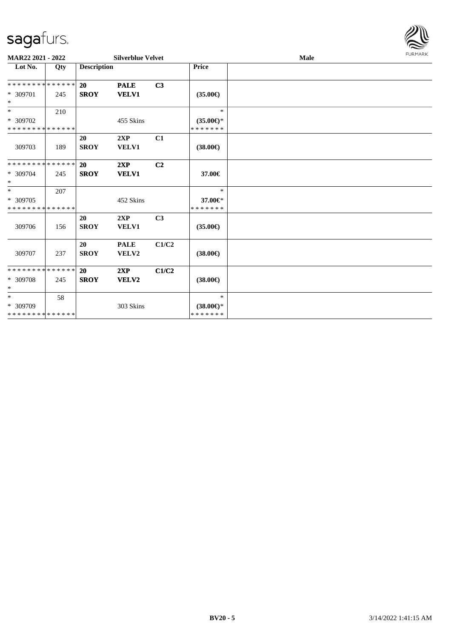

| MAR22 2021 - 2022                       |     |                          | <b>Silverblue Velvet</b>    |                |                                      | Male |  |  |  |  |
|-----------------------------------------|-----|--------------------------|-----------------------------|----------------|--------------------------------------|------|--|--|--|--|
| Lot No.                                 | Qty | <b>Description</b>       |                             |                | Price                                |      |  |  |  |  |
| **************                          |     | <b>20</b>                | <b>PALE</b>                 | C3             |                                      |      |  |  |  |  |
| * 309701<br>$\ast$                      | 245 | <b>SROY</b>              | <b>VELV1</b>                |                | $(35.00\epsilon)$                    |      |  |  |  |  |
| $\overline{\ast}$                       | 210 |                          |                             |                | $\ast$                               |      |  |  |  |  |
| * 309702<br>* * * * * * * * * * * * * * |     |                          | 455 Skins                   |                | $(35.00\epsilon)$ *<br>* * * * * * * |      |  |  |  |  |
| 309703                                  | 189 | 20<br><b>SROY</b>        | 2XP<br><b>VELV1</b>         | C1             | $(38.00\epsilon)$                    |      |  |  |  |  |
| **************                          |     | 20                       | 2XP                         | C <sub>2</sub> |                                      |      |  |  |  |  |
| $* 309704$<br>$\ast$                    | 245 | <b>SROY</b>              | <b>VELV1</b>                |                | 37.00€                               |      |  |  |  |  |
| $\ast$                                  | 207 |                          |                             |                | $\ast$                               |      |  |  |  |  |
| * 309705<br>* * * * * * * * * * * * * * |     |                          | 452 Skins                   |                | 37.00€*<br>* * * * * * *             |      |  |  |  |  |
| 309706                                  | 156 | <b>20</b><br><b>SROY</b> | 2XP<br>VELV1                | C <sub>3</sub> | $(35.00\epsilon)$                    |      |  |  |  |  |
| 309707                                  | 237 | 20<br><b>SROY</b>        | <b>PALE</b><br><b>VELV2</b> | C1/C2          | $(38.00\epsilon)$                    |      |  |  |  |  |
| **************                          |     | <b>20</b>                | 2XP                         | C1/C2          |                                      |      |  |  |  |  |
| * 309708<br>$\ast$                      | 245 | <b>SROY</b>              | VELV2                       |                | $(38.00\epsilon)$                    |      |  |  |  |  |
| $\ast$                                  | 58  |                          |                             |                | $\ast$                               |      |  |  |  |  |
| * 309709<br>**************              |     |                          | 303 Skins                   |                | $(38.00\epsilon)$ *<br>* * * * * * * |      |  |  |  |  |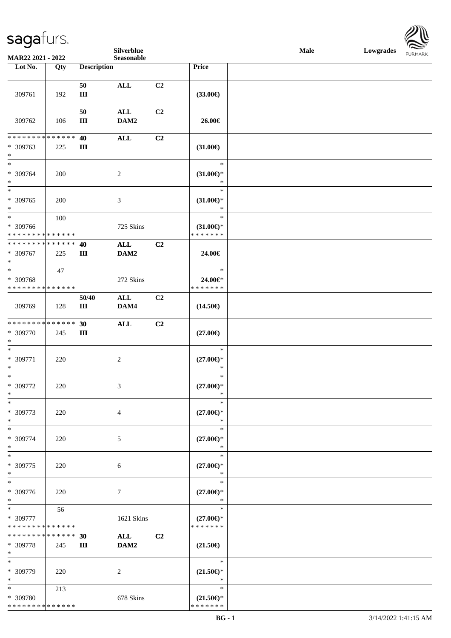|                              |     |                      | Silverblue       |    |                               | Male | Lowgrades FURMARK |
|------------------------------|-----|----------------------|------------------|----|-------------------------------|------|-------------------|
| MAR22 2021 - 2022<br>Lot No. | Qty | <b>Description</b>   | Seasonable       |    | Price                         |      |                   |
|                              |     |                      |                  |    |                               |      |                   |
|                              |     | 50                   | $\mathbf{ALL}$   | C2 |                               |      |                   |
| 309761                       | 192 | $\rm III$            |                  |    | $(33.00\epsilon)$             |      |                   |
|                              |     |                      |                  |    |                               |      |                   |
|                              |     | 50                   | $\mathbf{ALL}$   | C2 |                               |      |                   |
| 309762                       | 106 | $\rm III$            | DAM2             |    | 26.00€                        |      |                   |
| **************               |     |                      |                  |    |                               |      |                   |
| * 309763                     | 225 | 40<br>$\mathbf{III}$ | $\mathbf{ALL}$   | C2 | $(31.00\epsilon)$             |      |                   |
| $\ast$                       |     |                      |                  |    |                               |      |                   |
| $*$                          |     |                      |                  |    | $\ast$                        |      |                   |
| * 309764                     | 200 |                      | $\overline{c}$   |    | $(31.00\epsilon)$ *           |      |                   |
| $\ast$                       |     |                      |                  |    | $\ast$                        |      |                   |
| $\frac{1}{*}$                |     |                      |                  |    | $\ast$                        |      |                   |
| * 309765<br>$\ast$           | 200 |                      | 3                |    | $(31.00\epsilon)$ *<br>$\ast$ |      |                   |
| $\ast$                       | 100 |                      |                  |    | $\ast$                        |      |                   |
| * 309766                     |     |                      | 725 Skins        |    | $(31.00\epsilon)$ *           |      |                   |
| **************               |     |                      |                  |    | * * * * * * *                 |      |                   |
| **************               |     | 40                   | ALL              | C2 |                               |      |                   |
| * 309767                     | 225 | Ш                    | DAM2             |    | 24.00€                        |      |                   |
| $\ast$<br>$\frac{1}{*}$      |     |                      |                  |    |                               |      |                   |
|                              | 47  |                      |                  |    | $\ast$                        |      |                   |
| * 309768<br>**************   |     |                      | 272 Skins        |    | 24.00€*<br>* * * * * * *      |      |                   |
|                              |     | 50/40                | ALL              | C2 |                               |      |                   |
| 309769                       | 128 | Ш                    | DAM4             |    | $(14.50\epsilon)$             |      |                   |
|                              |     |                      |                  |    |                               |      |                   |
| **************               |     | 30                   | $\mathbf{ALL}$   | C2 |                               |      |                   |
| * 309770                     | 245 | Ш                    |                  |    | $(27.00\epsilon)$             |      |                   |
| $\ast$                       |     |                      |                  |    |                               |      |                   |
| $\ast$<br>* 309771           |     |                      |                  |    | $\ast$                        |      |                   |
| $\ast$                       | 220 |                      | $\sqrt{2}$       |    | $(27.00\epsilon)$ *<br>$\ast$ |      |                   |
| $_{\ast}$                    |     |                      |                  |    | $\ast$                        |      |                   |
| * 309772                     | 220 |                      | 3                |    | $(27.00\epsilon)$ *           |      |                   |
| $\ast$                       |     |                      |                  |    | $\ast$                        |      |                   |
| $\ast$                       |     |                      |                  |    | *                             |      |                   |
| * 309773                     | 220 |                      | $\overline{4}$   |    | $(27.00\in)^\ast$             |      |                   |
| $\ast$<br>$\frac{1}{1}$      |     |                      |                  |    | $\ast$<br>$\ast$              |      |                   |
| * 309774                     | 220 |                      | 5                |    | $(27.00\epsilon)$ *           |      |                   |
| $\ast$                       |     |                      |                  |    | $\ast$                        |      |                   |
| $\ast$                       |     |                      |                  |    | $\ast$                        |      |                   |
| * 309775                     | 220 |                      | 6                |    | $(27.00\epsilon)$ *           |      |                   |
| $\ast$                       |     |                      |                  |    | $\ast$                        |      |                   |
| $\ast$                       |     |                      |                  |    | $\ast$                        |      |                   |
| * 309776<br>$\ast$           | 220 |                      | $\boldsymbol{7}$ |    | $(27.00\epsilon)$ *<br>$\ast$ |      |                   |
| $\overline{\phantom{1}}$     | 56  |                      |                  |    | $\ast$                        |      |                   |
| * 309777                     |     |                      | 1621 Skins       |    | $(27.00\epsilon)$ *           |      |                   |
| * * * * * * * * * * * * * *  |     |                      |                  |    | * * * * * * *                 |      |                   |
| **************               |     | 30                   | <b>ALL</b>       | C2 |                               |      |                   |
| * 309778                     | 245 | Ш                    | DAM2             |    | $(21.50\epsilon)$             |      |                   |
| $\ast$<br>$\ast$             |     |                      |                  |    |                               |      |                   |
| * 309779                     |     |                      |                  |    | $\ast$                        |      |                   |
| $\ast$                       | 220 |                      | $\overline{c}$   |    | $(21.50\epsilon)$ *<br>$\ast$ |      |                   |
| $\overline{\phantom{0}}$     | 213 |                      |                  |    | $\ast$                        |      |                   |
| * 309780                     |     |                      | 678 Skins        |    | $(21.50\epsilon)$ *           |      |                   |
| * * * * * * * * * * * * * *  |     |                      |                  |    | * * * * * * *                 |      |                   |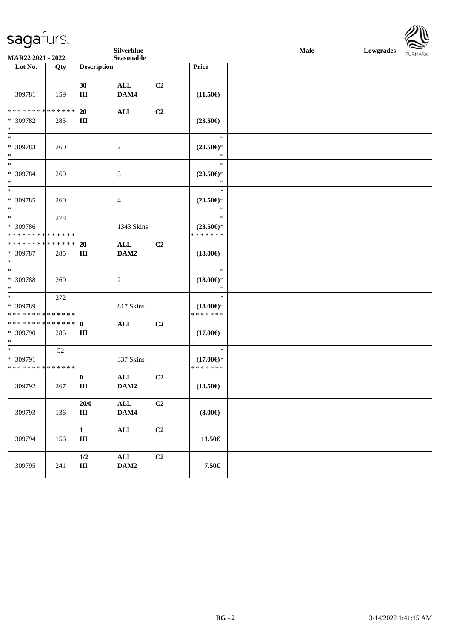

| MAR22 2021 - 2022                                                   |     |                           | Silverblue<br>Seasonable |                |                                                | Male | Lowgrades | <b>FURMARK</b> |
|---------------------------------------------------------------------|-----|---------------------------|--------------------------|----------------|------------------------------------------------|------|-----------|----------------|
| Lot No.                                                             | Qty | <b>Description</b>        |                          |                | Price                                          |      |           |                |
| 309781                                                              | 159 | 30<br>$\rm III$           | ALL<br>DAM4              | C2             | $(11.50\epsilon)$                              |      |           |                |
| ******** <mark>******</mark><br>$* 309782$<br>$\ast$                | 285 | 20<br>$\mathbf{III}$      | <b>ALL</b>               | C <sub>2</sub> | $(23.50\epsilon)$                              |      |           |                |
| $\ast$<br>* 309783<br>$\ast$                                        | 260 |                           | $\sqrt{2}$               |                | $\ast$<br>$(23.50\epsilon)$ *<br>$\ast$        |      |           |                |
| $\ast$<br>* 309784<br>$\ast$                                        | 260 |                           | 3                        |                | $\ast$<br>$(23.50\epsilon)$ *<br>$\ast$        |      |           |                |
| $\overline{\phantom{1}}$<br>* 309785<br>$\ast$                      | 260 |                           | $\overline{4}$           |                | $\ast$<br>$(23.50\epsilon)$ *<br>$\ast$        |      |           |                |
| $\ast$<br>* 309786<br>* * * * * * * * * * * * * *                   | 278 |                           | 1343 Skins               |                | $\ast$<br>$(23.50\epsilon)$ *<br>* * * * * * * |      |           |                |
| * * * * * * * * * * * * * *<br>* 309787<br>$\ast$                   | 285 | 20<br>$\rm III$           | ALL<br>DAM2              | C2             | $(18.00\epsilon)$                              |      |           |                |
| $\overline{\phantom{1}}$<br>* 309788<br>$\ast$                      | 260 |                           | $\overline{c}$           |                | $\ast$<br>$(18.00\epsilon)$ *<br>$\ast$        |      |           |                |
| $\ast$<br>* 309789<br>* * * * * * * * * * * * * *                   | 272 |                           | 817 Skins                |                | $\ast$<br>$(18.00\epsilon)$ *<br>* * * * * * * |      |           |                |
| ******** <mark>******</mark><br>* 309790<br>$\ast$                  | 285 | $\mathbf 0$<br>$\rm III$  | <b>ALL</b>               | C <sub>2</sub> | $(17.00\epsilon)$                              |      |           |                |
| $\overline{\phantom{0}}$<br>* 309791<br>* * * * * * * * * * * * * * | 52  |                           | 337 Skins                |                | $\ast$<br>$(17.00\epsilon)$ *<br>* * * * * * * |      |           |                |
| 309792                                                              | 267 | $\bf{0}$<br>Ш             | ALL<br>DAM2              | C <sub>2</sub> | $(13.50\epsilon)$                              |      |           |                |
| 309793                                                              | 136 | 20/0<br>$\rm III$         | $\mathbf{ALL}$<br>DAM4   | C <sub>2</sub> | $(8.00\epsilon)$                               |      |           |                |
| 309794                                                              | 156 | $\mathbf{1}$<br>$\rm III$ | ALL                      | C2             | $11.50\in$                                     |      |           |                |
| 309795                                                              | 241 | $1/2$<br>$\rm III$        | $\mathbf{ALL}$<br>DAM2   | C <sub>2</sub> | 7.50€                                          |      |           |                |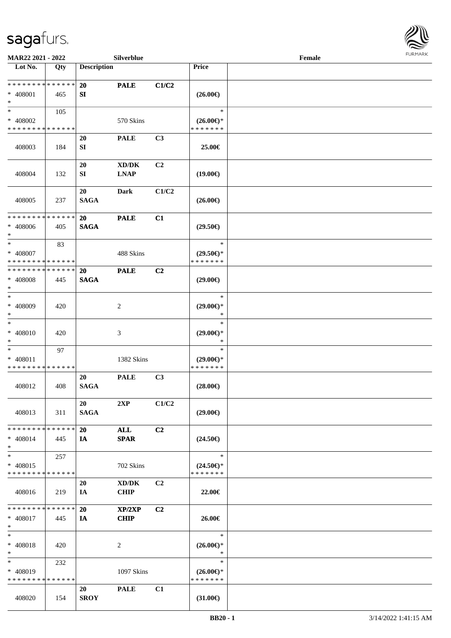

| MAR22 2021 - 2022           |     |                    | Silverblue                          |                |                               | Female |  |
|-----------------------------|-----|--------------------|-------------------------------------|----------------|-------------------------------|--------|--|
| Lot No.                     | Qty | <b>Description</b> |                                     |                | Price                         |        |  |
| * * * * * * * * * * * * * * |     |                    |                                     |                |                               |        |  |
|                             |     | <b>20</b>          | <b>PALE</b>                         | C1/C2          |                               |        |  |
| * 408001<br>$*$             | 465 | SI                 |                                     |                | $(26.00\epsilon)$             |        |  |
| $*$                         | 105 |                    |                                     |                | $\ast$                        |        |  |
| * 408002                    |     |                    | 570 Skins                           |                | $(26.00\epsilon)$ *           |        |  |
| * * * * * * * * * * * * * * |     |                    |                                     |                | * * * * * * *                 |        |  |
|                             |     | <b>20</b>          | <b>PALE</b>                         | C3             |                               |        |  |
| 408003                      | 184 | SI                 |                                     |                | 25.00€                        |        |  |
|                             |     |                    |                                     |                |                               |        |  |
|                             |     | 20                 | $\bold{X}\bold{D}/\bold{D}\bold{K}$ | C <sub>2</sub> |                               |        |  |
| 408004                      | 132 | SI                 | <b>LNAP</b>                         |                | $(19.00\epsilon)$             |        |  |
|                             |     |                    |                                     |                |                               |        |  |
|                             |     | 20                 | Dark                                | C1/C2          |                               |        |  |
| 408005                      | 237 | <b>SAGA</b>        |                                     |                | $(26.00\epsilon)$             |        |  |
| * * * * * * * * * * * * * * |     | 20                 | <b>PALE</b>                         | C1             |                               |        |  |
| $* 408006$                  | 405 | <b>SAGA</b>        |                                     |                | $(29.50\epsilon)$             |        |  |
| $*$                         |     |                    |                                     |                |                               |        |  |
| $\ast$                      | 83  |                    |                                     |                | $\ast$                        |        |  |
| * 408007                    |     |                    | 488 Skins                           |                | $(29.50\epsilon)$ *           |        |  |
| * * * * * * * * * * * * * * |     |                    |                                     |                | * * * * * * *                 |        |  |
| * * * * * * * * * * * * * * |     | 20                 | <b>PALE</b>                         | C2             |                               |        |  |
| * 408008                    | 445 | <b>SAGA</b>        |                                     |                | $(29.00\epsilon)$             |        |  |
| $*$<br>$\ast$               |     |                    |                                     |                | $\ast$                        |        |  |
| $* 408009$                  | 420 |                    | 2                                   |                | $(29.00\epsilon)$ *           |        |  |
| $*$                         |     |                    |                                     |                | *                             |        |  |
| $\ast$                      |     |                    |                                     |                | $\ast$                        |        |  |
| $* 408010$                  | 420 |                    | $\mathfrak{Z}$                      |                | $(29.00\epsilon)$ *           |        |  |
| $*$                         |     |                    |                                     |                | $\ast$                        |        |  |
| $\ast$                      | 97  |                    |                                     |                | $\ast$                        |        |  |
| * 408011                    |     |                    | 1382 Skins                          |                | $(29.00\epsilon)$ *           |        |  |
| * * * * * * * * * * * * * * |     | 20                 |                                     | C3             | * * * * * * *                 |        |  |
| 408012                      | 408 | <b>SAGA</b>        | <b>PALE</b>                         |                | $(28.00\epsilon)$             |        |  |
|                             |     |                    |                                     |                |                               |        |  |
|                             |     | 20                 | 2XP                                 | C1/C2          |                               |        |  |
| 408013                      | 311 | <b>SAGA</b>        |                                     |                | $(29.00\epsilon)$             |        |  |
|                             |     |                    |                                     |                |                               |        |  |
| * * * * * * * * * * * * * * |     | <b>20</b>          | <b>ALL</b>                          | C2             |                               |        |  |
| * 408014                    | 445 | IA                 | <b>SPAR</b>                         |                | $(24.50\epsilon)$             |        |  |
| $*$                         |     |                    |                                     |                | $\ast$                        |        |  |
| $*$<br>* 408015             | 257 |                    | 702 Skins                           |                | $(24.50\epsilon)$ *           |        |  |
| * * * * * * * * * * * * * * |     |                    |                                     |                | * * * * * * *                 |        |  |
|                             |     | 20                 | XD/DK                               | C <sub>2</sub> |                               |        |  |
| 408016                      | 219 | IA                 | <b>CHIP</b>                         |                | 22.00€                        |        |  |
|                             |     |                    |                                     |                |                               |        |  |
| * * * * * * * * * * * * * * |     | 20                 | XP/2XP                              | C2             |                               |        |  |
| * 408017                    | 445 | IA                 | <b>CHIP</b>                         |                | 26.00€                        |        |  |
| $*$                         |     |                    |                                     |                |                               |        |  |
| $*$                         |     |                    |                                     |                | $\ast$                        |        |  |
| * 408018<br>$*$             | 420 |                    | 2                                   |                | $(26.00\epsilon)$ *<br>$\ast$ |        |  |
| $*$                         | 232 |                    |                                     |                | $\ast$                        |        |  |
| * 408019                    |     |                    | 1097 Skins                          |                | $(26.00\epsilon)$ *           |        |  |
| * * * * * * * * * * * * * * |     |                    |                                     |                | * * * * * * *                 |        |  |
|                             |     | 20                 | <b>PALE</b>                         | C1             |                               |        |  |
| 408020                      | 154 | <b>SROY</b>        |                                     |                | $(31.00\epsilon)$             |        |  |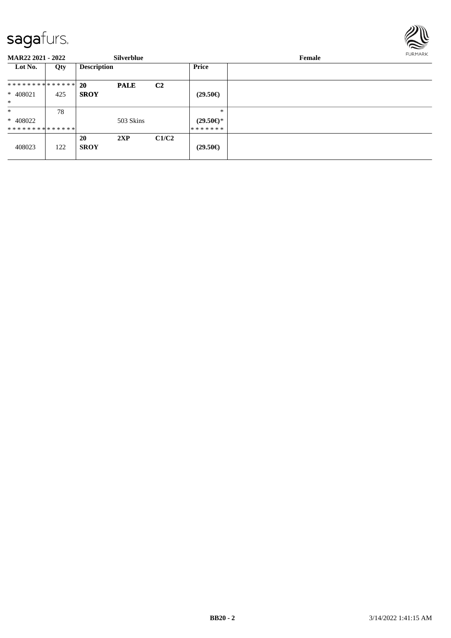

**MAR22 2021 - 2022 Silverblue Female Lot No. Qty Description Price 20 PALE C2 SROY \* \* \* \* \* \* \* \* \* \* \* \* \* \*** \* 408021 | 425 \* **(29.50€)** \* \* 408022 \* \* \* \* \* \* \* \* \* \* \* \* \* \* 78 503 Skins \* \* **(29.50€)** \* \* \* \* \* \* \* 408023 122 **20 2XP C1/C2**  $(29.50€)$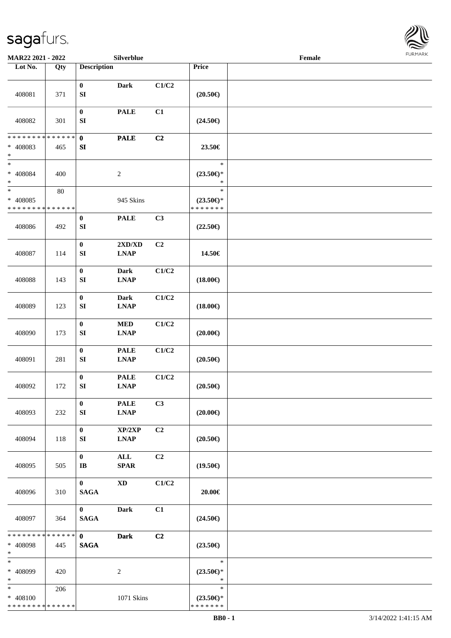

| MAR22 2021 - 2022                                 |                    |                                      | Silverblue                                              |                |                                                | Female |  |
|---------------------------------------------------|--------------------|--------------------------------------|---------------------------------------------------------|----------------|------------------------------------------------|--------|--|
| Lot No.                                           | Qty                | <b>Description</b>                   |                                                         |                | Price                                          |        |  |
| 408081                                            | 371                | $\bf{0}$<br>${\bf S}{\bf I}$         | <b>Dark</b>                                             | C1/C2          | $(20.50\epsilon)$                              |        |  |
| 408082                                            | 301                | $\pmb{0}$<br>${\bf S}{\bf I}$        | <b>PALE</b>                                             | C1             | $(24.50\epsilon)$                              |        |  |
| * * * * * * * *<br>* 408083<br>$\ast$             | * * * * * *<br>465 | $\pmb{0}$<br>${\bf S}{\bf I}$        | <b>PALE</b>                                             | C <sub>2</sub> | 23.50€                                         |        |  |
| $\ast$<br>$* 408084$<br>$\ast$                    | 400                |                                      | $\sqrt{2}$                                              |                | $\ast$<br>$(23.50\epsilon)$ *<br>$\ast$        |        |  |
| $\ast$<br>* 408085<br>* * * * * * * * * * * * * * | $80\,$             |                                      | 945 Skins                                               |                | $\ast$<br>$(23.50\epsilon)$ *<br>* * * * * * * |        |  |
| 408086                                            | 492                | $\boldsymbol{0}$<br>${\bf S}{\bf I}$ | <b>PALE</b>                                             | C3             | $(22.50\epsilon)$                              |        |  |
| 408087                                            | 114                | $\pmb{0}$<br>${\bf S}{\bf I}$        | 2XD/XD<br><b>LNAP</b>                                   | C <sub>2</sub> | 14.50€                                         |        |  |
| 408088                                            | 143                | $\pmb{0}$<br>${\bf S}{\bf I}$        | <b>Dark</b><br><b>LNAP</b>                              | C1/C2          | $(18.00\epsilon)$                              |        |  |
| 408089                                            | 123                | $\pmb{0}$<br>${\bf S}{\bf I}$        | <b>Dark</b><br><b>LNAP</b>                              | C1/C2          | $(18.00\epsilon)$                              |        |  |
| 408090                                            | 173                | $\pmb{0}$<br>${\bf S}{\bf I}$        | $\bf MED$<br>$\mathbf{L}\mathbf{N}\mathbf{A}\mathbf{P}$ | C1/C2          | $(20.00\epsilon)$                              |        |  |
| 408091                                            | 281                | $\pmb{0}$<br>${\bf S}{\bf I}$        | <b>PALE</b><br><b>LNAP</b>                              | C1/C2          | $(20.50\in)$                                   |        |  |
| 408092                                            | 172                | $\pmb{0}$<br>${\bf SI}$              | <b>PALE</b><br><b>LNAP</b>                              | C1/C2          | $(20.50\epsilon)$                              |        |  |
| 408093                                            | 232                | $\bf{0}$<br>SI                       | <b>PALE</b><br><b>LNAP</b>                              | C3             | $(20.00\epsilon)$                              |        |  |
| 408094                                            | 118                | $\bf{0}$<br>SI                       | XP/2XP<br><b>LNAP</b>                                   | C2             | $(20.50\epsilon)$                              |        |  |
| 408095                                            | 505                | $\bf{0}$<br>$\mathbf{I}\mathbf{B}$   | $\mathbf{ALL}$<br><b>SPAR</b>                           | C <sub>2</sub> | $(19.50\epsilon)$                              |        |  |
| 408096                                            | 310                | $\mathbf{0}$<br><b>SAGA</b>          | <b>XD</b>                                               | C1/C2          | 20.00€                                         |        |  |
| 408097                                            | 364                | $\mathbf{0}$<br><b>SAGA</b>          | Dark                                                    | C1             | $(24.50\epsilon)$                              |        |  |
| * * * * * * * *<br>* 408098<br>$*$                | * * * * * *<br>445 | $\mathbf{0}$<br><b>SAGA</b>          | <b>Dark</b>                                             | C2             | $(23.50\epsilon)$                              |        |  |
| $\ast$<br>* 408099<br>$*$                         | 420                |                                      | $\overline{c}$                                          |                | $\ast$<br>$(23.50\epsilon)$ *<br>$\ast$        |        |  |
| $*$<br>* 408100<br>* * * * * * * * * * * * * *    | 206                |                                      | 1071 Skins                                              |                | $\ast$<br>$(23.50\epsilon)$ *<br>* * * * * * * |        |  |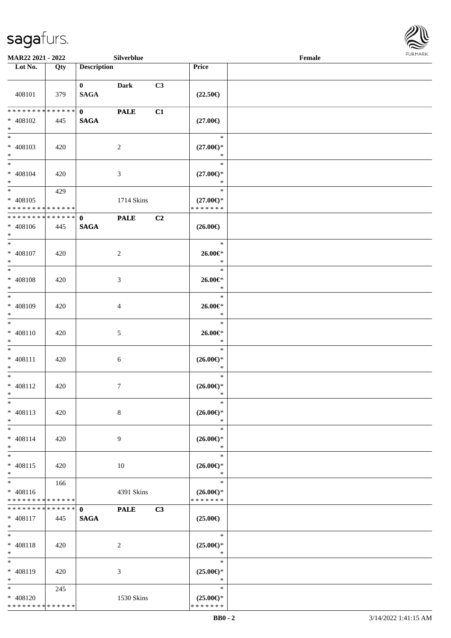

| MAR22 2021 - 2022                                          |     |                             | Silverblue      |    |                                                | Female | FURMARK |
|------------------------------------------------------------|-----|-----------------------------|-----------------|----|------------------------------------------------|--------|---------|
| Lot No.                                                    | Qty | <b>Description</b>          |                 |    | Price                                          |        |         |
| 408101                                                     | 379 | $\mathbf{0}$<br><b>SAGA</b> | <b>Dark</b>     | C3 | $(22.50\epsilon)$                              |        |         |
| * * * * * * * * * * * * * *                                |     | $\mathbf{0}$                | <b>PALE</b>     | C1 |                                                |        |         |
| $* 408102$<br>$*$                                          | 445 | <b>SAGA</b>                 |                 |    | $(27.00\epsilon)$                              |        |         |
| $\overline{\phantom{0}}$<br>$* 408103$<br>$*$              | 420 |                             | $\overline{c}$  |    | $\ast$<br>$(27.00\epsilon)$ *<br>$\ast$        |        |         |
| $*$<br>$* 408104$<br>$*$                                   | 420 |                             | $\mathfrak{Z}$  |    | $\ast$<br>$(27.00\epsilon)$ *<br>$\ast$        |        |         |
| $\frac{1}{*}$<br>$* 408105$<br>* * * * * * * * * * * * * * | 429 |                             | 1714 Skins      |    | $\ast$<br>$(27.00\epsilon)$ *<br>* * * * * * * |        |         |
| * * * * * * * * * * * * * * *                              |     | $\mathbf{0}$                | <b>PALE</b>     | C2 |                                                |        |         |
| $* 408106$<br>$\ast$                                       | 445 | <b>SAGA</b>                 |                 |    | $(26.00\epsilon)$                              |        |         |
| $*$<br>$* 408107$<br>$\ast$                                | 420 |                             | $\overline{c}$  |    | $\ast$<br>$26.00 \in$<br>$\ast$                |        |         |
| $\overline{\phantom{0}}$<br>* 408108                       | 420 |                             | $\mathfrak{Z}$  |    | $\ast$<br>$26.00 \in$ *                        |        |         |
| $\ast$                                                     |     |                             |                 |    | $\ast$                                         |        |         |
| $\overline{\ast}$<br>* 408109<br>$\ast$                    | 420 |                             | $\overline{4}$  |    | $\ast$<br>$26.00 \in$<br>$\ast$                |        |         |
| $\ast$<br>$* 408110$<br>$\ast$<br>$_{\ast}^{-}$            | 420 |                             | $\sqrt{5}$      |    | $\ast$<br>$26.00 \in$ *<br>$\ast$              |        |         |
| $* 408111$<br>$\ast$                                       | 420 |                             | $6\,$           |    | $\ast$<br>$(26.00\epsilon)$ *<br>$\ast$        |        |         |
| $\overline{\ast}$<br>$* 408112$<br>$\ast$                  | 420 |                             | $7\phantom{.0}$ |    | $\ast$<br>$(26.00\epsilon)$ *<br>$\ast$        |        |         |
| $_{\ast}$<br>$* 408113$<br>$\ast$                          | 420 |                             | $\,8\,$         |    | $\ast$<br>$(26.00\epsilon)$ *<br>$\ast$        |        |         |
| $_{\ast}^{-}$<br>$* 408114$<br>$\ast$                      | 420 |                             | 9               |    | $\ast$<br>$(26.00\epsilon)$ *<br>$\ast$        |        |         |
| $_{\ast}$<br>$* 408115$<br>$\ast$                          | 420 |                             | 10              |    | $\ast$<br>$(26.00\epsilon)$ *<br>$\ast$        |        |         |
| $\overline{\ast}$<br>$* 408116$                            | 166 |                             | 4391 Skins      |    | $\ast$<br>$(26.00\epsilon)$ *                  |        |         |
| * * * * * * * * * * * * * *                                |     |                             |                 |    | * * * * * * *                                  |        |         |
| * * * * * * * * * * * * * *<br>$* 408117$<br>$*$           | 445 | $\mathbf{0}$<br><b>SAGA</b> | <b>PALE</b>     | C3 | $(25.00\epsilon)$                              |        |         |
| $\ast$<br>* 408118<br>$\ast$                               | 420 |                             | $\overline{2}$  |    | $\ast$<br>$(25.00\epsilon)$ *<br>$\ast$        |        |         |
| $\overline{\phantom{1}}$<br>* 408119<br>$\ast$             | 420 |                             | $\mathfrak{Z}$  |    | $\ast$<br>$(25.00\epsilon)$ *<br>$\ast$        |        |         |
| $\ast$<br>* 408120<br>* * * * * * * * * * * * * *          | 245 |                             | 1530 Skins      |    | $\ast$<br>$(25.00\epsilon)$ *<br>* * * * * * * |        |         |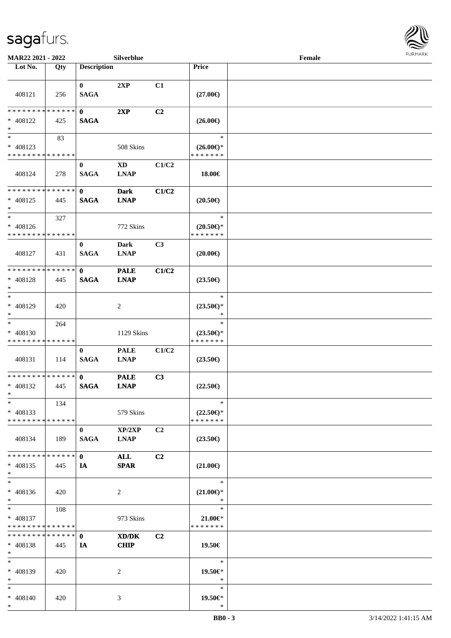\*



| MAR22 2021 - 2022                                      |                    |                             | Silverblue                            |                |                                                | Female |  |
|--------------------------------------------------------|--------------------|-----------------------------|---------------------------------------|----------------|------------------------------------------------|--------|--|
| Lot No.                                                | Qty                | <b>Description</b>          |                                       |                | <b>Price</b>                                   |        |  |
| 408121                                                 | 256                | $\bf{0}$<br><b>SAGA</b>     | 2XP                                   | C1             | $(27.00\epsilon)$                              |        |  |
| * * * * * * * * * * * * * * *<br>* 408122<br>$\ast$    | 425                | $\mathbf 0$<br><b>SAGA</b>  | 2XP                                   | C2             | $(26.00\epsilon)$                              |        |  |
| $\ast$<br>* 408123<br>* * * * * * * * * * * * * *      | 83                 |                             | 508 Skins                             |                | $\ast$<br>$(26.00\epsilon)$ *<br>* * * * * * * |        |  |
| 408124                                                 | 278                | $\bf{0}$<br><b>SAGA</b>     | $\mathbf{X}\mathbf{D}$<br><b>LNAP</b> | C1/C2          | 18.00€                                         |        |  |
| * * * * * * * * * * * * * *<br>$* 408125$<br>$\ast$    | 445                | $\mathbf{0}$<br><b>SAGA</b> | <b>Dark</b><br><b>LNAP</b>            | C1/C2          | $(20.50\epsilon)$                              |        |  |
| $\ast$<br>* 408126<br>* * * * * * * * * * * * * *      | 327                |                             | 772 Skins                             |                | $\ast$<br>$(20.50\epsilon)$ *<br>* * * * * * * |        |  |
| 408127                                                 | 431                | $\bf{0}$<br><b>SAGA</b>     | Dark<br><b>LNAP</b>                   | C3             | $(20.00\epsilon)$                              |        |  |
| * * * * * * * * * * * * * *<br>$* 408128$<br>$*$       | 445                | $\mathbf{0}$<br><b>SAGA</b> | <b>PALE</b><br><b>LNAP</b>            | C1/C2          | $(23.50\epsilon)$                              |        |  |
| $*$<br>$* 408129$<br>$*$                               | 420                |                             | 2                                     |                | $\ast$<br>$(23.50\epsilon)$ *<br>$\ast$        |        |  |
| $*$<br>* 408130<br>* * * * * * * * * * * * * *         | 264                |                             | 1129 Skins                            |                | $\ast$<br>$(23.50\epsilon)$ *<br>* * * * * * * |        |  |
| 408131                                                 | 114                | $\bf{0}$<br><b>SAGA</b>     | <b>PALE</b><br><b>LNAP</b>            | C1/C2          | $(23.50\epsilon)$                              |        |  |
| * * * * * * * * * * * * * * *<br>$* 408132$<br>$*$     | 445                | $\mathbf{0}$<br><b>SAGA</b> | <b>PALE</b><br><b>LNAP</b>            | C3             | $(22.50\epsilon)$                              |        |  |
| $\ast$<br>$* 408133$<br>* * * * * * * * * * * * * *    | 134                |                             | 579 Skins                             |                | $\ast$<br>$(22.50\epsilon)$ *<br>* * * * * * * |        |  |
| 408134                                                 | 189                | $\bf{0}$<br><b>SAGA</b>     | XP/2XP<br><b>LNAP</b>                 | C2             | $(23.50\epsilon)$                              |        |  |
| * * * * * * * *<br>$* 408135$<br>$*$                   | * * * * * *<br>445 | $\mathbf 0$<br>IA           | ALL<br><b>SPAR</b>                    | C <sub>2</sub> | $(21.00\epsilon)$                              |        |  |
| $*$<br>$* 408136$<br>$*$                               | 420                |                             | $\overline{2}$                        |                | $\ast$<br>$(21.00\epsilon)$ *<br>$\ast$        |        |  |
| $*$ and $*$<br>* 408137<br>* * * * * * * * * * * * * * | 108                |                             | 973 Skins                             |                | $\ast$<br>$21.00 \in$<br>* * * * * * *         |        |  |
| * * * * * * * * * * * * * * *<br>* 408138<br>$*$       | 445                | $\mathbf 0$<br>IA           | XD/DK<br><b>CHIP</b>                  | C <sub>2</sub> | 19.50€                                         |        |  |
| $*$<br>* 408139<br>$*$                                 | 420                |                             | 2                                     |                | $\ast$<br>19.50€*<br>$\ast$                    |        |  |
| $*$<br>* 408140<br>$*$                                 | 420                |                             | 3                                     |                | $\ast$<br>19.50€*<br>$\ast$                    |        |  |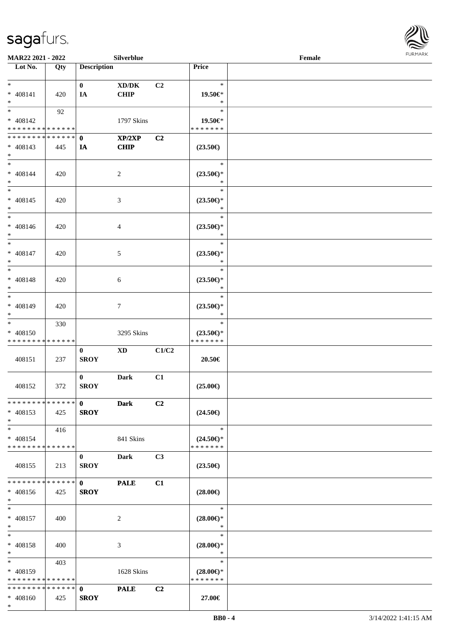

| <b>MAR22 2021 - 2022</b>                   |     |                    | Silverblue             |                |                               | Female |  |
|--------------------------------------------|-----|--------------------|------------------------|----------------|-------------------------------|--------|--|
| Lot No.                                    | Qty | <b>Description</b> |                        |                | Price                         |        |  |
|                                            |     |                    |                        |                |                               |        |  |
| $*$                                        |     | $\mathbf{0}$       | XD/DK                  | C <sub>2</sub> | $\ast$                        |        |  |
| * 408141                                   | 420 | IA                 | <b>CHIP</b>            |                | 19.50€*                       |        |  |
| $*$                                        |     |                    |                        |                | $\ast$<br>$\ast$              |        |  |
|                                            | 92  |                    |                        |                |                               |        |  |
| * 408142<br>* * * * * * * * * * * * * *    |     |                    | 1797 Skins             |                | 19.50€*<br>* * * * * * *      |        |  |
| * * * * * * * * <mark>* * * * * * *</mark> |     | $\mathbf{0}$       | XP/2XP                 | C2             |                               |        |  |
| $* 408143$                                 | 445 | IA                 | <b>CHIP</b>            |                | $(23.50\epsilon)$             |        |  |
| $*$                                        |     |                    |                        |                |                               |        |  |
| $*$                                        |     |                    |                        |                | $\ast$                        |        |  |
| * 408144                                   | 420 |                    | 2                      |                | $(23.50\epsilon)$ *           |        |  |
| $*$                                        |     |                    |                        |                | $\ast$                        |        |  |
|                                            |     |                    |                        |                | $\ast$                        |        |  |
| $* 408145$                                 | 420 |                    | 3                      |                | $(23.50\epsilon)$ *           |        |  |
| $*$                                        |     |                    |                        |                | $\ast$                        |        |  |
| $*$                                        |     |                    |                        |                | $\ast$                        |        |  |
| $* 408146$                                 | 420 |                    | 4                      |                | $(23.50\epsilon)$ *           |        |  |
| $*$                                        |     |                    |                        |                | $\ast$                        |        |  |
|                                            |     |                    |                        |                | $\ast$                        |        |  |
| $* 408147$                                 | 420 |                    | 5                      |                | $(23.50\epsilon)$ *           |        |  |
| $*$                                        |     |                    |                        |                | $\ast$                        |        |  |
| $*$                                        |     |                    |                        |                | $\ast$                        |        |  |
| * 408148                                   | 420 |                    | 6                      |                | $(23.50\epsilon)$ *           |        |  |
| $*$<br>$\overline{\ast}$                   |     |                    |                        |                | $\ast$                        |        |  |
|                                            |     |                    |                        |                | $\ast$                        |        |  |
| * 408149                                   | 420 |                    | $7\phantom{.0}$        |                | $(23.50\epsilon)$ *<br>$\ast$ |        |  |
| $*$<br>$*$                                 | 330 |                    |                        |                | $\ast$                        |        |  |
| * 408150                                   |     |                    | 3295 Skins             |                | $(23.50\epsilon)$ *           |        |  |
| * * * * * * * * * * * * * *                |     |                    |                        |                | * * * * * * *                 |        |  |
|                                            |     | $\bf{0}$           | $\mathbf{X}\mathbf{D}$ | C1/C2          |                               |        |  |
| 408151                                     | 237 | <b>SROY</b>        |                        |                | 20.50€                        |        |  |
|                                            |     |                    |                        |                |                               |        |  |
|                                            |     | $\mathbf{0}$       | <b>Dark</b>            | C1             |                               |        |  |
| 408152                                     | 372 | <b>SROY</b>        |                        |                | $(25.00\epsilon)$             |        |  |
|                                            |     |                    |                        |                |                               |        |  |
| **************                             |     | $\mathbf{0}$       | <b>Dark</b>            | C2             |                               |        |  |
| * 408153                                   | 425 | <b>SROY</b>        |                        |                | $(24.50\epsilon)$             |        |  |
| $*$                                        |     |                    |                        |                |                               |        |  |
| $*$                                        | 416 |                    |                        |                | $\ast$                        |        |  |
| $* 408154$                                 |     |                    | 841 Skins              |                | $(24.50\epsilon)$ *           |        |  |
| * * * * * * * * * * * * * * *              |     |                    |                        |                | * * * * * * *                 |        |  |
|                                            |     | $\mathbf{0}$       | Dark                   | C <sub>3</sub> |                               |        |  |
| 408155                                     | 213 | <b>SROY</b>        |                        |                | $(23.50\epsilon)$             |        |  |
| * * * * * * * * * * * * * * *              |     | $\mathbf{0}$       | <b>PALE</b>            | C1             |                               |        |  |
| $* 408156$                                 | 425 | <b>SROY</b>        |                        |                | $(28.00\epsilon)$             |        |  |
| $*$                                        |     |                    |                        |                |                               |        |  |
| $*$ $-$                                    |     |                    |                        |                | $\ast$                        |        |  |
| * 408157                                   | 400 |                    | 2                      |                | $(28.00\epsilon)$ *           |        |  |
| $*$                                        |     |                    |                        |                | $\ast$                        |        |  |
| $*$                                        |     |                    |                        |                | $\ast$                        |        |  |
| * 408158                                   | 400 |                    | 3                      |                | $(28.00\epsilon)$ *           |        |  |
| $*$                                        |     |                    |                        |                | $\ast$                        |        |  |
| $*$                                        | 403 |                    |                        |                | $\ast$                        |        |  |
| $* 408159$                                 |     |                    | 1628 Skins             |                | $(28.00\epsilon)$ *           |        |  |
| * * * * * * * * * * * * * * *              |     |                    |                        |                | * * * * * * *                 |        |  |
| * * * * * * * * * * * * * * <mark>*</mark> |     | $\mathbf 0$        | <b>PALE</b>            | C2             |                               |        |  |
| $* 408160$                                 | 425 | <b>SROY</b>        |                        |                | 27.00€                        |        |  |
| $*$                                        |     |                    |                        |                |                               |        |  |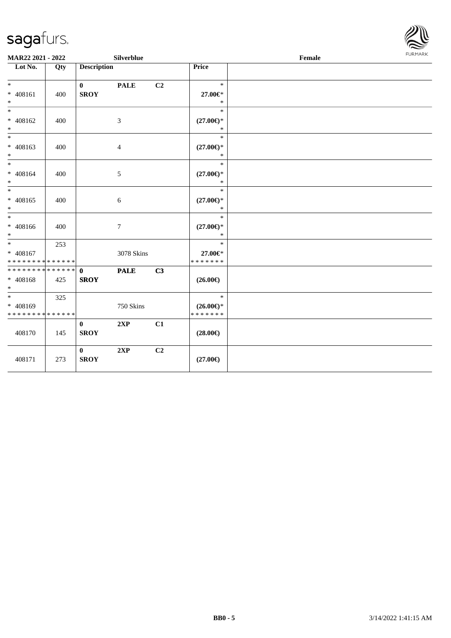

| MAR22 2021 - 2022                                              |     |                             | Silverblue     |    |                                                | Female | FURMARK |
|----------------------------------------------------------------|-----|-----------------------------|----------------|----|------------------------------------------------|--------|---------|
| $\overline{\phantom{1}}$ Lot No.                               | Qty | <b>Description</b>          |                |    | Price                                          |        |         |
| $*$<br>$* 408161$<br>$\ast$                                    | 400 | $\bf{0}$<br><b>SROY</b>     | <b>PALE</b>    | C2 | $\ast$<br>27.00€*<br>$\ast$                    |        |         |
| $\ast$<br>$* 408162$<br>$\ast$                                 | 400 |                             | $\mathfrak{Z}$ |    | $\ast$<br>$(27.00\epsilon)$ *<br>$\ast$        |        |         |
| $\ast$<br>* 408163<br>$\ast$                                   | 400 |                             | 4              |    | $\ast$<br>$(27.00\epsilon)$ *<br>$\ast$        |        |         |
| $*$<br>$* 408164$<br>$\ast$                                    | 400 |                             | 5              |    | $\ast$<br>$(27.00\epsilon)$ *<br>$\ast$        |        |         |
| $\ast$<br>* 408165<br>$*$                                      | 400 |                             | $\sqrt{6}$     |    | $\ast$<br>$(27.00\epsilon)$ *<br>$\ast$        |        |         |
| $*$<br>$* 408166$<br>$*$                                       | 400 |                             | $\tau$         |    | $\ast$<br>$(27.00\in)\!\!^*$<br>$\ast$         |        |         |
| $\overline{\ast}$<br>$* 408167$<br>* * * * * * * * * * * * * * | 253 |                             | 3078 Skins     |    | $\ast$<br>27.00€*<br>* * * * * * *             |        |         |
| * * * * * * * * * * * * * * *<br>* 408168<br>$*$               | 425 | $\mathbf{0}$<br><b>SROY</b> | <b>PALE</b>    | C3 | $(26.00\epsilon)$                              |        |         |
| $*$<br>* 408169<br>* * * * * * * * * * * * * *                 | 325 |                             | 750 Skins      |    | $\ast$<br>$(26.00\epsilon)$ *<br>* * * * * * * |        |         |
| 408170                                                         | 145 | $\bf{0}$<br><b>SROY</b>     | 2XP            | C1 | $(28.00\epsilon)$                              |        |         |
| 408171                                                         | 273 | $\bf{0}$<br><b>SROY</b>     | 2XP            | C2 | $(27.00\epsilon)$                              |        |         |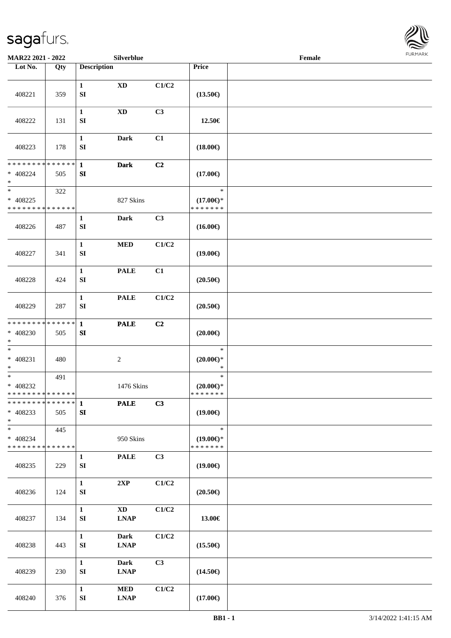

| MAR22 2021 - 2022                                     |     |                                  | Silverblue                            |       |                                                | Female |  |
|-------------------------------------------------------|-----|----------------------------------|---------------------------------------|-------|------------------------------------------------|--------|--|
| Lot No.                                               | Qty | <b>Description</b>               |                                       |       | Price                                          |        |  |
| 408221                                                | 359 | $\mathbf{1}$<br>SI               | $\mathbf{X}\mathbf{D}$                | C1/C2 | $(13.50\epsilon)$                              |        |  |
| 408222                                                | 131 | $\mathbf{1}$<br>SI               | $\mathbf{X}\mathbf{D}$                | C3    | 12.50€                                         |        |  |
| 408223                                                | 178 | $\mathbf{1}$<br>${\bf SI}$       | <b>Dark</b>                           | C1    | $(18.00\epsilon)$                              |        |  |
| * * * * * * * * * * * * * * *<br>* 408224<br>$\ast$   | 505 | $\mathbf{1}$<br>SI               | <b>Dark</b>                           | C2    | $(17.00\epsilon)$                              |        |  |
| $\ast$<br>$* 408225$<br>* * * * * * * * * * * * * *   | 322 |                                  | 827 Skins                             |       | $\ast$<br>$(17.00\epsilon)$ *<br>* * * * * * * |        |  |
| 408226                                                | 487 | $\mathbf{1}$<br>SI               | <b>Dark</b>                           | C3    | $(16.00\epsilon)$                              |        |  |
| 408227                                                | 341 | $\mathbf{1}$<br>SI               | $\bf MED$                             | C1/C2 | $(19.00\epsilon)$                              |        |  |
| 408228                                                | 424 | $\mathbf{1}$<br>SI               | <b>PALE</b>                           | C1    | $(20.50\epsilon)$                              |        |  |
| 408229                                                | 287 | $\mathbf{1}$<br>SI               | <b>PALE</b>                           | C1/C2 | $(20.50\in)$                                   |        |  |
| * * * * * * * * * * * * * * *<br>$* 408230$<br>$\ast$ | 505 | $\mathbf{1}$<br>SI               | <b>PALE</b>                           | C2    | $(20.00\epsilon)$                              |        |  |
| $\ast$<br>$* 408231$<br>$\ast$                        | 480 |                                  | $\sqrt{2}$                            |       | $\ast$<br>$(20.00\epsilon)$ *<br>$\ast$        |        |  |
| $\ast$<br>$* 408232$<br>* * * * * * * * * * * * * *   | 491 |                                  | 1476 Skins                            |       | $\ast$<br>$(20.00\epsilon)$ *<br>*******       |        |  |
| ************** 1<br>* 408233<br>$*$                   | 505 | ${\bf S}{\bf I}$                 | <b>PALE</b>                           | C3    | $(19.00\epsilon)$                              |        |  |
| $*$<br>* 408234<br>* * * * * * * * * * * * * *        | 445 |                                  | 950 Skins                             |       | $\ast$<br>$(19.00\epsilon)$ *<br>* * * * * * * |        |  |
| 408235                                                | 229 | $\mathbf{1}$<br>SI               | <b>PALE</b>                           | C3    | $(19.00\epsilon)$                              |        |  |
| 408236                                                | 124 | $\mathbf{1}$<br>${\bf SI}$       | 2XP                                   | C1/C2 | $(20.50\epsilon)$                              |        |  |
| 408237                                                | 134 | $\mathbf{1}$<br>SI               | $\mathbf{X}\mathbf{D}$<br><b>LNAP</b> | C1/C2 | 13.00€                                         |        |  |
| 408238                                                | 443 | $\mathbf{1}$<br>SI               | <b>Dark</b><br><b>LNAP</b>            | C1/C2 | $(15.50\epsilon)$                              |        |  |
| 408239                                                | 230 | $\mathbf{1}$<br>${\bf S}{\bf I}$ | <b>Dark</b><br><b>LNAP</b>            | C3    | $(14.50\epsilon)$                              |        |  |
| 408240                                                | 376 | $\mathbf{1}$<br>SI               | $\bf MED$<br><b>LNAP</b>              | C1/C2 | $(17.00\epsilon)$                              |        |  |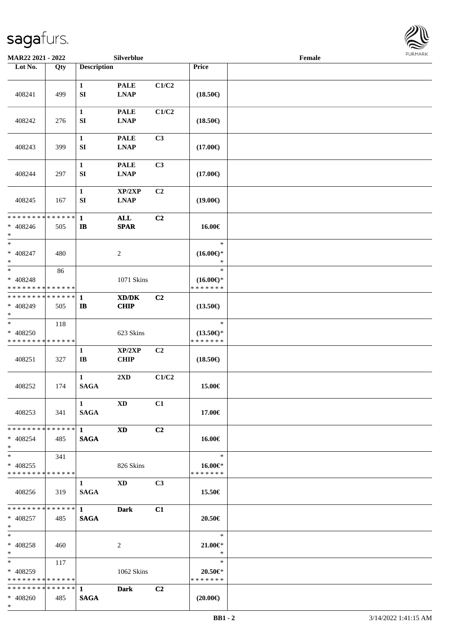

| MAR22 2021 - 2022                                        |     |                                            | Silverblue                                                 |                |                                                | Female |  |
|----------------------------------------------------------|-----|--------------------------------------------|------------------------------------------------------------|----------------|------------------------------------------------|--------|--|
| Lot No.                                                  | Qty | <b>Description</b>                         |                                                            |                | Price                                          |        |  |
| 408241                                                   | 499 | $\mathbf{1}$<br>SI                         | <b>PALE</b><br><b>LNAP</b>                                 | C1/C2          | $(18.50\epsilon)$                              |        |  |
| 408242                                                   | 276 | $\mathbf{1}$<br>SI                         | <b>PALE</b><br><b>LNAP</b>                                 | C1/C2          | $(18.50\epsilon)$                              |        |  |
| 408243                                                   | 399 | $\mathbf{1}$<br>SI                         | <b>PALE</b><br><b>LNAP</b>                                 | C3             | $(17.00\epsilon)$                              |        |  |
| 408244                                                   | 297 | 1<br>SI                                    | <b>PALE</b><br><b>LNAP</b>                                 | C3             | $(17.00\epsilon)$                              |        |  |
| 408245                                                   | 167 | $\mathbf{1}$<br>SI                         | XP/2XP<br><b>LNAP</b>                                      | C2             | $(19.00\epsilon)$                              |        |  |
| * * * * * * * * * * * * * *<br>$* 408246$<br>$\ast$      | 505 | $\mathbf{1}$<br>$\bf I\bf B$               | <b>ALL</b><br><b>SPAR</b>                                  | C2             | 16.00€                                         |        |  |
| $\ast$<br>$* 408247$<br>$\ast$                           | 480 |                                            | 2                                                          |                | $\ast$<br>$(16.00\epsilon)$ *<br>$\ast$        |        |  |
| $\ast$<br>* 408248<br>* * * * * * * * * * * * * *        | 86  |                                            | 1071 Skins                                                 |                | $\ast$<br>$(16.00\epsilon)$ *<br>* * * * * * * |        |  |
| * * * * * * * * * * * * * *<br>* 408249<br>$*$           | 505 | 1<br>$\mathbf{I}$                          | $\mathbf{X}\mathbf{D}/\mathbf{D}\mathbf{K}$<br><b>CHIP</b> | C <sub>2</sub> | $(13.50\epsilon)$                              |        |  |
| $\ast$<br>* 408250<br>* * * * * * * * * * * * * *        | 118 |                                            | 623 Skins                                                  |                | $\ast$<br>$(13.50\epsilon)$ *<br>* * * * * * * |        |  |
| 408251                                                   | 327 | $\mathbf{1}$<br>$\mathbf{I}\mathbf{B}$     | XP/2XP<br><b>CHIP</b>                                      | C2             | $(18.50\epsilon)$                              |        |  |
| 408252                                                   | 174 | $\mathbf{1}$<br><b>SAGA</b>                | 2XD                                                        | C1/C2          | 15.00€                                         |        |  |
| 408253                                                   | 341 | $\mathbf{1}$<br><b>SAGA</b>                | <b>XD</b>                                                  | C1             | 17.00€                                         |        |  |
| ******** <mark>******</mark> 1<br>* 408254<br>$*$        | 485 | <b>SAGA</b>                                | <b>XD</b>                                                  | C <sub>2</sub> | 16.00€                                         |        |  |
| $*$<br>$* 408255$<br>* * * * * * * * * * * * * *         | 341 |                                            | 826 Skins                                                  |                | $\ast$<br>16.00€*<br>* * * * * * *             |        |  |
| 408256                                                   | 319 | $\mathbf{1}$<br><b>SAGA</b>                | $\mathbf{X}\mathbf{D}$                                     | C <sub>3</sub> | 15.50€                                         |        |  |
| $* 408257$<br>$*$                                        | 485 | <b>SAGA</b>                                | Dark                                                       | C1             | 20.50€                                         |        |  |
| $*$<br>$* 408258$<br>$*$ $-$                             | 460 |                                            | 2                                                          |                | $\ast$<br>$21.00 \in$ *<br>$\ast$              |        |  |
| $*$ and $*$<br>$* 408259$<br>* * * * * * * * * * * * * * | 117 |                                            | 1062 Skins                                                 |                | $\ast$<br>20.50€*<br>* * * * * * *             |        |  |
| * * * * * * * * * * * * * * *<br>$* 408260$<br>$*$       | 485 | $\mathbf 1$ and $\mathbf 1$<br><b>SAGA</b> | Dark                                                       | C2             | $(20.00\epsilon)$                              |        |  |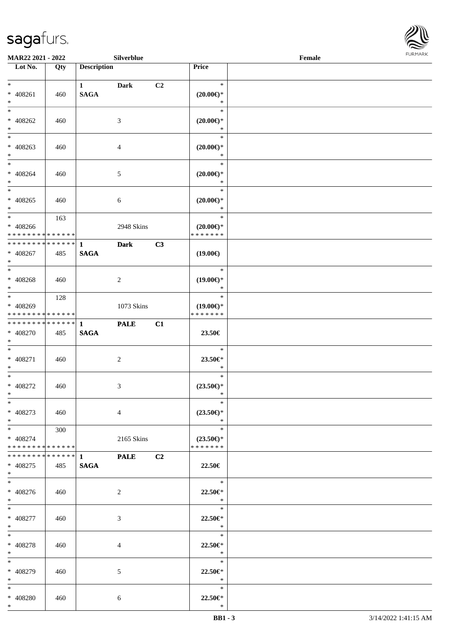\*



| MAR22 2021 - 2022                                                     |     |                                       | Silverblue     |    |                                                | Female | FURMARK |
|-----------------------------------------------------------------------|-----|---------------------------------------|----------------|----|------------------------------------------------|--------|---------|
| Lot No.                                                               | Qty | <b>Description</b>                    |                |    | Price                                          |        |         |
| $\ast$<br>$* 408261$<br>$\ast$                                        | 460 | $1 \quad \blacksquare$<br><b>SAGA</b> | <b>Dark</b>    | C2 | $\ast$<br>$(20.00\epsilon)$ *<br>$\ast$        |        |         |
| $\overline{\phantom{0}}$<br>$* 408262$<br>$*$                         | 460 |                                       | $\mathfrak{Z}$ |    | $\ast$<br>$(20.00\epsilon)$ *<br>$\ast$        |        |         |
| $\frac{1}{1}$<br>$* 408263$<br>$*$                                    | 460 |                                       | $\overline{4}$ |    | $\ast$<br>$(20.00\epsilon)$ *<br>$\ast$        |        |         |
| $*$<br>$* 408264$<br>$*$                                              | 460 |                                       | $\sqrt{5}$     |    | $\ast$<br>$(20.00\epsilon)$ *<br>$\ast$        |        |         |
| $\frac{1}{*}$<br>$* 408265$<br>$\ast$                                 | 460 |                                       | $\sqrt{6}$     |    | $\ast$<br>$(20.00\epsilon)$ *<br>$\ast$        |        |         |
| $\overline{\phantom{0}}$<br>$* 408266$<br>* * * * * * * * * * * * * * | 163 |                                       | 2948 Skins     |    | $\ast$<br>$(20.00\epsilon)$ *<br>* * * * * * * |        |         |
| * * * * * * * * * * * * * * *<br>$* 408267$<br>$\ast$                 | 485 | $\mathbf{1}$<br><b>SAGA</b>           | <b>Dark</b>    | C3 | $(19.00\epsilon)$                              |        |         |
| $\overline{\phantom{0}}$<br>* 408268<br>$\ast$                        | 460 |                                       | $\sqrt{2}$     |    | $\ast$<br>$(19.00\epsilon)$ *<br>$\ast$        |        |         |
| $\overline{\phantom{a}^*}$<br>* 408269<br>* * * * * * * * * * * * * * | 128 |                                       | 1073 Skins     |    | $\ast$<br>$(19.00\epsilon)$ *<br>* * * * * * * |        |         |
| * * * * * * * * * * * * * *<br>* 408270<br>$\ast$                     | 485 | $\mathbf{1}$<br><b>SAGA</b>           | <b>PALE</b>    | C1 | 23.50€                                         |        |         |
| $_{\ast}^{-}$<br>$* 408271$<br>$\ast$                                 | 460 |                                       | $\sqrt{2}$     |    | $\ast$<br>23.50€*<br>$\ast$                    |        |         |
| $\overline{\phantom{a}^*}$<br>* 408272<br>$*$                         | 460 |                                       | 3              |    | $\ast$<br>$(23.50\epsilon)$ *<br>∗             |        |         |
| $\ast$<br>$* 408273$<br>$\ast$                                        | 460 |                                       | $\overline{4}$ |    | $\ast$<br>$(23.50\epsilon)$ *<br>$\ast$        |        |         |
| $\overline{\phantom{0}}$<br>$* 408274$<br>* * * * * * * * * * * * * * | 300 |                                       | 2165 Skins     |    | $\ast$<br>$(23.50\epsilon)$ *<br>* * * * * * * |        |         |
| * * * * * * * * * * * * * * *<br>$* 408275$<br>$*$                    | 485 | $1 \quad \blacksquare$<br><b>SAGA</b> | <b>PALE</b>    | C2 | 22.50€                                         |        |         |
| $\overline{\phantom{0}}$<br>$* 408276$<br>$*$                         | 460 |                                       | $\overline{2}$ |    | $\ast$<br>22.50€*<br>$\ast$                    |        |         |
| $\overline{\phantom{a}^*}$<br>$* 408277$<br>$*$                       | 460 |                                       | $\mathfrak{Z}$ |    | $\ast$<br>22.50€*<br>$\ast$                    |        |         |
| $\ast$<br>* 408278<br>$*$                                             | 460 |                                       | $\overline{4}$ |    | $\ast$<br>22.50€*<br>$\ast$                    |        |         |
| $\overline{\ast}$<br>* 408279<br>$\ast$                               | 460 |                                       | 5              |    | $\ast$<br>22.50€*<br>$\ast$                    |        |         |
| $\ast$<br>$* 408280$<br>$*$                                           | 460 |                                       | 6              |    | $\ast$<br>22.50€*<br>$\ast$                    |        |         |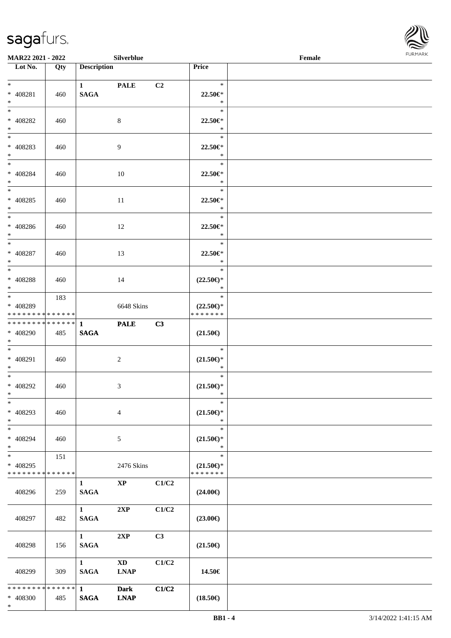\*



| MAR22 2021 - 2022                  |     |                             | Silverblue             |       |                                                   | $\ensuremath{\textnormal{\textbf{Female}}}$ | <b>FURMARK</b> |
|------------------------------------|-----|-----------------------------|------------------------|-------|---------------------------------------------------|---------------------------------------------|----------------|
| $\overline{\phantom{1}}$ Lot No.   | Qty | <b>Description</b>          |                        |       | Price                                             |                                             |                |
| $\ast$                             |     | $1 \quad \blacksquare$      | <b>PALE</b>            | C2    | $\ast$                                            |                                             |                |
| $* 408281$                         | 460 | <b>SAGA</b>                 |                        |       | 22.50€*                                           |                                             |                |
| $\ast$                             |     |                             |                        |       | $\ast$                                            |                                             |                |
| $\overline{\phantom{a}^*}$         |     |                             |                        |       | $\ast$                                            |                                             |                |
| * 408282                           | 460 |                             | $8\,$                  |       | 22.50€*                                           |                                             |                |
| $\ast$                             |     |                             |                        |       | $\ast$                                            |                                             |                |
| $\frac{1}{1}$                      |     |                             |                        |       | $\ast$                                            |                                             |                |
| * 408283                           | 460 |                             | 9                      |       | 22.50€*                                           |                                             |                |
| $*$                                |     |                             |                        |       | $\ast$                                            |                                             |                |
| $\overline{\phantom{a}^*}$         |     |                             |                        |       | $\ast$                                            |                                             |                |
| $* 408284$                         | 460 |                             | $10\,$                 |       | 22.50€*                                           |                                             |                |
| $\ast$                             |     |                             |                        |       | $\ast$                                            |                                             |                |
| $\ast$                             |     |                             |                        |       | $\ast$                                            |                                             |                |
| $* 408285$                         | 460 |                             | $11\,$                 |       | 22.50€*                                           |                                             |                |
| $\ast$<br>$\overline{\phantom{a}}$ |     |                             |                        |       | $\ast$<br>$\ast$                                  |                                             |                |
|                                    |     |                             |                        |       |                                                   |                                             |                |
| * 408286<br>$*$                    | 460 |                             | 12                     |       | 22.50€*<br>$\ast$                                 |                                             |                |
| $\frac{1}{1}$                      |     |                             |                        |       | $\ast$                                            |                                             |                |
| $* 408287$                         | 460 |                             | 13                     |       | 22.50€*                                           |                                             |                |
| $\ast$                             |     |                             |                        |       | $\ast$                                            |                                             |                |
| $\ast$                             |     |                             |                        |       | $\ast$                                            |                                             |                |
| * 408288                           | 460 |                             | 14                     |       | $(22.50\epsilon)$ *                               |                                             |                |
| $\ast$                             |     |                             |                        |       | $\ast$                                            |                                             |                |
| $\overline{\phantom{0}}$           | 183 |                             |                        |       | $\ast$                                            |                                             |                |
| * 408289                           |     |                             | 6648 Skins             |       | $(22.50\epsilon)$ *                               |                                             |                |
| * * * * * * * * * * * * * *        |     |                             |                        |       | * * * * * * *                                     |                                             |                |
| ******** <mark>******</mark>       |     | $\mathbf{1}$                | <b>PALE</b>            | C3    |                                                   |                                             |                |
| * 408290                           | 485 | <b>SAGA</b>                 |                        |       | $(21.50\epsilon)$                                 |                                             |                |
| $\ast$<br>$\overline{\phantom{1}}$ |     |                             |                        |       |                                                   |                                             |                |
|                                    |     |                             |                        |       | $\ast$                                            |                                             |                |
| * 408291                           | 460 |                             | $\overline{c}$         |       | $(21.50\epsilon)$ *<br>$\ast$                     |                                             |                |
| $\ast$<br>$\overline{\phantom{1}}$ |     |                             |                        |       | $\ast$                                            |                                             |                |
| * 408292                           |     |                             |                        |       |                                                   |                                             |                |
| $\ast$                             | 460 |                             | 3                      |       | $(21.50\epsilon)$ *<br>$\ast$                     |                                             |                |
| $\ast$                             |     |                             |                        |       | $\ast$                                            |                                             |                |
| * 408293                           | 460 |                             | $\overline{4}$         |       | $(21.50\mathnormal{\in}\mathcal{)^{\! \! \circ}}$ |                                             |                |
| $\ast$                             |     |                             |                        |       | $\ast$                                            |                                             |                |
| $\ast$                             |     |                             |                        |       | $\ast$                                            |                                             |                |
| * 408294                           | 460 |                             | 5                      |       | $(21.50\epsilon)$ *                               |                                             |                |
| $\ast$                             |     |                             |                        |       | $\ast$                                            |                                             |                |
| $_{*}$                             | 151 |                             |                        |       | $\ast$                                            |                                             |                |
| * 408295                           |     |                             | 2476 Skins             |       | $(21.50\epsilon)$ *                               |                                             |                |
| * * * * * * * * * * * * * *        |     |                             |                        |       | * * * * * * *                                     |                                             |                |
|                                    |     | $\mathbf{1}$                | $\bold{XP}$            | C1/C2 |                                                   |                                             |                |
| 408296                             | 259 | <b>SAGA</b>                 |                        |       | $(24.00\epsilon)$                                 |                                             |                |
|                                    |     |                             |                        |       |                                                   |                                             |                |
|                                    |     | $\mathbf{1}$<br><b>SAGA</b> | 2XP                    | C1/C2 |                                                   |                                             |                |
| 408297                             | 482 |                             |                        |       | $(23.00\epsilon)$                                 |                                             |                |
|                                    |     | $\mathbf{1}$                | 2XP                    | C3    |                                                   |                                             |                |
| 408298                             | 156 | <b>SAGA</b>                 |                        |       | $(21.50\epsilon)$                                 |                                             |                |
|                                    |     |                             |                        |       |                                                   |                                             |                |
|                                    |     | $\mathbf{1}$                | $\mathbf{X}\mathbf{D}$ | C1/C2 |                                                   |                                             |                |
| 408299                             | 309 | <b>SAGA</b>                 | <b>LNAP</b>            |       | 14.50€                                            |                                             |                |
|                                    |     |                             |                        |       |                                                   |                                             |                |
| * * * * * * * * * * * * * * *      |     | $\mathbf{1}$                | <b>Dark</b>            | C1/C2 |                                                   |                                             |                |
| * 408300                           | 485 | $\mathbf{SAGA}$             | <b>LNAP</b>            |       | $(18.50\epsilon)$                                 |                                             |                |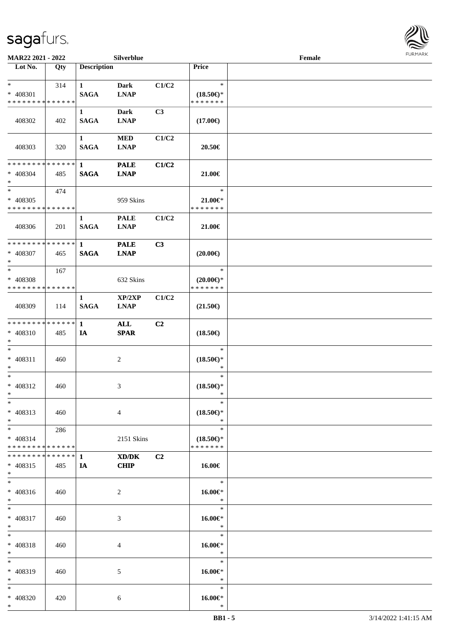

| MAR22 2021 - 2022                                    |     |                             | Silverblue                    |                |                                                | Female |  |
|------------------------------------------------------|-----|-----------------------------|-------------------------------|----------------|------------------------------------------------|--------|--|
| Lot No.                                              | Qty | <b>Description</b>          |                               |                | Price                                          |        |  |
| $*$<br>* 408301<br>* * * * * * * * * * * * * *       | 314 | $\mathbf{1}$<br><b>SAGA</b> | Dark<br><b>LNAP</b>           | C1/C2          | $\ast$<br>$(18.50\epsilon)$ *<br>* * * * * * * |        |  |
| 408302                                               | 402 | $\mathbf{1}$<br><b>SAGA</b> | Dark<br><b>LNAP</b>           | C3             | $(17.00\epsilon)$                              |        |  |
| 408303                                               | 320 | $\mathbf{1}$<br><b>SAGA</b> | <b>MED</b><br><b>LNAP</b>     | C1/C2          | 20.50€                                         |        |  |
| * * * * * * * * * * * * * * *<br>* 408304<br>$*$     | 485 | $\mathbf{1}$<br><b>SAGA</b> | <b>PALE</b><br><b>LNAP</b>    | C1/C2          | 21.00€                                         |        |  |
| $*$<br>* 408305<br>* * * * * * * * * * * * * *       | 474 |                             | 959 Skins                     |                | $\ast$<br>$21.00 \in$<br>* * * * * * *         |        |  |
| 408306                                               | 201 | $\mathbf{1}$<br><b>SAGA</b> | <b>PALE</b><br><b>LNAP</b>    | C1/C2          | 21.00€                                         |        |  |
| * * * * * * * * * * * * * * *<br>* 408307<br>$*$     | 465 | $\mathbf{1}$<br><b>SAGA</b> | <b>PALE</b><br><b>LNAP</b>    | C3             | $(20.00\epsilon)$                              |        |  |
| $*$<br>* 408308<br>* * * * * * * * * * * * * *       | 167 |                             | 632 Skins                     |                | $\ast$<br>$(20.00\epsilon)$ *<br>* * * * * * * |        |  |
| 408309                                               | 114 | 1<br><b>SAGA</b>            | XP/2XP<br><b>LNAP</b>         | C1/C2          | $(21.50\epsilon)$                              |        |  |
| * * * * * * * * * * * * * * *<br>* 408310<br>$*$     | 485 | $\mathbf{1}$<br>IA          | $\mathbf{ALL}$<br><b>SPAR</b> | C2             | $(18.50\epsilon)$                              |        |  |
| $*$<br>$* 408311$<br>$*$                             | 460 |                             | $\overline{c}$                |                | $\ast$<br>$(18.50\epsilon)$ *<br>$\ast$        |        |  |
| $*$<br>$* 408312$<br>$*$                             | 460 |                             | 3                             |                | $\ast$<br>$(18.50\epsilon)$ *<br>*             |        |  |
| $*$<br>$* 408313$<br>$*$                             | 460 |                             | 4                             |                | $\ast$<br>$(18.50\epsilon)$ *<br>$\ast$        |        |  |
| $*$ $*$<br>* 408314<br>* * * * * * * * * * * * * * * | 286 |                             | 2151 Skins                    |                | $\ast$<br>$(18.50\epsilon)$ *<br>* * * * * * * |        |  |
| ************** 1<br>* 408315<br>$*$                  | 485 | IA                          | XD/DK<br><b>CHIP</b>          | C <sub>2</sub> | 16.00€                                         |        |  |
| $*$<br>$* 408316$<br>$*$                             | 460 |                             | 2                             |                | $\ast$<br>16.00€*<br>$\ast$                    |        |  |
| $*$<br>* 408317<br>$*$                               | 460 |                             | 3                             |                | $\ast$<br>$16.00 \in$<br>$\ast$                |        |  |
| $*$<br>* 408318<br>$*$                               | 460 |                             | 4                             |                | $\ast$<br>16.00€*<br>$\ast$                    |        |  |
| $*$<br>* 408319<br>$*$                               | 460 |                             | 5                             |                | $\ast$<br>16.00€*<br>$\ast$                    |        |  |
| $*$<br>* 408320<br>$*$                               | 420 |                             | 6                             |                | $\ast$<br>16.00€*<br>$\ast$                    |        |  |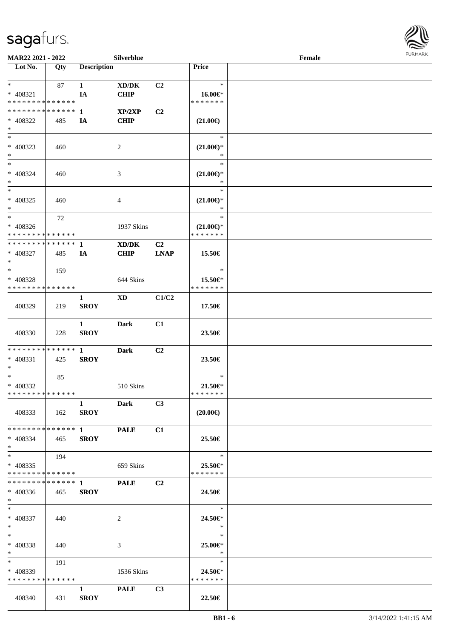

| MAR22 2021 - 2022             |     |                        | Silverblue     |                |                               | Female |  |
|-------------------------------|-----|------------------------|----------------|----------------|-------------------------------|--------|--|
| Lot No.                       | Qty | <b>Description</b>     |                |                | <b>Price</b>                  |        |  |
|                               |     |                        |                |                |                               |        |  |
| $*$                           | 87  | $\mathbf{1}$           | XD/DK          | C <sub>2</sub> | $\ast$                        |        |  |
| * 408321                      |     | IA                     | <b>CHIP</b>    |                | 16.00€*                       |        |  |
| * * * * * * * * * * * * * *   |     |                        |                |                | * * * * * * *                 |        |  |
| * * * * * * * * * * * * * * * |     | $\mathbf{1}$           | XP/2XP         | C2             |                               |        |  |
| * 408322                      | 485 | IA                     | <b>CHIP</b>    |                | $(21.00\epsilon)$             |        |  |
| $\ast$                        |     |                        |                |                |                               |        |  |
| $*$                           |     |                        |                |                | $\ast$                        |        |  |
| * 408323                      | 460 |                        | $\overline{2}$ |                | $(21.00\mathbb{E})^{*}$       |        |  |
| $*$                           |     |                        |                |                | $\ast$                        |        |  |
| $*$                           |     |                        |                |                | $\ast$                        |        |  |
| $* 408324$                    |     |                        |                |                |                               |        |  |
|                               | 460 |                        | 3              |                | $(21.00\epsilon)$ *<br>$\ast$ |        |  |
| $*$<br>$*$                    |     |                        |                |                | $\ast$                        |        |  |
|                               |     |                        |                |                |                               |        |  |
| $* 408325$                    | 460 |                        | 4              |                | $(21.00\epsilon)$ *           |        |  |
| $*$                           |     |                        |                |                | $\ast$                        |        |  |
| $*$                           | 72  |                        |                |                | $\ast$                        |        |  |
| * 408326                      |     |                        | 1937 Skins     |                | $(21.00\epsilon)$ *           |        |  |
| * * * * * * * * * * * * * *   |     |                        |                |                | * * * * * * *                 |        |  |
| * * * * * * * * * * * * * * * |     | 1                      | XD/DK          | C <sub>2</sub> |                               |        |  |
| * 408327                      | 485 | IA                     | <b>CHIP</b>    | <b>LNAP</b>    | 15.50€                        |        |  |
| $*$                           |     |                        |                |                |                               |        |  |
| $*$                           | 159 |                        |                |                | $\ast$                        |        |  |
| * 408328                      |     |                        | 644 Skins      |                | 15.50€*                       |        |  |
| * * * * * * * * * * * * * *   |     |                        |                |                | * * * * * * *                 |        |  |
|                               |     | 1                      | <b>XD</b>      | C1/C2          |                               |        |  |
| 408329                        | 219 | <b>SROY</b>            |                |                | 17.50€                        |        |  |
|                               |     |                        |                |                |                               |        |  |
|                               |     | $\mathbf{1}$           | <b>Dark</b>    | C1             |                               |        |  |
| 408330                        | 228 | <b>SROY</b>            |                |                | 23.50€                        |        |  |
|                               |     |                        |                |                |                               |        |  |
| * * * * * * * * * * * * * * * |     | $\mathbf{1}$           | <b>Dark</b>    | C2             |                               |        |  |
| * 408331                      | 425 | <b>SROY</b>            |                |                | 23.50€                        |        |  |
| $*$                           |     |                        |                |                |                               |        |  |
| $*$                           | 85  |                        |                |                | $\ast$                        |        |  |
| * 408332                      |     |                        | 510 Skins      |                | 21.50€*                       |        |  |
| * * * * * * * * * * * * * * * |     |                        |                |                | * * * * * * *                 |        |  |
|                               |     | $\mathbf{1}$           | Dark           | C <sub>3</sub> |                               |        |  |
| 408333                        |     |                        |                |                |                               |        |  |
|                               | 162 | <b>SROY</b>            |                |                | $(20.00\epsilon)$             |        |  |
|                               |     |                        |                |                |                               |        |  |
| * * * * * * * * * * * * * * * |     | $1 \quad \cdots$       | <b>PALE</b>    | C1             |                               |        |  |
| $* 408334$                    | 465 | <b>SROY</b>            |                |                | 25.50€                        |        |  |
| $*$                           |     |                        |                |                |                               |        |  |
| $*$ $*$                       | 194 |                        |                |                | $\ast$                        |        |  |
| $* 408335$                    |     |                        | 659 Skins      |                | 25.50€*                       |        |  |
| * * * * * * * * * * * * * * * |     |                        |                |                | * * * * * * *                 |        |  |
|                               |     |                        | <b>PALE</b>    | C <sub>2</sub> |                               |        |  |
| $* 408336$                    | 465 | <b>SROY</b>            |                |                | 24.50€                        |        |  |
| $*$ $*$                       |     |                        |                |                |                               |        |  |
| $*$ $*$                       |     |                        |                |                | $\ast$                        |        |  |
| * 408337                      | 440 |                        | 2              |                | 24.50€*                       |        |  |
| $*$ $*$                       |     |                        |                |                | $\ast$                        |        |  |
| $*$ $-$                       |     |                        |                |                | $\ast$                        |        |  |
| * 408338                      | 440 |                        | 3              |                | 25.00€*                       |        |  |
| $*$ $*$                       |     |                        |                |                | $\ast$                        |        |  |
| $*$ and $*$                   | 191 |                        |                |                | $\ast$                        |        |  |
| $* 408339$                    |     |                        | 1536 Skins     |                | 24.50€*                       |        |  |
| * * * * * * * * * * * * * *   |     |                        |                |                | * * * * * * *                 |        |  |
|                               |     | $1 \quad \blacksquare$ | <b>PALE</b>    | C3             |                               |        |  |
| 408340                        | 431 | <b>SROY</b>            |                |                | 22.50€                        |        |  |
|                               |     |                        |                |                |                               |        |  |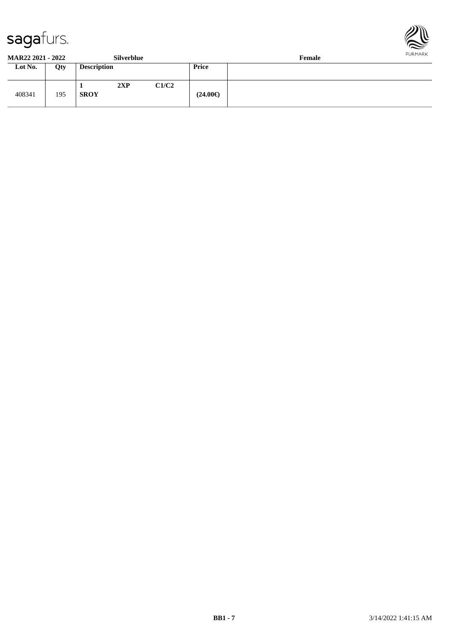



**MAR22 2021 - 2022 Silverblue Female**

| - - - - - - - - - - - - - - | --------- |                    |     |       |                   | ------- |
|-----------------------------|-----------|--------------------|-----|-------|-------------------|---------|
| Lot No.                     | Qty       | <b>Description</b> |     |       | <b>Price</b>      |         |
| 408341                      | 195       | <b>SROY</b>        | 2XP | C1/C2 | $(24.00\epsilon)$ |         |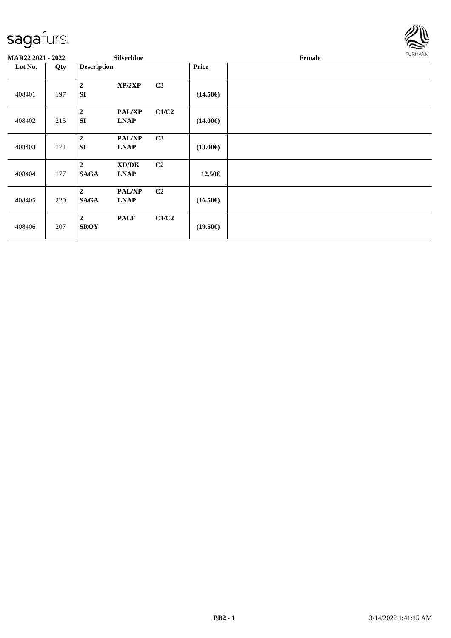

| MAR22 2021 - 2022 |     |                               | Silverblue                   |                |                   | Female | <b>FURMARK</b> |
|-------------------|-----|-------------------------------|------------------------------|----------------|-------------------|--------|----------------|
| Lot No.           | Qty | <b>Description</b>            |                              |                | <b>Price</b>      |        |                |
| 408401            | 197 | $\overline{2}$<br><b>SI</b>   | XP/2XP                       | C3             | $(14.50\epsilon)$ |        |                |
| 408402            | 215 | $\boldsymbol{2}$<br><b>SI</b> | PAL/XP<br><b>LNAP</b>        | C1/C2          | $(14.00\epsilon)$ |        |                |
| 408403            | 171 | $\overline{2}$<br><b>SI</b>   | <b>PAL/XP</b><br><b>LNAP</b> | C <sub>3</sub> | $(13.00\epsilon)$ |        |                |
| 408404            | 177 | $\overline{2}$<br><b>SAGA</b> | XD/DK<br><b>LNAP</b>         | C <sub>2</sub> | 12.50€            |        |                |
| 408405            | 220 | $\overline{2}$<br><b>SAGA</b> | PAL/XP<br><b>LNAP</b>        | C <sub>2</sub> | $(16.50\epsilon)$ |        |                |
| 408406            | 207 | $\overline{2}$<br><b>SROY</b> | <b>PALE</b>                  | C1/C2          | $(19.50\epsilon)$ |        |                |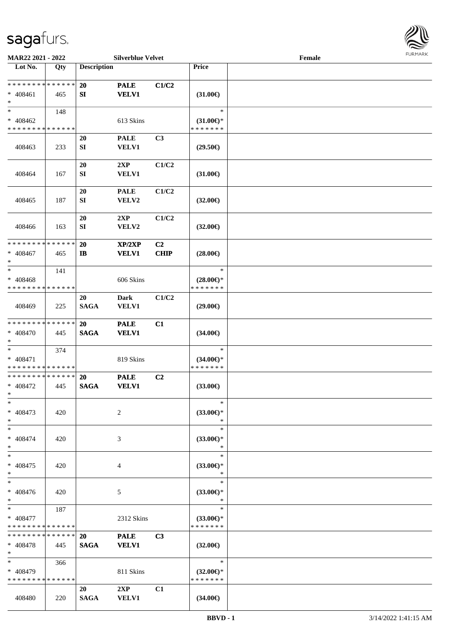

| MAR22 2021 - 2022                                   |     |                          | <b>Silverblue Velvet</b>    |                        |                                                | Female |  |
|-----------------------------------------------------|-----|--------------------------|-----------------------------|------------------------|------------------------------------------------|--------|--|
| Lot No.                                             | Qty | <b>Description</b>       |                             |                        | Price                                          |        |  |
| **************<br>$* 408461$<br>$\ast$              | 465 | 20<br>SI                 | <b>PALE</b><br><b>VELV1</b> | C1/C2                  | $(31.00\epsilon)$                              |        |  |
| $\ast$<br>$* 408462$<br>* * * * * * * * * * * * * * | 148 |                          | 613 Skins                   |                        | $\ast$<br>$(31.00\epsilon)$ *<br>* * * * * * * |        |  |
| 408463                                              | 233 | 20<br>${\bf S}{\bf I}$   | <b>PALE</b><br><b>VELV1</b> | C3                     | $(29.50\epsilon)$                              |        |  |
| 408464                                              | 167 | 20<br>${\bf SI}$         | 2XP<br><b>VELV1</b>         | C1/C2                  | $(31.00\epsilon)$                              |        |  |
| 408465                                              | 187 | 20<br>${\bf SI}$         | <b>PALE</b><br>VELV2        | C1/C2                  | $(32.00\epsilon)$                              |        |  |
| 408466                                              | 163 | 20<br>${\bf SI}$         | 2XP<br>VELV2                | C1/C2                  | $(32.00\epsilon)$                              |        |  |
| * * * * * * * * * * * * * *<br>$* 408467$<br>$\ast$ | 465 | 20<br>$\mathbf{I}$       | XP/2XP<br><b>VELV1</b>      | C <sub>2</sub><br>CHIP | $(28.00\epsilon)$                              |        |  |
| $\ast$<br>$* 408468$<br>* * * * * * * * * * * * * * | 141 |                          | 606 Skins                   |                        | $\ast$<br>$(28.00\epsilon)$ *<br>* * * * * * * |        |  |
| 408469                                              | 225 | 20<br><b>SAGA</b>        | <b>Dark</b><br>VELV1        | C1/C2                  | $(29.00\epsilon)$                              |        |  |
| * * * * * * * * * * * * * *<br>* 408470<br>$\ast$   | 445 | 20<br><b>SAGA</b>        | <b>PALE</b><br><b>VELV1</b> | C1                     | $(34.00\epsilon)$                              |        |  |
| $\ast$<br>$* 408471$<br>* * * * * * * * * * * * * * | 374 |                          | 819 Skins                   |                        | $\ast$<br>$(34.00\epsilon)$ *<br>* * * * * * * |        |  |
| ******** <mark>******</mark><br>$* 408472$<br>$*$   | 445 | 20<br><b>SAGA</b>        | <b>PALE</b><br><b>VELV1</b> | C2                     | $(33.00\epsilon)$                              |        |  |
| $\ast$<br>$* 408473$<br>$\ast$                      | 420 |                          | 2                           |                        | $\ast$<br>$(33.00\epsilon)$ *<br>$\ast$        |        |  |
| $\ast$<br>$* 408474$<br>$\ast$                      | 420 |                          | 3                           |                        | $\ast$<br>$(33.00\epsilon)$ *<br>∗             |        |  |
| $\ast$<br>* 408475<br>$\ast$                        | 420 |                          | 4                           |                        | $\ast$<br>$(33.00\epsilon)$ *<br>$\ast$        |        |  |
| $\overline{\phantom{1}}$<br>$* 408476$<br>$\ast$    | 420 |                          | 5                           |                        | $\ast$<br>$(33.00\epsilon)$ *<br>$\ast$        |        |  |
| $*$<br>$* 408477$<br>* * * * * * * * * * * * * *    | 187 |                          | 2312 Skins                  |                        | $\ast$<br>$(33.00€)$ *<br>* * * * * * *        |        |  |
| * * * * * * * * * * * * * *<br>$* 408478$<br>$*$    | 445 | <b>20</b><br><b>SAGA</b> | <b>PALE</b><br><b>VELV1</b> | C <sub>3</sub>         | $(32.00\epsilon)$                              |        |  |
| $\ast$<br>$* 408479$<br>* * * * * * * * * * * * * * | 366 |                          | 811 Skins                   |                        | $\ast$<br>$(32.00\epsilon)$ *<br>* * * * * * * |        |  |
| 408480                                              | 220 | 20<br><b>SAGA</b>        | 2XP<br><b>VELV1</b>         | C1                     | $(34.00\epsilon)$                              |        |  |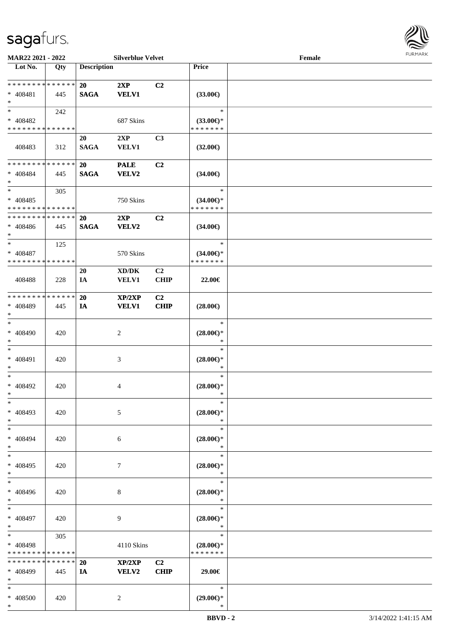

| MAR22 2021 - 2022                          |             |                    | <b>Silverblue Velvet</b> |                |                     | Female |  |
|--------------------------------------------|-------------|--------------------|--------------------------|----------------|---------------------|--------|--|
| Lot No.                                    | Qty         | <b>Description</b> |                          |                | Price               |        |  |
| ******** <mark>******</mark>               |             |                    |                          |                |                     |        |  |
|                                            |             | 20                 | 2XP                      | C2             |                     |        |  |
| $* 408481$                                 | 445         | <b>SAGA</b>        | <b>VELV1</b>             |                | $(33.00\epsilon)$   |        |  |
| $\ast$<br>$\ast$                           |             |                    |                          |                | $\ast$              |        |  |
|                                            | 242         |                    |                          |                |                     |        |  |
| * 408482                                   |             |                    | 687 Skins                |                | $(33.00\epsilon)$ * |        |  |
| * * * * * * * * * * * * * *                |             |                    |                          |                | * * * * * * *       |        |  |
|                                            |             | 20                 | 2XP                      | C3             |                     |        |  |
| 408483                                     | 312         | <b>SAGA</b>        | <b>VELV1</b>             |                | $(32.00\epsilon)$   |        |  |
|                                            |             |                    |                          |                |                     |        |  |
| * * * * * * * * * * * * * *                |             | 20                 | <b>PALE</b>              | C2             |                     |        |  |
| $* 408484$                                 | 445         | <b>SAGA</b>        | <b>VELV2</b>             |                | $(34.00\epsilon)$   |        |  |
| $\ast$                                     |             |                    |                          |                |                     |        |  |
| $\ast$                                     | 305         |                    |                          |                | $\ast$              |        |  |
| $* 408485$                                 |             |                    | 750 Skins                |                | $(34.00\epsilon)$ * |        |  |
| * * * * * * * * * * * * * *                |             |                    |                          |                | * * * * * * *       |        |  |
| * * * * * * * * * * * * * *                |             | <b>20</b>          | 2XP                      | C2             |                     |        |  |
| $* 408486$                                 | 445         | <b>SAGA</b>        | <b>VELV2</b>             |                | $(34.00\epsilon)$   |        |  |
| $\ast$                                     |             |                    |                          |                |                     |        |  |
| $\ast$                                     | 125         |                    |                          |                | $\ast$              |        |  |
| $* 408487$                                 |             |                    | 570 Skins                |                | $(34.00\epsilon)$ * |        |  |
| * * * * * * * * <mark>* * * * * * *</mark> |             |                    |                          |                | * * * * * * *       |        |  |
|                                            |             | <b>20</b>          | XD/DK                    | C <sub>2</sub> |                     |        |  |
| 408488                                     | 228         | IA                 | <b>VELV1</b>             | <b>CHIP</b>    | 22.00€              |        |  |
|                                            |             |                    |                          |                |                     |        |  |
| * * * * * * * * * * * * * *                |             | <b>20</b>          | XP/2XP                   | C2             |                     |        |  |
| * 408489                                   | 445         | IA                 | <b>VELV1</b>             | <b>CHIP</b>    | $(28.00\epsilon)$   |        |  |
| $\ast$                                     |             |                    |                          |                |                     |        |  |
| $\ast$                                     |             |                    |                          |                | $\ast$              |        |  |
| $* 408490$                                 | 420         |                    | $\boldsymbol{2}$         |                | $(28.00\in)^\ast$   |        |  |
| $\ast$                                     |             |                    |                          |                | $\ast$              |        |  |
| $\ast$                                     |             |                    |                          |                | $\ast$              |        |  |
| $* 408491$                                 | 420         |                    | $\mathfrak{Z}$           |                | $(28.00\epsilon)$ * |        |  |
| $\ast$                                     |             |                    |                          |                | $\ast$              |        |  |
| $\ast$                                     |             |                    |                          |                | $\ast$              |        |  |
| * 408492                                   | 420         |                    | 4                        |                | $(28.00\epsilon)$ * |        |  |
| $*$                                        |             |                    |                          |                | $\ast$              |        |  |
| $\ast$                                     |             |                    |                          |                | $\ast$              |        |  |
| * 408493                                   | 420         |                    | 5                        |                | $(28.00\epsilon)$ * |        |  |
| $\ast$                                     |             |                    |                          |                | $\ast$              |        |  |
| $\ast$                                     |             |                    |                          |                | $\ast$              |        |  |
| * 408494                                   | 420         |                    | 6                        |                | $(28.00\epsilon)$ * |        |  |
| $\ast$                                     |             |                    |                          |                | $\ast$              |        |  |
| $\ast$                                     |             |                    |                          |                | $\ast$              |        |  |
| * 408495                                   | 420         |                    | $\tau$                   |                | $(28.00\epsilon)$ * |        |  |
| $\ast$                                     |             |                    |                          |                | $\ast$              |        |  |
| $\ast$                                     |             |                    |                          |                | $\ast$              |        |  |
| * 408496                                   | 420         |                    | $\,8\,$                  |                | $(28.00\epsilon)$ * |        |  |
| $\ast$                                     |             |                    |                          |                | $\ast$              |        |  |
| $\ast$                                     |             |                    |                          |                | $\ast$              |        |  |
| $* 408497$                                 | 420         |                    | 9                        |                | $(28.00\epsilon)$ * |        |  |
| $\ast$                                     |             |                    |                          |                | $\ast$              |        |  |
| $\ast$                                     | 305         |                    |                          |                | $\ast$              |        |  |
| * 408498                                   |             |                    | 4110 Skins               |                | $(28.00\epsilon)$ * |        |  |
| * * * * * * * *                            | * * * * * * |                    |                          |                | * * * * * * *       |        |  |
| * * * * * * * *                            | * * * * * * | 20                 | XP/2XP                   | C2             |                     |        |  |
| * 408499                                   | 445         | IA                 | <b>VELV2</b>             | <b>CHIP</b>    | 29.00€              |        |  |
| $\ast$                                     |             |                    |                          |                |                     |        |  |
| $\ast$                                     |             |                    |                          |                | $\ast$              |        |  |
| * 408500                                   | 420         |                    | 2                        |                | $(29.00\epsilon)$ * |        |  |
| $*$                                        |             |                    |                          |                | $\ast$              |        |  |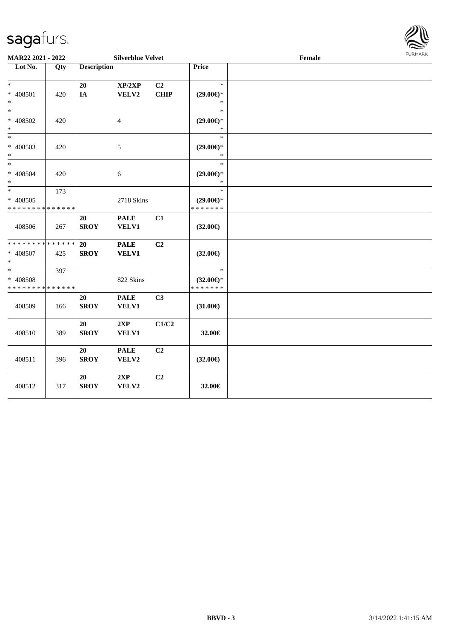

| MAR22 2021 - 2022                                            |     |                    | <b>Silverblue Velvet</b>    |                   |                                                | Female | <b>FURMARK</b> |
|--------------------------------------------------------------|-----|--------------------|-----------------------------|-------------------|------------------------------------------------|--------|----------------|
| Lot No.                                                      | Qty | <b>Description</b> |                             |                   | Price                                          |        |                |
| $*$<br>* 408501<br>$\ast$                                    | 420 | 20<br>IA           | XP/2XP<br>VELV2             | C2<br><b>CHIP</b> | $\ast$<br>$(29.00\epsilon)$ *<br>$\ast$        |        |                |
| $*$<br>* 408502<br>$*$                                       | 420 |                    | $\overline{4}$              |                   | $\ast$<br>$(29.00\epsilon)$ *<br>$\ast$        |        |                |
| $\ast$<br>* 408503<br>$*$                                    | 420 |                    | 5                           |                   | $\ast$<br>$(29.00\epsilon)$ *                  |        |                |
| * 408504<br>$\ast$                                           | 420 |                    | 6                           |                   | $\ast$<br>$(29.00\epsilon)$ *<br>$\ast$        |        |                |
| $\overline{\ast}$<br>* 408505<br>* * * * * * * * * * * * * * | 173 |                    | 2718 Skins                  |                   | $\ast$<br>$(29.00\epsilon)$ *<br>* * * * * * * |        |                |
| 408506                                                       | 267 | 20<br><b>SROY</b>  | <b>PALE</b><br>VELV1        | C1                | $(32.00\epsilon)$                              |        |                |
| * * * * * * * * * * * * * *<br>* 408507<br>$\ast$            | 425 | 20<br><b>SROY</b>  | <b>PALE</b><br><b>VELV1</b> | C2                | $(32.00\epsilon)$                              |        |                |
| $*$<br>* 408508<br>* * * * * * * * * * * * * *               | 397 |                    | 822 Skins                   |                   | $\ast$<br>$(32.00\epsilon)$ *<br>* * * * * * * |        |                |
| 408509                                                       | 166 | 20<br><b>SROY</b>  | <b>PALE</b><br>VELV1        | C <sub>3</sub>    | $(31.00\epsilon)$                              |        |                |
| 408510                                                       | 389 | 20<br><b>SROY</b>  | 2XP<br>VELV1                | C1/C2             | 32.00€                                         |        |                |
| 408511                                                       | 396 | 20<br><b>SROY</b>  | <b>PALE</b><br>VELV2        | C <sub>2</sub>    | $(32.00\epsilon)$                              |        |                |
| 408512                                                       | 317 | 20<br><b>SROY</b>  | 2XP<br>VELV2                | C2                | 32.00€                                         |        |                |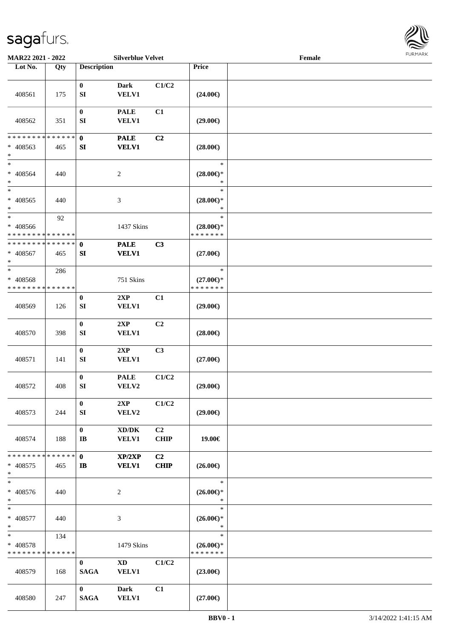

| MAR22 2021 - 2022                                   |     |                                      | <b>Silverblue Velvet</b>                            |                               |                                                | Female |  |
|-----------------------------------------------------|-----|--------------------------------------|-----------------------------------------------------|-------------------------------|------------------------------------------------|--------|--|
| Lot No.                                             | Qty | <b>Description</b>                   |                                                     |                               | Price                                          |        |  |
| 408561                                              | 175 | $\bf{0}$<br>${\bf S}{\bf I}$         | <b>Dark</b><br><b>VELV1</b>                         | C1/C2                         | $(24.00\epsilon)$                              |        |  |
| 408562                                              | 351 | $\boldsymbol{0}$<br>SI               | <b>PALE</b><br>VELV1                                | C1                            | $(29.00\epsilon)$                              |        |  |
| * * * * * * * * * * * * * *<br>* 408563<br>$\ast$   | 465 | $\mathbf 0$<br>${\bf SI}$            | <b>PALE</b><br><b>VELV1</b>                         | C2                            | $(28.00\epsilon)$                              |        |  |
| $\ast$<br>$* 408564$<br>$\ast$                      | 440 |                                      | $\sqrt{2}$                                          |                               | $\ast$<br>$(28.00\epsilon)$ *<br>$\ast$        |        |  |
| $\ast$<br>$* 408565$<br>$\ast$                      | 440 |                                      | $\mathfrak{Z}$                                      |                               | $\ast$<br>$(28.00\epsilon)$ *<br>$\ast$        |        |  |
| $\ast$<br>* 408566<br>* * * * * * * * * * * * * *   | 92  |                                      | 1437 Skins                                          |                               | $\ast$<br>$(28.00\epsilon)$ *<br>* * * * * * * |        |  |
| * * * * * * * * * * * * * *<br>$* 408567$<br>$\ast$ | 465 | $\mathbf 0$<br>SI                    | <b>PALE</b><br><b>VELV1</b>                         | C3                            | $(27.00\epsilon)$                              |        |  |
| $\ast$<br>$* 408568$<br>* * * * * * * * * * * * * * | 286 |                                      | 751 Skins                                           |                               | $\ast$<br>$(27.00\epsilon)$ *<br>* * * * * * * |        |  |
| 408569                                              | 126 | $\bf{0}$<br>${\bf S}{\bf I}$         | 2XP<br>VELV1                                        | C1                            | $(29.00\epsilon)$                              |        |  |
| 408570                                              | 398 | $\boldsymbol{0}$<br>${\bf S}{\bf I}$ | 2XP<br><b>VELV1</b>                                 | C <sub>2</sub>                | $(28.00\epsilon)$                              |        |  |
| 408571                                              | 141 | $\pmb{0}$<br>SI                      | 2XP<br>VELV1                                        | C3                            | $(27.00\epsilon)$                              |        |  |
| 408572                                              | 408 | $\pmb{0}$<br>${\bf SI}$              | <b>PALE</b><br>VELV2                                | C1/C2                         | $(29.00\epsilon)$                              |        |  |
| 408573                                              | 244 | $\bf{0}$<br>SI                       | 2XP<br>VELV2                                        | C1/C2                         | $(29.00\epsilon)$                              |        |  |
| 408574                                              | 188 | $\bf{0}$<br>$\mathbf{I}\mathbf{B}$   | $\bold{X}\bold{D}/\bold{D}\bold{K}$<br><b>VELV1</b> | C2<br><b>CHIP</b>             | 19.00€                                         |        |  |
| * * * * * * * * * * * * * *<br>$* 408575$<br>$*$    | 465 | $\mathbf{0}$<br>IB                   | XP/2XP<br><b>VELV1</b>                              | C <sub>2</sub><br><b>CHIP</b> | $(26.00\epsilon)$                              |        |  |
| $\overline{\phantom{a}^*}$<br>* 408576<br>$*$       | 440 |                                      | $\overline{c}$                                      |                               | $\ast$<br>$(26.00\epsilon)$ *<br>$\ast$        |        |  |
| $*$<br>$* 408577$<br>$*$                            | 440 |                                      | $\mathfrak{Z}$                                      |                               | $\ast$<br>$(26.00\epsilon)$ *<br>$\ast$        |        |  |
| $*$<br>* 408578<br>* * * * * * * * * * * * * *      | 134 |                                      | 1479 Skins                                          |                               | $\ast$<br>$(26.00\epsilon)$ *<br>* * * * * * * |        |  |
| 408579                                              | 168 | $\mathbf{0}$<br><b>SAGA</b>          | $\mathbf{X}\mathbf{D}$<br><b>VELV1</b>              | C1/C2                         | $(23.00\epsilon)$                              |        |  |
| 408580                                              | 247 | $\bf{0}$<br><b>SAGA</b>              | Dark<br><b>VELV1</b>                                | C1                            | $(27.00\epsilon)$                              |        |  |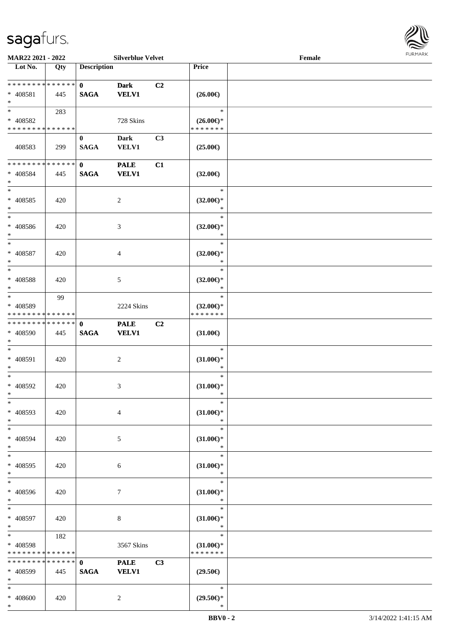\*



| MAR22 2021 - 2022                                   |     |                                 | <b>Silverblue Velvet</b>    |                |                                                | Female |  |
|-----------------------------------------------------|-----|---------------------------------|-----------------------------|----------------|------------------------------------------------|--------|--|
| Lot No.                                             | Qty | <b>Description</b>              |                             |                | Price                                          |        |  |
| * * * * * * * * * * * * * * *<br>* 408581<br>$\ast$ | 445 | $\mathbf{0}$<br><b>SAGA</b>     | <b>Dark</b><br><b>VELV1</b> | C <sub>2</sub> | $(26.00\epsilon)$                              |        |  |
| $*$<br>* 408582<br>* * * * * * * * * * * * * *      | 283 |                                 | 728 Skins                   |                | $\ast$<br>$(26.00\epsilon)$ *<br>* * * * * * * |        |  |
| 408583                                              | 299 | $\bf{0}$<br><b>SAGA</b>         | <b>Dark</b><br><b>VELV1</b> | C <sub>3</sub> | $(25.00\epsilon)$                              |        |  |
| ******** <mark>******</mark><br>* 408584<br>$\ast$  | 445 | $\mathbf{0}$<br><b>SAGA</b>     | <b>PALE</b><br><b>VELV1</b> | C1             | $(32.00\epsilon)$                              |        |  |
| $*$<br>$* 408585$<br>$\ast$                         | 420 |                                 | $\overline{c}$              |                | $\ast$<br>$(32.00\epsilon)$ *<br>$\ast$        |        |  |
| $\ast$<br>$* 408586$<br>$\ast$                      | 420 |                                 | 3                           |                | $\ast$<br>$(32.00\epsilon)$ *<br>$\ast$        |        |  |
| $\ast$<br>* 408587<br>$\ast$                        | 420 |                                 | $\overline{4}$              |                | $\ast$<br>$(32.00\epsilon)$ *<br>$\ast$        |        |  |
| $*$<br>* 408588<br>$\ast$                           | 420 |                                 | 5                           |                | $\ast$<br>$(32.00\epsilon)$ *<br>$\ast$        |        |  |
| $\ast$<br>* 408589<br>* * * * * * * * * * * * * *   | 99  |                                 | 2224 Skins                  |                | $\ast$<br>$(32.00\epsilon)$ *<br>* * * * * * * |        |  |
| * * * * * * * * * * * * * * *<br>* 408590<br>$*$    | 445 | $\mathbf{0}$<br>$\mathbf{SAGA}$ | <b>PALE</b><br><b>VELV1</b> | C <sub>2</sub> | $(31.00\epsilon)$                              |        |  |
| $*$<br>$* 408591$<br>$*$                            | 420 |                                 | $\sqrt{2}$                  |                | $\ast$<br>$(31.00\epsilon)$ *<br>$\ast$        |        |  |
| $*$<br>* 408592<br>$*$                              | 420 |                                 | 3                           |                | $\ast$<br>$(31.00\epsilon)$ *<br>$\ast$        |        |  |
| $\ast$<br>* 408593<br>$*$                           | 420 |                                 | $\overline{4}$              |                | $\ast$<br>$(31.00\epsilon)$ *<br>$\ast$        |        |  |
| $*$<br>* 408594<br>$*$                              | 420 |                                 | 5                           |                | $\ast$<br>$(31.00\epsilon)$ *<br>$\ast$        |        |  |
| $\ast$<br>* 408595<br>$*$                           | 420 |                                 | 6                           |                | $\ast$<br>$(31.00\epsilon)$ *<br>$\ast$        |        |  |
| $\overline{\phantom{a}^*}$<br>* 408596<br>$*$       | 420 |                                 | 7                           |                | $\ast$<br>$(31.00\epsilon)$ *<br>$\ast$        |        |  |
| $\ast$<br>* 408597<br>$*$                           | 420 |                                 | 8                           |                | $\ast$<br>$(31.00\epsilon)$ *<br>$\ast$        |        |  |
| $*$<br>* 408598<br>* * * * * * * * * * * * * *      | 182 |                                 | 3567 Skins                  |                | $\ast$<br>$(31.00\epsilon)$ *<br>* * * * * * * |        |  |
| **************<br>* 408599<br>$*$                   | 445 | $\mathbf{0}$<br><b>SAGA</b>     | <b>PALE</b><br><b>VELV1</b> | C3             | $(29.50\epsilon)$                              |        |  |
| $*$<br>* 408600                                     | 420 |                                 | $\overline{2}$              |                | $\ast$<br>$(29.50\epsilon)$ *                  |        |  |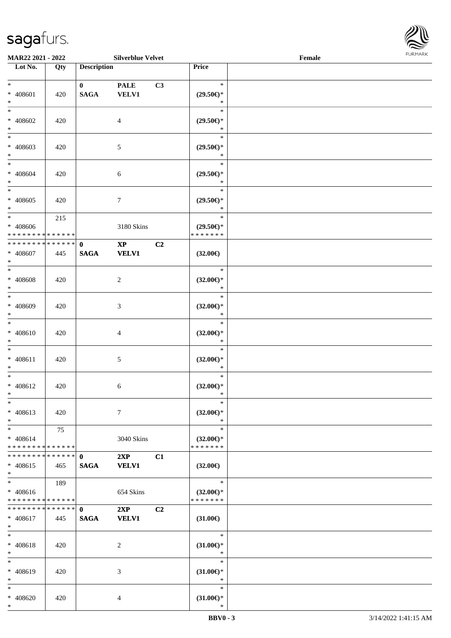

| <b>MAR22 2021 - 2022</b>                                               |     |                             | <b>Silverblue Velvet</b>      |                |                                                | Female |  |
|------------------------------------------------------------------------|-----|-----------------------------|-------------------------------|----------------|------------------------------------------------|--------|--|
| Lot No.                                                                | Qty | <b>Description</b>          |                               |                | Price                                          |        |  |
| $\ast$<br>* 408601                                                     | 420 | $\mathbf{0}$<br><b>SAGA</b> | <b>PALE</b><br><b>VELV1</b>   | C3             | $\ast$<br>$(29.50\epsilon)$ *                  |        |  |
| $\ast$<br>$\ast$<br>* 408602<br>$\ast$                                 | 420 |                             | $\overline{4}$                |                | $\ast$<br>$\ast$<br>$(29.50\epsilon)$ *<br>∗   |        |  |
| * 408603<br>$\ast$                                                     | 420 |                             | 5                             |                | $\ast$<br>$(29.50\epsilon)$ *<br>$\ast$        |        |  |
| $\ast$<br>* 408604<br>$*$                                              | 420 |                             | 6                             |                | $\ast$<br>$(29.50\epsilon)$ *<br>$\ast$        |        |  |
| $\overline{\ast}$<br>* 408605<br>$\ast$                                | 420 |                             | $7\phantom{.0}$               |                | $\ast$<br>$(29.50\epsilon)$ *<br>$\ast$        |        |  |
| $\ddot{x}$<br>* 408606<br>* * * * * * * * <mark>* * * * * *</mark> *   | 215 |                             | 3180 Skins                    |                | $\ast$<br>$(29.50\epsilon)$ *<br>* * * * * * * |        |  |
| * * * * * * * * * * * * * * <mark>*</mark><br>* 408607<br>$\ast$       | 445 | $\mathbf{0}$<br><b>SAGA</b> | $\mathbf{XP}$<br><b>VELV1</b> | C2             | $(32.00\epsilon)$                              |        |  |
| $\ddot{x}$<br>* 408608<br>$\ast$                                       | 420 |                             | 2                             |                | $\ast$<br>$(32.00\epsilon)$ *<br>$\ast$        |        |  |
| $*$<br>* 408609<br>$\ast$                                              | 420 |                             | 3                             |                | $\ast$<br>$(32.00\epsilon)$ *<br>$\ast$        |        |  |
| $\ast$<br>* 408610<br>$\ast$                                           | 420 |                             | $\overline{4}$                |                | $\ast$<br>$(32.00\epsilon)$ *<br>$\ast$        |        |  |
| $\ast$<br>* 408611<br>$\ast$                                           | 420 |                             | 5                             |                | $\ast$<br>$(32.00\epsilon)$ *<br>$\ast$        |        |  |
| $\ast$<br>* 408612<br>$*$                                              | 420 |                             | 6                             |                | $\ast$<br>$(32.00\epsilon)$ *<br>$\ast$        |        |  |
| $\ast$<br>* 408613<br>$\ast$                                           | 420 |                             | $\tau$                        |                | $\ast$<br>$(32.00\epsilon)$ *<br>$\ast$        |        |  |
| $*$ $-$<br>$* 408614$<br>* * * * * * * * <mark>* * * * * * *</mark>    | 75  |                             | 3040 Skins                    |                | $\ast$<br>$(32.00\epsilon)$ *<br>* * * * * * * |        |  |
| * * * * * * * * * * * * * * *<br>$* 408615$<br>$\ddot{x}$              | 465 | $\mathbf{0}$<br><b>SAGA</b> | 2XP<br><b>VELV1</b>           | C1             | $(32.00\epsilon)$                              |        |  |
| $\ddot{x}$<br>$* 408616$<br>* * * * * * * * <mark>* * * * * *</mark> * | 189 |                             | 654 Skins                     |                | $\ast$<br>$(32.00\epsilon)$ *<br>* * * * * * * |        |  |
| * * * * * * * * * * * * * * <mark>*</mark><br>* 408617<br>$\ast$       | 445 | $\mathbf{0}$<br><b>SAGA</b> | 2XP<br><b>VELV1</b>           | C <sub>2</sub> | $(31.00\epsilon)$                              |        |  |
| $\ddot{x}$<br>* 408618<br>$\ast$                                       | 420 |                             | 2                             |                | $\ast$<br>$(31.00\epsilon)$ *<br>$\ast$        |        |  |
| $\ast$<br>* 408619<br>$\ast$                                           | 420 |                             | 3                             |                | $\ast$<br>$(31.00\epsilon)$ *<br>$\ast$        |        |  |
| $*$<br>* 408620<br>$\ast$                                              | 420 |                             | 4                             |                | $\ast$<br>$(31.00\epsilon)$ *<br>$\ast$        |        |  |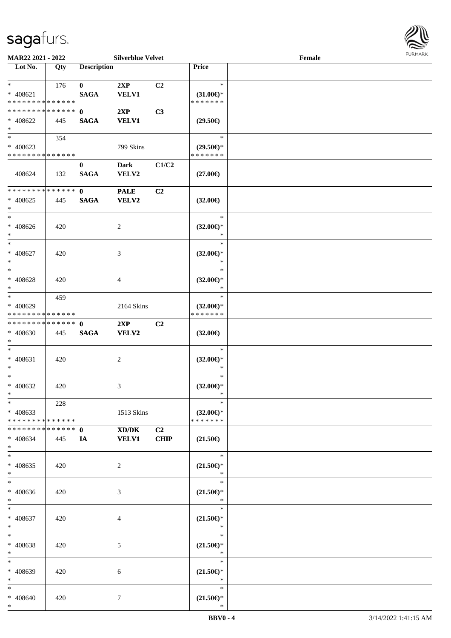

| MAR22 2021 - 2022                                              |     |                                 | <b>Silverblue Velvet</b>    |                   |                                                | Female |  |
|----------------------------------------------------------------|-----|---------------------------------|-----------------------------|-------------------|------------------------------------------------|--------|--|
| Lot No.                                                        | Qty | <b>Description</b>              |                             |                   | Price                                          |        |  |
| $\ast$<br>$* 408621$<br>* * * * * * * * * * * * * *            | 176 | $\bf{0}$<br><b>SAGA</b>         | 2XP<br><b>VELV1</b>         | C <sub>2</sub>    | $\ast$<br>$(31.00\epsilon)$ *<br>* * * * * * * |        |  |
| * * * * * * * * * * * * * *<br>$* 408622$<br>$\ast$            | 445 | $\mathbf{0}$<br><b>SAGA</b>     | 2XP<br><b>VELV1</b>         | C3                | $(29.50\epsilon)$                              |        |  |
| $\overline{\ast}$<br>$* 408623$<br>* * * * * * * * * * * * * * | 354 |                                 | 799 Skins                   |                   | $\ast$<br>$(29.50\epsilon)$ *<br>* * * * * * * |        |  |
| 408624                                                         | 132 | $\bf{0}$<br><b>SAGA</b>         | <b>Dark</b><br>VELV2        | C1/C2             | $(27.00\epsilon)$                              |        |  |
| ******** <mark>******</mark><br>$* 408625$<br>$\ast$           | 445 | $\mathbf{0}$<br><b>SAGA</b>     | <b>PALE</b><br><b>VELV2</b> | C <sub>2</sub>    | $(32.00\epsilon)$                              |        |  |
| $\ast$<br>$* 408626$<br>$\ast$                                 | 420 |                                 | 2                           |                   | $\ast$<br>$(32.00\epsilon)$ *<br>$\ast$        |        |  |
| $\ast$<br>$* 408627$<br>$\ast$                                 | 420 |                                 | 3                           |                   | $\ast$<br>$(32.00\epsilon)$ *<br>$\ast$        |        |  |
| $\ast$<br>$* 408628$<br>$\ast$                                 | 420 |                                 | $\overline{4}$              |                   | $\ast$<br>$(32.00\epsilon)$ *<br>$\ast$        |        |  |
| $\ast$<br>* 408629<br>* * * * * * * * * * * * * *              | 459 |                                 | 2164 Skins                  |                   | $\ast$<br>$(32.00\epsilon)$ *<br>* * * * * * * |        |  |
| * * * * * * * * * * * * * *<br>* 408630<br>$\ast$              | 445 | $\mathbf{0}$<br>$\mathbf{SAGA}$ | 2XP<br><b>VELV2</b>         | C <sub>2</sub>    | $(32.00\epsilon)$                              |        |  |
| $\ast$<br>$* 408631$<br>$\ast$                                 | 420 |                                 | 2                           |                   | $\ast$<br>$(32.00\epsilon)$ *<br>$\ast$        |        |  |
| $\ast$<br>$* 408632$<br>$*$                                    | 420 |                                 | 3                           |                   | $\ast$<br>$(32.00\epsilon)$ *<br>$\ast$        |        |  |
| $*$<br>$* 408633$<br>* * * * * * * * * * * * * *               | 228 |                                 | 1513 Skins                  |                   | $\ast$<br>$(32.00\epsilon)$ *<br>* * * * * * * |        |  |
| * * * * * * * * * * * * * * *<br>* 408634<br>$*$               | 445 | $\mathbf{0}$<br>IA              | XD/DK<br><b>VELV1</b>       | C2<br><b>CHIP</b> | $(21.50\epsilon)$                              |        |  |
| $\ast$<br>$* 408635$<br>$*$                                    | 420 |                                 | $\overline{2}$              |                   | $*$<br>$(21.50\epsilon)$ *<br>$\ast$           |        |  |
| $\ast$<br>* 408636<br>$*$                                      | 420 |                                 | 3                           |                   | $\ast$<br>$(21.50\epsilon)$ *<br>$\ast$        |        |  |
| $*$<br>$* 408637$<br>$*$                                       | 420 |                                 | 4                           |                   | T.<br>$\ast$<br>$(21.50\epsilon)$ *<br>$\ast$  |        |  |
| $\ast$<br>* 408638<br>$*$                                      | 420 |                                 | 5                           |                   | $\ast$<br>$(21.50\epsilon)$ *<br>$\ast$        |        |  |
| $\ast$<br>* 408639<br>$\ast$                                   | 420 |                                 | 6                           |                   | $\ast$<br>$(21.50\epsilon)$ *<br>$\ast$        |        |  |
| $*$<br>* 408640<br>$*$                                         | 420 |                                 | $\tau$                      |                   | $\ast$<br>$(21.50\epsilon)$ *<br>$\ast$        |        |  |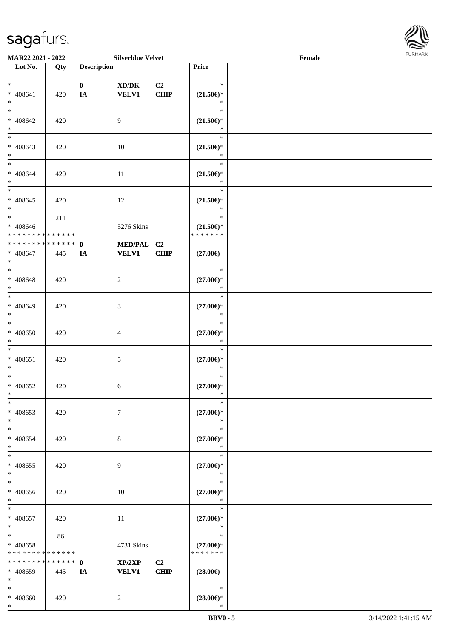\*



| <b>MAR22 2021 - 2022</b>                 |     |                    | <b>Silverblue Velvet</b> |                |                     | Female |  |
|------------------------------------------|-----|--------------------|--------------------------|----------------|---------------------|--------|--|
| Lot No.                                  | Qty | <b>Description</b> |                          |                | <b>Price</b>        |        |  |
|                                          |     |                    |                          |                |                     |        |  |
| $*$                                      |     | $\mathbf{0}$       | XD/DK                    | C <sub>2</sub> | $\ast$              |        |  |
| $* 408641$                               | 420 | IA                 | <b>VELV1</b>             | <b>CHIP</b>    | $(21.50\epsilon)$ * |        |  |
| $*$                                      |     |                    |                          |                | $\ast$              |        |  |
| $\overline{\ast}$                        |     |                    |                          |                | $\ast$              |        |  |
| * 408642                                 | 420 |                    | 9                        |                | $(21.50\epsilon)$ * |        |  |
| $*$                                      |     |                    |                          |                | $\ast$              |        |  |
| $\overline{\phantom{0}}$                 |     |                    |                          |                | $\ast$              |        |  |
| $* 408643$                               | 420 |                    | 10                       |                | $(21.50\epsilon)$ * |        |  |
| $*$                                      |     |                    |                          |                | $\ast$              |        |  |
| $*$                                      |     |                    |                          |                | $\ast$              |        |  |
| * 408644                                 | 420 |                    | 11                       |                | $(21.50\epsilon)$ * |        |  |
| $*$                                      |     |                    |                          |                | $\ast$              |        |  |
|                                          |     |                    |                          |                | $\ast$              |        |  |
| $* 408645$                               | 420 |                    | 12                       |                | $(21.50\epsilon)$ * |        |  |
| $\ast$                                   |     |                    |                          |                | $\ast$              |        |  |
| $*$                                      | 211 |                    |                          |                | $\ast$              |        |  |
| * 408646                                 |     |                    | 5276 Skins               |                | $(21.50\epsilon)$ * |        |  |
| * * * * * * * * * * * * * *              |     |                    |                          |                | * * * * * * *       |        |  |
| * * * * * * * * * * * * * * *            |     | $\mathbf{0}$       | MED/PAL C2               |                |                     |        |  |
| $* 408647$                               | 445 | IA                 | <b>VELV1</b>             | <b>CHIP</b>    | $(27.00\epsilon)$   |        |  |
| $*$                                      |     |                    |                          |                |                     |        |  |
|                                          |     |                    |                          |                | $\ast$              |        |  |
| $* 408648$                               | 420 |                    | 2                        |                | $(27.00\epsilon)$ * |        |  |
| $*$                                      |     |                    |                          |                | $\ast$              |        |  |
|                                          |     |                    |                          |                | $\ast$              |        |  |
| * 408649                                 | 420 |                    | 3                        |                | $(27.00\epsilon)$ * |        |  |
| $*$                                      |     |                    |                          |                | $\ast$              |        |  |
| $*$                                      |     |                    |                          |                | $\ast$              |        |  |
| $* 408650$                               | 420 |                    | $\overline{4}$           |                | $(27.00\epsilon)$ * |        |  |
| $*$                                      |     |                    |                          |                | $\ast$              |        |  |
| $*$                                      |     |                    |                          |                | $\ast$              |        |  |
| $* 408651$                               | 420 |                    | $\mathfrak{S}$           |                | $(27.00\epsilon)$ * |        |  |
| $*$                                      |     |                    |                          |                | $\ast$              |        |  |
| $*$                                      |     |                    |                          |                | $\ast$              |        |  |
| * 408652                                 | 420 |                    | 6                        |                | $(27.00\epsilon)$ * |        |  |
| $*$                                      |     |                    |                          |                | $\ast$              |        |  |
| $\ast$                                   |     |                    |                          |                | $\ast$              |        |  |
| * 408653                                 | 420 |                    | $\tau$                   |                | $(27.00\epsilon)$ * |        |  |
| $*$                                      |     |                    |                          |                | $\ast$              |        |  |
| $*$                                      |     |                    |                          |                | $\ast$              |        |  |
| * 408654                                 | 420 |                    | 8                        |                | $(27.00\epsilon)$ * |        |  |
| $*$                                      |     |                    |                          |                | $\ast$              |        |  |
| $*$                                      |     |                    |                          |                | $\ast$              |        |  |
| * 408655                                 | 420 |                    | 9                        |                | $(27.00\epsilon)$ * |        |  |
| $*$                                      |     |                    |                          |                | $\ast$              |        |  |
| $_{*}$                                   |     |                    |                          |                | $\ast$              |        |  |
| * 408656                                 | 420 |                    | 10                       |                | $(27.00\in)^\ast$   |        |  |
| $*$                                      |     |                    |                          |                | $\ast$              |        |  |
| $*$ $-$                                  |     |                    |                          |                | $\ast$              |        |  |
| * 408657                                 | 420 |                    | 11                       |                | $(27.00\epsilon)$ * |        |  |
| $*$                                      |     |                    |                          |                | $\ast$              |        |  |
| $*$ $-$                                  | 86  |                    |                          |                | $\ast$              |        |  |
| * 408658                                 |     |                    | 4731 Skins               |                | $(27.00\epsilon)$ * |        |  |
| * * * * * * * * * * * * * *              |     |                    |                          |                | * * * * * * *       |        |  |
| * * * * * * * * <mark>* * * * * *</mark> |     | $\mathbf{0}$       | XP/2XP                   | C <sub>2</sub> |                     |        |  |
| $* 408659$                               | 445 | IA                 | <b>VELV1</b>             | <b>CHIP</b>    | $(28.00\epsilon)$   |        |  |
| $*$                                      |     |                    |                          |                |                     |        |  |
| $\ast$                                   |     |                    |                          |                | $\ast$              |        |  |
| * 408660                                 | 420 |                    | 2                        |                | $(28.00\epsilon)$ * |        |  |
|                                          |     |                    |                          |                |                     |        |  |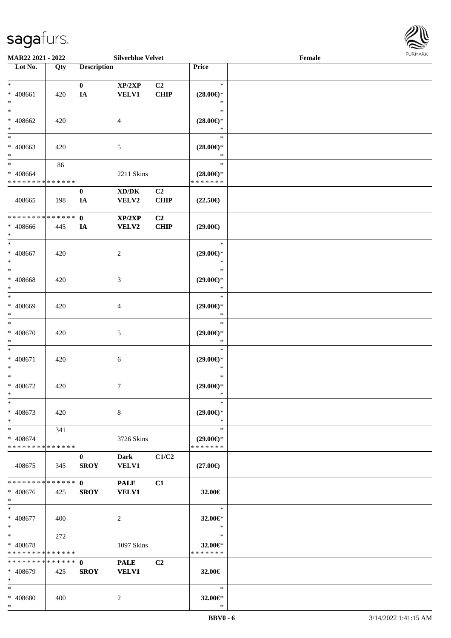\*



| MAR22 2021 - 2022             |        |                    | <b>Silverblue Velvet</b>            |                |                     | Female |  |
|-------------------------------|--------|--------------------|-------------------------------------|----------------|---------------------|--------|--|
| Lot No.                       | Qty    | <b>Description</b> |                                     |                | Price               |        |  |
|                               |        |                    |                                     |                |                     |        |  |
| $*$                           |        | $\bf{0}$           | XP/2XP                              | C <sub>2</sub> | $\ast$              |        |  |
| * 408661                      | 420    | IA                 | <b>VELV1</b>                        | <b>CHIP</b>    | $(28.00\epsilon)$ * |        |  |
| $\ast$                        |        |                    |                                     |                | ∗                   |        |  |
| $\ast$                        |        |                    |                                     |                | $\ast$              |        |  |
| * 408662                      | 420    |                    | 4                                   |                | $(28.00\epsilon)$ * |        |  |
| $\ast$                        |        |                    |                                     |                | ∗                   |        |  |
| $\ast$                        |        |                    |                                     |                | $\ast$              |        |  |
|                               |        |                    |                                     |                |                     |        |  |
| $* 408663$                    | 420    |                    | 5                                   |                | $(28.00\epsilon)$ * |        |  |
| $*$                           |        |                    |                                     |                | $\ast$              |        |  |
| $\ast$                        | 86     |                    |                                     |                | $\ast$              |        |  |
| $* 408664$                    |        |                    | 2211 Skins                          |                | $(28.00\epsilon)$ * |        |  |
| * * * * * * * * * * * * * *   |        |                    |                                     |                | * * * * * * *       |        |  |
|                               |        | $\bf{0}$           | $\bold{X}\bold{D}/\bold{D}\bold{K}$ | C2             |                     |        |  |
| 408665                        | 198    | IA                 | VELV2                               | <b>CHIP</b>    | $(22.50\epsilon)$   |        |  |
|                               |        |                    |                                     |                |                     |        |  |
| * * * * * * * * * * * * * * * |        | $\mathbf{0}$       | XP/2XP                              | C2             |                     |        |  |
| * 408666                      | 445    | IA                 | VELV2                               | <b>CHIP</b>    | $(29.00\epsilon)$   |        |  |
| $*$                           |        |                    |                                     |                |                     |        |  |
| $\ast$                        |        |                    |                                     |                | $\ast$              |        |  |
| $* 408667$                    | 420    |                    | $\overline{c}$                      |                | $(29.00\epsilon)$ * |        |  |
| $\ast$                        |        |                    |                                     |                | $\ast$              |        |  |
| $*$                           |        |                    |                                     |                | $\ast$              |        |  |
|                               |        |                    |                                     |                |                     |        |  |
| * 408668                      | 420    |                    | 3                                   |                | $(29.00\epsilon)$ * |        |  |
| $\ast$                        |        |                    |                                     |                | $\ast$              |        |  |
| $\ast$                        |        |                    |                                     |                | $\ast$              |        |  |
| * 408669                      | 420    |                    | 4                                   |                | $(29.00\epsilon)$ * |        |  |
| $\ast$                        |        |                    |                                     |                | $\ast$              |        |  |
| $\ast$                        |        |                    |                                     |                | $\ast$              |        |  |
| $* 408670$                    | 420    |                    | 5                                   |                | $(29.00\epsilon)$ * |        |  |
| $\ast$                        |        |                    |                                     |                | $\ast$              |        |  |
| $\ast$                        |        |                    |                                     |                | $\ast$              |        |  |
| $* 408671$                    | 420    |                    | 6                                   |                | $(29.00\epsilon)$ * |        |  |
| $\ast$                        |        |                    |                                     |                | $\ast$              |        |  |
| $\ast$                        |        |                    |                                     |                | $\ast$              |        |  |
| $* 408672$                    | 420    |                    | 7                                   |                | $(29.00\epsilon)$ * |        |  |
| $*$                           |        |                    |                                     |                | $\ast$              |        |  |
| $*$                           |        |                    |                                     |                | $\ast$              |        |  |
|                               |        |                    |                                     |                |                     |        |  |
| * 408673                      | 420    |                    | 8                                   |                | $(29.00\epsilon)$ * |        |  |
| $*$                           |        |                    |                                     |                | $\ast$              |        |  |
| $*$                           | 341    |                    |                                     |                | $\ast$              |        |  |
| * 408674                      |        |                    | 3726 Skins                          |                | $(29.00\epsilon)$ * |        |  |
| * * * * * * * * * * * * * *   |        |                    |                                     |                | * * * * * * *       |        |  |
|                               |        | $\mathbf{0}$       | Dark                                | C1/C2          |                     |        |  |
| 408675                        | 345    | <b>SROY</b>        | <b>VELV1</b>                        |                | $(27.00\epsilon)$   |        |  |
|                               |        |                    |                                     |                |                     |        |  |
| * * * * * * * *               | ****** | $\mathbf{0}$       | <b>PALE</b>                         | C1             |                     |        |  |
| * 408676                      | 425    | <b>SROY</b>        | <b>VELV1</b>                        |                | 32.00€              |        |  |
| $*$                           |        |                    |                                     |                |                     |        |  |
| $*$                           |        |                    |                                     |                | $\ast$              |        |  |
| * 408677                      | 400    |                    | 2                                   |                | 32.00€*             |        |  |
| $*$                           |        |                    |                                     |                | $\ast$              |        |  |
| $*$                           |        |                    |                                     |                | $\ast$              |        |  |
|                               | 272    |                    |                                     |                |                     |        |  |
| * 408678                      |        |                    | 1097 Skins                          |                | 32.00€*             |        |  |
| * * * * * * * * * * * * * *   |        |                    |                                     |                | * * * * * * *       |        |  |
| * * * * * * * * * * * * * * * |        | $\mathbf{0}$       | <b>PALE</b>                         | C <sub>2</sub> |                     |        |  |
| * 408679                      | 425    | <b>SROY</b>        | <b>VELV1</b>                        |                | 32.00€              |        |  |
| $*$                           |        |                    |                                     |                |                     |        |  |
| $*$                           |        |                    |                                     |                | $\ast$              |        |  |
| * 408680                      | 400    |                    | 2                                   |                | 32.00€*             |        |  |
| $*$                           |        |                    |                                     |                | $\ast$              |        |  |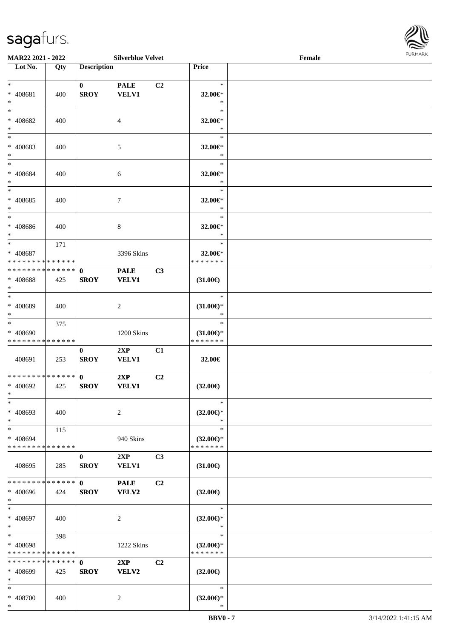

| MAR22 2021 - 2022                                    |             |                    | <b>Silverblue Velvet</b> |                |                          | Female | 10111111111 |
|------------------------------------------------------|-------------|--------------------|--------------------------|----------------|--------------------------|--------|-------------|
| Lot No.                                              | Qty         | <b>Description</b> |                          |                | Price                    |        |             |
|                                                      |             |                    |                          |                |                          |        |             |
| $*$                                                  |             | $\mathbf{0}$       | <b>PALE</b>              | C2             | $\ast$                   |        |             |
| * 408681                                             | 400         | <b>SROY</b>        | <b>VELV1</b>             |                | 32.00€*                  |        |             |
| $\ast$                                               |             |                    |                          |                | $\ast$                   |        |             |
| $\ast$                                               |             |                    |                          |                | $\ast$                   |        |             |
| * 408682                                             | 400         |                    | $\overline{4}$           |                | 32.00€*                  |        |             |
| $\ast$                                               |             |                    |                          |                | $\ast$                   |        |             |
|                                                      |             |                    |                          |                | $\ast$                   |        |             |
| * 408683                                             | 400         |                    | 5                        |                | 32.00€*                  |        |             |
| $\ast$                                               |             |                    |                          |                | $\ast$                   |        |             |
| $*$                                                  |             |                    |                          |                | $\ast$                   |        |             |
| * 408684                                             | 400         |                    | $\boldsymbol{6}$         |                | 32.00€*                  |        |             |
| $*$<br>$\overline{\ast}$                             |             |                    |                          |                | $\ast$                   |        |             |
|                                                      |             |                    |                          |                | $\ast$                   |        |             |
| * 408685                                             | 400         |                    | $7\phantom{.0}$          |                | 32.00€*                  |        |             |
| $*$<br>$\ast$                                        |             |                    |                          |                | $\ast$<br>$\ast$         |        |             |
|                                                      |             |                    |                          |                |                          |        |             |
| * 408686                                             | 400         |                    | $\,8\,$                  |                | 32.00€*<br>$\ast$        |        |             |
| $\ast$<br>$*$                                        |             |                    |                          |                | $\ast$                   |        |             |
|                                                      | 171         |                    |                          |                |                          |        |             |
| * 408687<br>* * * * * * * * <mark>* * * * * *</mark> |             |                    | 3396 Skins               |                | 32.00€*<br>* * * * * * * |        |             |
| * * * * * * * * <mark>* * * * * * *</mark>           |             |                    |                          |                |                          |        |             |
|                                                      |             | $\mathbf{0}$       | <b>PALE</b>              | C3             |                          |        |             |
| $* 408688$<br>$\ast$                                 | 425         | <b>SROY</b>        | <b>VELV1</b>             |                | $(31.00\epsilon)$        |        |             |
| $\overline{\ast}$                                    |             |                    |                          |                | $\ast$                   |        |             |
| * 408689                                             | 400         |                    | 2                        |                | $(31.00\epsilon)$ *      |        |             |
| $\ast$                                               |             |                    |                          |                | $\ast$                   |        |             |
| $\overline{\ast}$                                    | 375         |                    |                          |                | $\ast$                   |        |             |
| * 408690                                             |             |                    | 1200 Skins               |                | $(31.00\epsilon)$ *      |        |             |
| * * * * * * * * <mark>* * * * * * *</mark>           |             |                    |                          |                | * * * * * * *            |        |             |
|                                                      |             | $\bf{0}$           | 2XP                      | C1             |                          |        |             |
| 408691                                               | 253         | <b>SROY</b>        | <b>VELV1</b>             |                | 32.00€                   |        |             |
|                                                      |             |                    |                          |                |                          |        |             |
| * * * * * * * * * * * * * * <mark>*</mark>           |             | $\mathbf{0}$       | 2XP                      | C2             |                          |        |             |
| * 408692                                             | 425         | <b>SROY</b>        | <b>VELV1</b>             |                | $(32.00\epsilon)$        |        |             |
| $\ddot{x}$                                           |             |                    |                          |                |                          |        |             |
| $\ast$                                               |             |                    |                          |                | $\ast$                   |        |             |
| * 408693                                             | 400         |                    | 2                        |                | $(32.00\epsilon)$ *      |        |             |
| $\ast$                                               |             |                    |                          |                | $\ast$                   |        |             |
| $\ast$                                               | 115         |                    |                          |                | $\ast$                   |        |             |
| * 408694                                             |             |                    | 940 Skins                |                | $(32.00\epsilon)$ *      |        |             |
| * * * * * * * * * * * * * * *                        |             |                    |                          |                | * * * * * * *            |        |             |
|                                                      |             | $\bf{0}$           | 2XP                      | C3             |                          |        |             |
| 408695                                               | 285         | <b>SROY</b>        | <b>VELV1</b>             |                | $(31.00\epsilon)$        |        |             |
|                                                      |             |                    |                          |                |                          |        |             |
| * * * * * * * *                                      | * * * * * * | $\mathbf{0}$       | <b>PALE</b>              | C <sub>2</sub> |                          |        |             |
| * 408696                                             | 424         | <b>SROY</b>        | VELV2                    |                | $(32.00\epsilon)$        |        |             |
| $\ast$                                               |             |                    |                          |                |                          |        |             |
| $\ast$                                               |             |                    |                          |                | $\ast$                   |        |             |
| * 408697                                             | 400         |                    | 2                        |                | $(32.00\epsilon)$ *      |        |             |
| $*$                                                  |             |                    |                          |                | $\ast$                   |        |             |
| $*$ $-$                                              | 398         |                    |                          |                | $\ast$                   |        |             |
| * 408698                                             |             |                    | 1222 Skins               |                | $(32.00€)$ *             |        |             |
| * * * * * * * * <mark>* * * * * * *</mark>           |             |                    |                          |                | * * * * * * *            |        |             |
| * * * * * * * *                                      | * * * * * * | $\mathbf{0}$       | 2XP                      | C2             |                          |        |             |
| * 408699                                             | 425         | <b>SROY</b>        | VELV2                    |                | $(32.00\epsilon)$        |        |             |
| $\ast$                                               |             |                    |                          |                |                          |        |             |
| $\ast$                                               |             |                    |                          |                | $\ast$                   |        |             |
| * 408700                                             | 400         |                    | 2                        |                | $(32.00\epsilon)$ *      |        |             |
| $\ast$                                               |             |                    |                          |                | $\ast$                   |        |             |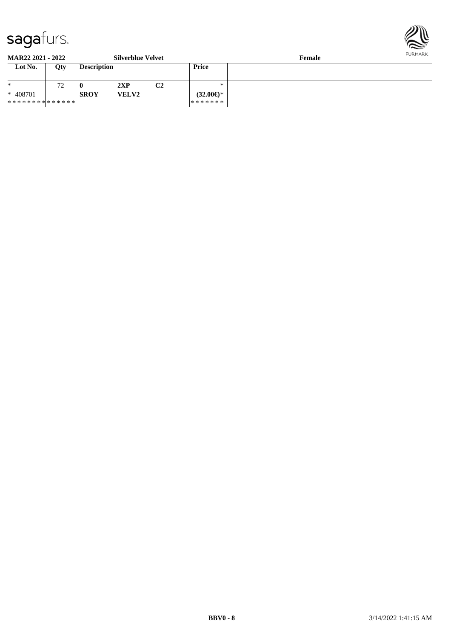

**MAR22 2021 - 2022 Silverblue Velvet Female Lot No. Qty Description Price** \* \* 408701 \* \* \* \* \* \* \* \* \* \* \* \* \* \* 72 **0 2XP C2 SROY VELV2** \* \* **(32.00€)**\* \* \* \* \* \* \*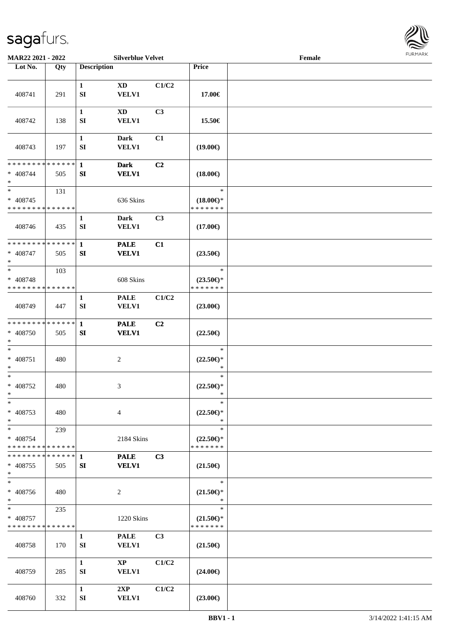

| MAR22 2021 - 2022                                     |     | <b>Silverblue Velvet</b>         |                                        |       | Female                                         |  |  |
|-------------------------------------------------------|-----|----------------------------------|----------------------------------------|-------|------------------------------------------------|--|--|
| Lot No.                                               | Qty | <b>Description</b>               |                                        |       | Price                                          |  |  |
| 408741                                                | 291 | $\mathbf{1}$<br>SI               | <b>XD</b><br><b>VELV1</b>              | C1/C2 | 17.00€                                         |  |  |
| 408742                                                | 138 | $\mathbf{1}$<br>${\bf S}{\bf I}$ | $\mathbf{X}\mathbf{D}$<br><b>VELV1</b> | C3    | 15.50€                                         |  |  |
| 408743                                                | 197 | $\mathbf{1}$<br>SI               | <b>Dark</b><br><b>VELV1</b>            | C1    | $(19.00\epsilon)$                              |  |  |
| * * * * * * * * * * * * * *<br>$* 408744$<br>$\ast$   | 505 | $\mathbf{1}$<br>SI               | <b>Dark</b><br><b>VELV1</b>            | C2    | $(18.00\epsilon)$                              |  |  |
| $\ast$<br>$* 408745$<br>* * * * * * * * * * * * * *   | 131 |                                  | 636 Skins                              |       | $\ast$<br>$(18.00\epsilon)$ *<br>* * * * * * * |  |  |
| 408746                                                | 435 | $\mathbf{1}$<br>SI               | <b>Dark</b><br><b>VELV1</b>            | C3    | $(17.00\epsilon)$                              |  |  |
| * * * * * * * * * * * * * *<br>$* 408747$<br>$\ast$   | 505 | $\mathbf{1}$<br>SI               | <b>PALE</b><br><b>VELV1</b>            | C1    | $(23.50\epsilon)$                              |  |  |
| $\ast$<br>* 408748<br>* * * * * * * * * * * * * *     | 103 |                                  | 608 Skins                              |       | $\ast$<br>$(23.50\epsilon)$ *<br>* * * * * * * |  |  |
| 408749                                                | 447 | $\mathbf{1}$<br>SI               | <b>PALE</b><br><b>VELV1</b>            | C1/C2 | $(23.00\epsilon)$                              |  |  |
| * * * * * * * * * * * * * *<br>* 408750<br>$\ast$     | 505 | $\mathbf{1}$<br>${\bf S}{\bf I}$ | <b>PALE</b><br><b>VELV1</b>            | C2    | $(22.50\epsilon)$                              |  |  |
| $\ast$<br>$* 408751$<br>$\ast$                        | 480 |                                  | $\sqrt{2}$                             |       | $\ast$<br>$(22.50\epsilon)$ *<br>$\ast$        |  |  |
| $\ast$<br>$* 408752$<br>$*$                           | 480 |                                  | $\mathfrak{Z}$                         |       | $\ast$<br>$(22.50\mathsf{E})^*$<br>∗           |  |  |
| $\ast$<br>$* 408753$<br>$\ast$                        | 480 |                                  | $\overline{4}$                         |       | $\ast$<br>$(22.50 \in )^*$<br>$\ast$           |  |  |
| $\ast$<br>* 408754<br>* * * * * * * * * * * * * *     | 239 |                                  | 2184 Skins                             |       | $\ast$<br>$(22.50\epsilon)$ *<br>* * * * * * * |  |  |
| * * * * * * * * * * * * * * *<br>$* 408755$<br>$\ast$ | 505 | 1<br>SI                          | <b>PALE</b><br><b>VELV1</b>            | C3    | $(21.50\epsilon)$                              |  |  |
| $\ast$<br>* 408756<br>$\ast$                          | 480 |                                  | $\overline{c}$                         |       | $\ast$<br>$(21.50 \in )^*$<br>$\ast$           |  |  |
| $\ast$<br>* 408757<br>* * * * * * * * * * * * * *     | 235 |                                  | 1220 Skins                             |       | $\ast$<br>$(21.50\epsilon)$ *<br>* * * * * * * |  |  |
| 408758                                                | 170 | $\mathbf{1}$<br>SI               | <b>PALE</b><br>VELV1                   | C3    | $(21.50\epsilon)$                              |  |  |
| 408759                                                | 285 | $\mathbf{1}$<br>SI               | $\mathbf{XP}$<br>VELV1                 | C1/C2 | $(24.00\epsilon)$                              |  |  |
| 408760                                                | 332 | $\mathbf{1}$<br>SI               | 2XP<br><b>VELV1</b>                    | C1/C2 | $(23.00\in)$                                   |  |  |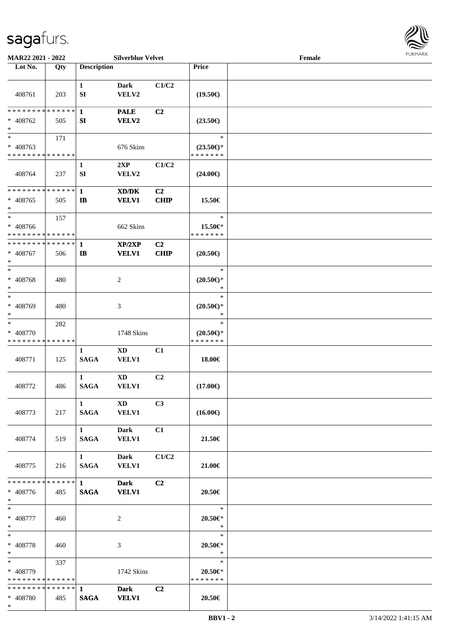

| MAR22 2021 - 2022                                                     |     |                                       | <b>Silverblue Velvet</b>    |                        |                                                | Female |  |
|-----------------------------------------------------------------------|-----|---------------------------------------|-----------------------------|------------------------|------------------------------------------------|--------|--|
| Lot No.                                                               | Qty | <b>Description</b>                    |                             |                        | Price                                          |        |  |
| 408761                                                                | 203 | $\mathbf{1}$<br>SI                    | <b>Dark</b><br>VELV2        | C1/C2                  | $(19.50\epsilon)$                              |        |  |
| * * * * * * * * * * * * * * *<br>$* 408762$<br>$\ast$                 | 505 | $\mathbf{1}$<br>SI                    | <b>PALE</b><br><b>VELV2</b> | C <sub>2</sub>         | $(23.50\epsilon)$                              |        |  |
| $\overline{\phantom{1}}$<br>$* 408763$<br>* * * * * * * * * * * * * * | 171 |                                       | 676 Skins                   |                        | $\ast$<br>$(23.50\epsilon)$ *<br>* * * * * * * |        |  |
| 408764                                                                | 237 | 1<br>${\bf SI}$                       | 2XP<br>VELV2                | C1/C2                  | $(24.00\epsilon)$                              |        |  |
| * * * * * * * * * * * * * *<br>$* 408765$<br>$\ast$                   | 505 | $\mathbf{1}$<br>$\mathbf{I}$          | XD/DK<br><b>VELV1</b>       | C2<br><b>CHIP</b>      | 15.50€                                         |        |  |
| $\ast$<br>* 408766<br>* * * * * * * * * * * * * *                     | 157 |                                       | 662 Skins                   |                        | $\ast$<br>15.50€*<br>* * * * * * *             |        |  |
| * * * * * * * * * * * * * * *<br>$* 408767$<br>$\ast$                 | 506 | 1<br>$\mathbf{I}$                     | XP/2XP<br><b>VELV1</b>      | C <sub>2</sub><br>CHIP | $(20.50\epsilon)$                              |        |  |
| $\ast$<br>* 408768<br>$\ast$                                          | 480 |                                       | $\overline{c}$              |                        | $\ast$<br>$(20.50 \in )^*$<br>∗                |        |  |
| $\ast$<br>* 408769<br>$\ast$                                          | 480 |                                       | 3                           |                        | $\ast$<br>$(20.50\epsilon)$ *<br>*             |        |  |
| $\ast$<br>* 408770<br>* * * * * * * * * * * * * *                     | 282 |                                       | 1748 Skins                  |                        | $\ast$<br>$(20.50\epsilon)$ *<br>* * * * * * * |        |  |
| 408771                                                                | 125 | $\mathbf{1}$<br><b>SAGA</b>           | <b>XD</b><br><b>VELV1</b>   | C1                     | 18.00€                                         |        |  |
| 408772                                                                | 486 | 1<br><b>SAGA</b>                      | <b>XD</b><br><b>VELV1</b>   | C2                     | $(17.00\epsilon)$                              |        |  |
| 408773                                                                | 217 | 1<br>SAGA                             | XD<br><b>VELV1</b>          | C3                     | $(16.00\epsilon)$                              |        |  |
| 408774                                                                | 519 | $1 \quad \blacksquare$<br><b>SAGA</b> | Dark<br><b>VELV1</b>        | C1                     | 21.50€                                         |        |  |
| 408775                                                                | 216 | $1 \quad \blacksquare$<br><b>SAGA</b> | Dark<br><b>VELV1</b>        | C1/C2                  | 21.00€                                         |        |  |
| ************** 1<br>* 408776<br>$*$                                   | 485 | <b>SAGA</b>                           | <b>Dark</b><br><b>VELV1</b> | C <sub>2</sub>         | 20.50€                                         |        |  |
| $*$<br>* 408777<br>$*$                                                | 460 |                                       | 2                           |                        | $\ast$<br>$20.50 \in$ *<br>$\ast$              |        |  |
| $\ast$<br>* 408778<br>$*$                                             | 460 |                                       | 3                           |                        | $\ast$<br>20.50€*<br>$\ast$                    |        |  |
| $\ast$<br>* 408779<br>* * * * * * * * * * * * * *                     | 337 |                                       | 1742 Skins                  |                        | $\ast$<br>20.50€*<br>* * * * * * *             |        |  |
| * * * * * * * * * * * * * * *<br>* 408780<br>$*$                      | 485 | $\mathbf{1}$<br><b>SAGA</b>           | <b>Dark</b><br><b>VELV1</b> | C2                     | 20.50€                                         |        |  |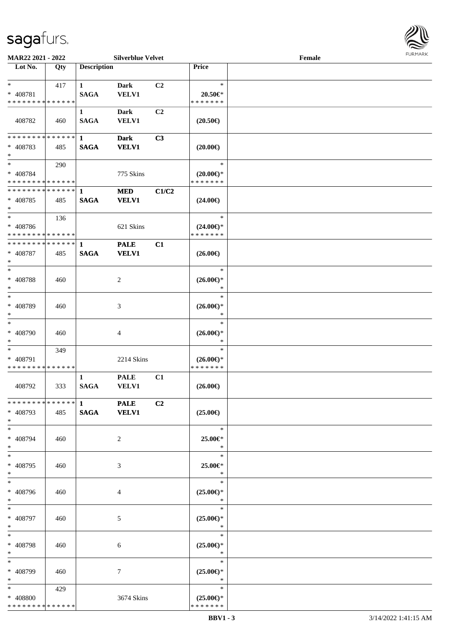

| MAR22 2021 - 2022                                     | <b>Silverblue Velvet</b> |                             |                             |                | Female                                              |  |  |  |  |
|-------------------------------------------------------|--------------------------|-----------------------------|-----------------------------|----------------|-----------------------------------------------------|--|--|--|--|
| Lot No.                                               | Qty                      | <b>Description</b>          |                             |                | <b>Price</b>                                        |  |  |  |  |
| $\ast$<br>* 408781<br>* * * * * * * * * * * * * *     | 417                      | $\mathbf{1}$<br><b>SAGA</b> | <b>Dark</b><br><b>VELV1</b> | C <sub>2</sub> | $\ast$<br>20.50€*<br>* * * * * * *                  |  |  |  |  |
| 408782                                                | 460                      | 1<br><b>SAGA</b>            | <b>Dark</b><br><b>VELV1</b> | C2             | $(20.50\epsilon)$                                   |  |  |  |  |
| * * * * * * * * * * * * * *<br>* 408783<br>$\ast$     | 485                      | 1<br><b>SAGA</b>            | <b>Dark</b><br><b>VELV1</b> | C3             | $(20.00\epsilon)$                                   |  |  |  |  |
| $\ast$<br>* 408784<br>* * * * * * * * * * * * * *     | 290                      |                             | 775 Skins                   |                | $\ast$<br>$(20.00\epsilon)$ *<br>* * * * * * *      |  |  |  |  |
| * * * * * * * * * * * * * * *<br>$* 408785$<br>$\ast$ | 485                      | $\mathbf{1}$<br><b>SAGA</b> | <b>MED</b><br><b>VELV1</b>  | C1/C2          | $(24.00\epsilon)$                                   |  |  |  |  |
| $\ast$<br>* 408786<br>* * * * * * * * * * * * * *     | 136                      |                             | 621 Skins                   |                | $\ast$<br>$(24.00\epsilon)$ *<br>* * * * * * *      |  |  |  |  |
| * * * * * * * * * * * * * *<br>* 408787<br>$\ast$     | 485                      | 1<br><b>SAGA</b>            | <b>PALE</b><br><b>VELV1</b> | C1             | $(26.00\epsilon)$                                   |  |  |  |  |
| $*$<br>* 408788<br>$\ast$                             | 460                      |                             | $\overline{c}$              |                | $\ast$<br>$(26.00\epsilon)$ *<br>$\ast$             |  |  |  |  |
| $\ast$<br>* 408789<br>$\ast$                          | 460                      |                             | 3                           |                | $\ast$<br>$(26.00\epsilon)$ *<br>$\ast$             |  |  |  |  |
| $\ast$<br>* 408790<br>$\ast$                          | 460                      |                             | 4                           |                | $\ast$<br>$(26.00\epsilon)$ *<br>$\ast$             |  |  |  |  |
| $\ast$<br>* 408791<br>* * * * * * * * * * * * * *     | 349                      |                             | 2214 Skins                  |                | $\ast$<br>$(26.00\epsilon)$ *<br>* * * * * * *      |  |  |  |  |
| 408792                                                | 333                      | 1<br><b>SAGA</b>            | <b>PALE</b><br>VELV1        | C1             | $(26.00\epsilon)$                                   |  |  |  |  |
| * 408793<br>$*$                                       | 485                      | SAGA VELV1                  |                             | C2             | $(25.00\epsilon)$                                   |  |  |  |  |
| $*$<br>* 408794<br>$*$                                | 460                      |                             | 2                           |                | $\ast$<br>25.00€*<br>$\ast$                         |  |  |  |  |
| $\ast$<br>* 408795<br>$*$                             | 460                      |                             | 3                           |                | $\ast$<br>25.00€*<br>$\ast$                         |  |  |  |  |
| $\ast$<br>* 408796<br>$*$                             | 460                      |                             | 4                           |                | $\ast$<br>$(25.00\epsilon)$ *<br>$\ast$             |  |  |  |  |
| $*$<br>* 408797<br>$*$                                | 460                      |                             | 5                           |                | $\equiv$<br>$\ast$<br>$(25.00\epsilon)$ *<br>$\ast$ |  |  |  |  |
| $\ast$<br>* 408798<br>$*$                             | 460                      |                             | 6                           |                | $\ast$<br>$(25.00\epsilon)$ *<br>$\ast$             |  |  |  |  |
| $\ast$<br>* 408799<br>$*$                             | 460                      |                             | 7                           |                | $\ast$<br>$(25.00\epsilon)$ *<br>$\ast$             |  |  |  |  |
| $*$<br>* 408800<br>* * * * * * * * * * * * * *        | 429                      |                             | 3674 Skins                  |                | $\ast$<br>$(25.00\epsilon)$ *<br>* * * * * * *      |  |  |  |  |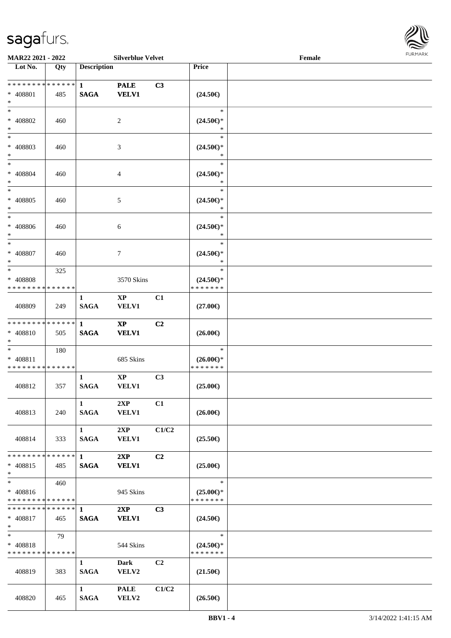

| <b>MAR22 2021 - 2022</b>       |     |                        | <b>Silverblue Velvet</b> |       |                                                    | Female |  |
|--------------------------------|-----|------------------------|--------------------------|-------|----------------------------------------------------|--------|--|
| Lot No.                        | Qty | <b>Description</b>     |                          |       | Price                                              |        |  |
| * * * * * * * * * * * * * * *  |     |                        |                          |       |                                                    |        |  |
|                                |     | $\mathbf{1}$           | <b>PALE</b>              | C3    |                                                    |        |  |
| * 408801                       | 485 | <b>SAGA</b>            | <b>VELV1</b>             |       | $(24.50\epsilon)$                                  |        |  |
| $*$                            |     |                        |                          |       |                                                    |        |  |
| $*$                            |     |                        |                          |       | $\ast$                                             |        |  |
| * 408802                       | 460 |                        | 2                        |       | $(24.50\epsilon)$ *                                |        |  |
| $*$                            |     |                        |                          |       | $\ast$                                             |        |  |
| $*$                            |     |                        |                          |       | $\ast$                                             |        |  |
| * 408803                       | 460 |                        | 3                        |       | $(24.50\epsilon)$ *                                |        |  |
| $*$                            |     |                        |                          |       | $\ast$                                             |        |  |
| $*$                            |     |                        |                          |       | $\ast$                                             |        |  |
| * 408804                       | 460 |                        | 4                        |       | $(24.50\mathnormal{\in}\mathcal{)^{\! \! \times}}$ |        |  |
| $*$                            |     |                        |                          |       | $\ast$                                             |        |  |
| $*$                            |     |                        |                          |       | $\ast$                                             |        |  |
| * 408805                       | 460 |                        | 5                        |       | $(24.50\epsilon)$ *                                |        |  |
| $*$                            |     |                        |                          |       | $\ast$                                             |        |  |
| $*$                            |     |                        |                          |       | $\ast$                                             |        |  |
| $* 408806$                     | 460 |                        | 6                        |       | $(24.50\epsilon)$ *                                |        |  |
| $*$                            |     |                        |                          |       | $\ast$                                             |        |  |
| $\ast$                         |     |                        |                          |       | $\ast$                                             |        |  |
| $* 408807$                     | 460 |                        | 7                        |       | $(24.50\epsilon)$ *                                |        |  |
| $*$                            |     |                        |                          |       | $\ast$                                             |        |  |
| $*$                            | 325 |                        |                          |       | $\ast$                                             |        |  |
| * 408808                       |     |                        | 3570 Skins               |       | $(24.50\epsilon)$ *                                |        |  |
| * * * * * * * * * * * * * *    |     |                        |                          |       | * * * * * * *                                      |        |  |
|                                |     | $\mathbf{1}$           | XP                       | C1    |                                                    |        |  |
| 408809                         | 249 | <b>SAGA</b>            | <b>VELV1</b>             |       | $(27.00\epsilon)$                                  |        |  |
|                                |     |                        |                          |       |                                                    |        |  |
| * * * * * * * * * * * * * * *  |     | $\mathbf{1}$           | $\mathbf{X}\mathbf{P}$   | C2    |                                                    |        |  |
| * 408810                       | 505 | <b>SAGA</b>            | <b>VELV1</b>             |       | $(26.00\epsilon)$                                  |        |  |
| $*$                            |     |                        |                          |       |                                                    |        |  |
| $*$                            | 180 |                        |                          |       | $\ast$                                             |        |  |
| * 408811                       |     |                        | 685 Skins                |       |                                                    |        |  |
| * * * * * * * * * * * * * *    |     |                        |                          |       | $(26.00\epsilon)$ *<br>* * * * * * *               |        |  |
|                                |     | $\mathbf{1}$           | $\mathbf{X}\mathbf{P}$   | C3    |                                                    |        |  |
|                                |     |                        |                          |       |                                                    |        |  |
| 408812                         | 357 | <b>SAGA</b>            | <b>VELV1</b>             |       | $(25.00\epsilon)$                                  |        |  |
|                                |     |                        |                          |       |                                                    |        |  |
|                                |     | $\mathbf{1}$           | 2XP                      | C1    |                                                    |        |  |
| 408813                         | 240 | SAGA                   | <b>VELV1</b>             |       | $(26.00\epsilon)$                                  |        |  |
|                                |     |                        |                          |       |                                                    |        |  |
|                                |     | 1                      | 2XP                      | C1/C2 |                                                    |        |  |
| 408814                         | 333 | SAGA                   | <b>VELV1</b>             |       | $(25.50\epsilon)$                                  |        |  |
|                                |     |                        |                          |       |                                                    |        |  |
| * * * * * * * * * * * * * * *  |     | $\mathbf{1}$           | 2XP                      | C2    |                                                    |        |  |
| * 408815                       | 485 | <b>SAGA</b>            | <b>VELV1</b>             |       | $(25.00\epsilon)$                                  |        |  |
| $*$                            |     |                        |                          |       |                                                    |        |  |
| $*$                            | 460 |                        |                          |       | $\ast$                                             |        |  |
| * 408816                       |     |                        | 945 Skins                |       | $(25.00\epsilon)$ *                                |        |  |
| * * * * * * * * * * * * * * *  |     |                        |                          |       | * * * * * * *                                      |        |  |
| ******** <mark>******</mark> 1 |     |                        | 2XP                      | C3    |                                                    |        |  |
| * 408817                       | 465 | <b>SAGA</b>            | <b>VELV1</b>             |       | $(24.50\epsilon)$                                  |        |  |
| $*$ $-$                        |     |                        |                          |       |                                                    |        |  |
| $*$                            | 79  |                        |                          |       | $\ast$                                             |        |  |
| * 408818                       |     |                        | 544 Skins                |       | $(24.50\epsilon)$ *                                |        |  |
| * * * * * * * * * * * * * *    |     |                        |                          |       | * * * * * * *                                      |        |  |
|                                |     | $\mathbf{1}$           | <b>Dark</b>              | C2    |                                                    |        |  |
| 408819                         | 383 | <b>SAGA</b>            | <b>VELV2</b>             |       | $(21.50\epsilon)$                                  |        |  |
|                                |     |                        |                          |       |                                                    |        |  |
|                                |     | $1 \quad \blacksquare$ | <b>PALE</b>              | C1/C2 |                                                    |        |  |
| 408820                         | 465 | <b>SAGA</b>            | VELV2                    |       | $(26.50\epsilon)$                                  |        |  |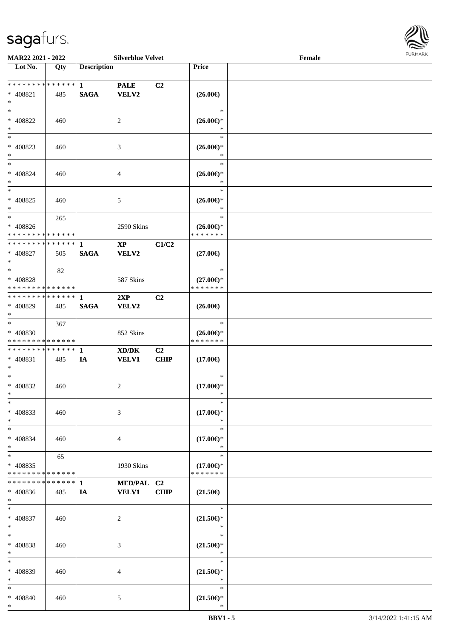

| <b>MAR22 2021 - 2022</b>                   |             |                    | <b>Silverblue Velvet</b> |                |                                                   | Female |  |
|--------------------------------------------|-------------|--------------------|--------------------------|----------------|---------------------------------------------------|--------|--|
| Lot No.                                    | Qty         | <b>Description</b> |                          |                | Price                                             |        |  |
|                                            |             |                    |                          |                |                                                   |        |  |
| * * * * * * * * * * * * * * *              |             | $\mathbf{1}$       | <b>PALE</b>              | C2             |                                                   |        |  |
| * 408821                                   | 485         | <b>SAGA</b>        | <b>VELV2</b>             |                | $(26.00\epsilon)$                                 |        |  |
| $*$                                        |             |                    |                          |                |                                                   |        |  |
| $*$                                        |             |                    |                          |                | $\ast$                                            |        |  |
| * 408822                                   | 460         |                    | 2                        |                | $(26.00\epsilon)$ *                               |        |  |
| $*$                                        |             |                    |                          |                | $\ast$                                            |        |  |
| $\overline{\phantom{0}}$                   |             |                    |                          |                | $\ast$                                            |        |  |
|                                            |             |                    |                          |                |                                                   |        |  |
| * 408823                                   | 460         |                    | 3                        |                | $(26.00\epsilon)$ *                               |        |  |
| $\ast$                                     |             |                    |                          |                | $\ast$                                            |        |  |
| $\ast$                                     |             |                    |                          |                | $\ast$                                            |        |  |
| $* 408824$                                 | 460         |                    | 4                        |                | $(26.00\epsilon)$ *                               |        |  |
| $*$                                        |             |                    |                          |                | $\ast$                                            |        |  |
| $*$                                        |             |                    |                          |                | $\ast$                                            |        |  |
| $* 408825$                                 | 460         |                    | 5                        |                | $(26.00\epsilon)$ *                               |        |  |
| $*$                                        |             |                    |                          |                | $\ast$                                            |        |  |
| $*$                                        | 265         |                    |                          |                | $\ast$                                            |        |  |
| $* 408826$                                 |             |                    | 2590 Skins               |                | $(26.00\epsilon)$ *                               |        |  |
| * * * * * * * * * * * * * * *              |             |                    |                          |                | * * * * * * *                                     |        |  |
| * * * * * * * * * * * * * * *              |             |                    |                          |                |                                                   |        |  |
|                                            |             | $\mathbf{1}$       | $\mathbf{X}\mathbf{P}$   | C1/C2          |                                                   |        |  |
| * 408827                                   | 505         | <b>SAGA</b>        | VELV2                    |                | $(27.00\epsilon)$                                 |        |  |
| $*$                                        |             |                    |                          |                |                                                   |        |  |
| $*$                                        | 82          |                    |                          |                | $\ast$                                            |        |  |
| * 408828                                   |             |                    | 587 Skins                |                | $(27.00\epsilon)$ *                               |        |  |
| * * * * * * * * * * * * * * *              |             |                    |                          |                | * * * * * * *                                     |        |  |
| * * * * * * * * * * * * * * *              |             | 1                  | 2XP                      | C <sub>2</sub> |                                                   |        |  |
| * 408829                                   | 485         | <b>SAGA</b>        | VELV2                    |                | $(26.00\epsilon)$                                 |        |  |
| $*$                                        |             |                    |                          |                |                                                   |        |  |
| $*$                                        | 367         |                    |                          |                | $\ast$                                            |        |  |
|                                            |             |                    |                          |                |                                                   |        |  |
| $* 408830$                                 |             |                    | 852 Skins                |                | $(26.00\epsilon)$ *                               |        |  |
| * * * * * * * * * * * * * *                |             |                    |                          |                | * * * * * * *                                     |        |  |
| * * * * * * * * <mark>* * * * * * *</mark> |             | $\mathbf{1}$       | XD/DK                    | C2             |                                                   |        |  |
| * 408831                                   | 485         | IA                 | <b>VELV1</b>             | <b>CHIP</b>    | $(17.00\epsilon)$                                 |        |  |
| $*$                                        |             |                    |                          |                |                                                   |        |  |
| $*$                                        |             |                    |                          |                | $\ast$                                            |        |  |
| * 408832                                   | 460         |                    | 2                        |                | $(17.00\epsilon)$ *                               |        |  |
| $*$                                        |             |                    |                          |                | *                                                 |        |  |
| $\ast$                                     |             |                    |                          |                | $\ast$                                            |        |  |
| * 408833                                   | 460         |                    | 3                        |                | $(17.00\epsilon)$ *                               |        |  |
| $*$                                        |             |                    |                          |                | $\ast$                                            |        |  |
| $*$                                        |             |                    |                          |                | $\ast$                                            |        |  |
| * 408834                                   | 460         |                    | 4                        |                | $(17.00\epsilon)$ *                               |        |  |
| $*$                                        |             |                    |                          |                | $\ast$                                            |        |  |
| $*$                                        | 65          |                    |                          |                | $\ast$                                            |        |  |
|                                            |             |                    |                          |                |                                                   |        |  |
| * 408835                                   |             |                    | 1930 Skins               |                | $(17.00\epsilon)$ *                               |        |  |
| * * * * * * * * * * * * * *                |             |                    |                          |                | * * * * * * *                                     |        |  |
| * * * * * * * *                            | * * * * * * | $\mathbf 1$        | MED/PAL C2               |                |                                                   |        |  |
| * 408836                                   | 485         | IA                 | <b>VELV1</b>             | <b>CHIP</b>    | $(21.50\epsilon)$                                 |        |  |
| $*$                                        |             |                    |                          |                |                                                   |        |  |
| $*$                                        |             |                    |                          |                | $\ast$                                            |        |  |
| * 408837                                   | 460         |                    | 2                        |                | $(21.50\mathnormal{\in}\mathcal{)^{\! \! \circ}}$ |        |  |
| $*$                                        |             |                    |                          |                | $\ast$                                            |        |  |
| $*$                                        |             |                    |                          |                | $\ast$                                            |        |  |
| * 408838                                   | 460         |                    | 3                        |                | $(21.50\epsilon)$ *                               |        |  |
| $*$                                        |             |                    |                          |                | $\ast$                                            |        |  |
| $*$                                        |             |                    |                          |                | $\ast$                                            |        |  |
|                                            |             |                    |                          |                |                                                   |        |  |
| * 408839<br>$*$                            | 460         |                    | 4                        |                | $(21.50\epsilon)$ *<br>$\ast$                     |        |  |
|                                            |             |                    |                          |                |                                                   |        |  |
| $*$                                        |             |                    |                          |                | $\ast$                                            |        |  |
| * 408840                                   | 460         |                    | $\mathfrak{S}$           |                | $(21.50\epsilon)$ *                               |        |  |
| $\ast$                                     |             |                    |                          |                | $\ast$                                            |        |  |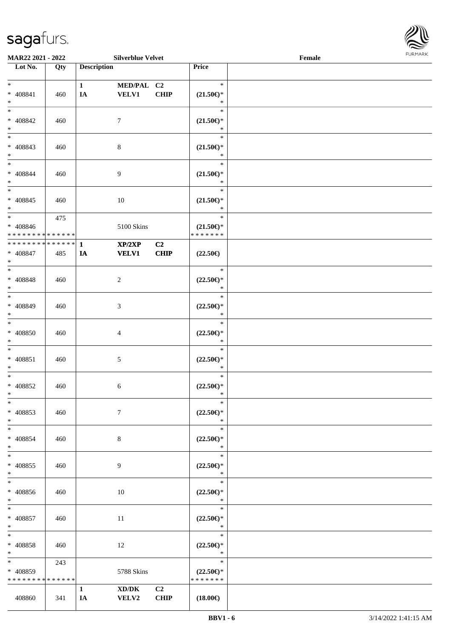

| <b>MAR22 2021 - 2022</b>      |     |                    | <b>Silverblue Velvet</b>                                     |                |                       | Female |  |
|-------------------------------|-----|--------------------|--------------------------------------------------------------|----------------|-----------------------|--------|--|
| Lot No.                       | Qty | <b>Description</b> |                                                              |                | Price                 |        |  |
|                               |     |                    |                                                              |                |                       |        |  |
| $*$                           |     | $\mathbf{1}$       | MED/PAL C2                                                   |                | $\ast$                |        |  |
| * 408841                      | 460 | IA                 | <b>VELV1</b>                                                 | <b>CHIP</b>    | $(21.50\epsilon)$ *   |        |  |
| $*$                           |     |                    |                                                              |                | $\ast$                |        |  |
| $*$                           |     |                    |                                                              |                | $\ast$                |        |  |
| * 408842                      | 460 |                    | $\tau$                                                       |                | $(21.50\epsilon)$ *   |        |  |
| $*$                           |     |                    |                                                              |                | $\ast$                |        |  |
| $\overline{\phantom{0}}$      |     |                    |                                                              |                | $\ast$                |        |  |
| * 408843                      | 460 |                    | $8\,$                                                        |                | $(21.50\epsilon)$ *   |        |  |
| $*$                           |     |                    |                                                              |                | *                     |        |  |
| $*$                           |     |                    |                                                              |                | $\ast$                |        |  |
| $* 408844$                    | 460 |                    | 9                                                            |                | $(21.50\epsilon)$ *   |        |  |
| $\ast$                        |     |                    |                                                              |                | $\ast$                |        |  |
| $\overline{\ast}$             |     |                    |                                                              |                | $\ast$                |        |  |
| $* 408845$                    | 460 |                    | 10                                                           |                | $(21.50\epsilon)$ *   |        |  |
| $*$                           |     |                    |                                                              |                | $\ast$                |        |  |
| $\ast$                        | 475 |                    |                                                              |                | $\ast$                |        |  |
| $* 408846$                    |     |                    | 5100 Skins                                                   |                | $(21.50\epsilon)$ *   |        |  |
| * * * * * * * * * * * * * * * |     |                    |                                                              |                | * * * * * * *         |        |  |
| * * * * * * * * * * * * * * * |     | $\mathbf{1}$       | $\mathbf{XP}/2\mathbf{XP}$                                   | C <sub>2</sub> |                       |        |  |
| $* 408847$                    | 485 | IA                 | <b>VELV1</b>                                                 | CHIP           | $(22.50\epsilon)$     |        |  |
| $*$                           |     |                    |                                                              |                |                       |        |  |
|                               |     |                    |                                                              |                | $\ast$                |        |  |
| $* 408848$                    | 460 |                    | $\overline{c}$                                               |                | $(22.50\epsilon)$ *   |        |  |
| $*$                           |     |                    |                                                              |                | $\ast$                |        |  |
| $*$                           |     |                    |                                                              |                | $\ast$                |        |  |
| * 408849                      | 460 |                    | 3                                                            |                | $(22.50\mathbb{E})^*$ |        |  |
| $*$                           |     |                    |                                                              |                | *                     |        |  |
| $*$                           |     |                    |                                                              |                | $\ast$                |        |  |
| $* 408850$                    | 460 |                    | $\overline{4}$                                               |                | $(22.50\epsilon)$ *   |        |  |
| $*$                           |     |                    |                                                              |                | $\ast$                |        |  |
| $*$                           |     |                    |                                                              |                | $\ast$                |        |  |
| $* 408851$                    | 460 |                    | 5                                                            |                | $(22.50\epsilon)$ *   |        |  |
| $*$                           |     |                    |                                                              |                | $\ast$                |        |  |
| $*$                           |     |                    |                                                              |                | $\ast$                |        |  |
| * 408852                      | 460 |                    | 6                                                            |                | $(22.50\epsilon)$ *   |        |  |
| $*$                           |     |                    |                                                              |                | $\ast$                |        |  |
| $\ast$                        |     |                    |                                                              |                | $\ast$                |        |  |
| * 408853                      | 460 |                    | $\tau$                                                       |                | $(22.50\epsilon)$ *   |        |  |
| $*$                           |     |                    |                                                              |                | $\ast$                |        |  |
| $*$                           |     |                    |                                                              |                | $\ast$                |        |  |
| * 408854                      | 460 |                    | 8                                                            |                | $(22.50\epsilon)$ *   |        |  |
| $*$                           |     |                    |                                                              |                | $\ast$                |        |  |
| $*$                           |     |                    |                                                              |                | $\ast$                |        |  |
| * 408855                      | 460 |                    | 9                                                            |                | $(22.50\epsilon)$ *   |        |  |
| $*$                           |     |                    |                                                              |                | $\ast$                |        |  |
| $\ast$                        |     |                    |                                                              |                | $\ast$                |        |  |
| * 408856                      | 460 |                    | 10                                                           |                | $(22.50\epsilon)$ *   |        |  |
| $*$                           |     |                    |                                                              |                | $\ast$                |        |  |
| $*$                           |     |                    |                                                              |                | $\ast$                |        |  |
| * 408857                      | 460 |                    | 11                                                           |                | $(22.50\epsilon)$ *   |        |  |
| $*$                           |     |                    |                                                              |                | $\ast$                |        |  |
| $\ast$                        |     |                    |                                                              |                | $\ast$                |        |  |
| * 408858                      | 460 |                    | 12                                                           |                | $(22.50\epsilon)$ *   |        |  |
| $*$                           |     |                    |                                                              |                | $\ast$                |        |  |
| $*$ $*$                       | 243 |                    |                                                              |                | $\ast$                |        |  |
| * 408859                      |     |                    | 5788 Skins                                                   |                | $(22.50\epsilon)$ *   |        |  |
| * * * * * * * * * * * * * *   |     |                    |                                                              |                | * * * * * * *         |        |  |
|                               |     | $\mathbf{1}$       | $\boldsymbol{\text{XD}}\boldsymbol{/}\boldsymbol{\text{DK}}$ | C2             |                       |        |  |
| 408860                        | 341 | IA                 | <b>VELV2</b>                                                 | <b>CHIP</b>    | $(18.00\epsilon)$     |        |  |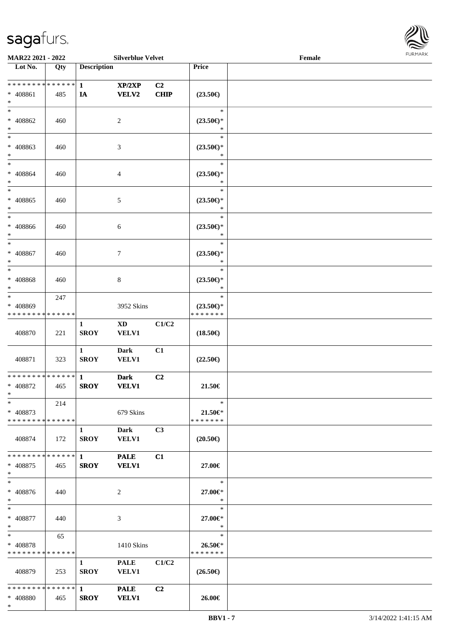\*



| MAR22 2021 - 2022                                      |                    |                             | <b>Silverblue Velvet</b>        |                   |                                                | Female |  |
|--------------------------------------------------------|--------------------|-----------------------------|---------------------------------|-------------------|------------------------------------------------|--------|--|
| Lot No.                                                | Qty                | <b>Description</b>          |                                 |                   | Price                                          |        |  |
| ******** <mark>******</mark><br>* 408861<br>$\ast$     | 485                | $\mathbf{1}$<br>IA          | XP/2XP<br><b>VELV2</b>          | C2<br><b>CHIP</b> | $(23.50\epsilon)$                              |        |  |
| $*$<br>$* 408862$<br>$\ast$                            | 460                |                             | 2                               |                   | $\ast$<br>$(23.50\epsilon)$ *<br>∗             |        |  |
| $\overline{\ast}$<br>* 408863<br>$*$                   | 460                |                             | 3                               |                   | $\ast$<br>$(23.50\epsilon)$ *<br>$\ast$        |        |  |
| $*$<br>$* 408864$<br>$\ast$                            | 460                |                             | 4                               |                   | $\ast$<br>$(23.50\epsilon)$ *<br>$\ast$        |        |  |
| $\ast$<br>$* 408865$<br>$\ast$                         | 460                |                             | 5                               |                   | $\ast$<br>$(23.50\epsilon)$ *<br>$\ast$        |        |  |
| $\ast$<br>$* 408866$<br>$*$                            | 460                |                             | 6                               |                   | $\ast$<br>$(23.50\epsilon)$ *<br>$\ast$        |        |  |
| $\ast$<br>$* 408867$<br>$\ast$                         | 460                |                             | 7                               |                   | $\ast$<br>$(23.50\epsilon)$ *<br>$\ast$        |        |  |
| $*$<br>$* 408868$<br>$\ast$                            | 460                |                             | 8                               |                   | $\ast$<br>$(23.50\epsilon)$ *<br>$\ast$        |        |  |
| $*$<br>* 408869<br>* * * * * * * *                     | 247<br>* * * * * * |                             | 3952 Skins                      |                   | $\ast$<br>$(23.50\epsilon)$ *<br>* * * * * * * |        |  |
| 408870                                                 | 221                | 1<br><b>SROY</b>            | $\mathbf{X}\mathbf{D}$<br>VELV1 | C1/C2             | $(18.50\epsilon)$                              |        |  |
| 408871                                                 | 323                | $\mathbf{1}$<br><b>SROY</b> | <b>Dark</b><br>VELV1            | C1                | $(22.50\epsilon)$                              |        |  |
| * * * * * * * * * * * * * * *<br>* 408872<br>$*$       | 465                | $\mathbf{1}$<br><b>SROY</b> | <b>Dark</b><br><b>VELV1</b>     | C <sub>2</sub>    | 21.50€                                         |        |  |
| $*$<br>* 408873<br>* * * * * * * * * * * * * * *       | 214                |                             | 679 Skins                       |                   | $\ast$<br>$21.50 \in$<br>* * * * * * *         |        |  |
| 408874                                                 | 172                | $\mathbf{1}$<br><b>SROY</b> | Dark<br><b>VELV1</b>            | C3                | $(20.50\epsilon)$                              |        |  |
| * 408875<br>$*$                                        | 465                | <b>SROY</b>                 | <b>PALE</b><br><b>VELV1</b>     | C1                | 27.00€                                         |        |  |
| $*$<br>* 408876<br>$*$                                 | 440                |                             | 2                               |                   | $\ast$<br>27.00€*<br>*                         |        |  |
| $*$<br>$* 408877$<br>$*$ $-$                           | 440                |                             | 3                               |                   | $\ast$<br>27.00€*<br>$\ast$                    |        |  |
| $*$ and $*$<br>* 408878<br>* * * * * * * * * * * * * * | 65                 |                             | 1410 Skins                      |                   | $\ast$<br>26.50€*<br>* * * * * * *             |        |  |
| 408879                                                 | 253                | $\mathbf{1}$<br><b>SROY</b> | <b>PALE</b><br><b>VELV1</b>     | C1/C2             | $(26.50\epsilon)$                              |        |  |
| ******** <mark>******</mark> 1<br>* 408880             | 465                | <b>SROY</b>                 | <b>PALE</b><br><b>VELV1</b>     | C <sub>2</sub>    | 26.00€                                         |        |  |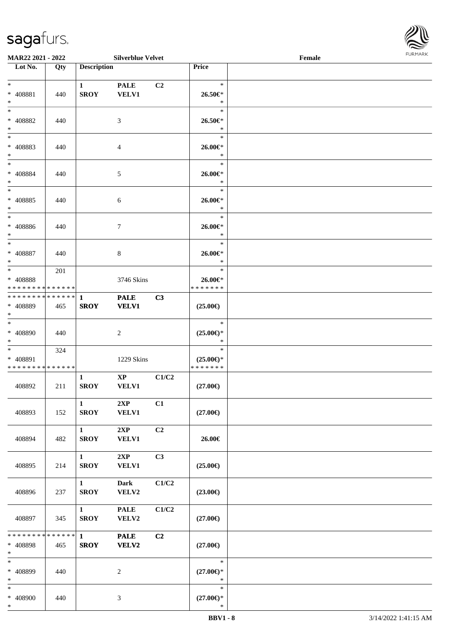

| <b>MAR22 2021 - 2022</b>                             |                                   |                                       | <b>Silverblue Velvet</b>      |                |                                                | Female |  |
|------------------------------------------------------|-----------------------------------|---------------------------------------|-------------------------------|----------------|------------------------------------------------|--------|--|
| Lot No.                                              | Qty                               | <b>Description</b>                    |                               |                | Price                                          |        |  |
| $\ast$<br>* 408881<br>$\ast$                         | 440                               | $\mathbf{1}$<br><b>SROY</b>           | <b>PALE</b><br><b>VELV1</b>   | C <sub>2</sub> | $\ast$<br>26.50€*<br>$\ast$                    |        |  |
| $\ast$<br>* 408882<br>$*$                            | 440                               |                                       | 3                             |                | $\ast$<br>26.50€*<br>$\ast$                    |        |  |
| $\overline{\phantom{0}}$<br>* 408883<br>$\ast$       | 440                               |                                       | $\overline{4}$                |                | $\ast$<br>26.00€*<br>$\ast$                    |        |  |
| $*$<br>* 408884<br>$*$<br>$\ddot{x}$                 | 440                               |                                       | $\mathfrak{S}$                |                | $\ast$<br>26.00€*<br>$\ast$<br>$\ast$          |        |  |
| * 408885<br>$\ast$<br>$\ast$                         | 440                               |                                       | 6                             |                | 26.00€*<br>$\ast$<br>$\ast$                    |        |  |
| * 408886<br>$\ast$                                   | 440                               |                                       | $7\phantom{.0}$               |                | 26.00€*<br>$\ast$<br>$\ast$                    |        |  |
| * 408887<br>$*$<br>$\ddot{x}$                        | 440                               |                                       | 8                             |                | 26.00€*<br>$\ast$<br>$\ast$                    |        |  |
| * 408888<br>* * * * * * * * <mark>* * * * * *</mark> | 201                               |                                       | 3746 Skins                    |                | 26.00€*<br>* * * * * * *                       |        |  |
| * 408889<br>$*$<br>$*$                               | 465                               | <b>SROY</b>                           | <b>PALE</b><br><b>VELV1</b>   | C3             | $(25.00\epsilon)$<br>$\ast$                    |        |  |
| * 408890<br>$*$                                      | 440                               |                                       | 2                             |                | $(25.00\epsilon)$ *<br>$\ast$                  |        |  |
| $*$ $*$<br>* 408891<br>* * * * * * * * * * * * * *   | 324                               |                                       | 1229 Skins                    |                | $\ast$<br>$(25.00\epsilon)$ *<br>* * * * * * * |        |  |
| 408892                                               | 211                               | 1<br><b>SROY</b>                      | $\mathbf{XP}$<br><b>VELV1</b> | C1/C2          | $(27.00\epsilon)$                              |        |  |
| 408893                                               | 152                               | $\mathbf{1}$<br><b>SROY</b>           | 2XP<br><b>VELV1</b>           | C1             | $(27.00\epsilon)$                              |        |  |
| 408894                                               | 482                               | $\mathbf{1}$<br><b>SROY</b>           | 2XP<br><b>VELV1</b>           | C2             | 26.00€                                         |        |  |
| 408895                                               | 214                               | $\mathbf{1}$<br><b>SROY</b>           | 2XP<br><b>VELV1</b>           | C3             | $(25.00\epsilon)$                              |        |  |
| 408896                                               | 237                               | $1 \quad \blacksquare$<br><b>SROY</b> | <b>Dark</b><br>VELV2          | C1/C2          | $(23.00\epsilon)$                              |        |  |
| 408897                                               | 345                               | 1<br><b>SROY</b>                      | <b>PALE</b><br>VELV2          | C1/C2          | $(27.00\epsilon)$                              |        |  |
| * * * * * * * *<br>* 408898<br>$\ast$                | * * * * * * <mark>*</mark><br>465 | $\mathbf{1}$<br><b>SROY</b>           | <b>PALE</b><br><b>VELV2</b>   | C <sub>2</sub> | $(27.00\epsilon)$                              |        |  |
| $\ast$<br>* 408899<br>$\ast$                         | 440                               |                                       | 2                             |                | $\ast$<br>$(27.00\epsilon)$ *<br>$\ast$        |        |  |
| $\ast$<br>* 408900<br>$\ast$                         | 440                               |                                       | 3                             |                | $\ast$<br>$(27.00\epsilon)$ *<br>$\ast$        |        |  |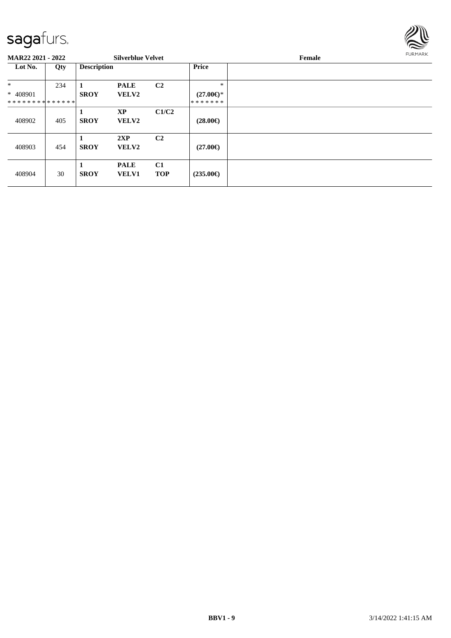

| <b>MAR22 2021 - 2022</b>                              |     |                    | <b>Silverblue Velvet</b>    |                  |                                          | <b>FURMARK</b><br>Female |  |
|-------------------------------------------------------|-----|--------------------|-----------------------------|------------------|------------------------------------------|--------------------------|--|
| Lot No.                                               | Qty | <b>Description</b> |                             |                  | <b>Price</b>                             |                          |  |
| $\ast$<br>$* 408901$<br>* * * * * * * * * * * * * * * | 234 | <b>SROY</b>        | <b>PALE</b><br>VELV2        | C <sub>2</sub>   | $\ast$<br>$(27.00\epsilon)$ *<br>******* |                          |  |
| 408902                                                | 405 | <b>SROY</b>        | <b>XP</b><br>VELV2          | C1/C2            | $(28.00\epsilon)$                        |                          |  |
| 408903                                                | 454 | <b>SROY</b>        | 2XP<br><b>VELV2</b>         | C <sub>2</sub>   | $(27.00\epsilon)$                        |                          |  |
| 408904                                                | 30  | <b>SROY</b>        | <b>PALE</b><br><b>VELV1</b> | C1<br><b>TOP</b> | $(235.00\epsilon)$                       |                          |  |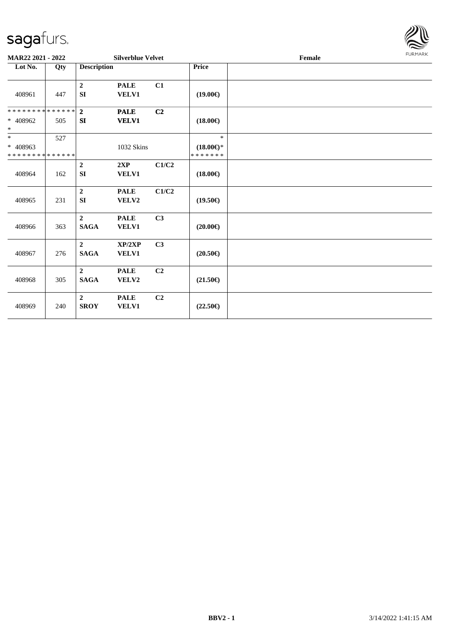

| MAR22 2021 - 2022                                 |     |                               | <b>Silverblue Velvet</b>    |                |                                                | Female |  |  |  |  |
|---------------------------------------------------|-----|-------------------------------|-----------------------------|----------------|------------------------------------------------|--------|--|--|--|--|
| Lot No.                                           | Qty | <b>Description</b>            |                             |                | Price                                          |        |  |  |  |  |
| 408961                                            | 447 | $\boldsymbol{2}$<br><b>SI</b> | <b>PALE</b><br>VELV1        | C1             | $(19.00\epsilon)$                              |        |  |  |  |  |
| * * * * * * * * * * * * * *<br>* 408962<br>$\ast$ | 505 | $\mathbf{2}$<br>SI            | <b>PALE</b><br><b>VELV1</b> | C2             | $(18.00\epsilon)$                              |        |  |  |  |  |
| $\ast$<br>* 408963<br>* * * * * * * * * * * * * * | 527 |                               | 1032 Skins                  |                | $\ast$<br>$(18.00\epsilon)$ *<br>* * * * * * * |        |  |  |  |  |
| 408964                                            | 162 | $\overline{2}$<br><b>SI</b>   | 2XP<br>VELV1                | C1/C2          | $(18.00\epsilon)$                              |        |  |  |  |  |
| 408965                                            | 231 | $\boldsymbol{2}$<br><b>SI</b> | <b>PALE</b><br>VELV2        | C1/C2          | $(19.50\epsilon)$                              |        |  |  |  |  |
| 408966                                            | 363 | $\overline{2}$<br><b>SAGA</b> | <b>PALE</b><br>VELV1        | C <sub>3</sub> | $(20.00\epsilon)$                              |        |  |  |  |  |
| 408967                                            | 276 | $\overline{2}$<br><b>SAGA</b> | XP/2XP<br><b>VELV1</b>      | C3             | $(20.50\epsilon)$                              |        |  |  |  |  |
| 408968                                            | 305 | $\overline{2}$<br><b>SAGA</b> | <b>PALE</b><br>VELV2        | C <sub>2</sub> | $(21.50\epsilon)$                              |        |  |  |  |  |
| 408969                                            | 240 | $\overline{2}$<br><b>SROY</b> | <b>PALE</b><br>VELV1        | C2             | $(22.50\epsilon)$                              |        |  |  |  |  |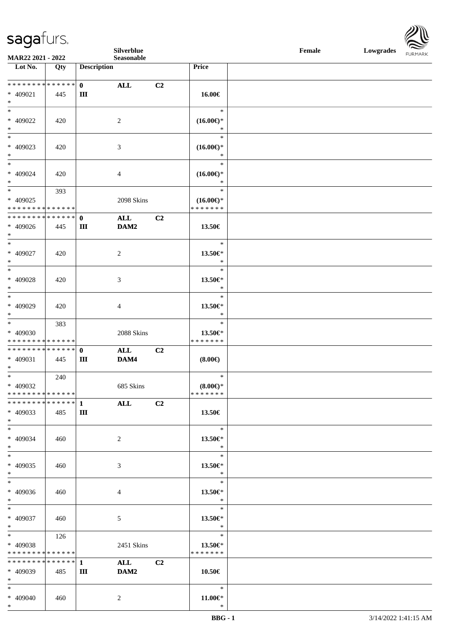**Silverblue Female Lowgrades**

| MAR22 2021 - 2022                    |     |                    | Silverblue<br>Seasonable |                |                               | <b>Female</b><br>Lowgrades | <b>FURMARK</b> |  |
|--------------------------------------|-----|--------------------|--------------------------|----------------|-------------------------------|----------------------------|----------------|--|
| Lot No.                              | Qty | <b>Description</b> |                          |                | Price                         |                            |                |  |
|                                      |     |                    |                          |                |                               |                            |                |  |
| **************                       |     | $\mathbf{0}$       | ALL                      | C2             |                               |                            |                |  |
| $* 409021$                           | 445 | Ш                  |                          |                | 16.00€                        |                            |                |  |
| $\ast$<br>$\ast$                     |     |                    |                          |                | $\ast$                        |                            |                |  |
| * 409022                             | 420 |                    | $\overline{c}$           |                | $(16.00\epsilon)$ *           |                            |                |  |
| $\ast$                               |     |                    |                          |                | $\ast$                        |                            |                |  |
| $\overline{\phantom{a}^*}$           |     |                    |                          |                | $\ast$                        |                            |                |  |
| $* 409023$                           | 420 |                    | 3                        |                | $(16.00\epsilon)$ *           |                            |                |  |
| $\ast$                               |     |                    |                          |                | $\ast$                        |                            |                |  |
| $\ast$                               |     |                    |                          |                | $\ast$                        |                            |                |  |
| * 409024<br>$\ast$                   | 420 |                    | 4                        |                | $(16.00\epsilon)$ *<br>$\ast$ |                            |                |  |
| $\ast$                               | 393 |                    |                          |                | $\ast$                        |                            |                |  |
| * 409025                             |     |                    | 2098 Skins               |                | $(16.00\epsilon)$ *           |                            |                |  |
| * * * * * * * * * * * * * *          |     |                    |                          |                | * * * * * * *                 |                            |                |  |
| **************                       |     | $\mathbf{0}$       | <b>ALL</b>               | C2             |                               |                            |                |  |
| $* 409026$                           | 445 | Ш                  | DAM2                     |                | 13.50€                        |                            |                |  |
| $\ast$<br>$\ast$                     |     |                    |                          |                | $\ast$                        |                            |                |  |
| * 409027                             | 420 |                    | $\overline{c}$           |                | 13.50€*                       |                            |                |  |
| $\ast$                               |     |                    |                          |                | $\ast$                        |                            |                |  |
| $\ast$                               |     |                    |                          |                | $\ast$                        |                            |                |  |
| $* 409028$                           | 420 |                    | 3                        |                | 13.50€*                       |                            |                |  |
| $\ast$                               |     |                    |                          |                | $\ast$                        |                            |                |  |
| $\ast$<br>* 409029                   | 420 |                    |                          |                | $\ast$<br>13.50€*             |                            |                |  |
| $\ast$                               |     |                    | 4                        |                | $\ast$                        |                            |                |  |
| $\ast$                               | 383 |                    |                          |                | $\ast$                        |                            |                |  |
| * 409030                             |     |                    | 2088 Skins               |                | 13.50€*                       |                            |                |  |
| * * * * * * * * * * * * * *          |     |                    |                          |                | * * * * * * *                 |                            |                |  |
| * * * * * * * * * * * * * * *        |     | $\mathbf 0$        | <b>ALL</b>               | C2             |                               |                            |                |  |
| * 409031<br>$\ast$                   | 445 | Ш                  | DAM4                     |                | $(8.00\epsilon)$              |                            |                |  |
| $\overline{\phantom{a}^*}$           | 240 |                    |                          |                | $\ast$                        |                            |                |  |
| * 409032                             |     |                    | 685 Skins                |                | $(8.00\epsilon)$ *            |                            |                |  |
| * * * * * * * * * * * * * * *        |     |                    |                          |                | * * * * * * *                 |                            |                |  |
| * * * * * * * * * * * * * *          |     | $\mathbf{1}$       | <b>ALL</b>               | C <sub>2</sub> |                               |                            |                |  |
| $* 409033$<br>$*$                    | 485 | Ш                  |                          |                | 13.50€                        |                            |                |  |
| $\ast$                               |     |                    |                          |                | $\ast$                        |                            |                |  |
| * 409034                             | 460 |                    | $\overline{c}$           |                | 13.50€*                       |                            |                |  |
| $*$                                  |     |                    |                          |                | $\ast$                        |                            |                |  |
| $\ast$                               |     |                    |                          |                | $\ast$                        |                            |                |  |
| * 409035                             | 460 |                    | 3                        |                | 13.50€*                       |                            |                |  |
| $\ast$<br>$\ast$                     |     |                    |                          |                | $\ast$<br>$\ast$              |                            |                |  |
| * 409036                             | 460 |                    | 4                        |                | 13.50€*                       |                            |                |  |
| $\ast$                               |     |                    |                          |                | $\ast$                        |                            |                |  |
| $\overline{\phantom{a}}$             |     |                    |                          |                | $\ast$                        |                            |                |  |
| * 409037                             | 460 |                    | 5                        |                | 13.50€*                       |                            |                |  |
| $\ast$<br>$\overline{\phantom{a}^*}$ |     |                    |                          |                | $\ast$<br>$\ast$              |                            |                |  |
| * 409038                             | 126 |                    | 2451 Skins               |                | 13.50€*                       |                            |                |  |
| * * * * * * * * * * * * * *          |     |                    |                          |                | * * * * * * *                 |                            |                |  |
| * * * * * * * * * * * * * *          |     | $\mathbf{1}$       | <b>ALL</b>               | C2             |                               |                            |                |  |
| * 409039                             | 485 | Ш                  | DAM2                     |                | 10.50€                        |                            |                |  |
| $\ast$                               |     |                    |                          |                |                               |                            |                |  |
| $\ast$                               |     |                    |                          |                | $\ast$                        |                            |                |  |
| * 409040<br>$*$                      | 460 |                    | $\overline{c}$           |                | $11.00 \in$ *<br>$\ast$       |                            |                |  |
|                                      |     |                    |                          |                |                               |                            |                |  |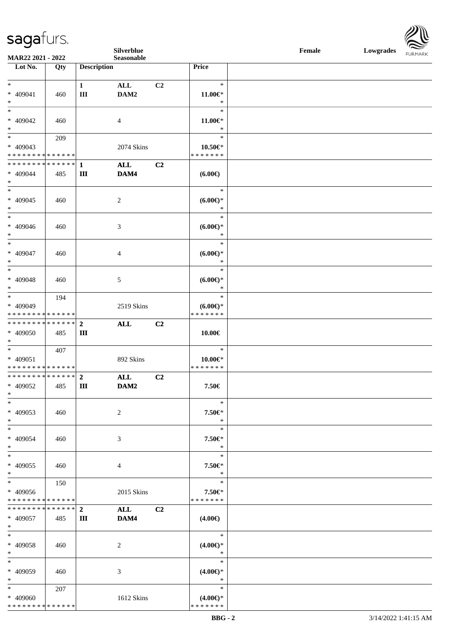|                                            |             |                    | Silverblue     |                |                    | Female |  | Lowgrades FURMARK |
|--------------------------------------------|-------------|--------------------|----------------|----------------|--------------------|--------|--|-------------------|
| MAR22 2021 - 2022                          |             |                    | Seasonable     |                |                    |        |  |                   |
| Lot No.                                    | Qty         | <b>Description</b> |                |                | Price              |        |  |                   |
|                                            |             |                    |                |                |                    |        |  |                   |
| $*$                                        |             | $\mathbf{1}$       | ALL            | C <sub>2</sub> | $\ast$             |        |  |                   |
| $* 409041$                                 | 460         | $\rm III$          | DAM2           |                | $11.00 \in$        |        |  |                   |
| $\ast$                                     |             |                    |                |                | $\ast$             |        |  |                   |
| $_{\ast}$                                  |             |                    |                |                | $\ast$             |        |  |                   |
| * 409042                                   | 460         |                    | $\overline{4}$ |                | $11.00 \in$        |        |  |                   |
| $\ast$                                     |             |                    |                |                | $\ast$             |        |  |                   |
| $\ast$                                     | 209         |                    |                |                | $\ast$             |        |  |                   |
| $* 409043$                                 |             |                    | 2074 Skins     |                | 10.50€*            |        |  |                   |
| * * * * * * * * <mark>* * * * * * *</mark> |             |                    |                |                | * * * * * * *      |        |  |                   |
| * * * * * * * * * * * * * * *              |             | $\mathbf{1}$       | ALL            | C2             |                    |        |  |                   |
| $* 409044$                                 | 485         | $\rm III$          | DAM4           |                | $(6.00\epsilon)$   |        |  |                   |
| $\ast$                                     |             |                    |                |                |                    |        |  |                   |
| $\overline{\ast}$                          |             |                    |                |                | $\ast$             |        |  |                   |
| $* 409045$                                 | 460         |                    | 2              |                | (6.00)             |        |  |                   |
| $\ast$                                     |             |                    |                |                | $\ast$             |        |  |                   |
| $\ast$                                     |             |                    |                |                | $\ast$             |        |  |                   |
| $* 409046$                                 |             |                    |                |                |                    |        |  |                   |
| $\ast$                                     | 460         |                    | 3              |                | (6.00)<br>$\ast$   |        |  |                   |
| $_{\ast}^{-}$                              |             |                    |                |                | $\ast$             |        |  |                   |
|                                            |             |                    |                |                |                    |        |  |                   |
| * 409047                                   | 460         |                    | 4              |                | $(6.00\epsilon)$ * |        |  |                   |
| $\ast$<br>$\overline{\ast}$                |             |                    |                |                | $\ast$             |        |  |                   |
|                                            |             |                    |                |                | $\ast$             |        |  |                   |
| * 409048                                   | 460         |                    | 5              |                | $(6.00\epsilon)$ * |        |  |                   |
| $\ast$                                     |             |                    |                |                | $\ast$             |        |  |                   |
| $\ast$                                     | 194         |                    |                |                | $\ast$             |        |  |                   |
| * 409049                                   |             |                    | 2519 Skins     |                | $(6.00\epsilon)$ * |        |  |                   |
| * * * * * * * * * * * * * *                |             |                    |                |                | * * * * * * *      |        |  |                   |
| **************                             |             | $\overline{2}$     | ALL            | C <sub>2</sub> |                    |        |  |                   |
| * 409050                                   | 485         | $\rm III$          |                |                | $10.00 \in$        |        |  |                   |
| $*$                                        |             |                    |                |                |                    |        |  |                   |
| $\overline{\phantom{0}}$                   | 407         |                    |                |                | $\ast$             |        |  |                   |
| * 409051                                   |             |                    | 892 Skins      |                | $10.00 \in$ *      |        |  |                   |
| * * * * * * * * * * * * * *                |             |                    |                |                | * * * * * * *      |        |  |                   |
| ************** 2                           |             |                    | ALL            | C2             |                    |        |  |                   |
| * 409052                                   | 485         | Ш                  | DAM2           |                | 7.50€              |        |  |                   |
| $\ast$                                     |             |                    |                |                |                    |        |  |                   |
| $\ast$                                     |             |                    |                |                | $\ast$             |        |  |                   |
| * 409053                                   | 460         |                    | $\overline{c}$ |                | 7.50€*             |        |  |                   |
| $\ast$                                     |             |                    |                |                | $\ast$             |        |  |                   |
| $\frac{1}{1}$                              |             |                    |                |                | $\ast$             |        |  |                   |
|                                            |             |                    |                |                |                    |        |  |                   |
| * 409054<br>$\ast$                         | 460         |                    | 3              |                | 7.50€*<br>$\ast$   |        |  |                   |
| $\ast$                                     |             |                    |                |                |                    |        |  |                   |
|                                            |             |                    |                |                | $\ast$             |        |  |                   |
| $* 409055$                                 | 460         |                    | $\overline{4}$ |                | 7.50€*             |        |  |                   |
| $\ast$                                     |             |                    |                |                | $\ast$             |        |  |                   |
| $\ast$                                     | 150         |                    |                |                | $\ast$             |        |  |                   |
| * 409056                                   |             |                    | 2015 Skins     |                | 7.50€*             |        |  |                   |
| * * * * * * * * * * * * * *                |             |                    |                |                | * * * * * * *      |        |  |                   |
| * * * * * * * *                            | * * * * * * | $\boldsymbol{2}$   | ALL            | C <sub>2</sub> |                    |        |  |                   |
| * 409057                                   | 485         | Ш                  | DAM4           |                | $(4.00\epsilon)$   |        |  |                   |
| $\ast$                                     |             |                    |                |                |                    |        |  |                   |
| $*$                                        |             |                    |                |                | $\ast$             |        |  |                   |
| * 409058                                   | 460         |                    | 2              |                | $(4.00\epsilon)$ * |        |  |                   |
| $\ast$                                     |             |                    |                |                | $\ast$             |        |  |                   |
| $\ast$                                     |             |                    |                |                | $\ast$             |        |  |                   |
| * 409059                                   | 460         |                    | 3              |                | $(4.00\epsilon)$ * |        |  |                   |
| $\ast$                                     |             |                    |                |                | $\ast$             |        |  |                   |
| $\overline{\phantom{a}^*}$                 | 207         |                    |                |                | $\ast$             |        |  |                   |
| * 409060                                   |             |                    | 1612 Skins     |                | $(4.00\epsilon)$ * |        |  |                   |
| * * * * * * * * * * * * * *                |             |                    |                |                | * * * * * * *      |        |  |                   |